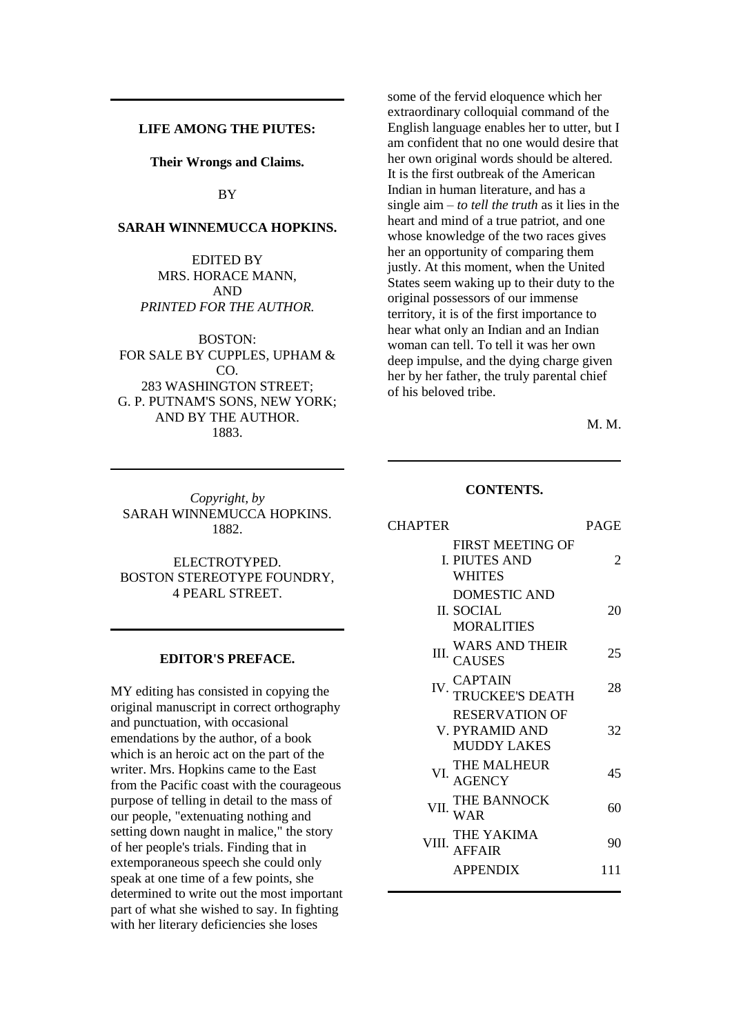# **LIFE AMONG THE PIUTES:**

**Their Wrongs and Claims.**

**BY** 

#### **SARAH WINNEMUCCA HOPKINS.**

EDITED BY MRS. HORACE MANN, AND *PRINTED FOR THE AUTHOR.*

BOSTON: FOR SALE BY CUPPLES, UPHAM & CO. 283 WASHINGTON STREET; G. P. PUTNAM'S SONS, NEW YORK; AND BY THE AUTHOR. 1883.

*Copyright, by* SARAH WINNEMUCCA HOPKINS. 1882.

ELECTROTYPED. BOSTON STEREOTYPE FOUNDRY, 4 PEARL STREET.

#### **EDITOR'S PREFACE.**

MY editing has consisted in copying the original manuscript in correct orthography and punctuation, with occasional emendations by the author, of a book which is an heroic act on the part of the writer. Mrs. Hopkins came to the East from the Pacific coast with the courageous purpose of telling in detail to the mass of our people, "extenuating nothing and setting down naught in malice," the story of her people's trials. Finding that in extemporaneous speech she could only speak at one time of a few points, she determined to write out the most important part of what she wished to say. In fighting with her literary deficiencies she loses

some of the fervid eloquence which her extraordinary colloquial command of the English language enables her to utter, but I am confident that no one would desire that her own original words should be altered. It is the first outbreak of the American Indian in human literature, and has a single aim – *to tell the truth* as it lies in the heart and mind of a true patriot, and one whose knowledge of the two races gives her an opportunity of comparing them justly. At this moment, when the United States seem waking up to their duty to the original possessors of our immense territory, it is of the first importance to hear what only an Indian and an Indian woman can tell. To tell it was her own deep impulse, and the dying charge given her by her father, the truly parental chief of his beloved tribe.

M. M.

# **CONTENTS.**

| <b>CHAPTER</b> |                                                                  | PAGE |
|----------------|------------------------------------------------------------------|------|
|                | <b>FIRST MEETING OF</b><br><b>I. PIUTES AND</b><br><b>WHITES</b> | 2    |
|                | <b>DOMESTIC AND</b><br><b>II. SOCIAL</b><br><b>MORALITIES</b>    | 20   |
|                | III. WARS AND THEIR<br>CAUSES                                    | 25   |
|                | IV. CAPTAIN<br>TRUCKEE'S DEATH                                   | 28   |
|                | <b>RESERVATION OF</b><br>V. PYRAMID AND<br><b>MUDDY LAKES</b>    | 32   |
|                | VI. THE MALHEUR<br>AGENCY                                        | 45   |
| VII.           | THE BANNOCK<br><b>WAR</b>                                        | 60   |
|                | VIII. THE YAKIMA<br><b>AFFAIR</b>                                | 90   |
|                | <b>APPENDIX</b>                                                  | 111  |
|                |                                                                  |      |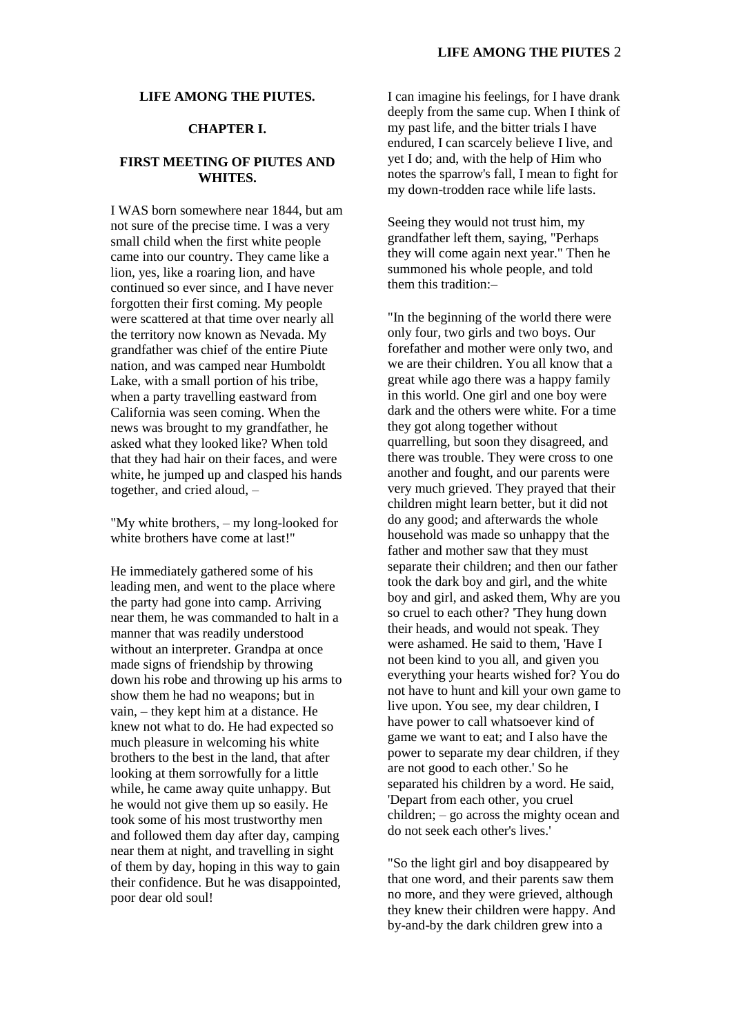#### **LIFE AMONG THE PIUTES.**

## **CHAPTER I.**

# **FIRST MEETING OF PIUTES AND WHITES.**

I WAS born somewhere near 1844, but am not sure of the precise time. I was a very small child when the first white people came into our country. They came like a lion, yes, like a roaring lion, and have continued so ever since, and I have never forgotten their first coming. My people were scattered at that time over nearly all the territory now known as Nevada. My grandfather was chief of the entire Piute nation, and was camped near Humboldt Lake, with a small portion of his tribe, when a party travelling eastward from California was seen coming. When the news was brought to my grandfather, he asked what they looked like? When told that they had hair on their faces, and were white, he jumped up and clasped his hands together, and cried aloud, –

"My white brothers, – my long-looked for white brothers have come at last!"

He immediately gathered some of his leading men, and went to the place where the party had gone into camp. Arriving near them, he was commanded to halt in a manner that was readily understood without an interpreter. Grandpa at once made signs of friendship by throwing down his robe and throwing up his arms to show them he had no weapons; but in vain, – they kept him at a distance. He knew not what to do. He had expected so much pleasure in welcoming his white brothers to the best in the land, that after looking at them sorrowfully for a little while, he came away quite unhappy. But he would not give them up so easily. He took some of his most trustworthy men and followed them day after day, camping near them at night, and travelling in sight of them by day, hoping in this way to gain their confidence. But he was disappointed, poor dear old soul!

I can imagine his feelings, for I have drank deeply from the same cup. When I think of my past life, and the bitter trials I have endured, I can scarcely believe I live, and yet I do; and, with the help of Him who notes the sparrow's fall, I mean to fight for my down-trodden race while life lasts.

Seeing they would not trust him, my grandfather left them, saying, "Perhaps they will come again next year." Then he summoned his whole people, and told them this tradition:–

"In the beginning of the world there were only four, two girls and two boys. Our forefather and mother were only two, and we are their children. You all know that a great while ago there was a happy family in this world. One girl and one boy were dark and the others were white. For a time they got along together without quarrelling, but soon they disagreed, and there was trouble. They were cross to one another and fought, and our parents were very much grieved. They prayed that their children might learn better, but it did not do any good; and afterwards the whole household was made so unhappy that the father and mother saw that they must separate their children; and then our father took the dark boy and girl, and the white boy and girl, and asked them, Why are you so cruel to each other? 'They hung down their heads, and would not speak. They were ashamed. He said to them, 'Have I not been kind to you all, and given you everything your hearts wished for? You do not have to hunt and kill your own game to live upon. You see, my dear children, I have power to call whatsoever kind of game we want to eat; and I also have the power to separate my dear children, if they are not good to each other.' So he separated his children by a word. He said, 'Depart from each other, you cruel children; – go across the mighty ocean and do not seek each other's lives.'

"So the light girl and boy disappeared by that one word, and their parents saw them no more, and they were grieved, although they knew their children were happy. And by-and-by the dark children grew into a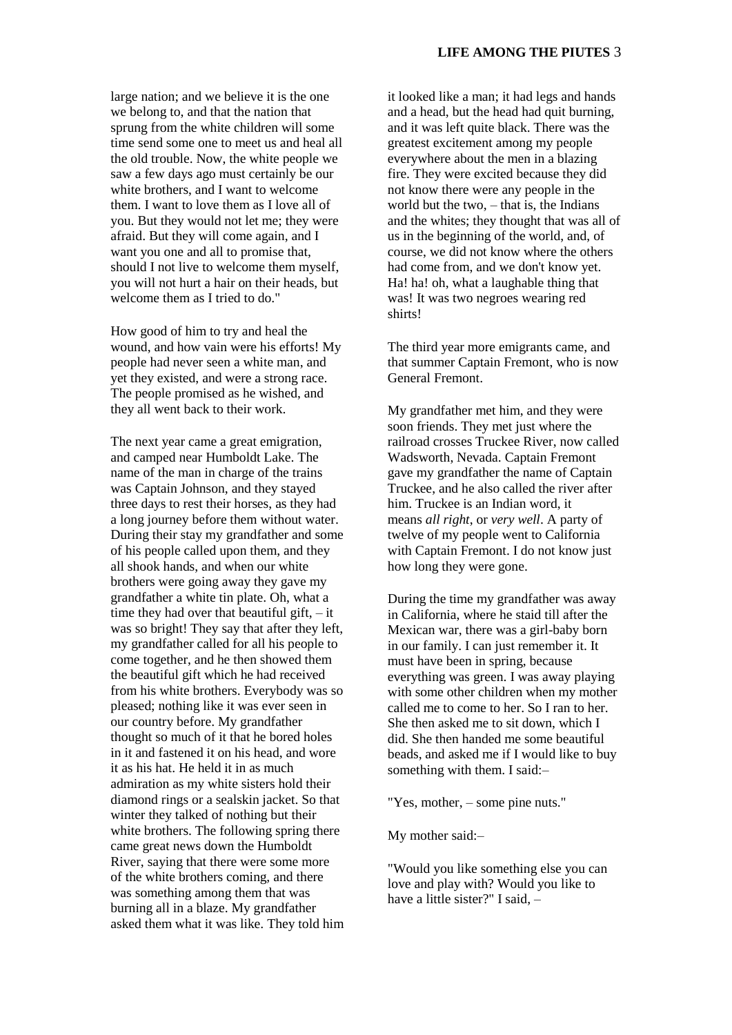large nation; and we believe it is the one we belong to, and that the nation that sprung from the white children will some time send some one to meet us and heal all the old trouble. Now, the white people we saw a few days ago must certainly be our white brothers, and I want to welcome them. I want to love them as I love all of you. But they would not let me; they were afraid. But they will come again, and I want you one and all to promise that. should I not live to welcome them myself, you will not hurt a hair on their heads, but welcome them as I tried to do."

How good of him to try and heal the wound, and how vain were his efforts! My people had never seen a white man, and yet they existed, and were a strong race. The people promised as he wished, and they all went back to their work.

The next year came a great emigration, and camped near Humboldt Lake. The name of the man in charge of the trains was Captain Johnson, and they stayed three days to rest their horses, as they had a long journey before them without water. During their stay my grandfather and some of his people called upon them, and they all shook hands, and when our white brothers were going away they gave my grandfather a white tin plate. Oh, what a time they had over that beautiful gift,  $-$  it was so bright! They say that after they left. my grandfather called for all his people to come together, and he then showed them the beautiful gift which he had received from his white brothers. Everybody was so pleased; nothing like it was ever seen in our country before. My grandfather thought so much of it that he bored holes in it and fastened it on his head, and wore it as his hat. He held it in as much admiration as my white sisters hold their diamond rings or a sealskin jacket. So that winter they talked of nothing but their white brothers. The following spring there came great news down the Humboldt River, saying that there were some more of the white brothers coming, and there was something among them that was burning all in a blaze. My grandfather asked them what it was like. They told him

it looked like a man; it had legs and hands and a head, but the head had quit burning, and it was left quite black. There was the greatest excitement among my people everywhere about the men in a blazing fire. They were excited because they did not know there were any people in the world but the two, – that is, the Indians and the whites; they thought that was all of us in the beginning of the world, and, of course, we did not know where the others had come from, and we don't know yet. Ha! ha! oh, what a laughable thing that was! It was two negroes wearing red shirts!

The third year more emigrants came, and that summer Captain Fremont, who is now General Fremont.

My grandfather met him, and they were soon friends. They met just where the railroad crosses Truckee River, now called Wadsworth, Nevada. Captain Fremont gave my grandfather the name of Captain Truckee, and he also called the river after him. Truckee is an Indian word, it means *all right*, or *very well*. A party of twelve of my people went to California with Captain Fremont. I do not know just how long they were gone.

During the time my grandfather was away in California, where he staid till after the Mexican war, there was a girl-baby born in our family. I can just remember it. It must have been in spring, because everything was green. I was away playing with some other children when my mother called me to come to her. So I ran to her. She then asked me to sit down, which I did. She then handed me some beautiful beads, and asked me if I would like to buy something with them. I said:–

"Yes, mother, – some pine nuts."

My mother said:–

"Would you like something else you can love and play with? Would you like to have a little sister?" I said, –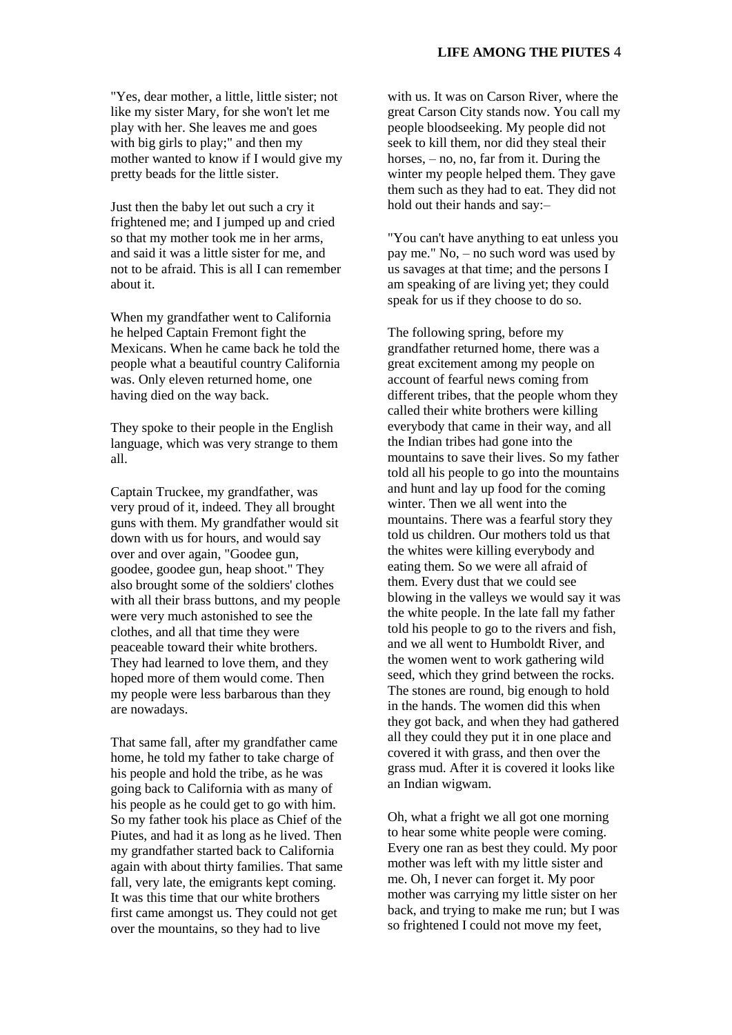## **LIFE AMONG THE PIUTES** 4

"Yes, dear mother, a little, little sister; not like my sister Mary, for she won't let me play with her. She leaves me and goes with big girls to play;" and then my mother wanted to know if I would give my pretty beads for the little sister.

Just then the baby let out such a cry it frightened me; and I jumped up and cried so that my mother took me in her arms, and said it was a little sister for me, and not to be afraid. This is all I can remember about it.

When my grandfather went to California he helped Captain Fremont fight the Mexicans. When he came back he told the people what a beautiful country California was. Only eleven returned home, one having died on the way back.

They spoke to their people in the English language, which was very strange to them all.

Captain Truckee, my grandfather, was very proud of it, indeed. They all brought guns with them. My grandfather would sit down with us for hours, and would say over and over again, "Goodee gun, goodee, goodee gun, heap shoot." They also brought some of the soldiers' clothes with all their brass buttons, and my people were very much astonished to see the clothes, and all that time they were peaceable toward their white brothers. They had learned to love them, and they hoped more of them would come. Then my people were less barbarous than they are nowadays.

That same fall, after my grandfather came home, he told my father to take charge of his people and hold the tribe, as he was going back to California with as many of his people as he could get to go with him. So my father took his place as Chief of the Piutes, and had it as long as he lived. Then my grandfather started back to California again with about thirty families. That same fall, very late, the emigrants kept coming. It was this time that our white brothers first came amongst us. They could not get over the mountains, so they had to live

with us. It was on Carson River, where the great Carson City stands now. You call my people bloodseeking. My people did not seek to kill them, nor did they steal their horses, – no, no, far from it. During the winter my people helped them. They gave them such as they had to eat. They did not hold out their hands and say:–

"You can't have anything to eat unless you pay me." No, – no such word was used by us savages at that time; and the persons I am speaking of are living yet; they could speak for us if they choose to do so.

The following spring, before my grandfather returned home, there was a great excitement among my people on account of fearful news coming from different tribes, that the people whom they called their white brothers were killing everybody that came in their way, and all the Indian tribes had gone into the mountains to save their lives. So my father told all his people to go into the mountains and hunt and lay up food for the coming winter. Then we all went into the mountains. There was a fearful story they told us children. Our mothers told us that the whites were killing everybody and eating them. So we were all afraid of them. Every dust that we could see blowing in the valleys we would say it was the white people. In the late fall my father told his people to go to the rivers and fish, and we all went to Humboldt River, and the women went to work gathering wild seed, which they grind between the rocks. The stones are round, big enough to hold in the hands. The women did this when they got back, and when they had gathered all they could they put it in one place and covered it with grass, and then over the grass mud. After it is covered it looks like an Indian wigwam.

Oh, what a fright we all got one morning to hear some white people were coming. Every one ran as best they could. My poor mother was left with my little sister and me. Oh, I never can forget it. My poor mother was carrying my little sister on her back, and trying to make me run; but I was so frightened I could not move my feet,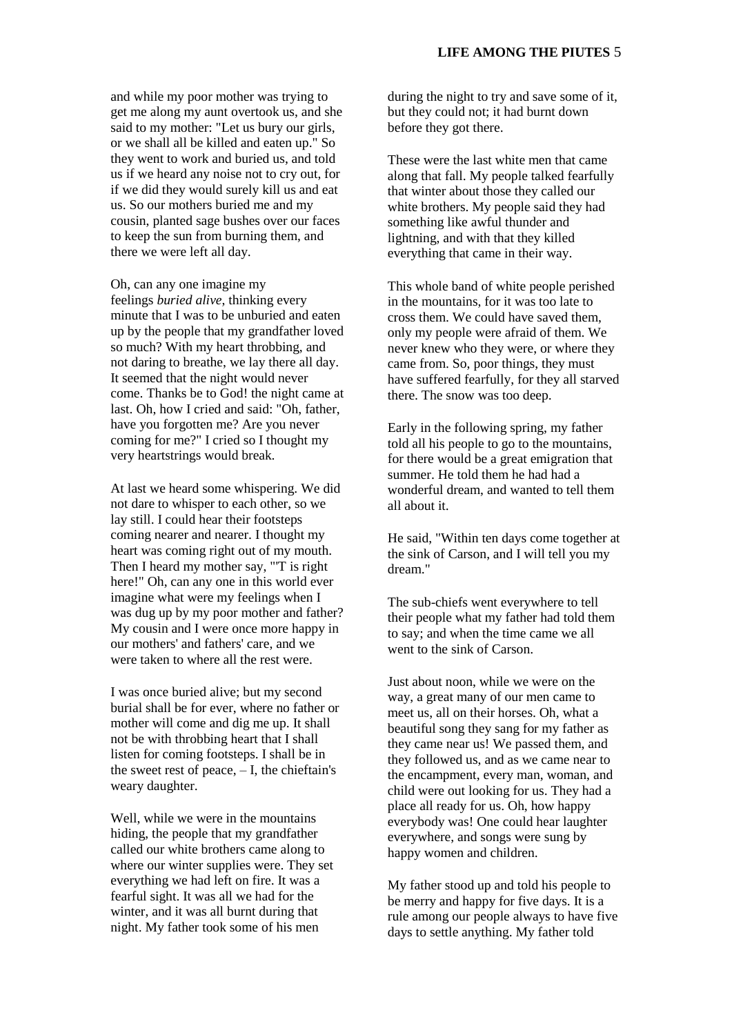and while my poor mother was trying to get me along my aunt overtook us, and she said to my mother: "Let us bury our girls, or we shall all be killed and eaten up." So they went to work and buried us, and told us if we heard any noise not to cry out, for if we did they would surely kill us and eat us. So our mothers buried me and my cousin, planted sage bushes over our faces to keep the sun from burning them, and there we were left all day.

Oh, can any one imagine my feelings *buried alive*, thinking every minute that I was to be unburied and eaten up by the people that my grandfather loved so much? With my heart throbbing, and not daring to breathe, we lay there all day. It seemed that the night would never come. Thanks be to God! the night came at last. Oh, how I cried and said: "Oh, father, have you forgotten me? Are you never coming for me?" I cried so I thought my very heartstrings would break.

At last we heard some whispering. We did not dare to whisper to each other, so we lay still. I could hear their footsteps coming nearer and nearer. I thought my heart was coming right out of my mouth. Then I heard my mother say, "'T is right here!" Oh, can any one in this world ever imagine what were my feelings when I was dug up by my poor mother and father? My cousin and I were once more happy in our mothers' and fathers' care, and we were taken to where all the rest were.

I was once buried alive; but my second burial shall be for ever, where no father or mother will come and dig me up. It shall not be with throbbing heart that I shall listen for coming footsteps. I shall be in the sweet rest of peace,  $- I$ , the chieftain's weary daughter.

Well, while we were in the mountains hiding, the people that my grandfather called our white brothers came along to where our winter supplies were. They set everything we had left on fire. It was a fearful sight. It was all we had for the winter, and it was all burnt during that night. My father took some of his men

during the night to try and save some of it, but they could not; it had burnt down before they got there.

These were the last white men that came along that fall. My people talked fearfully that winter about those they called our white brothers. My people said they had something like awful thunder and lightning, and with that they killed everything that came in their way.

This whole band of white people perished in the mountains, for it was too late to cross them. We could have saved them, only my people were afraid of them. We never knew who they were, or where they came from. So, poor things, they must have suffered fearfully, for they all starved there. The snow was too deep.

Early in the following spring, my father told all his people to go to the mountains, for there would be a great emigration that summer. He told them he had had a wonderful dream, and wanted to tell them all about it.

He said, "Within ten days come together at the sink of Carson, and I will tell you my dream."

The sub-chiefs went everywhere to tell their people what my father had told them to say; and when the time came we all went to the sink of Carson.

Just about noon, while we were on the way, a great many of our men came to meet us, all on their horses. Oh, what a beautiful song they sang for my father as they came near us! We passed them, and they followed us, and as we came near to the encampment, every man, woman, and child were out looking for us. They had a place all ready for us. Oh, how happy everybody was! One could hear laughter everywhere, and songs were sung by happy women and children.

My father stood up and told his people to be merry and happy for five days. It is a rule among our people always to have five days to settle anything. My father told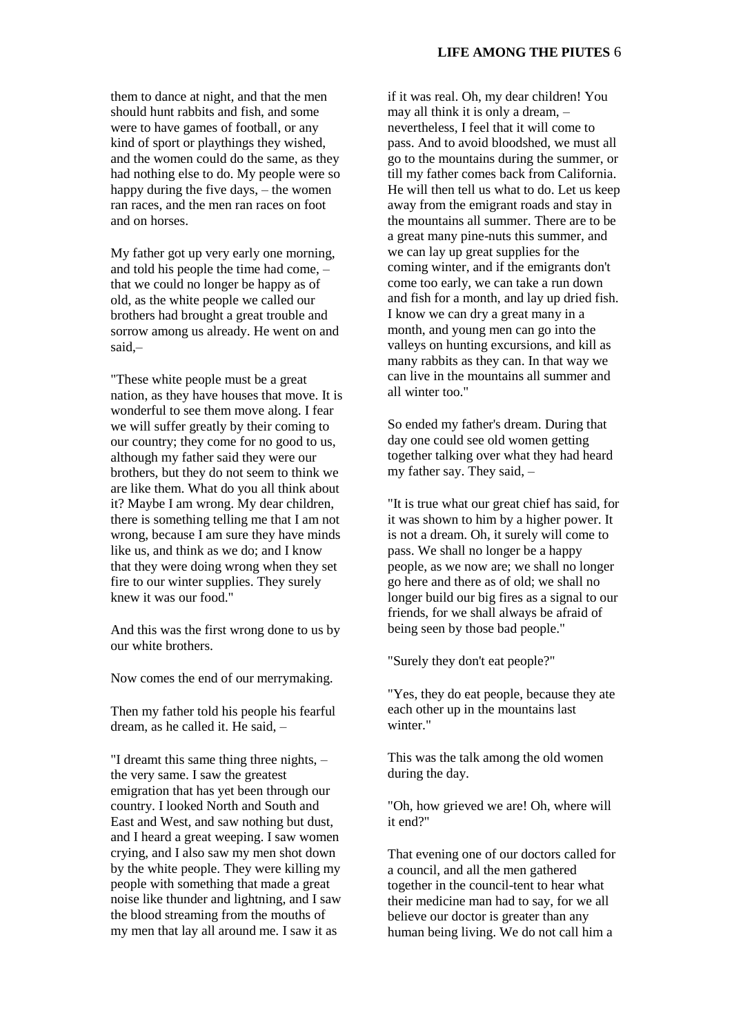them to dance at night, and that the men should hunt rabbits and fish, and some were to have games of football, or any kind of sport or playthings they wished, and the women could do the same, as they had nothing else to do. My people were so happy during the five days, – the women ran races, and the men ran races on foot and on horses.

My father got up very early one morning, and told his people the time had come, – that we could no longer be happy as of old, as the white people we called our brothers had brought a great trouble and sorrow among us already. He went on and said,–

"These white people must be a great nation, as they have houses that move. It is wonderful to see them move along. I fear we will suffer greatly by their coming to our country; they come for no good to us, although my father said they were our brothers, but they do not seem to think we are like them. What do you all think about it? Maybe I am wrong. My dear children, there is something telling me that I am not wrong, because I am sure they have minds like us, and think as we do; and I know that they were doing wrong when they set fire to our winter supplies. They surely knew it was our food."

And this was the first wrong done to us by our white brothers.

Now comes the end of our merrymaking.

Then my father told his people his fearful dream, as he called it. He said, –

"I dreamt this same thing three nights, – the very same. I saw the greatest emigration that has yet been through our country. I looked North and South and East and West, and saw nothing but dust, and I heard a great weeping. I saw women crying, and I also saw my men shot down by the white people. They were killing my people with something that made a great noise like thunder and lightning, and I saw the blood streaming from the mouths of my men that lay all around me. I saw it as

if it was real. Oh, my dear children! You may all think it is only a dream, – nevertheless, I feel that it will come to pass. And to avoid bloodshed, we must all go to the mountains during the summer, or till my father comes back from California. He will then tell us what to do. Let us keep away from the emigrant roads and stay in the mountains all summer. There are to be a great many pine-nuts this summer, and we can lay up great supplies for the coming winter, and if the emigrants don't come too early, we can take a run down and fish for a month, and lay up dried fish. I know we can dry a great many in a month, and young men can go into the valleys on hunting excursions, and kill as many rabbits as they can. In that way we can live in the mountains all summer and all winter too."

So ended my father's dream. During that day one could see old women getting together talking over what they had heard my father say. They said, –

"It is true what our great chief has said, for it was shown to him by a higher power. It is not a dream. Oh, it surely will come to pass. We shall no longer be a happy people, as we now are; we shall no longer go here and there as of old; we shall no longer build our big fires as a signal to our friends, for we shall always be afraid of being seen by those bad people."

"Surely they don't eat people?"

"Yes, they do eat people, because they ate each other up in the mountains last winter."

This was the talk among the old women during the day.

"Oh, how grieved we are! Oh, where will it end?"

That evening one of our doctors called for a council, and all the men gathered together in the council-tent to hear what their medicine man had to say, for we all believe our doctor is greater than any human being living. We do not call him a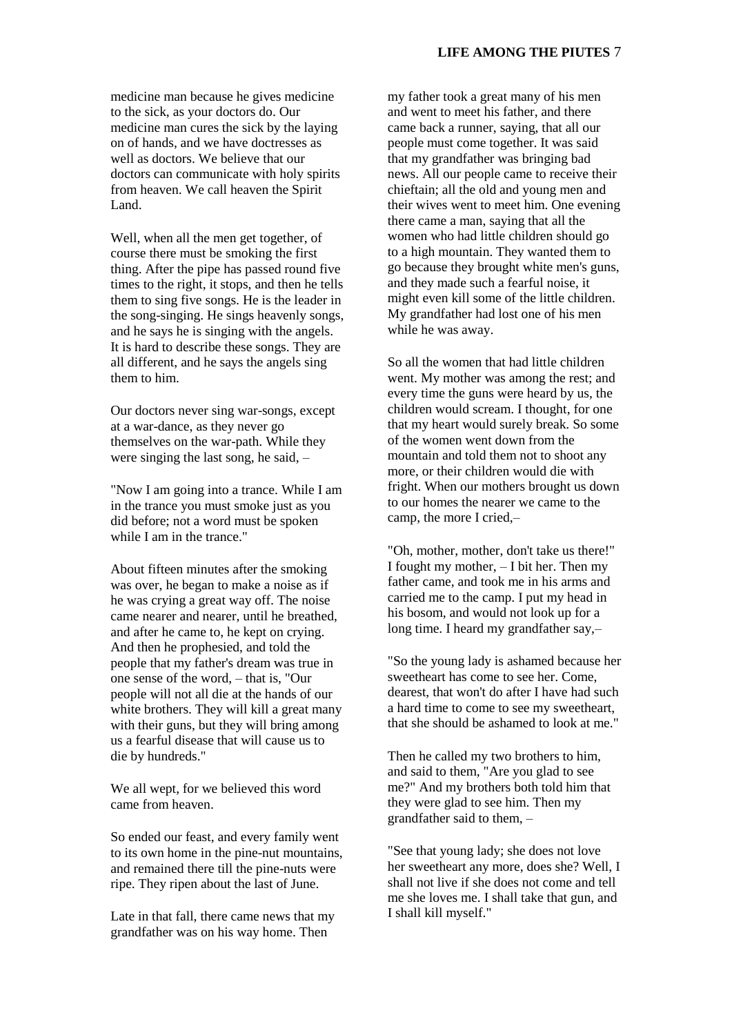medicine man because he gives medicine to the sick, as your doctors do. Our medicine man cures the sick by the laying on of hands, and we have doctresses as well as doctors. We believe that our doctors can communicate with holy spirits from heaven. We call heaven the Spirit Land.

Well, when all the men get together, of course there must be smoking the first thing. After the pipe has passed round five times to the right, it stops, and then he tells them to sing five songs. He is the leader in the song-singing. He sings heavenly songs, and he says he is singing with the angels. It is hard to describe these songs. They are all different, and he says the angels sing them to him.

Our doctors never sing war-songs, except at a war-dance, as they never go themselves on the war-path. While they were singing the last song, he said, –

"Now I am going into a trance. While I am in the trance you must smoke just as you did before; not a word must be spoken while I am in the trance."

About fifteen minutes after the smoking was over, he began to make a noise as if he was crying a great way off. The noise came nearer and nearer, until he breathed, and after he came to, he kept on crying. And then he prophesied, and told the people that my father's dream was true in one sense of the word, – that is, "Our people will not all die at the hands of our white brothers. They will kill a great many with their guns, but they will bring among us a fearful disease that will cause us to die by hundreds."

We all wept, for we believed this word came from heaven.

So ended our feast, and every family went to its own home in the pine-nut mountains, and remained there till the pine-nuts were ripe. They ripen about the last of June.

Late in that fall, there came news that my grandfather was on his way home. Then

my father took a great many of his men and went to meet his father, and there came back a runner, saying, that all our people must come together. It was said that my grandfather was bringing bad news. All our people came to receive their chieftain; all the old and young men and their wives went to meet him. One evening there came a man, saying that all the women who had little children should go to a high mountain. They wanted them to go because they brought white men's guns, and they made such a fearful noise, it might even kill some of the little children. My grandfather had lost one of his men while he was away.

So all the women that had little children went. My mother was among the rest; and every time the guns were heard by us, the children would scream. I thought, for one that my heart would surely break. So some of the women went down from the mountain and told them not to shoot any more, or their children would die with fright. When our mothers brought us down to our homes the nearer we came to the camp, the more I cried,–

"Oh, mother, mother, don't take us there!" I fought my mother, – I bit her. Then my father came, and took me in his arms and carried me to the camp. I put my head in his bosom, and would not look up for a long time. I heard my grandfather say,–

"So the young lady is ashamed because her sweetheart has come to see her. Come, dearest, that won't do after I have had such a hard time to come to see my sweetheart, that she should be ashamed to look at me."

Then he called my two brothers to him, and said to them, "Are you glad to see me?" And my brothers both told him that they were glad to see him. Then my grandfather said to them, –

"See that young lady; she does not love her sweetheart any more, does she? Well, I shall not live if she does not come and tell me she loves me. I shall take that gun, and I shall kill myself."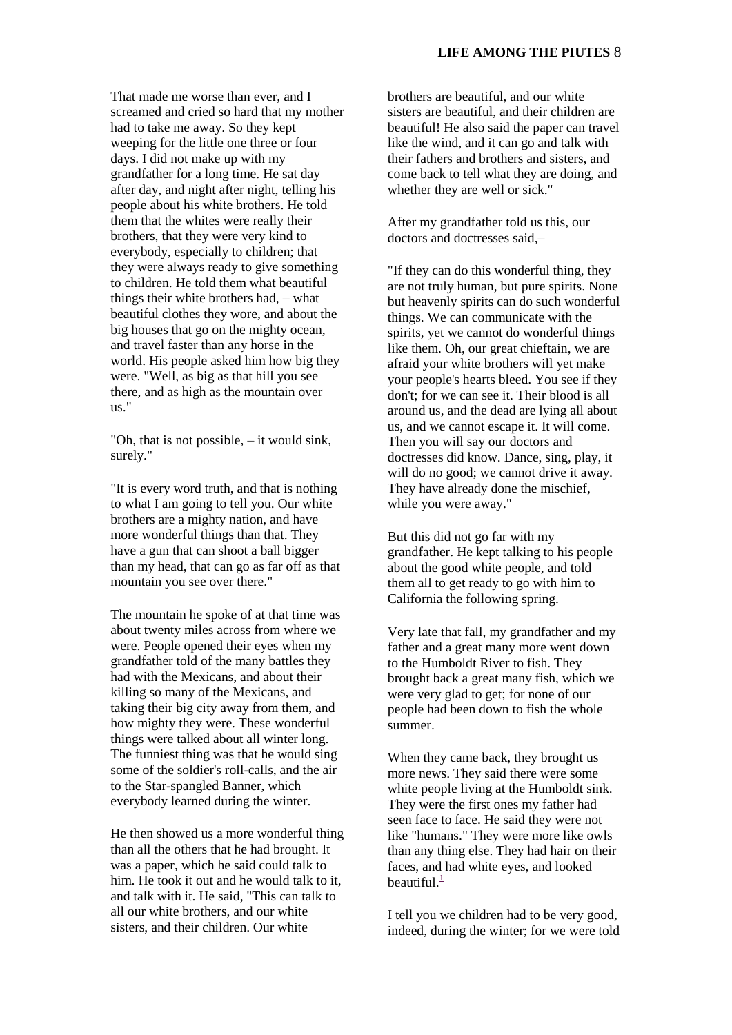That made me worse than ever, and I screamed and cried so hard that my mother had to take me away. So they kept weeping for the little one three or four days. I did not make up with my grandfather for a long time. He sat day after day, and night after night, telling his people about his white brothers. He told them that the whites were really their brothers, that they were very kind to everybody, especially to children; that they were always ready to give something to children. He told them what beautiful things their white brothers had, – what beautiful clothes they wore, and about the big houses that go on the mighty ocean, and travel faster than any horse in the world. His people asked him how big they were. "Well, as big as that hill you see there, and as high as the mountain over us."

"Oh, that is not possible, – it would sink, surely."

"It is every word truth, and that is nothing to what I am going to tell you. Our white brothers are a mighty nation, and have more wonderful things than that. They have a gun that can shoot a ball bigger than my head, that can go as far off as that mountain you see over there."

The mountain he spoke of at that time was about twenty miles across from where we were. People opened their eyes when my grandfather told of the many battles they had with the Mexicans, and about their killing so many of the Mexicans, and taking their big city away from them, and how mighty they were. These wonderful things were talked about all winter long. The funniest thing was that he would sing some of the soldier's roll-calls, and the air to the Star-spangled Banner, which everybody learned during the winter.

He then showed us a more wonderful thing than all the others that he had brought. It was a paper, which he said could talk to him. He took it out and he would talk to it, and talk with it. He said, "This can talk to all our white brothers, and our white sisters, and their children. Our white

brothers are beautiful, and our white sisters are beautiful, and their children are beautiful! He also said the paper can travel like the wind, and it can go and talk with their fathers and brothers and sisters, and come back to tell what they are doing, and whether they are well or sick."

After my grandfather told us this, our doctors and doctresses said,–

"If they can do this wonderful thing, they are not truly human, but pure spirits. None but heavenly spirits can do such wonderful things. We can communicate with the spirits, yet we cannot do wonderful things like them. Oh, our great chieftain, we are afraid your white brothers will yet make your people's hearts bleed. You see if they don't; for we can see it. Their blood is all around us, and the dead are lying all about us, and we cannot escape it. It will come. Then you will say our doctors and doctresses did know. Dance, sing, play, it will do no good; we cannot drive it away. They have already done the mischief, while you were away."

But this did not go far with my grandfather. He kept talking to his people about the good white people, and told them all to get ready to go with him to California the following spring.

Very late that fall, my grandfather and my father and a great many more went down to the Humboldt River to fish. They brought back a great many fish, which we were very glad to get; for none of our people had been down to fish the whole summer.

When they came back, they brought us more news. They said there were some white people living at the Humboldt sink. They were the first ones my father had seen face to face. He said they were not like "humans." They were more like owls than any thing else. They had hair on their faces, and had white eyes, and looked beautiful[.](http://digital.library.upenn.edu/women/winnemucca/piutes/piutes.html#20-1) $\frac{1}{1}$ 

I tell you we children had to be very good, indeed, during the winter; for we were told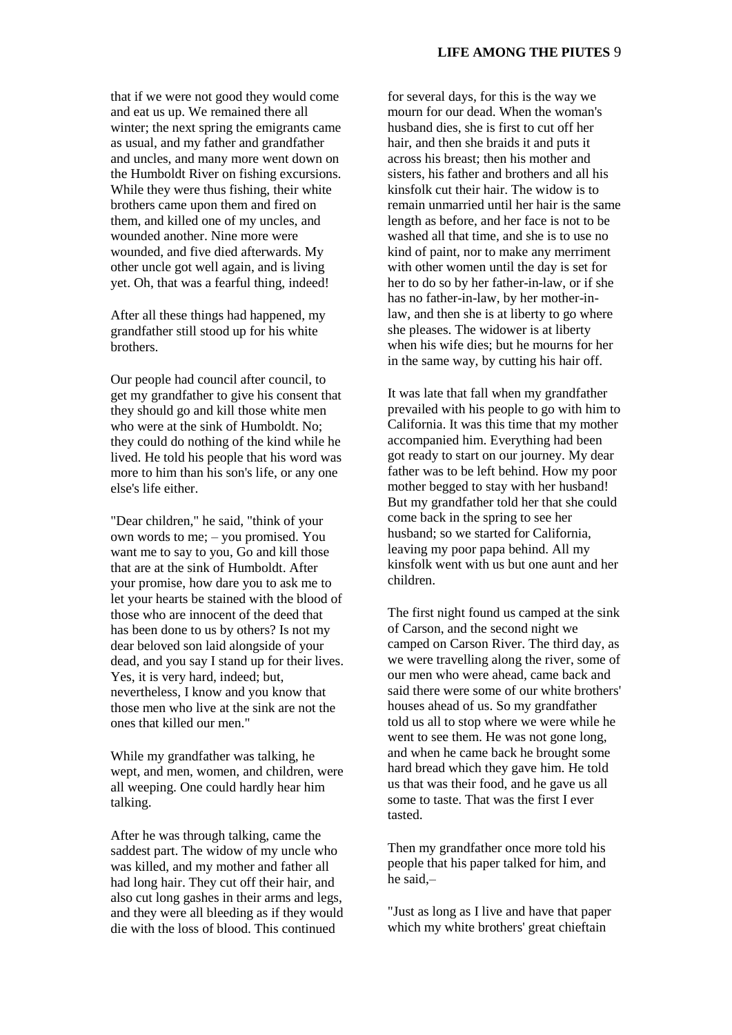that if we were not good they would come and eat us up. We remained there all winter; the next spring the emigrants came as usual, and my father and grandfather and uncles, and many more went down on the Humboldt River on fishing excursions. While they were thus fishing, their white brothers came upon them and fired on them, and killed one of my uncles, and wounded another. Nine more were wounded, and five died afterwards. My other uncle got well again, and is living yet. Oh, that was a fearful thing, indeed!

After all these things had happened, my grandfather still stood up for his white brothers.

Our people had council after council, to get my grandfather to give his consent that they should go and kill those white men who were at the sink of Humboldt. No; they could do nothing of the kind while he lived. He told his people that his word was more to him than his son's life, or any one else's life either.

"Dear children," he said, "think of your own words to me; – you promised. You want me to say to you, Go and kill those that are at the sink of Humboldt. After your promise, how dare you to ask me to let your hearts be stained with the blood of those who are innocent of the deed that has been done to us by others? Is not my dear beloved son laid alongside of your dead, and you say I stand up for their lives. Yes, it is very hard, indeed; but, nevertheless, I know and you know that those men who live at the sink are not the ones that killed our men."

While my grandfather was talking, he wept, and men, women, and children, were all weeping. One could hardly hear him talking.

After he was through talking, came the saddest part. The widow of my uncle who was killed, and my mother and father all had long hair. They cut off their hair, and also cut long gashes in their arms and legs, and they were all bleeding as if they would die with the loss of blood. This continued

for several days, for this is the way we mourn for our dead. When the woman's husband dies, she is first to cut off her hair, and then she braids it and puts it across his breast; then his mother and sisters, his father and brothers and all his kinsfolk cut their hair. The widow is to remain unmarried until her hair is the same length as before, and her face is not to be washed all that time, and she is to use no kind of paint, nor to make any merriment with other women until the day is set for her to do so by her father-in-law, or if she has no father-in-law, by her mother-inlaw, and then she is at liberty to go where she pleases. The widower is at liberty when his wife dies; but he mourns for her in the same way, by cutting his hair off.

It was late that fall when my grandfather prevailed with his people to go with him to California. It was this time that my mother accompanied him. Everything had been got ready to start on our journey. My dear father was to be left behind. How my poor mother begged to stay with her husband! But my grandfather told her that she could come back in the spring to see her husband; so we started for California, leaving my poor papa behind. All my kinsfolk went with us but one aunt and her children.

The first night found us camped at the sink of Carson, and the second night we camped on Carson River. The third day, as we were travelling along the river, some of our men who were ahead, came back and said there were some of our white brothers' houses ahead of us. So my grandfather told us all to stop where we were while he went to see them. He was not gone long, and when he came back he brought some hard bread which they gave him. He told us that was their food, and he gave us all some to taste. That was the first I ever tasted.

Then my grandfather once more told his people that his paper talked for him, and he said,–

"Just as long as I live and have that paper which my white brothers' great chieftain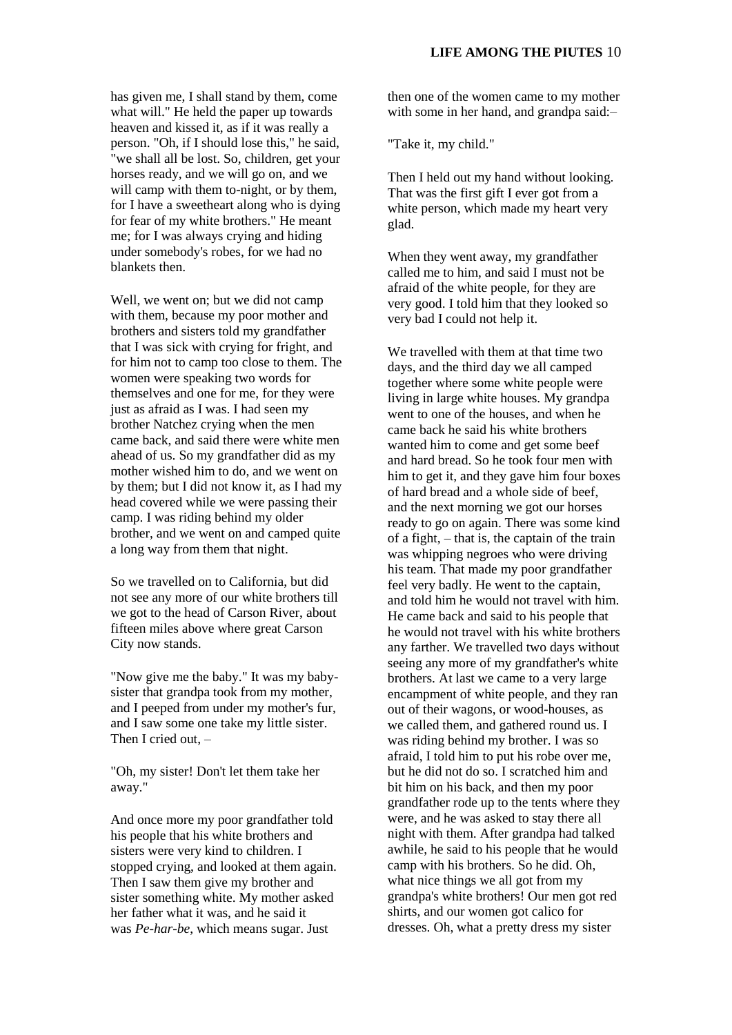has given me, I shall stand by them, come what will." He held the paper up towards heaven and kissed it, as if it was really a person. "Oh, if I should lose this," he said, "we shall all be lost. So, children, get your horses ready, and we will go on, and we will camp with them to-night, or by them. for I have a sweetheart along who is dying for fear of my white brothers." He meant me; for I was always crying and hiding under somebody's robes, for we had no blankets then.

Well, we went on; but we did not camp with them, because my poor mother and brothers and sisters told my grandfather that I was sick with crying for fright, and for him not to camp too close to them. The women were speaking two words for themselves and one for me, for they were just as afraid as I was. I had seen my brother Natchez crying when the men came back, and said there were white men ahead of us. So my grandfather did as my mother wished him to do, and we went on by them; but I did not know it, as I had my head covered while we were passing their camp. I was riding behind my older brother, and we went on and camped quite a long way from them that night.

So we travelled on to California, but did not see any more of our white brothers till we got to the head of Carson River, about fifteen miles above where great Carson City now stands.

"Now give me the baby." It was my babysister that grandpa took from my mother, and I peeped from under my mother's fur, and I saw some one take my little sister. Then I cried out, –

"Oh, my sister! Don't let them take her away."

And once more my poor grandfather told his people that his white brothers and sisters were very kind to children. I stopped crying, and looked at them again. Then I saw them give my brother and sister something white. My mother asked her father what it was, and he said it was *Pe-har-be*, which means sugar. Just

then one of the women came to my mother with some in her hand, and grandpa said:–

"Take it, my child."

Then I held out my hand without looking. That was the first gift I ever got from a white person, which made my heart very glad.

When they went away, my grandfather called me to him, and said I must not be afraid of the white people, for they are very good. I told him that they looked so very bad I could not help it.

We travelled with them at that time two days, and the third day we all camped together where some white people were living in large white houses. My grandpa went to one of the houses, and when he came back he said his white brothers wanted him to come and get some beef and hard bread. So he took four men with him to get it, and they gave him four boxes of hard bread and a whole side of beef, and the next morning we got our horses ready to go on again. There was some kind of a fight, – that is, the captain of the train was whipping negroes who were driving his team. That made my poor grandfather feel very badly. He went to the captain, and told him he would not travel with him. He came back and said to his people that he would not travel with his white brothers any farther. We travelled two days without seeing any more of my grandfather's white brothers. At last we came to a very large encampment of white people, and they ran out of their wagons, or wood-houses, as we called them, and gathered round us. I was riding behind my brother. I was so afraid, I told him to put his robe over me, but he did not do so. I scratched him and bit him on his back, and then my poor grandfather rode up to the tents where they were, and he was asked to stay there all night with them. After grandpa had talked awhile, he said to his people that he would camp with his brothers. So he did. Oh, what nice things we all got from my grandpa's white brothers! Our men got red shirts, and our women got calico for dresses. Oh, what a pretty dress my sister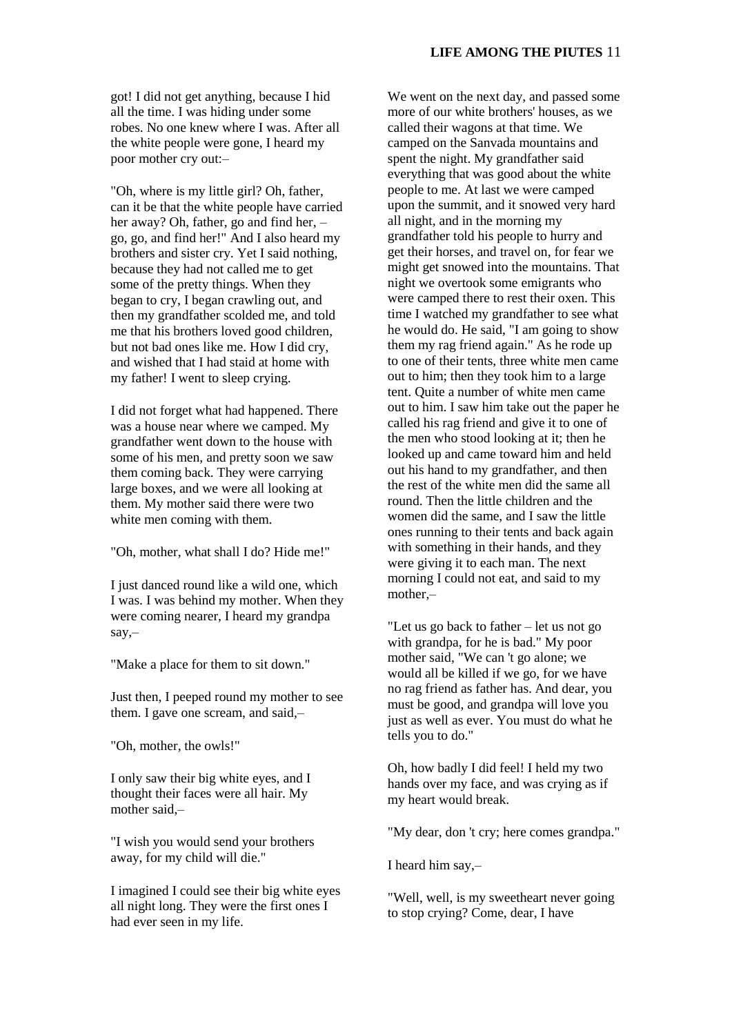got! I did not get anything, because I hid all the time. I was hiding under some robes. No one knew where I was. After all the white people were gone, I heard my poor mother cry out:–

"Oh, where is my little girl? Oh, father, can it be that the white people have carried her away? Oh, father, go and find her, – go, go, and find her!" And I also heard my brothers and sister cry. Yet I said nothing, because they had not called me to get some of the pretty things. When they began to cry, I began crawling out, and then my grandfather scolded me, and told me that his brothers loved good children, but not bad ones like me. How I did cry, and wished that I had staid at home with my father! I went to sleep crying.

I did not forget what had happened. There was a house near where we camped. My grandfather went down to the house with some of his men, and pretty soon we saw them coming back. They were carrying large boxes, and we were all looking at them. My mother said there were two white men coming with them.

"Oh, mother, what shall I do? Hide me!"

I just danced round like a wild one, which I was. I was behind my mother. When they were coming nearer, I heard my grandpa say,–

"Make a place for them to sit down."

Just then, I peeped round my mother to see them. I gave one scream, and said,–

"Oh, mother, the owls!"

I only saw their big white eyes, and I thought their faces were all hair. My mother said,–

"I wish you would send your brothers away, for my child will die."

I imagined I could see their big white eyes all night long. They were the first ones I had ever seen in my life.

We went on the next day, and passed some more of our white brothers' houses, as we called their wagons at that time. We camped on the Sanvada mountains and spent the night. My grandfather said everything that was good about the white people to me. At last we were camped upon the summit, and it snowed very hard all night, and in the morning my grandfather told his people to hurry and get their horses, and travel on, for fear we might get snowed into the mountains. That night we overtook some emigrants who were camped there to rest their oxen. This time I watched my grandfather to see what he would do. He said, "I am going to show them my rag friend again." As he rode up to one of their tents, three white men came out to him; then they took him to a large tent. Quite a number of white men came out to him. I saw him take out the paper he called his rag friend and give it to one of the men who stood looking at it; then he looked up and came toward him and held out his hand to my grandfather, and then the rest of the white men did the same all round. Then the little children and the women did the same, and I saw the little ones running to their tents and back again with something in their hands, and they were giving it to each man. The next morning I could not eat, and said to my mother,–

"Let us go back to father – let us not go with grandpa, for he is bad." My poor mother said, "We can 't go alone; we would all be killed if we go, for we have no rag friend as father has. And dear, you must be good, and grandpa will love you just as well as ever. You must do what he tells you to do."

Oh, how badly I did feel! I held my two hands over my face, and was crying as if my heart would break.

"My dear, don 't cry; here comes grandpa."

I heard him say,–

"Well, well, is my sweetheart never going to stop crying? Come, dear, I have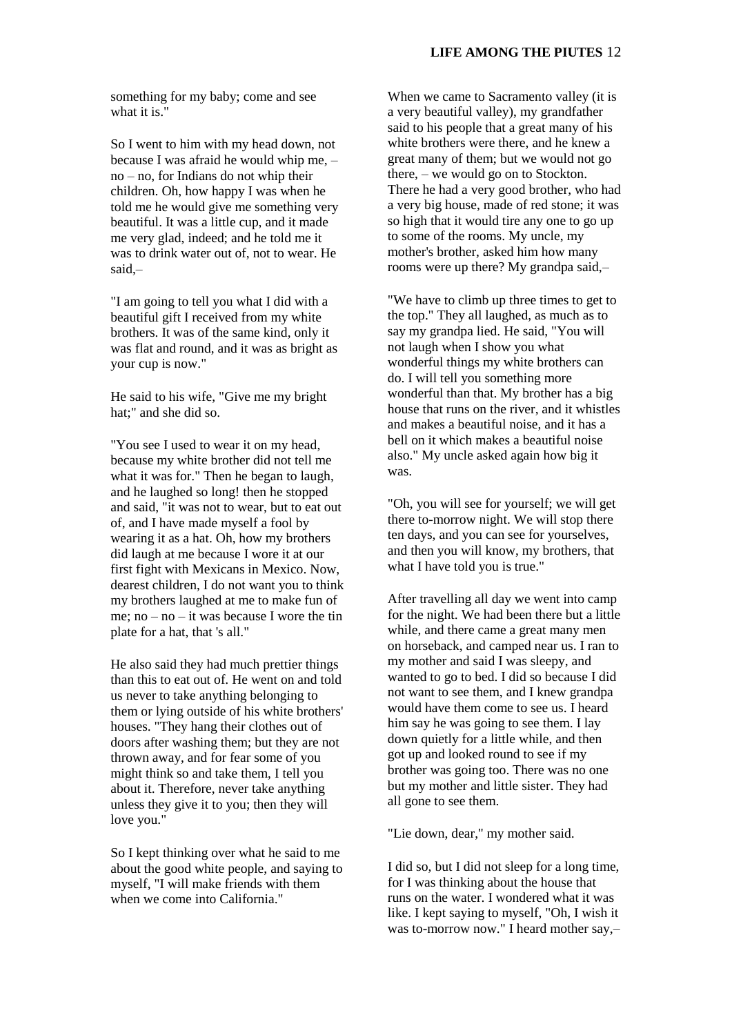## **LIFE AMONG THE PIUTES** 12

something for my baby; come and see what it is."

So I went to him with my head down, not because I was afraid he would whip me, – no – no, for Indians do not whip their children. Oh, how happy I was when he told me he would give me something very beautiful. It was a little cup, and it made me very glad, indeed; and he told me it was to drink water out of, not to wear. He said,–

"I am going to tell you what I did with a beautiful gift I received from my white brothers. It was of the same kind, only it was flat and round, and it was as bright as your cup is now."

He said to his wife, "Give me my bright hat;" and she did so.

"You see I used to wear it on my head, because my white brother did not tell me what it was for." Then he began to laugh, and he laughed so long! then he stopped and said, "it was not to wear, but to eat out of, and I have made myself a fool by wearing it as a hat. Oh, how my brothers did laugh at me because I wore it at our first fight with Mexicans in Mexico. Now, dearest children, I do not want you to think my brothers laughed at me to make fun of me; no – no – it was because I wore the tin plate for a hat, that 's all."

He also said they had much prettier things than this to eat out of. He went on and told us never to take anything belonging to them or lying outside of his white brothers' houses. "They hang their clothes out of doors after washing them; but they are not thrown away, and for fear some of you might think so and take them, I tell you about it. Therefore, never take anything unless they give it to you; then they will love you."

So I kept thinking over what he said to me about the good white people, and saying to myself, "I will make friends with them when we come into California."

When we came to Sacramento valley (it is a very beautiful valley), my grandfather said to his people that a great many of his white brothers were there, and he knew a great many of them; but we would not go there, – we would go on to Stockton. There he had a very good brother, who had a very big house, made of red stone; it was so high that it would tire any one to go up to some of the rooms. My uncle, my mother's brother, asked him how many rooms were up there? My grandpa said,–

"We have to climb up three times to get to the top." They all laughed, as much as to say my grandpa lied. He said, "You will not laugh when I show you what wonderful things my white brothers can do. I will tell you something more wonderful than that. My brother has a big house that runs on the river, and it whistles and makes a beautiful noise, and it has a bell on it which makes a beautiful noise also." My uncle asked again how big it was.

"Oh, you will see for yourself; we will get there to-morrow night. We will stop there ten days, and you can see for yourselves, and then you will know, my brothers, that what I have told you is true."

After travelling all day we went into camp for the night. We had been there but a little while, and there came a great many men on horseback, and camped near us. I ran to my mother and said I was sleepy, and wanted to go to bed. I did so because I did not want to see them, and I knew grandpa would have them come to see us. I heard him say he was going to see them. I lay down quietly for a little while, and then got up and looked round to see if my brother was going too. There was no one but my mother and little sister. They had all gone to see them.

"Lie down, dear," my mother said.

I did so, but I did not sleep for a long time, for I was thinking about the house that runs on the water. I wondered what it was like. I kept saying to myself, "Oh, I wish it was to-morrow now." I heard mother say,–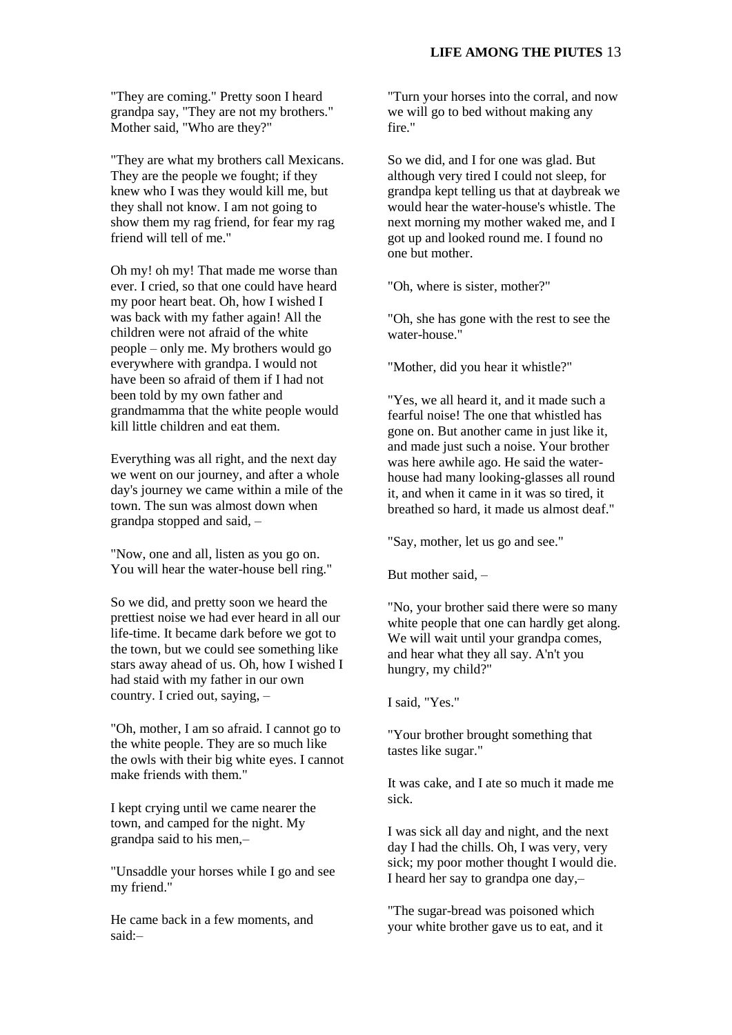"They are coming." Pretty soon I heard grandpa say, "They are not my brothers." Mother said, "Who are they?"

"They are what my brothers call Mexicans. They are the people we fought; if they knew who I was they would kill me, but they shall not know. I am not going to show them my rag friend, for fear my rag friend will tell of me."

Oh my! oh my! That made me worse than ever. I cried, so that one could have heard my poor heart beat. Oh, how I wished I was back with my father again! All the children were not afraid of the white people – only me. My brothers would go everywhere with grandpa. I would not have been so afraid of them if I had not been told by my own father and grandmamma that the white people would kill little children and eat them.

Everything was all right, and the next day we went on our journey, and after a whole day's journey we came within a mile of the town. The sun was almost down when grandpa stopped and said, –

"Now, one and all, listen as you go on. You will hear the water-house bell ring."

So we did, and pretty soon we heard the prettiest noise we had ever heard in all our life-time. It became dark before we got to the town, but we could see something like stars away ahead of us. Oh, how I wished I had staid with my father in our own country. I cried out, saying, –

"Oh, mother, I am so afraid. I cannot go to the white people. They are so much like the owls with their big white eyes. I cannot make friends with them."

I kept crying until we came nearer the town, and camped for the night. My grandpa said to his men,–

"Unsaddle your horses while I go and see my friend."

He came back in a few moments, and said:–

"Turn your horses into the corral, and now we will go to bed without making any fire."

So we did, and I for one was glad. But although very tired I could not sleep, for grandpa kept telling us that at daybreak we would hear the water-house's whistle. The next morning my mother waked me, and I got up and looked round me. I found no one but mother.

"Oh, where is sister, mother?"

"Oh, she has gone with the rest to see the water-house."

"Mother, did you hear it whistle?"

"Yes, we all heard it, and it made such a fearful noise! The one that whistled has gone on. But another came in just like it, and made just such a noise. Your brother was here awhile ago. He said the waterhouse had many looking-glasses all round it, and when it came in it was so tired, it breathed so hard, it made us almost deaf."

"Say, mother, let us go and see."

But mother said, –

"No, your brother said there were so many white people that one can hardly get along. We will wait until your grandpa comes, and hear what they all say. A'n't you hungry, my child?"

I said, "Yes."

"Your brother brought something that tastes like sugar."

It was cake, and I ate so much it made me sick.

I was sick all day and night, and the next day I had the chills. Oh, I was very, very sick; my poor mother thought I would die. I heard her say to grandpa one day,–

"The sugar-bread was poisoned which your white brother gave us to eat, and it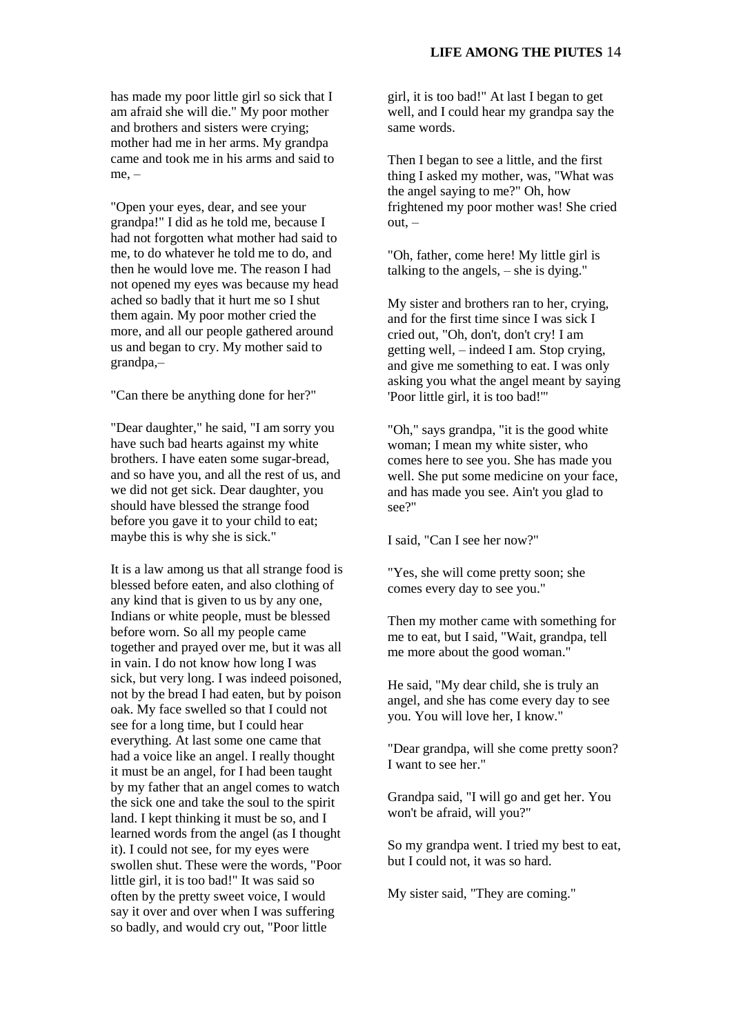has made my poor little girl so sick that I am afraid she will die." My poor mother and brothers and sisters were crying; mother had me in her arms. My grandpa came and took me in his arms and said to me, –

"Open your eyes, dear, and see your grandpa!" I did as he told me, because I had not forgotten what mother had said to me, to do whatever he told me to do, and then he would love me. The reason I had not opened my eyes was because my head ached so badly that it hurt me so I shut them again. My poor mother cried the more, and all our people gathered around us and began to cry. My mother said to grandpa,–

"Can there be anything done for her?"

"Dear daughter," he said, "I am sorry you have such bad hearts against my white brothers. I have eaten some sugar-bread, and so have you, and all the rest of us, and we did not get sick. Dear daughter, you should have blessed the strange food before you gave it to your child to eat; maybe this is why she is sick."

It is a law among us that all strange food is blessed before eaten, and also clothing of any kind that is given to us by any one, Indians or white people, must be blessed before worn. So all my people came together and prayed over me, but it was all in vain. I do not know how long I was sick, but very long. I was indeed poisoned, not by the bread I had eaten, but by poison oak. My face swelled so that I could not see for a long time, but I could hear everything. At last some one came that had a voice like an angel. I really thought it must be an angel, for I had been taught by my father that an angel comes to watch the sick one and take the soul to the spirit land. I kept thinking it must be so, and I learned words from the angel (as I thought it). I could not see, for my eyes were swollen shut. These were the words, "Poor little girl, it is too bad!" It was said so often by the pretty sweet voice, I would say it over and over when I was suffering so badly, and would cry out, "Poor little

girl, it is too bad!" At last I began to get well, and I could hear my grandpa say the same words.

Then I began to see a little, and the first thing I asked my mother, was, "What was the angel saying to me?" Oh, how frightened my poor mother was! She cried  $out. -$ 

"Oh, father, come here! My little girl is talking to the angels, – she is dying."

My sister and brothers ran to her, crying, and for the first time since I was sick I cried out, "Oh, don't, don't cry! I am getting well, – indeed I am. Stop crying, and give me something to eat. I was only asking you what the angel meant by saying 'Poor little girl, it is too bad!'"

"Oh," says grandpa, "it is the good white woman; I mean my white sister, who comes here to see you. She has made you well. She put some medicine on your face, and has made you see. Ain't you glad to see?"

I said, "Can I see her now?"

"Yes, she will come pretty soon; she comes every day to see you."

Then my mother came with something for me to eat, but I said, "Wait, grandpa, tell me more about the good woman."

He said, "My dear child, she is truly an angel, and she has come every day to see you. You will love her, I know."

"Dear grandpa, will she come pretty soon? I want to see her."

Grandpa said, "I will go and get her. You won't be afraid, will you?"

So my grandpa went. I tried my best to eat, but I could not, it was so hard.

My sister said, "They are coming."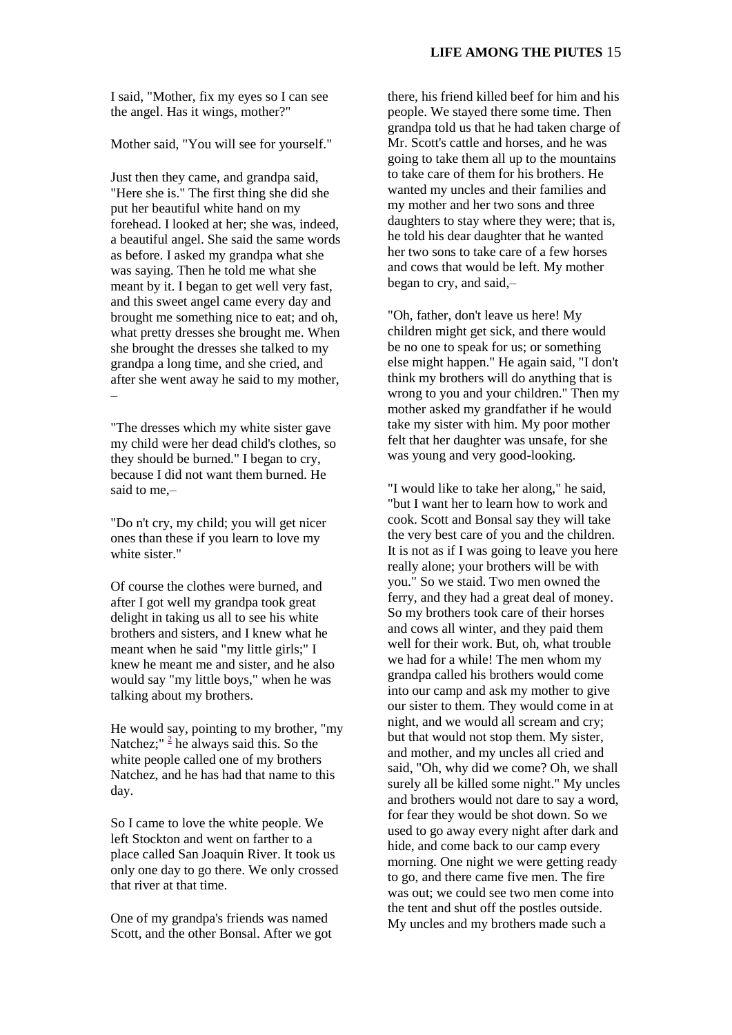I said, "Mother, fix my eyes so I can see the angel. Has it wings, mother?"

Mother said, "You will see for yourself."

Just then they came, and grandpa said, "Here she is." The first thing she did she put her beautiful white hand on my forehead. I looked at her; she was, indeed, a beautiful angel. She said the same words as before. I asked my grandpa what she was saying. Then he told me what she meant by it. I began to get well very fast, and this sweet angel came every day and brought me something nice to eat; and oh, what pretty dresses she brought me. When she brought the dresses she talked to my grandpa a long time, and she cried, and after she went away he said to my mother, –

"The dresses which my white sister gave my child were her dead child's clothes, so they should be burned." I began to cry, because I did not want them burned. He said to me,–

"Do n't cry, my child; you will get nicer ones than these if you learn to love my white sister."

Of course the clothes were burned, and after I got well my grandpa took great delight in taking us all to see his white brothers and sisters, and I knew what he meant when he said "my little girls;" I knew he meant me and sister, and he also would say "my little boys," when he was talking about my brothers.

He would say, pointing to my brother, "my Natchez;"  $2$  he always said this. So the white people called one of my brothers Natchez, and he has had that name to this day.

So I came to love the white people. We left Stockton and went on farther to a place called San Joaquin River. It took us only one day to go there. We only crossed that river at that time.

One of my grandpa's friends was named Scott, and the other Bonsal. After we got there, his friend killed beef for him and his people. We stayed there some time. Then grandpa told us that he had taken charge of Mr. Scott's cattle and horses, and he was going to take them all up to the mountains to take care of them for his brothers. He wanted my uncles and their families and my mother and her two sons and three daughters to stay where they were; that is, he told his dear daughter that he wanted her two sons to take care of a few horses and cows that would be left. My mother began to cry, and said,–

"Oh, father, don't leave us here! My children might get sick, and there would be no one to speak for us; or something else might happen." He again said, "I don't think my brothers will do anything that is wrong to you and your children." Then my mother asked my grandfather if he would take my sister with him. My poor mother felt that her daughter was unsafe, for she was young and very good-looking.

"I would like to take her along," he said, "but I want her to learn how to work and cook. Scott and Bonsal say they will take the very best care of you and the children. It is not as if I was going to leave you here really alone; your brothers will be with you." So we staid. Two men owned the ferry, and they had a great deal of money. So my brothers took care of their horses and cows all winter, and they paid them well for their work. But, oh, what trouble we had for a while! The men whom my grandpa called his brothers would come into our camp and ask my mother to give our sister to them. They would come in at night, and we would all scream and cry; but that would not stop them. My sister, and mother, and my uncles all cried and said, "Oh, why did we come? Oh, we shall surely all be killed some night." My uncles and brothers would not dare to say a word, for fear they would be shot down. So we used to go away every night after dark and hide, and come back to our camp every morning. One night we were getting ready to go, and there came five men. The fire was out; we could see two men come into the tent and shut off the postles outside. My uncles and my brothers made such a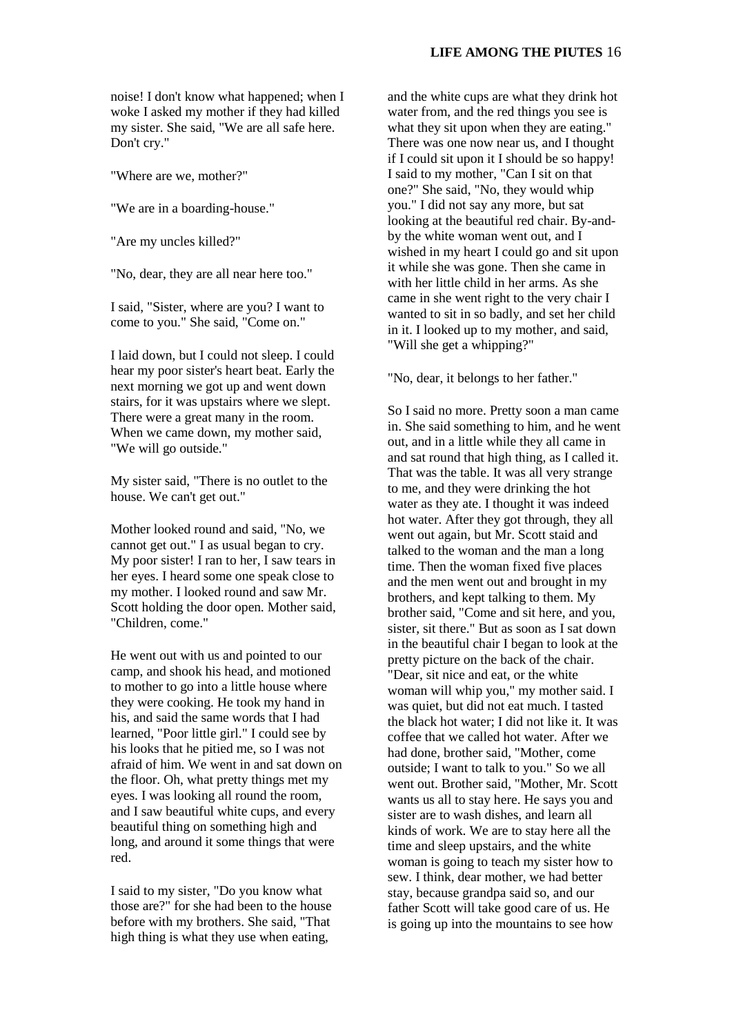noise! I don't know what happened; when I woke I asked my mother if they had killed my sister. She said, "We are all safe here. Don't cry."

"Where are we, mother?"

"We are in a boarding-house."

"Are my uncles killed?"

"No, dear, they are all near here too."

I said, "Sister, where are you? I want to come to you." She said, "Come on."

I laid down, but I could not sleep. I could hear my poor sister's heart beat. Early the next morning we got up and went down stairs, for it was upstairs where we slept. There were a great many in the room. When we came down, my mother said, "We will go outside."

My sister said, "There is no outlet to the house. We can't get out."

Mother looked round and said, "No, we cannot get out." I as usual began to cry. My poor sister! I ran to her, I saw tears in her eyes. I heard some one speak close to my mother. I looked round and saw Mr. Scott holding the door open. Mother said, "Children, come."

He went out with us and pointed to our camp, and shook his head, and motioned to mother to go into a little house where they were cooking. He took my hand in his, and said the same words that I had learned, "Poor little girl." I could see by his looks that he pitied me, so I was not afraid of him. We went in and sat down on the floor. Oh, what pretty things met my eyes. I was looking all round the room, and I saw beautiful white cups, and every beautiful thing on something high and long, and around it some things that were red.

I said to my sister, "Do you know what those are?" for she had been to the house before with my brothers. She said, "That high thing is what they use when eating,

and the white cups are what they drink hot water from, and the red things you see is what they sit upon when they are eating." There was one now near us, and I thought if I could sit upon it I should be so happy! I said to my mother, "Can I sit on that one?" She said, "No, they would whip you." I did not say any more, but sat looking at the beautiful red chair. By-andby the white woman went out, and I wished in my heart I could go and sit upon it while she was gone. Then she came in with her little child in her arms. As she came in she went right to the very chair I wanted to sit in so badly, and set her child in it. I looked up to my mother, and said, "Will she get a whipping?"

"No, dear, it belongs to her father."

So I said no more. Pretty soon a man came in. She said something to him, and he went out, and in a little while they all came in and sat round that high thing, as I called it. That was the table. It was all very strange to me, and they were drinking the hot water as they ate. I thought it was indeed hot water. After they got through, they all went out again, but Mr. Scott staid and talked to the woman and the man a long time. Then the woman fixed five places and the men went out and brought in my brothers, and kept talking to them. My brother said, "Come and sit here, and you, sister, sit there." But as soon as I sat down in the beautiful chair I began to look at the pretty picture on the back of the chair. "Dear, sit nice and eat, or the white woman will whip you," my mother said. I was quiet, but did not eat much. I tasted the black hot water; I did not like it. It was coffee that we called hot water. After we had done, brother said, "Mother, come outside; I want to talk to you." So we all went out. Brother said, "Mother, Mr. Scott wants us all to stay here. He says you and sister are to wash dishes, and learn all kinds of work. We are to stay here all the time and sleep upstairs, and the white woman is going to teach my sister how to sew. I think, dear mother, we had better stay, because grandpa said so, and our father Scott will take good care of us. He is going up into the mountains to see how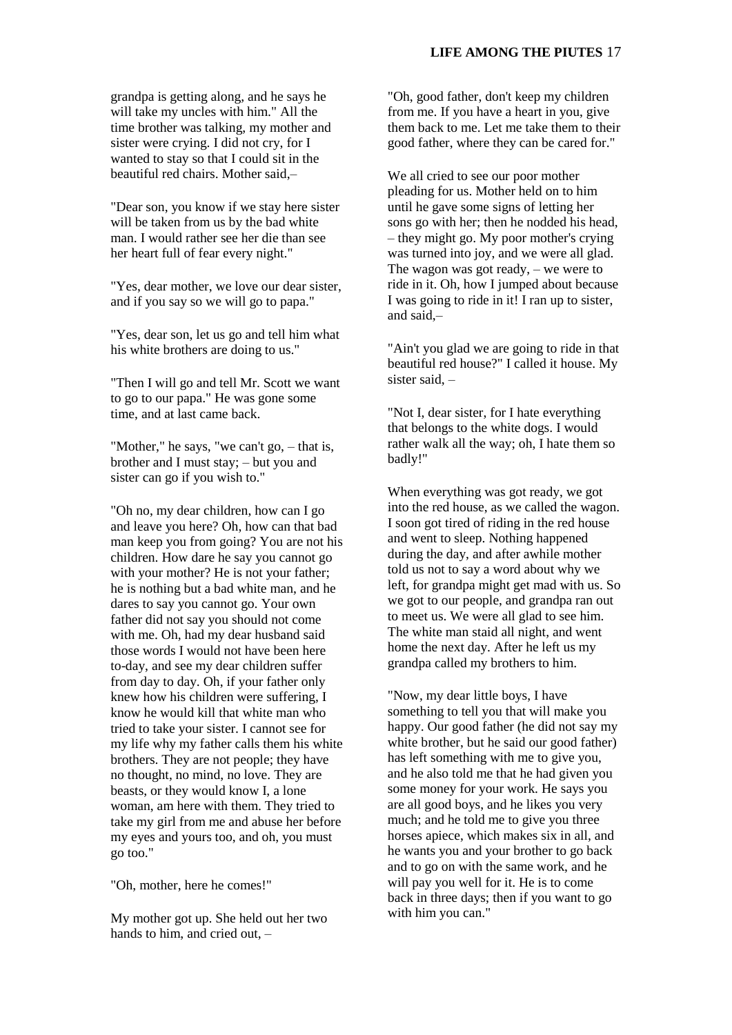grandpa is getting along, and he says he will take my uncles with him." All the time brother was talking, my mother and sister were crying. I did not cry, for I wanted to stay so that I could sit in the beautiful red chairs. Mother said,–

"Dear son, you know if we stay here sister will be taken from us by the bad white man. I would rather see her die than see her heart full of fear every night."

"Yes, dear mother, we love our dear sister, and if you say so we will go to papa."

"Yes, dear son, let us go and tell him what his white brothers are doing to us."

"Then I will go and tell Mr. Scott we want to go to our papa." He was gone some time, and at last came back.

"Mother," he says, "we can't go, – that is, brother and I must stay; – but you and sister can go if you wish to."

"Oh no, my dear children, how can I go and leave you here? Oh, how can that bad man keep you from going? You are not his children. How dare he say you cannot go with your mother? He is not your father: he is nothing but a bad white man, and he dares to say you cannot go. Your own father did not say you should not come with me. Oh, had my dear husband said those words I would not have been here to-day, and see my dear children suffer from day to day. Oh, if your father only knew how his children were suffering, I know he would kill that white man who tried to take your sister. I cannot see for my life why my father calls them his white brothers. They are not people; they have no thought, no mind, no love. They are beasts, or they would know I, a lone woman, am here with them. They tried to take my girl from me and abuse her before my eyes and yours too, and oh, you must go too."

"Oh, mother, here he comes!"

My mother got up. She held out her two hands to him, and cried out,  $-$ 

"Oh, good father, don't keep my children from me. If you have a heart in you, give them back to me. Let me take them to their good father, where they can be cared for."

We all cried to see our poor mother pleading for us. Mother held on to him until he gave some signs of letting her sons go with her; then he nodded his head, – they might go. My poor mother's crying was turned into joy, and we were all glad. The wagon was got ready, – we were to ride in it. Oh, how I jumped about because I was going to ride in it! I ran up to sister, and said,–

"Ain't you glad we are going to ride in that beautiful red house?" I called it house. My sister said, –

"Not I, dear sister, for I hate everything that belongs to the white dogs. I would rather walk all the way; oh, I hate them so badly!"

When everything was got ready, we got into the red house, as we called the wagon. I soon got tired of riding in the red house and went to sleep. Nothing happened during the day, and after awhile mother told us not to say a word about why we left, for grandpa might get mad with us. So we got to our people, and grandpa ran out to meet us. We were all glad to see him. The white man staid all night, and went home the next day. After he left us my grandpa called my brothers to him.

"Now, my dear little boys, I have something to tell you that will make you happy. Our good father (he did not say my white brother, but he said our good father) has left something with me to give you, and he also told me that he had given you some money for your work. He says you are all good boys, and he likes you very much; and he told me to give you three horses apiece, which makes six in all, and he wants you and your brother to go back and to go on with the same work, and he will pay you well for it. He is to come back in three days; then if you want to go with him you can."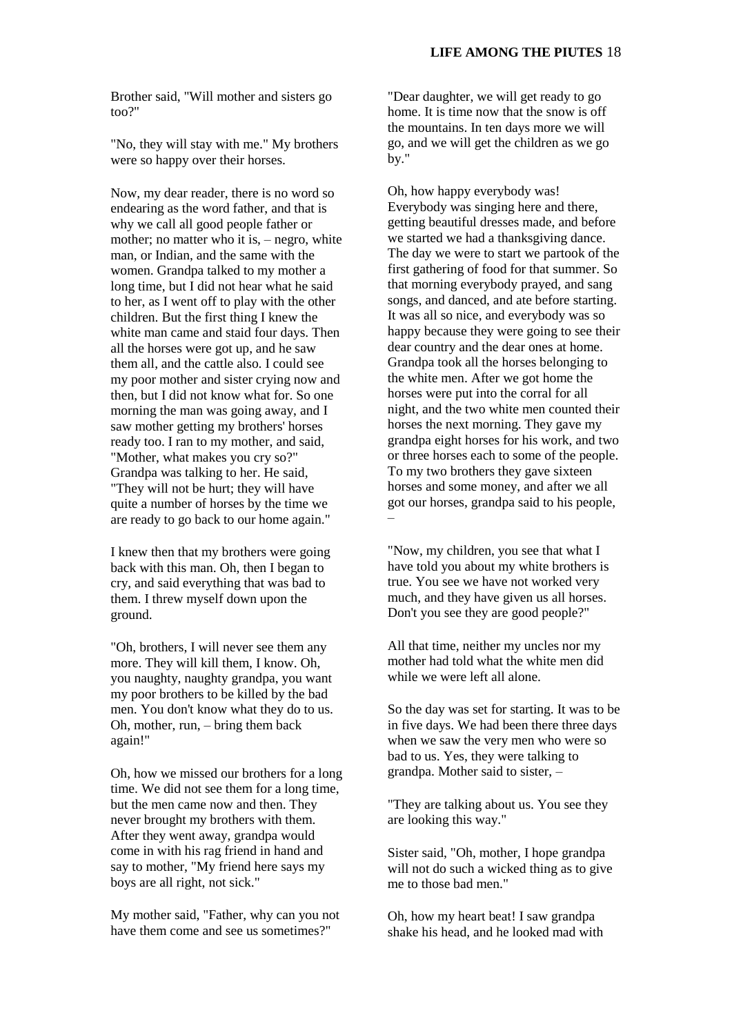Brother said, "Will mother and sisters go too?"

"No, they will stay with me." My brothers were so happy over their horses.

Now, my dear reader, there is no word so endearing as the word father, and that is why we call all good people father or mother; no matter who it is, – negro, white man, or Indian, and the same with the women. Grandpa talked to my mother a long time, but I did not hear what he said to her, as I went off to play with the other children. But the first thing I knew the white man came and staid four days. Then all the horses were got up, and he saw them all, and the cattle also. I could see my poor mother and sister crying now and then, but I did not know what for. So one morning the man was going away, and I saw mother getting my brothers' horses ready too. I ran to my mother, and said, "Mother, what makes you cry so?" Grandpa was talking to her. He said, "They will not be hurt; they will have quite a number of horses by the time we are ready to go back to our home again."

I knew then that my brothers were going back with this man. Oh, then I began to cry, and said everything that was bad to them. I threw myself down upon the ground.

"Oh, brothers, I will never see them any more. They will kill them, I know. Oh, you naughty, naughty grandpa, you want my poor brothers to be killed by the bad men. You don't know what they do to us. Oh, mother, run, – bring them back again!"

Oh, how we missed our brothers for a long time. We did not see them for a long time, but the men came now and then. They never brought my brothers with them. After they went away, grandpa would come in with his rag friend in hand and say to mother, "My friend here says my boys are all right, not sick."

My mother said, "Father, why can you not have them come and see us sometimes?"

"Dear daughter, we will get ready to go home. It is time now that the snow is off the mountains. In ten days more we will go, and we will get the children as we go by."

Oh, how happy everybody was! Everybody was singing here and there, getting beautiful dresses made, and before we started we had a thanksgiving dance. The day we were to start we partook of the first gathering of food for that summer. So that morning everybody prayed, and sang songs, and danced, and ate before starting. It was all so nice, and everybody was so happy because they were going to see their dear country and the dear ones at home. Grandpa took all the horses belonging to the white men. After we got home the horses were put into the corral for all night, and the two white men counted their horses the next morning. They gave my grandpa eight horses for his work, and two or three horses each to some of the people. To my two brothers they gave sixteen horses and some money, and after we all got our horses, grandpa said to his people, –

"Now, my children, you see that what I have told you about my white brothers is true. You see we have not worked very much, and they have given us all horses. Don't you see they are good people?"

All that time, neither my uncles nor my mother had told what the white men did while we were left all alone.

So the day was set for starting. It was to be in five days. We had been there three days when we saw the very men who were so bad to us. Yes, they were talking to grandpa. Mother said to sister, –

"They are talking about us. You see they are looking this way."

Sister said, "Oh, mother, I hope grandpa will not do such a wicked thing as to give me to those bad men."

Oh, how my heart beat! I saw grandpa shake his head, and he looked mad with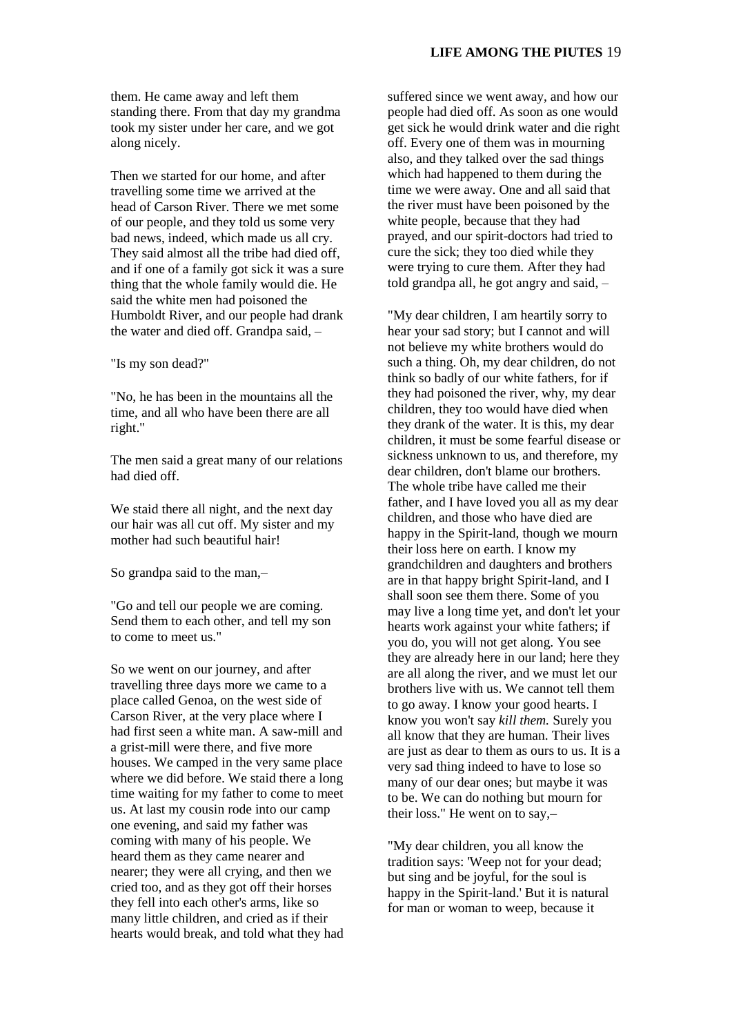them. He came away and left them standing there. From that day my grandma took my sister under her care, and we got along nicely.

Then we started for our home, and after travelling some time we arrived at the head of Carson River. There we met some of our people, and they told us some very bad news, indeed, which made us all cry. They said almost all the tribe had died off, and if one of a family got sick it was a sure thing that the whole family would die. He said the white men had poisoned the Humboldt River, and our people had drank the water and died off. Grandpa said, –

"Is my son dead?"

"No, he has been in the mountains all the time, and all who have been there are all right."

The men said a great many of our relations had died off.

We staid there all night, and the next day our hair was all cut off. My sister and my mother had such beautiful hair!

So grandpa said to the man,–

"Go and tell our people we are coming. Send them to each other, and tell my son to come to meet us."

So we went on our journey, and after travelling three days more we came to a place called Genoa, on the west side of Carson River, at the very place where I had first seen a white man. A saw-mill and a grist-mill were there, and five more houses. We camped in the very same place where we did before. We staid there a long time waiting for my father to come to meet us. At last my cousin rode into our camp one evening, and said my father was coming with many of his people. We heard them as they came nearer and nearer; they were all crying, and then we cried too, and as they got off their horses they fell into each other's arms, like so many little children, and cried as if their hearts would break, and told what they had

suffered since we went away, and how our people had died off. As soon as one would get sick he would drink water and die right off. Every one of them was in mourning also, and they talked over the sad things which had happened to them during the time we were away. One and all said that the river must have been poisoned by the white people, because that they had prayed, and our spirit-doctors had tried to cure the sick; they too died while they were trying to cure them. After they had told grandpa all, he got angry and said, –

"My dear children, I am heartily sorry to hear your sad story; but I cannot and will not believe my white brothers would do such a thing. Oh, my dear children, do not think so badly of our white fathers, for if they had poisoned the river, why, my dear children, they too would have died when they drank of the water. It is this, my dear children, it must be some fearful disease or sickness unknown to us, and therefore, my dear children, don't blame our brothers. The whole tribe have called me their father, and I have loved you all as my dear children, and those who have died are happy in the Spirit-land, though we mourn their loss here on earth. I know my grandchildren and daughters and brothers are in that happy bright Spirit-land, and I shall soon see them there. Some of you may live a long time yet, and don't let your hearts work against your white fathers; if you do, you will not get along. You see they are already here in our land; here they are all along the river, and we must let our brothers live with us. We cannot tell them to go away. I know your good hearts. I know you won't say *kill them.* Surely you all know that they are human. Their lives are just as dear to them as ours to us. It is a very sad thing indeed to have to lose so many of our dear ones; but maybe it was to be. We can do nothing but mourn for their loss." He went on to say,–

"My dear children, you all know the tradition says: 'Weep not for your dead; but sing and be joyful, for the soul is happy in the Spirit-land.' But it is natural for man or woman to weep, because it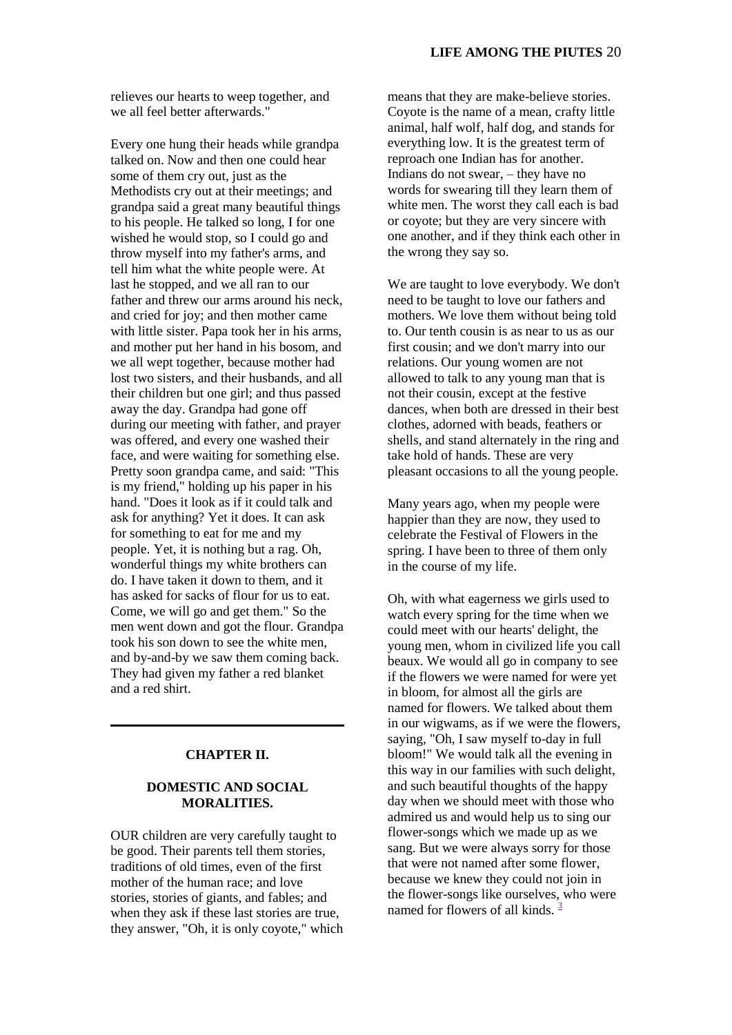relieves our hearts to weep together, and we all feel better afterwards."

Every one hung their heads while grandpa talked on. Now and then one could hear some of them cry out, just as the Methodists cry out at their meetings; and grandpa said a great many beautiful things to his people. He talked so long, I for one wished he would stop, so I could go and throw myself into my father's arms, and tell him what the white people were. At last he stopped, and we all ran to our father and threw our arms around his neck, and cried for joy; and then mother came with little sister. Papa took her in his arms, and mother put her hand in his bosom, and we all wept together, because mother had lost two sisters, and their husbands, and all their children but one girl; and thus passed away the day. Grandpa had gone off during our meeting with father, and prayer was offered, and every one washed their face, and were waiting for something else. Pretty soon grandpa came, and said: "This is my friend," holding up his paper in his hand. "Does it look as if it could talk and ask for anything? Yet it does. It can ask for something to eat for me and my people. Yet, it is nothing but a rag. Oh, wonderful things my white brothers can do. I have taken it down to them, and it has asked for sacks of flour for us to eat. Come, we will go and get them." So the men went down and got the flour. Grandpa took his son down to see the white men, and by-and-by we saw them coming back. They had given my father a red blanket and a red shirt.

### **CHAPTER II.**

# **DOMESTIC AND SOCIAL MORALITIES.**

OUR children are very carefully taught to be good. Their parents tell them stories, traditions of old times, even of the first mother of the human race; and love stories, stories of giants, and fables; and when they ask if these last stories are true, they answer, "Oh, it is only coyote," which means that they are make-believe stories. Coyote is the name of a mean, crafty little animal, half wolf, half dog, and stands for everything low. It is the greatest term of reproach one Indian has for another. Indians do not swear, – they have no words for swearing till they learn them of white men. The worst they call each is bad or coyote; but they are very sincere with one another, and if they think each other in the wrong they say so.

We are taught to love everybody. We don't need to be taught to love our fathers and mothers. We love them without being told to. Our tenth cousin is as near to us as our first cousin; and we don't marry into our relations. Our young women are not allowed to talk to any young man that is not their cousin, except at the festive dances, when both are dressed in their best clothes, adorned with beads, feathers or shells, and stand alternately in the ring and take hold of hands. These are very pleasant occasions to all the young people.

Many years ago, when my people were happier than they are now, they used to celebrate the Festival of Flowers in the spring. I have been to three of them only in the course of my life.

Oh, with what eagerness we girls used to watch every spring for the time when we could meet with our hearts' delight, the young men, whom in civilized life you call beaux. We would all go in company to see if the flowers we were named for were yet in bloom, for almost all the girls are named for flowers. We talked about them in our wigwams, as if we were the flowers, saying, "Oh, I saw myself to-day in full bloom!" We would talk all the evening in this way in our families with such delight, and such beautiful thoughts of the happy day when we should meet with those who admired us and would help us to sing our flower-songs which we made up as we sang. But we were always sorry for those that were not named after some flower, because we knew they could not join in the flower-songs like ourselves, who were named for flowers of all kinds.  $\frac{3}{2}$  $\frac{3}{2}$  $\frac{3}{2}$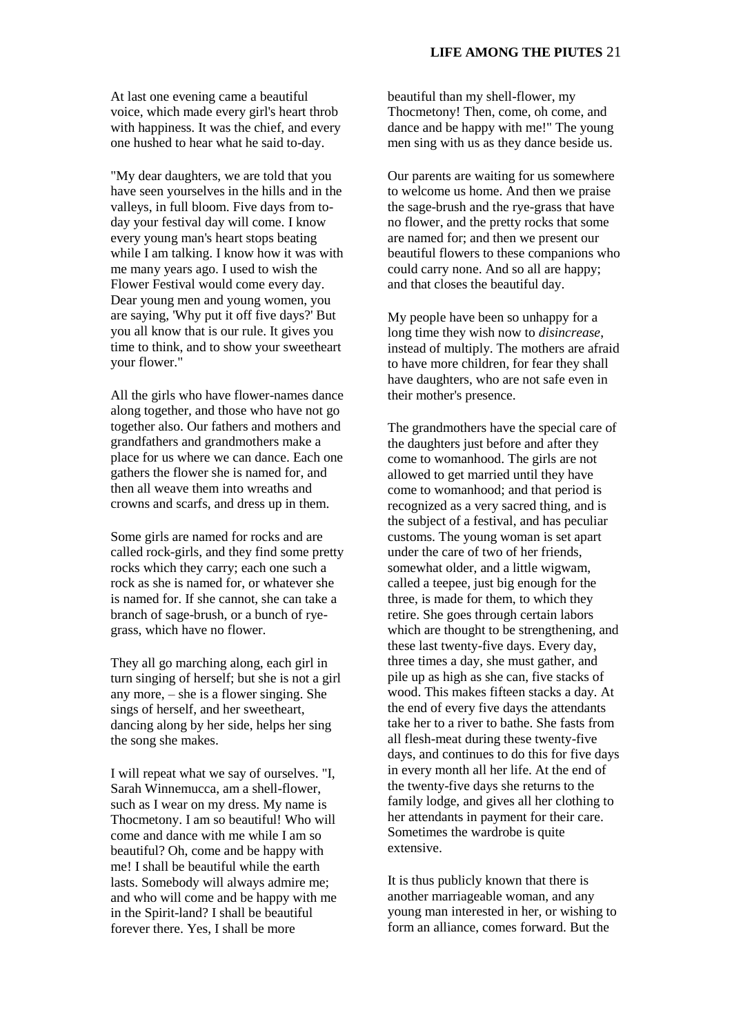At last one evening came a beautiful voice, which made every girl's heart throb with happiness. It was the chief, and every one hushed to hear what he said to-day.

"My dear daughters, we are told that you have seen yourselves in the hills and in the valleys, in full bloom. Five days from today your festival day will come. I know every young man's heart stops beating while I am talking. I know how it was with me many years ago. I used to wish the Flower Festival would come every day. Dear young men and young women, you are saying, 'Why put it off five days?' But you all know that is our rule. It gives you time to think, and to show your sweetheart your flower."

All the girls who have flower-names dance along together, and those who have not go together also. Our fathers and mothers and grandfathers and grandmothers make a place for us where we can dance. Each one gathers the flower she is named for, and then all weave them into wreaths and crowns and scarfs, and dress up in them.

Some girls are named for rocks and are called rock-girls, and they find some pretty rocks which they carry; each one such a rock as she is named for, or whatever she is named for. If she cannot, she can take a branch of sage-brush, or a bunch of ryegrass, which have no flower.

They all go marching along, each girl in turn singing of herself; but she is not a girl any more, – she is a flower singing. She sings of herself, and her sweetheart, dancing along by her side, helps her sing the song she makes.

I will repeat what we say of ourselves. "I, Sarah Winnemucca, am a shell-flower, such as I wear on my dress. My name is Thocmetony. I am so beautiful! Who will come and dance with me while I am so beautiful? Oh, come and be happy with me! I shall be beautiful while the earth lasts. Somebody will always admire me; and who will come and be happy with me in the Spirit-land? I shall be beautiful forever there. Yes, I shall be more

beautiful than my shell-flower, my Thocmetony! Then, come, oh come, and dance and be happy with me!" The young men sing with us as they dance beside us.

Our parents are waiting for us somewhere to welcome us home. And then we praise the sage-brush and the rye-grass that have no flower, and the pretty rocks that some are named for; and then we present our beautiful flowers to these companions who could carry none. And so all are happy; and that closes the beautiful day.

My people have been so unhappy for a long time they wish now to *disincrease*, instead of multiply. The mothers are afraid to have more children, for fear they shall have daughters, who are not safe even in their mother's presence.

The grandmothers have the special care of the daughters just before and after they come to womanhood. The girls are not allowed to get married until they have come to womanhood; and that period is recognized as a very sacred thing, and is the subject of a festival, and has peculiar customs. The young woman is set apart under the care of two of her friends, somewhat older, and a little wigwam, called a teepee, just big enough for the three, is made for them, to which they retire. She goes through certain labors which are thought to be strengthening, and these last twenty-five days. Every day, three times a day, she must gather, and pile up as high as she can, five stacks of wood. This makes fifteen stacks a day. At the end of every five days the attendants take her to a river to bathe. She fasts from all flesh-meat during these twenty-five days, and continues to do this for five days in every month all her life. At the end of the twenty-five days she returns to the family lodge, and gives all her clothing to her attendants in payment for their care. Sometimes the wardrobe is quite extensive.

It is thus publicly known that there is another marriageable woman, and any young man interested in her, or wishing to form an alliance, comes forward. But the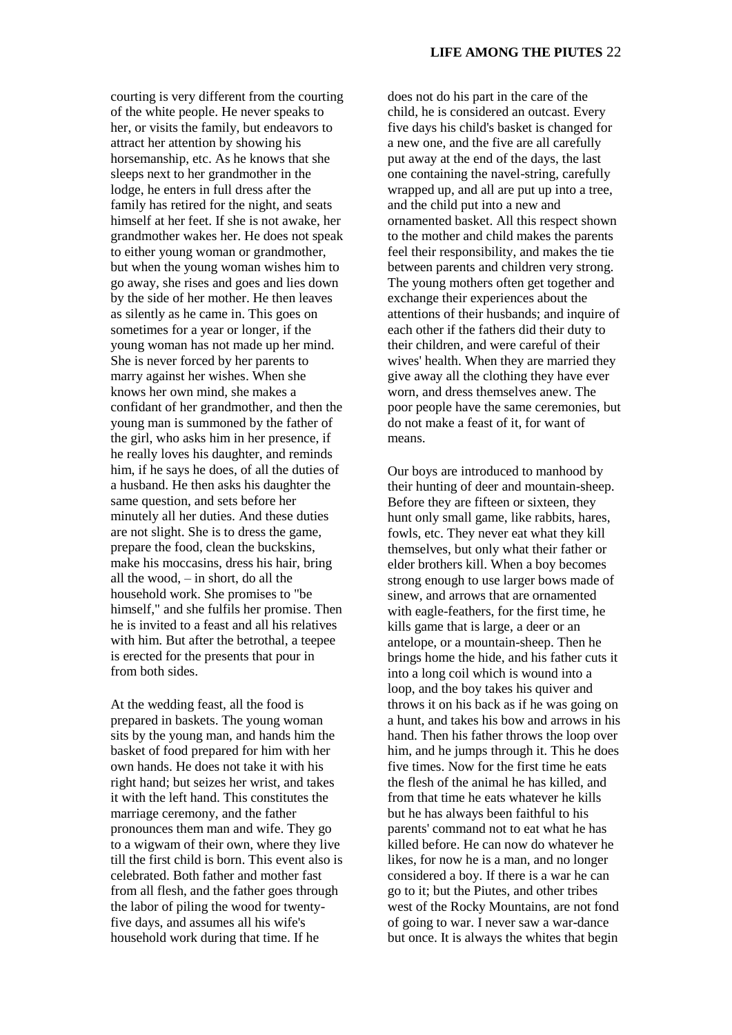courting is very different from the courting of the white people. He never speaks to her, or visits the family, but endeavors to attract her attention by showing his horsemanship, etc. As he knows that she sleeps next to her grandmother in the lodge, he enters in full dress after the family has retired for the night, and seats himself at her feet. If she is not awake, her grandmother wakes her. He does not speak to either young woman or grandmother, but when the young woman wishes him to go away, she rises and goes and lies down by the side of her mother. He then leaves as silently as he came in. This goes on sometimes for a year or longer, if the young woman has not made up her mind. She is never forced by her parents to marry against her wishes. When she knows her own mind, she makes a confidant of her grandmother, and then the young man is summoned by the father of the girl, who asks him in her presence, if he really loves his daughter, and reminds him, if he says he does, of all the duties of a husband. He then asks his daughter the same question, and sets before her minutely all her duties. And these duties are not slight. She is to dress the game, prepare the food, clean the buckskins, make his moccasins, dress his hair, bring all the wood, – in short, do all the household work. She promises to "be himself," and she fulfils her promise. Then he is invited to a feast and all his relatives with him. But after the betrothal, a teepee is erected for the presents that pour in from both sides.

At the wedding feast, all the food is prepared in baskets. The young woman sits by the young man, and hands him the basket of food prepared for him with her own hands. He does not take it with his right hand; but seizes her wrist, and takes it with the left hand. This constitutes the marriage ceremony, and the father pronounces them man and wife. They go to a wigwam of their own, where they live till the first child is born. This event also is celebrated. Both father and mother fast from all flesh, and the father goes through the labor of piling the wood for twentyfive days, and assumes all his wife's household work during that time. If he

does not do his part in the care of the child, he is considered an outcast. Every five days his child's basket is changed for a new one, and the five are all carefully put away at the end of the days, the last one containing the navel-string, carefully wrapped up, and all are put up into a tree, and the child put into a new and ornamented basket. All this respect shown to the mother and child makes the parents feel their responsibility, and makes the tie between parents and children very strong. The young mothers often get together and exchange their experiences about the attentions of their husbands; and inquire of each other if the fathers did their duty to their children, and were careful of their wives' health. When they are married they give away all the clothing they have ever worn, and dress themselves anew. The poor people have the same ceremonies, but do not make a feast of it, for want of means.

Our boys are introduced to manhood by their hunting of deer and mountain-sheep. Before they are fifteen or sixteen, they hunt only small game, like rabbits, hares, fowls, etc. They never eat what they kill themselves, but only what their father or elder brothers kill. When a boy becomes strong enough to use larger bows made of sinew, and arrows that are ornamented with eagle-feathers, for the first time, he kills game that is large, a deer or an antelope, or a mountain-sheep. Then he brings home the hide, and his father cuts it into a long coil which is wound into a loop, and the boy takes his quiver and throws it on his back as if he was going on a hunt, and takes his bow and arrows in his hand. Then his father throws the loop over him, and he jumps through it. This he does five times. Now for the first time he eats the flesh of the animal he has killed, and from that time he eats whatever he kills but he has always been faithful to his parents' command not to eat what he has killed before. He can now do whatever he likes, for now he is a man, and no longer considered a boy. If there is a war he can go to it; but the Piutes, and other tribes west of the Rocky Mountains, are not fond of going to war. I never saw a war-dance but once. It is always the whites that begin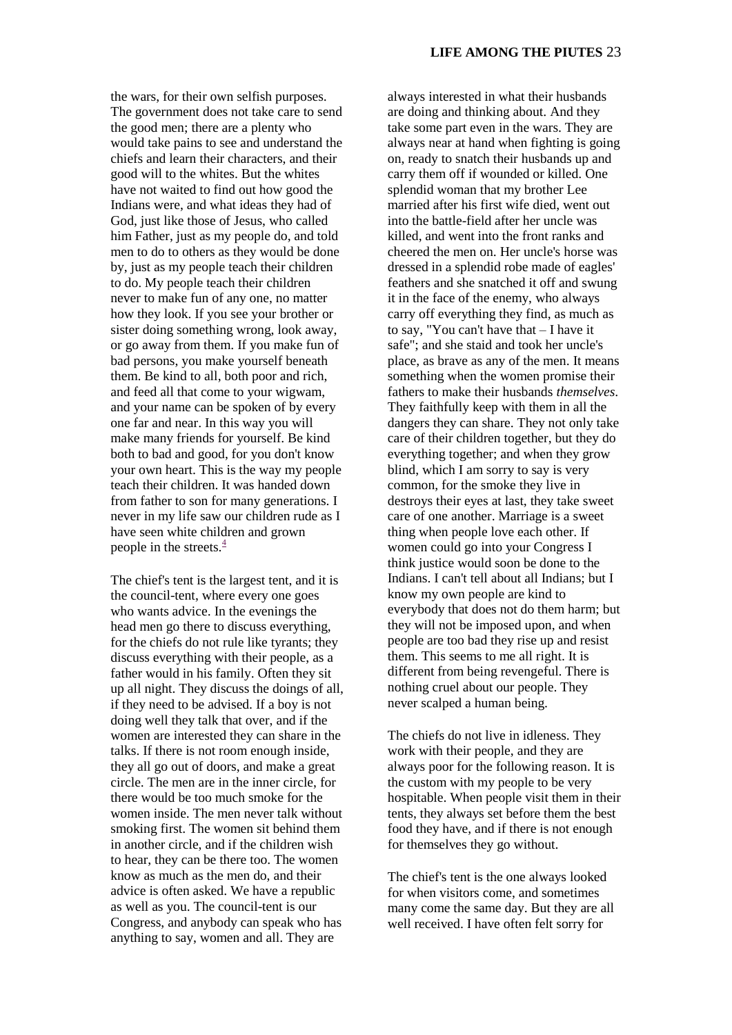the wars, for their own selfish purposes. The government does not take care to send the good men; there are a plenty who would take pains to see and understand the chiefs and learn their characters, and their good will to the whites. But the whites have not waited to find out how good the Indians were, and what ideas they had of God, just like those of Jesus, who called him Father, just as my people do, and told men to do to others as they would be done by, just as my people teach their children to do. My people teach their children never to make fun of any one, no matter how they look. If you see your brother or sister doing something wrong, look away, or go away from them. If you make fun of bad persons, you make yourself beneath them. Be kind to all, both poor and rich, and feed all that come to your wigwam, and your name can be spoken of by every one far and near. In this way you will make many friends for yourself. Be kind both to bad and good, for you don't know your own heart. This is the way my people teach their children. It was handed down from father to son for many generations. I never in my life saw our children rude as I have seen white children and grown people in the streets[.](http://digital.library.upenn.edu/women/winnemucca/piutes/piutes.html#51-1) $\frac{4}{3}$ 

The chief's tent is the largest tent, and it is the council-tent, where every one goes who wants advice. In the evenings the head men go there to discuss everything, for the chiefs do not rule like tyrants; they discuss everything with their people, as a father would in his family. Often they sit up all night. They discuss the doings of all, if they need to be advised. If a boy is not doing well they talk that over, and if the women are interested they can share in the talks. If there is not room enough inside, they all go out of doors, and make a great circle. The men are in the inner circle, for there would be too much smoke for the women inside. The men never talk without smoking first. The women sit behind them in another circle, and if the children wish to hear, they can be there too. The women know as much as the men do, and their advice is often asked. We have a republic as well as you. The council-tent is our Congress, and anybody can speak who has anything to say, women and all. They are

always interested in what their husbands are doing and thinking about. And they take some part even in the wars. They are always near at hand when fighting is going on, ready to snatch their husbands up and carry them off if wounded or killed. One splendid woman that my brother Lee married after his first wife died, went out into the battle-field after her uncle was killed, and went into the front ranks and cheered the men on. Her uncle's horse was dressed in a splendid robe made of eagles' feathers and she snatched it off and swung it in the face of the enemy, who always carry off everything they find, as much as to say, "You can't have that – I have it safe"; and she staid and took her uncle's place, as brave as any of the men. It means something when the women promise their fathers to make their husbands *themselves*. They faithfully keep with them in all the dangers they can share. They not only take care of their children together, but they do everything together; and when they grow blind, which I am sorry to say is very common, for the smoke they live in destroys their eyes at last, they take sweet care of one another. Marriage is a sweet thing when people love each other. If women could go into your Congress I think justice would soon be done to the Indians. I can't tell about all Indians; but I know my own people are kind to everybody that does not do them harm; but they will not be imposed upon, and when people are too bad they rise up and resist them. This seems to me all right. It is different from being revengeful. There is nothing cruel about our people. They never scalped a human being.

The chiefs do not live in idleness. They work with their people, and they are always poor for the following reason. It is the custom with my people to be very hospitable. When people visit them in their tents, they always set before them the best food they have, and if there is not enough for themselves they go without.

The chief's tent is the one always looked for when visitors come, and sometimes many come the same day. But they are all well received. I have often felt sorry for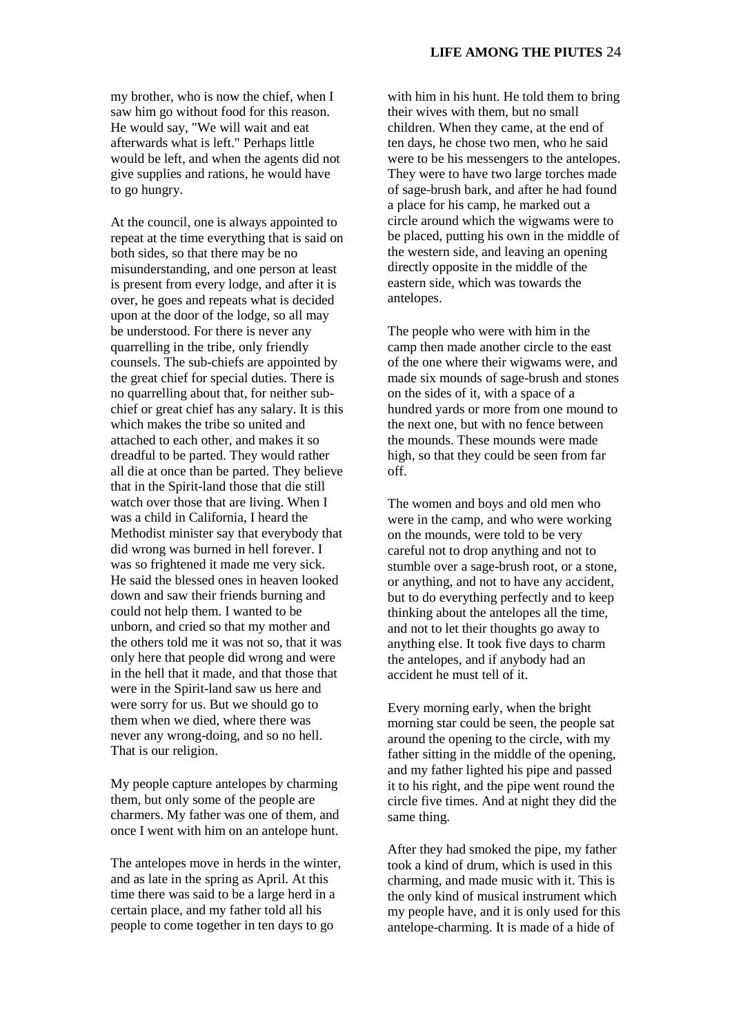my brother, who is now the chief, when I saw him go without food for this reason. He would say, "We will wait and eat afterwards what is left." Perhaps little would be left, and when the agents did not give supplies and rations, he would have to go hungry.

At the council, one is always appointed to repeat at the time everything that is said on both sides, so that there may be no misunderstanding, and one person at least is present from every lodge, and after it is over, he goes and repeats what is decided upon at the door of the lodge, so all may be understood. For there is never any quarrelling in the tribe, only friendly counsels. The sub-chiefs are appointed by the great chief for special duties. There is no quarrelling about that, for neither subchief or great chief has any salary. It is this which makes the tribe so united and attached to each other, and makes it so dreadful to be parted. They would rather all die at once than be parted. They believe that in the Spirit-land those that die still watch over those that are living. When I was a child in California, I heard the Methodist minister say that everybody that did wrong was burned in hell forever. I was so frightened it made me very sick. He said the blessed ones in heaven looked down and saw their friends burning and could not help them. I wanted to be unborn, and cried so that my mother and the others told me it was not so, that it was only here that people did wrong and were in the hell that it made, and that those that were in the Spirit-land saw us here and were sorry for us. But we should go to them when we died, where there was never any wrong-doing, and so no hell. That is our religion.

My people capture antelopes by charming them, but only some of the people are charmers. My father was one of them, and once I went with him on an antelope hunt.

The antelopes move in herds in the winter, and as late in the spring as April. At this time there was said to be a large herd in a certain place, and my father told all his people to come together in ten days to go

with him in his hunt. He told them to bring their wives with them, but no small children. When they came, at the end of ten days, he chose two men, who he said were to be his messengers to the antelopes. They were to have two large torches made of sage-brush bark, and after he had found a place for his camp, he marked out a circle around which the wigwams were to be placed, putting his own in the middle of the western side, and leaving an opening directly opposite in the middle of the eastern side, which was towards the antelopes.

The people who were with him in the camp then made another circle to the east of the one where their wigwams were, and made six mounds of sage-brush and stones on the sides of it, with a space of a hundred yards or more from one mound to the next one, but with no fence between the mounds. These mounds were made high, so that they could be seen from far off.

The women and boys and old men who were in the camp, and who were working on the mounds, were told to be very careful not to drop anything and not to stumble over a sage-brush root, or a stone, or anything, and not to have any accident, but to do everything perfectly and to keep thinking about the antelopes all the time, and not to let their thoughts go away to anything else. It took five days to charm the antelopes, and if anybody had an accident he must tell of it.

Every morning early, when the bright morning star could be seen, the people sat around the opening to the circle, with my father sitting in the middle of the opening, and my father lighted his pipe and passed it to his right, and the pipe went round the circle five times. And at night they did the same thing.

After they had smoked the pipe, my father took a kind of drum, which is used in this charming, and made music with it. This is the only kind of musical instrument which my people have, and it is only used for this antelope-charming. It is made of a hide of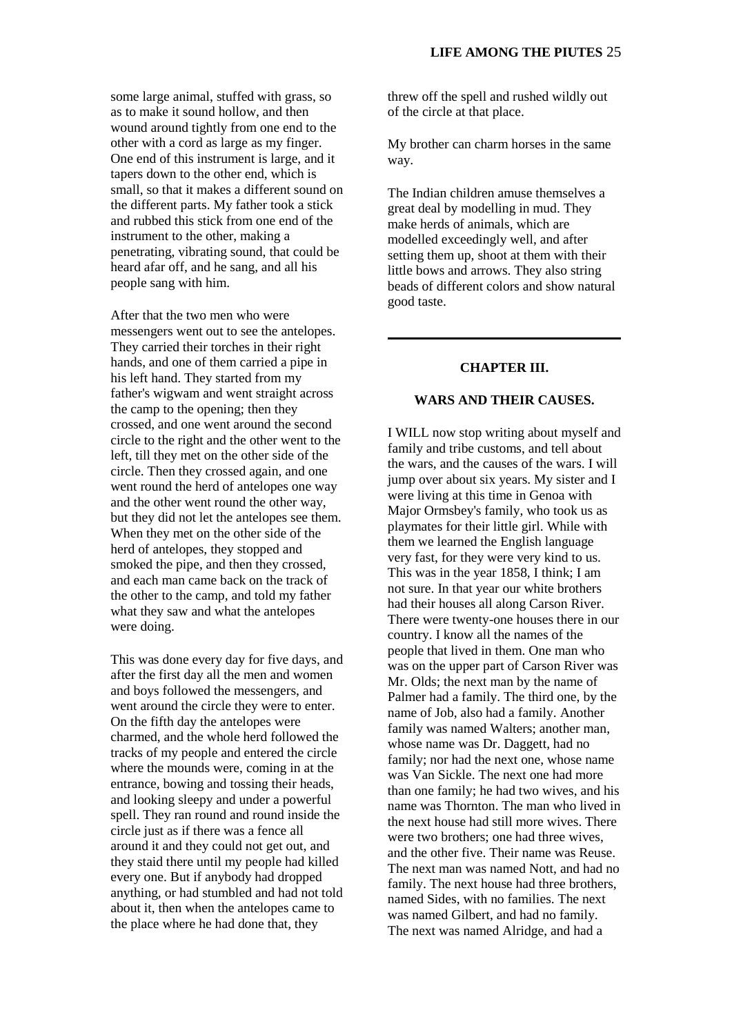some large animal, stuffed with grass, so as to make it sound hollow, and then wound around tightly from one end to the other with a cord as large as my finger. One end of this instrument is large, and it tapers down to the other end, which is small, so that it makes a different sound on the different parts. My father took a stick and rubbed this stick from one end of the instrument to the other, making a penetrating, vibrating sound, that could be heard afar off, and he sang, and all his people sang with him.

After that the two men who were messengers went out to see the antelopes. They carried their torches in their right hands, and one of them carried a pipe in his left hand. They started from my father's wigwam and went straight across the camp to the opening; then they crossed, and one went around the second circle to the right and the other went to the left, till they met on the other side of the circle. Then they crossed again, and one went round the herd of antelopes one way and the other went round the other way, but they did not let the antelopes see them. When they met on the other side of the herd of antelopes, they stopped and smoked the pipe, and then they crossed, and each man came back on the track of the other to the camp, and told my father what they saw and what the antelopes were doing.

This was done every day for five days, and after the first day all the men and women and boys followed the messengers, and went around the circle they were to enter. On the fifth day the antelopes were charmed, and the whole herd followed the tracks of my people and entered the circle where the mounds were, coming in at the entrance, bowing and tossing their heads, and looking sleepy and under a powerful spell. They ran round and round inside the circle just as if there was a fence all around it and they could not get out, and they staid there until my people had killed every one. But if anybody had dropped anything, or had stumbled and had not told about it, then when the antelopes came to the place where he had done that, they

threw off the spell and rushed wildly out of the circle at that place.

My brother can charm horses in the same way.

The Indian children amuse themselves a great deal by modelling in mud. They make herds of animals, which are modelled exceedingly well, and after setting them up, shoot at them with their little bows and arrows. They also string beads of different colors and show natural good taste.

### **CHAPTER III.**

#### **WARS AND THEIR CAUSES.**

I WILL now stop writing about myself and family and tribe customs, and tell about the wars, and the causes of the wars. I will jump over about six years. My sister and I were living at this time in Genoa with Major Ormsbey's family, who took us as playmates for their little girl. While with them we learned the English language very fast, for they were very kind to us. This was in the year 1858, I think; I am not sure. In that year our white brothers had their houses all along Carson River. There were twenty-one houses there in our country. I know all the names of the people that lived in them. One man who was on the upper part of Carson River was Mr. Olds; the next man by the name of Palmer had a family. The third one, by the name of Job, also had a family. Another family was named Walters; another man, whose name was Dr. Daggett, had no family; nor had the next one, whose name was Van Sickle. The next one had more than one family; he had two wives, and his name was Thornton. The man who lived in the next house had still more wives. There were two brothers; one had three wives, and the other five. Their name was Reuse. The next man was named Nott, and had no family. The next house had three brothers, named Sides, with no families. The next was named Gilbert, and had no family. The next was named Alridge, and had a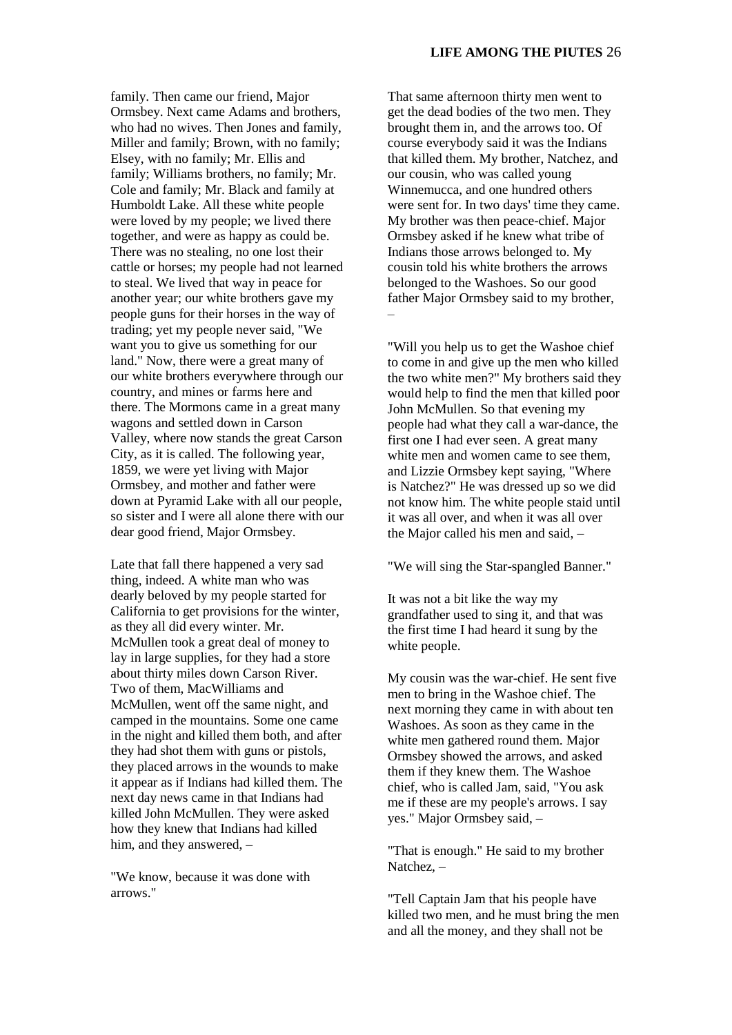family. Then came our friend, Major Ormsbey. Next came Adams and brothers, who had no wives. Then Jones and family, Miller and family; Brown, with no family; Elsey, with no family; Mr. Ellis and family; Williams brothers, no family; Mr. Cole and family; Mr. Black and family at Humboldt Lake. All these white people were loved by my people; we lived there together, and were as happy as could be. There was no stealing, no one lost their cattle or horses; my people had not learned to steal. We lived that way in peace for another year; our white brothers gave my people guns for their horses in the way of trading; yet my people never said, "We want you to give us something for our land." Now, there were a great many of our white brothers everywhere through our country, and mines or farms here and there. The Mormons came in a great many wagons and settled down in Carson Valley, where now stands the great Carson City, as it is called. The following year, 1859, we were yet living with Major Ormsbey, and mother and father were down at Pyramid Lake with all our people, so sister and I were all alone there with our dear good friend, Major Ormsbey.

Late that fall there happened a very sad thing, indeed. A white man who was dearly beloved by my people started for California to get provisions for the winter, as they all did every winter. Mr. McMullen took a great deal of money to lay in large supplies, for they had a store about thirty miles down Carson River. Two of them, MacWilliams and McMullen, went off the same night, and camped in the mountains. Some one came in the night and killed them both, and after they had shot them with guns or pistols, they placed arrows in the wounds to make it appear as if Indians had killed them. The next day news came in that Indians had killed John McMullen. They were asked how they knew that Indians had killed him, and they answered,  $-$ 

"We know, because it was done with arrows."

That same afternoon thirty men went to get the dead bodies of the two men. They brought them in, and the arrows too. Of course everybody said it was the Indians that killed them. My brother, Natchez, and our cousin, who was called young Winnemucca, and one hundred others were sent for. In two days' time they came. My brother was then peace-chief. Major Ormsbey asked if he knew what tribe of Indians those arrows belonged to. My cousin told his white brothers the arrows belonged to the Washoes. So our good father Major Ormsbey said to my brother, –

"Will you help us to get the Washoe chief to come in and give up the men who killed the two white men?" My brothers said they would help to find the men that killed poor John McMullen. So that evening my people had what they call a war-dance, the first one I had ever seen. A great many white men and women came to see them. and Lizzie Ormsbey kept saying, "Where is Natchez?" He was dressed up so we did not know him. The white people staid until it was all over, and when it was all over the Major called his men and said, –

"We will sing the Star-spangled Banner."

It was not a bit like the way my grandfather used to sing it, and that was the first time I had heard it sung by the white people.

My cousin was the war-chief. He sent five men to bring in the Washoe chief. The next morning they came in with about ten Washoes. As soon as they came in the white men gathered round them. Major Ormsbey showed the arrows, and asked them if they knew them. The Washoe chief, who is called Jam, said, "You ask me if these are my people's arrows. I say yes." Major Ormsbey said, –

"That is enough." He said to my brother Natchez, –

"Tell Captain Jam that his people have killed two men, and he must bring the men and all the money, and they shall not be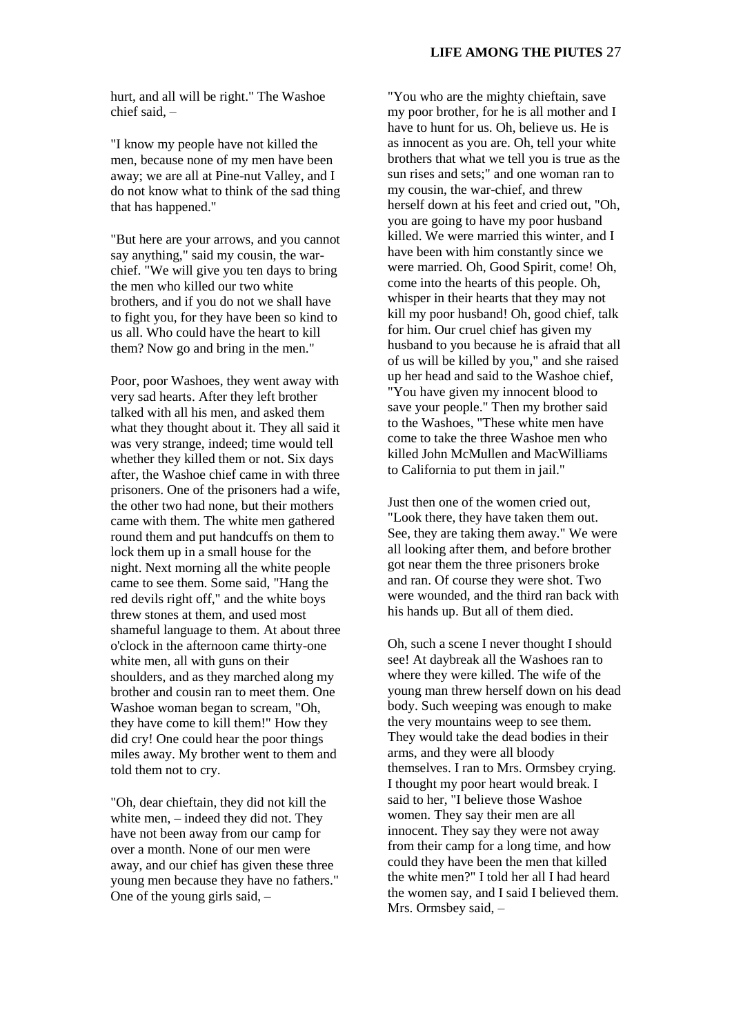hurt, and all will be right." The Washoe chief said, –

"I know my people have not killed the men, because none of my men have been away; we are all at Pine-nut Valley, and I do not know what to think of the sad thing that has happened."

"But here are your arrows, and you cannot say anything," said my cousin, the warchief. "We will give you ten days to bring the men who killed our two white brothers, and if you do not we shall have to fight you, for they have been so kind to us all. Who could have the heart to kill them? Now go and bring in the men."

Poor, poor Washoes, they went away with very sad hearts. After they left brother talked with all his men, and asked them what they thought about it. They all said it was very strange, indeed; time would tell whether they killed them or not. Six days after, the Washoe chief came in with three prisoners. One of the prisoners had a wife, the other two had none, but their mothers came with them. The white men gathered round them and put handcuffs on them to lock them up in a small house for the night. Next morning all the white people came to see them. Some said, "Hang the red devils right off," and the white boys threw stones at them, and used most shameful language to them. At about three o'clock in the afternoon came thirty-one white men, all with guns on their shoulders, and as they marched along my brother and cousin ran to meet them. One Washoe woman began to scream, "Oh, they have come to kill them!" How they did cry! One could hear the poor things miles away. My brother went to them and told them not to cry.

"Oh, dear chieftain, they did not kill the white men, – indeed they did not. They have not been away from our camp for over a month. None of our men were away, and our chief has given these three young men because they have no fathers." One of the young girls said, –

"You who are the mighty chieftain, save my poor brother, for he is all mother and I have to hunt for us. Oh, believe us. He is as innocent as you are. Oh, tell your white brothers that what we tell you is true as the sun rises and sets;" and one woman ran to my cousin, the war-chief, and threw herself down at his feet and cried out, "Oh, you are going to have my poor husband killed. We were married this winter, and I have been with him constantly since we were married. Oh, Good Spirit, come! Oh, come into the hearts of this people. Oh, whisper in their hearts that they may not kill my poor husband! Oh, good chief, talk for him. Our cruel chief has given my husband to you because he is afraid that all of us will be killed by you," and she raised up her head and said to the Washoe chief, "You have given my innocent blood to save your people." Then my brother said to the Washoes, "These white men have come to take the three Washoe men who killed John McMullen and MacWilliams to California to put them in jail."

Just then one of the women cried out, "Look there, they have taken them out. See, they are taking them away." We were all looking after them, and before brother got near them the three prisoners broke and ran. Of course they were shot. Two were wounded, and the third ran back with his hands up. But all of them died.

Oh, such a scene I never thought I should see! At daybreak all the Washoes ran to where they were killed. The wife of the young man threw herself down on his dead body. Such weeping was enough to make the very mountains weep to see them. They would take the dead bodies in their arms, and they were all bloody themselves. I ran to Mrs. Ormsbey crying. I thought my poor heart would break. I said to her, "I believe those Washoe women. They say their men are all innocent. They say they were not away from their camp for a long time, and how could they have been the men that killed the white men?" I told her all I had heard the women say, and I said I believed them. Mrs. Ormsbey said, –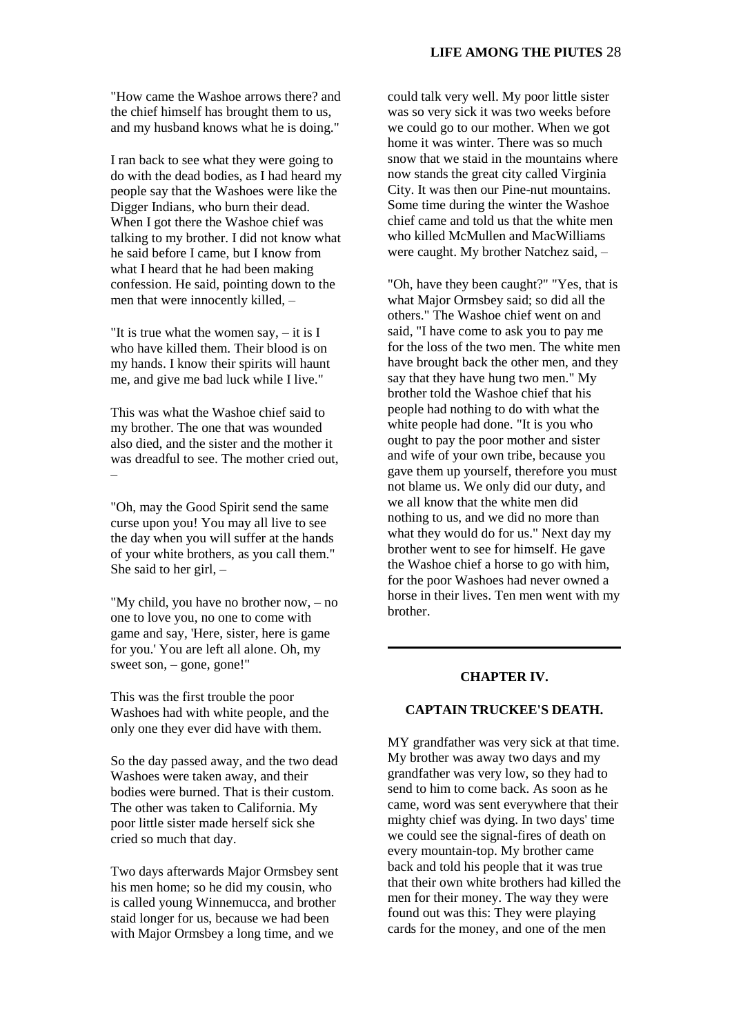"How came the Washoe arrows there? and the chief himself has brought them to us, and my husband knows what he is doing."

I ran back to see what they were going to do with the dead bodies, as I had heard my people say that the Washoes were like the Digger Indians, who burn their dead. When I got there the Washoe chief was talking to my brother. I did not know what he said before I came, but I know from what I heard that he had been making confession. He said, pointing down to the men that were innocently killed, –

"It is true what the women say,  $-$  it is I who have killed them. Their blood is on my hands. I know their spirits will haunt me, and give me bad luck while I live."

This was what the Washoe chief said to my brother. The one that was wounded also died, and the sister and the mother it was dreadful to see. The mother cried out, –

"Oh, may the Good Spirit send the same curse upon you! You may all live to see the day when you will suffer at the hands of your white brothers, as you call them." She said to her girl, –

"My child, you have no brother now, – no one to love you, no one to come with game and say, 'Here, sister, here is game for you.' You are left all alone. Oh, my sweet son,  $-$  gone, gone!"

This was the first trouble the poor Washoes had with white people, and the only one they ever did have with them.

So the day passed away, and the two dead Washoes were taken away, and their bodies were burned. That is their custom. The other was taken to California. My poor little sister made herself sick she cried so much that day.

Two days afterwards Major Ormsbey sent his men home; so he did my cousin, who is called young Winnemucca, and brother staid longer for us, because we had been with Major Ormsbey a long time, and we

could talk very well. My poor little sister was so very sick it was two weeks before we could go to our mother. When we got home it was winter. There was so much snow that we staid in the mountains where now stands the great city called Virginia City. It was then our Pine-nut mountains. Some time during the winter the Washoe chief came and told us that the white men who killed McMullen and MacWilliams were caught. My brother Natchez said, –

"Oh, have they been caught?" "Yes, that is what Major Ormsbey said; so did all the others." The Washoe chief went on and said, "I have come to ask you to pay me for the loss of the two men. The white men have brought back the other men, and they say that they have hung two men." My brother told the Washoe chief that his people had nothing to do with what the white people had done. "It is you who ought to pay the poor mother and sister and wife of your own tribe, because you gave them up yourself, therefore you must not blame us. We only did our duty, and we all know that the white men did nothing to us, and we did no more than what they would do for us." Next day my brother went to see for himself. He gave the Washoe chief a horse to go with him, for the poor Washoes had never owned a horse in their lives. Ten men went with my brother.

### **CHAPTER IV.**

## **CAPTAIN TRUCKEE'S DEATH.**

MY grandfather was very sick at that time. My brother was away two days and my grandfather was very low, so they had to send to him to come back. As soon as he came, word was sent everywhere that their mighty chief was dying. In two days' time we could see the signal-fires of death on every mountain-top. My brother came back and told his people that it was true that their own white brothers had killed the men for their money. The way they were found out was this: They were playing cards for the money, and one of the men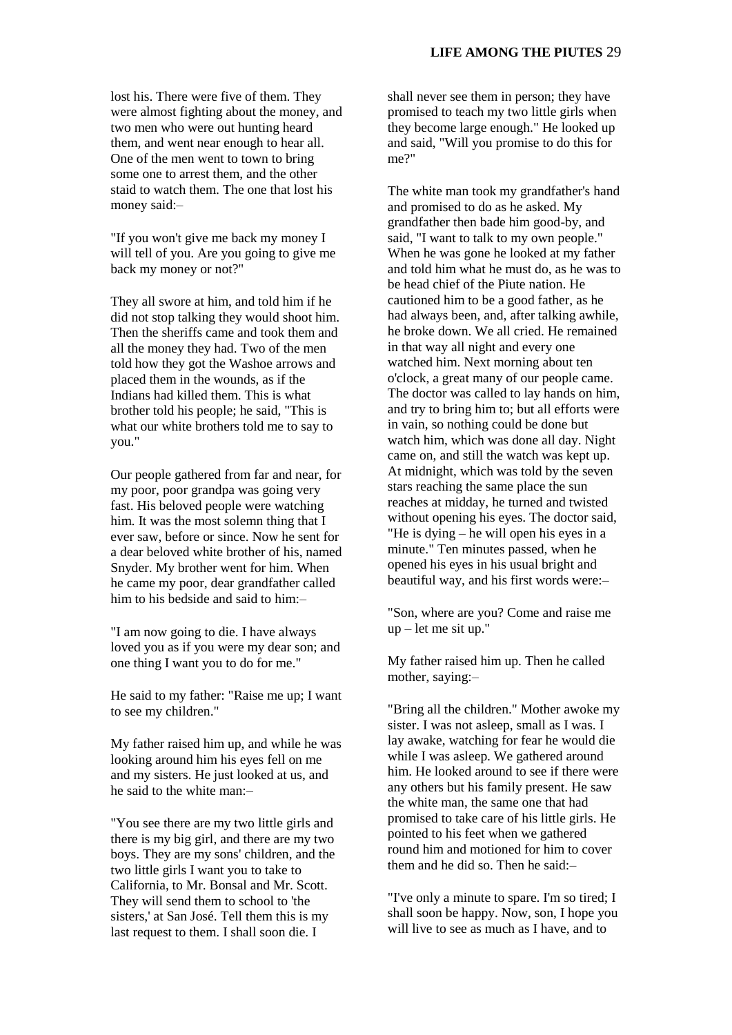lost his. There were five of them. They were almost fighting about the money, and two men who were out hunting heard them, and went near enough to hear all. One of the men went to town to bring some one to arrest them, and the other staid to watch them. The one that lost his money said:–

"If you won't give me back my money I will tell of you. Are you going to give me back my money or not?"

They all swore at him, and told him if he did not stop talking they would shoot him. Then the sheriffs came and took them and all the money they had. Two of the men told how they got the Washoe arrows and placed them in the wounds, as if the Indians had killed them. This is what brother told his people; he said, "This is what our white brothers told me to say to you."

Our people gathered from far and near, for my poor, poor grandpa was going very fast. His beloved people were watching him. It was the most solemn thing that I ever saw, before or since. Now he sent for a dear beloved white brother of his, named Snyder. My brother went for him. When he came my poor, dear grandfather called him to his bedside and said to him:–

"I am now going to die. I have always loved you as if you were my dear son; and one thing I want you to do for me."

He said to my father: "Raise me up; I want to see my children."

My father raised him up, and while he was looking around him his eyes fell on me and my sisters. He just looked at us, and he said to the white man:–

"You see there are my two little girls and there is my big girl, and there are my two boys. They are my sons' children, and the two little girls I want you to take to California, to Mr. Bonsal and Mr. Scott. They will send them to school to 'the sisters,' at San José. Tell them this is my last request to them. I shall soon die. I

shall never see them in person; they have promised to teach my two little girls when they become large enough." He looked up and said, "Will you promise to do this for me?"

The white man took my grandfather's hand and promised to do as he asked. My grandfather then bade him good-by, and said, "I want to talk to my own people." When he was gone he looked at my father and told him what he must do, as he was to be head chief of the Piute nation. He cautioned him to be a good father, as he had always been, and, after talking awhile, he broke down. We all cried. He remained in that way all night and every one watched him. Next morning about ten o'clock, a great many of our people came. The doctor was called to lay hands on him, and try to bring him to; but all efforts were in vain, so nothing could be done but watch him, which was done all day. Night came on, and still the watch was kept up. At midnight, which was told by the seven stars reaching the same place the sun reaches at midday, he turned and twisted without opening his eyes. The doctor said, "He is dying – he will open his eyes in a minute." Ten minutes passed, when he opened his eyes in his usual bright and beautiful way, and his first words were:–

"Son, where are you? Come and raise me up – let me sit up."

My father raised him up. Then he called mother, saying:–

"Bring all the children." Mother awoke my sister. I was not asleep, small as I was. I lay awake, watching for fear he would die while I was asleep. We gathered around him. He looked around to see if there were any others but his family present. He saw the white man, the same one that had promised to take care of his little girls. He pointed to his feet when we gathered round him and motioned for him to cover them and he did so. Then he said:–

"I've only a minute to spare. I'm so tired; I shall soon be happy. Now, son, I hope you will live to see as much as I have, and to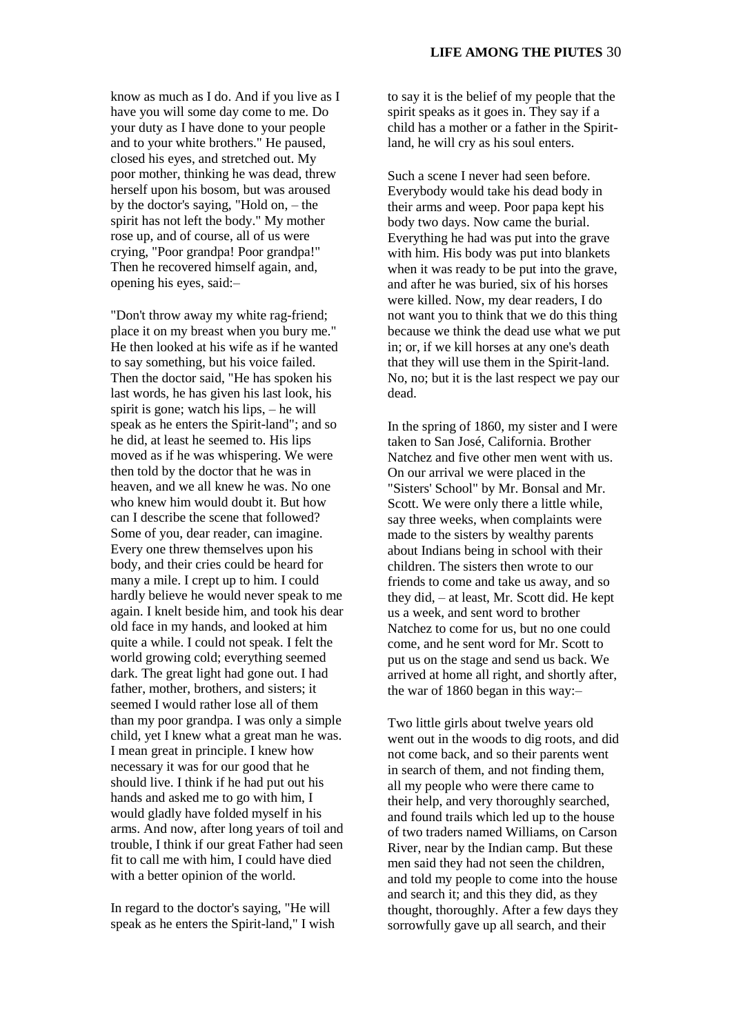know as much as I do. And if you live as I have you will some day come to me. Do your duty as I have done to your people and to your white brothers." He paused, closed his eyes, and stretched out. My poor mother, thinking he was dead, threw herself upon his bosom, but was aroused by the doctor's saying, "Hold on, – the spirit has not left the body." My mother rose up, and of course, all of us were crying, "Poor grandpa! Poor grandpa!" Then he recovered himself again, and, opening his eyes, said:–

"Don't throw away my white rag-friend; place it on my breast when you bury me." He then looked at his wife as if he wanted to say something, but his voice failed. Then the doctor said, "He has spoken his last words, he has given his last look, his spirit is gone; watch his lips, – he will speak as he enters the Spirit-land"; and so he did, at least he seemed to. His lips moved as if he was whispering. We were then told by the doctor that he was in heaven, and we all knew he was. No one who knew him would doubt it. But how can I describe the scene that followed? Some of you, dear reader, can imagine. Every one threw themselves upon his body, and their cries could be heard for many a mile. I crept up to him. I could hardly believe he would never speak to me again. I knelt beside him, and took his dear old face in my hands, and looked at him quite a while. I could not speak. I felt the world growing cold; everything seemed dark. The great light had gone out. I had father, mother, brothers, and sisters; it seemed I would rather lose all of them than my poor grandpa. I was only a simple child, yet I knew what a great man he was. I mean great in principle. I knew how necessary it was for our good that he should live. I think if he had put out his hands and asked me to go with him, I would gladly have folded myself in his arms. And now, after long years of toil and trouble, I think if our great Father had seen fit to call me with him, I could have died with a better opinion of the world.

In regard to the doctor's saying, "He will speak as he enters the Spirit-land," I wish to say it is the belief of my people that the spirit speaks as it goes in. They say if a child has a mother or a father in the Spiritland, he will cry as his soul enters.

Such a scene I never had seen before. Everybody would take his dead body in their arms and weep. Poor papa kept his body two days. Now came the burial. Everything he had was put into the grave with him. His body was put into blankets when it was ready to be put into the grave, and after he was buried, six of his horses were killed. Now, my dear readers, I do not want you to think that we do this thing because we think the dead use what we put in; or, if we kill horses at any one's death that they will use them in the Spirit-land. No, no; but it is the last respect we pay our dead.

In the spring of 1860, my sister and I were taken to San José, California. Brother Natchez and five other men went with us. On our arrival we were placed in the "Sisters' School" by Mr. Bonsal and Mr. Scott. We were only there a little while, say three weeks, when complaints were made to the sisters by wealthy parents about Indians being in school with their children. The sisters then wrote to our friends to come and take us away, and so they did, – at least, Mr. Scott did. He kept us a week, and sent word to brother Natchez to come for us, but no one could come, and he sent word for Mr. Scott to put us on the stage and send us back. We arrived at home all right, and shortly after, the war of 1860 began in this way:–

Two little girls about twelve years old went out in the woods to dig roots, and did not come back, and so their parents went in search of them, and not finding them, all my people who were there came to their help, and very thoroughly searched, and found trails which led up to the house of two traders named Williams, on Carson River, near by the Indian camp. But these men said they had not seen the children, and told my people to come into the house and search it; and this they did, as they thought, thoroughly. After a few days they sorrowfully gave up all search, and their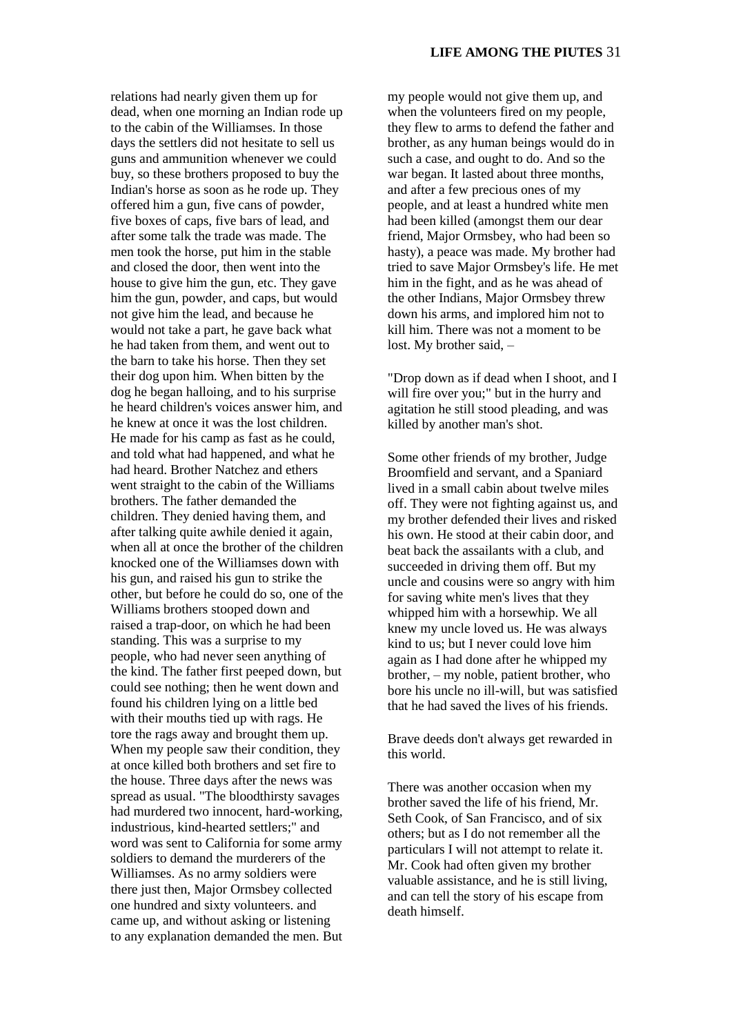relations had nearly given them up for dead, when one morning an Indian rode up to the cabin of the Williamses. In those days the settlers did not hesitate to sell us guns and ammunition whenever we could buy, so these brothers proposed to buy the Indian's horse as soon as he rode up. They offered him a gun, five cans of powder, five boxes of caps, five bars of lead, and after some talk the trade was made. The men took the horse, put him in the stable and closed the door, then went into the house to give him the gun, etc. They gave him the gun, powder, and caps, but would not give him the lead, and because he would not take a part, he gave back what he had taken from them, and went out to the barn to take his horse. Then they set their dog upon him. When bitten by the dog he began halloing, and to his surprise he heard children's voices answer him, and he knew at once it was the lost children. He made for his camp as fast as he could, and told what had happened, and what he had heard. Brother Natchez and ethers went straight to the cabin of the Williams brothers. The father demanded the children. They denied having them, and after talking quite awhile denied it again, when all at once the brother of the children knocked one of the Williamses down with his gun, and raised his gun to strike the other, but before he could do so, one of the Williams brothers stooped down and raised a trap-door, on which he had been standing. This was a surprise to my people, who had never seen anything of the kind. The father first peeped down, but could see nothing; then he went down and found his children lying on a little bed with their mouths tied up with rags. He tore the rags away and brought them up. When my people saw their condition, they at once killed both brothers and set fire to the house. Three days after the news was spread as usual. "The bloodthirsty savages had murdered two innocent, hard-working, industrious, kind-hearted settlers;" and word was sent to California for some army soldiers to demand the murderers of the Williamses. As no army soldiers were there just then, Major Ormsbey collected one hundred and sixty volunteers. and came up, and without asking or listening to any explanation demanded the men. But

my people would not give them up, and when the volunteers fired on my people, they flew to arms to defend the father and brother, as any human beings would do in such a case, and ought to do. And so the war began. It lasted about three months, and after a few precious ones of my people, and at least a hundred white men had been killed (amongst them our dear friend, Major Ormsbey, who had been so hasty), a peace was made. My brother had tried to save Major Ormsbey's life. He met him in the fight, and as he was ahead of the other Indians, Major Ormsbey threw down his arms, and implored him not to kill him. There was not a moment to be lost. My brother said, –

"Drop down as if dead when I shoot, and I will fire over you;" but in the hurry and agitation he still stood pleading, and was killed by another man's shot.

Some other friends of my brother, Judge Broomfield and servant, and a Spaniard lived in a small cabin about twelve miles off. They were not fighting against us, and my brother defended their lives and risked his own. He stood at their cabin door, and beat back the assailants with a club, and succeeded in driving them off. But my uncle and cousins were so angry with him for saving white men's lives that they whipped him with a horsewhip. We all knew my uncle loved us. He was always kind to us; but I never could love him again as I had done after he whipped my brother, – my noble, patient brother, who bore his uncle no ill-will, but was satisfied that he had saved the lives of his friends.

Brave deeds don't always get rewarded in this world.

There was another occasion when my brother saved the life of his friend, Mr. Seth Cook, of San Francisco, and of six others; but as I do not remember all the particulars I will not attempt to relate it. Mr. Cook had often given my brother valuable assistance, and he is still living, and can tell the story of his escape from death himself.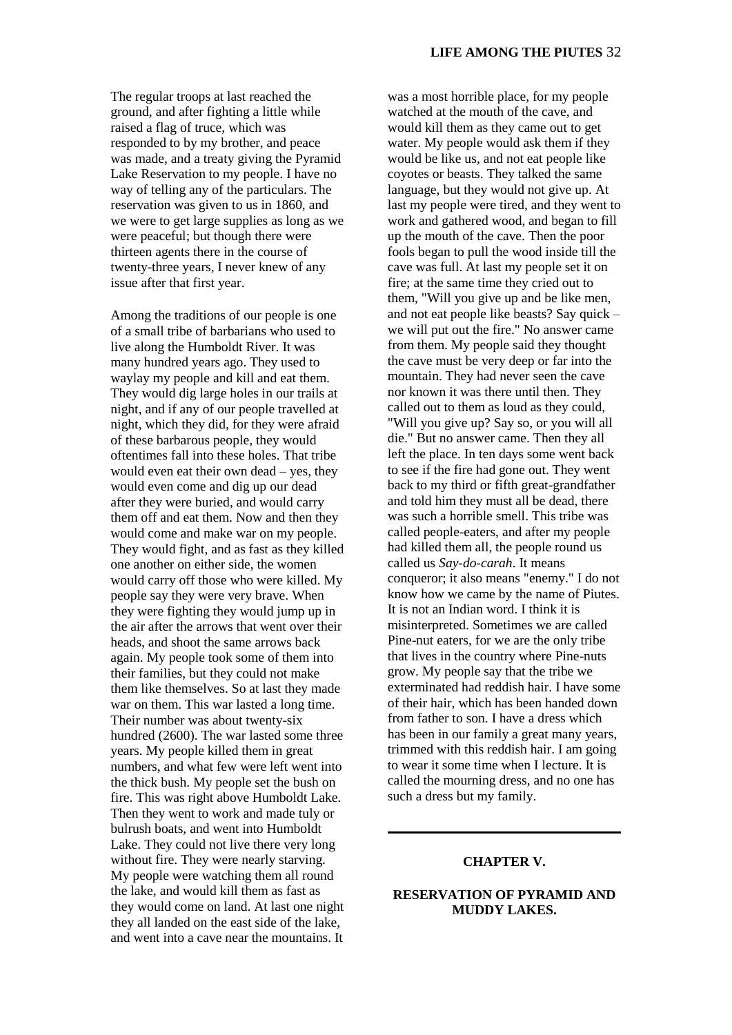The regular troops at last reached the ground, and after fighting a little while raised a flag of truce, which was responded to by my brother, and peace was made, and a treaty giving the Pyramid Lake Reservation to my people. I have no way of telling any of the particulars. The reservation was given to us in 1860, and we were to get large supplies as long as we were peaceful; but though there were thirteen agents there in the course of twenty-three years, I never knew of any issue after that first year.

Among the traditions of our people is one of a small tribe of barbarians who used to live along the Humboldt River. It was many hundred years ago. They used to waylay my people and kill and eat them. They would dig large holes in our trails at night, and if any of our people travelled at night, which they did, for they were afraid of these barbarous people, they would oftentimes fall into these holes. That tribe would even eat their own dead – yes, they would even come and dig up our dead after they were buried, and would carry them off and eat them. Now and then they would come and make war on my people. They would fight, and as fast as they killed one another on either side, the women would carry off those who were killed. My people say they were very brave. When they were fighting they would jump up in the air after the arrows that went over their heads, and shoot the same arrows back again. My people took some of them into their families, but they could not make them like themselves. So at last they made war on them. This war lasted a long time. Their number was about twenty-six hundred (2600). The war lasted some three years. My people killed them in great numbers, and what few were left went into the thick bush. My people set the bush on fire. This was right above Humboldt Lake. Then they went to work and made tuly or bulrush boats, and went into Humboldt Lake. They could not live there very long without fire. They were nearly starving. My people were watching them all round the lake, and would kill them as fast as they would come on land. At last one night they all landed on the east side of the lake, and went into a cave near the mountains. It

was a most horrible place, for my people watched at the mouth of the cave, and would kill them as they came out to get water. My people would ask them if they would be like us, and not eat people like coyotes or beasts. They talked the same language, but they would not give up. At last my people were tired, and they went to work and gathered wood, and began to fill up the mouth of the cave. Then the poor fools began to pull the wood inside till the cave was full. At last my people set it on fire; at the same time they cried out to them, "Will you give up and be like men, and not eat people like beasts? Say quick – we will put out the fire." No answer came from them. My people said they thought the cave must be very deep or far into the mountain. They had never seen the cave nor known it was there until then. They called out to them as loud as they could, "Will you give up? Say so, or you will all die." But no answer came. Then they all left the place. In ten days some went back to see if the fire had gone out. They went back to my third or fifth great-grandfather and told him they must all be dead, there was such a horrible smell. This tribe was called people-eaters, and after my people had killed them all, the people round us called us *Say-do-carah*. It means conqueror; it also means "enemy." I do not know how we came by the name of Piutes. It is not an Indian word. I think it is misinterpreted. Sometimes we are called Pine-nut eaters, for we are the only tribe that lives in the country where Pine-nuts grow. My people say that the tribe we exterminated had reddish hair. I have some of their hair, which has been handed down from father to son. I have a dress which has been in our family a great many years, trimmed with this reddish hair. I am going to wear it some time when I lecture. It is called the mourning dress, and no one has such a dress but my family.

#### **CHAPTER V.**

# **RESERVATION OF PYRAMID AND MUDDY LAKES.**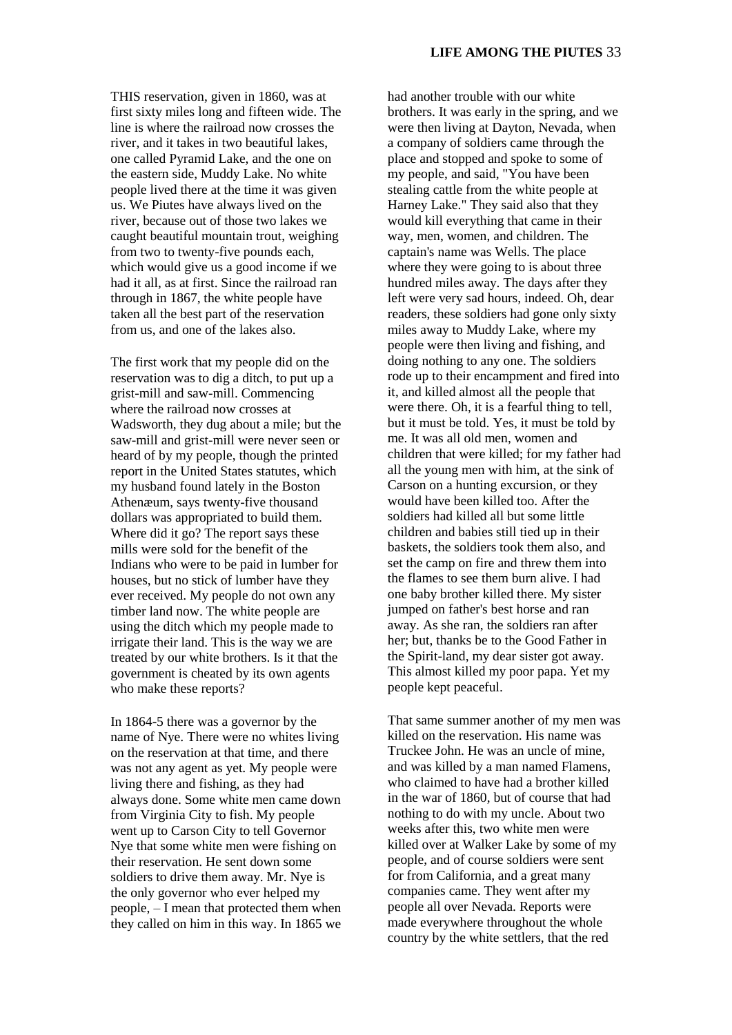THIS reservation, given in 1860, was at first sixty miles long and fifteen wide. The line is where the railroad now crosses the river, and it takes in two beautiful lakes, one called Pyramid Lake, and the one on the eastern side, Muddy Lake. No white people lived there at the time it was given us. We Piutes have always lived on the river, because out of those two lakes we caught beautiful mountain trout, weighing from two to twenty-five pounds each, which would give us a good income if we had it all, as at first. Since the railroad ran through in 1867, the white people have taken all the best part of the reservation from us, and one of the lakes also.

The first work that my people did on the reservation was to dig a ditch, to put up a grist-mill and saw-mill. Commencing where the railroad now crosses at Wadsworth, they dug about a mile; but the saw-mill and grist-mill were never seen or heard of by my people, though the printed report in the United States statutes, which my husband found lately in the Boston Athenæum, says twenty-five thousand dollars was appropriated to build them. Where did it go? The report says these mills were sold for the benefit of the Indians who were to be paid in lumber for houses, but no stick of lumber have they ever received. My people do not own any timber land now. The white people are using the ditch which my people made to irrigate their land. This is the way we are treated by our white brothers. Is it that the government is cheated by its own agents who make these reports?

In 1864-5 there was a governor by the name of Nye. There were no whites living on the reservation at that time, and there was not any agent as yet. My people were living there and fishing, as they had always done. Some white men came down from Virginia City to fish. My people went up to Carson City to tell Governor Nye that some white men were fishing on their reservation. He sent down some soldiers to drive them away. Mr. Nye is the only governor who ever helped my people, – I mean that protected them when they called on him in this way. In 1865 we

had another trouble with our white brothers. It was early in the spring, and we were then living at Dayton, Nevada, when a company of soldiers came through the place and stopped and spoke to some of my people, and said, "You have been stealing cattle from the white people at Harney Lake." They said also that they would kill everything that came in their way, men, women, and children. The captain's name was Wells. The place where they were going to is about three hundred miles away. The days after they left were very sad hours, indeed. Oh, dear readers, these soldiers had gone only sixty miles away to Muddy Lake, where my people were then living and fishing, and doing nothing to any one. The soldiers rode up to their encampment and fired into it, and killed almost all the people that were there. Oh, it is a fearful thing to tell, but it must be told. Yes, it must be told by me. It was all old men, women and children that were killed; for my father had all the young men with him, at the sink of Carson on a hunting excursion, or they would have been killed too. After the soldiers had killed all but some little children and babies still tied up in their baskets, the soldiers took them also, and set the camp on fire and threw them into the flames to see them burn alive. I had one baby brother killed there. My sister jumped on father's best horse and ran away. As she ran, the soldiers ran after her; but, thanks be to the Good Father in the Spirit-land, my dear sister got away. This almost killed my poor papa. Yet my people kept peaceful.

That same summer another of my men was killed on the reservation. His name was Truckee John. He was an uncle of mine, and was killed by a man named Flamens, who claimed to have had a brother killed in the war of 1860, but of course that had nothing to do with my uncle. About two weeks after this, two white men were killed over at Walker Lake by some of my people, and of course soldiers were sent for from California, and a great many companies came. They went after my people all over Nevada. Reports were made everywhere throughout the whole country by the white settlers, that the red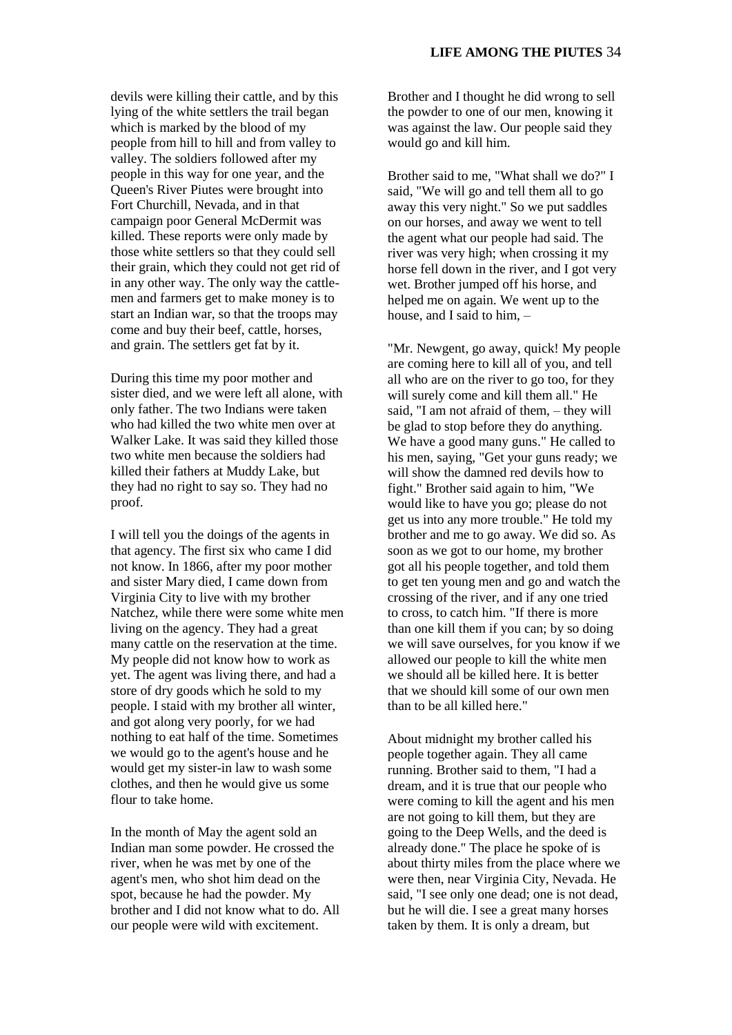devils were killing their cattle, and by this lying of the white settlers the trail began which is marked by the blood of my people from hill to hill and from valley to valley. The soldiers followed after my people in this way for one year, and the Queen's River Piutes were brought into Fort Churchill, Nevada, and in that campaign poor General McDermit was killed. These reports were only made by those white settlers so that they could sell their grain, which they could not get rid of in any other way. The only way the cattlemen and farmers get to make money is to start an Indian war, so that the troops may come and buy their beef, cattle, horses, and grain. The settlers get fat by it.

During this time my poor mother and sister died, and we were left all alone, with only father. The two Indians were taken who had killed the two white men over at Walker Lake. It was said they killed those two white men because the soldiers had killed their fathers at Muddy Lake, but they had no right to say so. They had no proof.

I will tell you the doings of the agents in that agency. The first six who came I did not know. In 1866, after my poor mother and sister Mary died, I came down from Virginia City to live with my brother Natchez, while there were some white men living on the agency. They had a great many cattle on the reservation at the time. My people did not know how to work as yet. The agent was living there, and had a store of dry goods which he sold to my people. I staid with my brother all winter, and got along very poorly, for we had nothing to eat half of the time. Sometimes we would go to the agent's house and he would get my sister-in law to wash some clothes, and then he would give us some flour to take home.

In the month of May the agent sold an Indian man some powder. He crossed the river, when he was met by one of the agent's men, who shot him dead on the spot, because he had the powder. My brother and I did not know what to do. All our people were wild with excitement.

Brother and I thought he did wrong to sell the powder to one of our men, knowing it was against the law. Our people said they would go and kill him.

Brother said to me, "What shall we do?" I said, "We will go and tell them all to go away this very night." So we put saddles on our horses, and away we went to tell the agent what our people had said. The river was very high; when crossing it my horse fell down in the river, and I got very wet. Brother jumped off his horse, and helped me on again. We went up to the house, and I said to him, –

"Mr. Newgent, go away, quick! My people are coming here to kill all of you, and tell all who are on the river to go too, for they will surely come and kill them all." He said, "I am not afraid of them, – they will be glad to stop before they do anything. We have a good many guns." He called to his men, saying, "Get your guns ready; we will show the damned red devils how to fight." Brother said again to him, "We would like to have you go; please do not get us into any more trouble." He told my brother and me to go away. We did so. As soon as we got to our home, my brother got all his people together, and told them to get ten young men and go and watch the crossing of the river, and if any one tried to cross, to catch him. "If there is more than one kill them if you can; by so doing we will save ourselves, for you know if we allowed our people to kill the white men we should all be killed here. It is better that we should kill some of our own men than to be all killed here."

About midnight my brother called his people together again. They all came running. Brother said to them, "I had a dream, and it is true that our people who were coming to kill the agent and his men are not going to kill them, but they are going to the Deep Wells, and the deed is already done." The place he spoke of is about thirty miles from the place where we were then, near Virginia City, Nevada. He said, "I see only one dead; one is not dead, but he will die. I see a great many horses taken by them. It is only a dream, but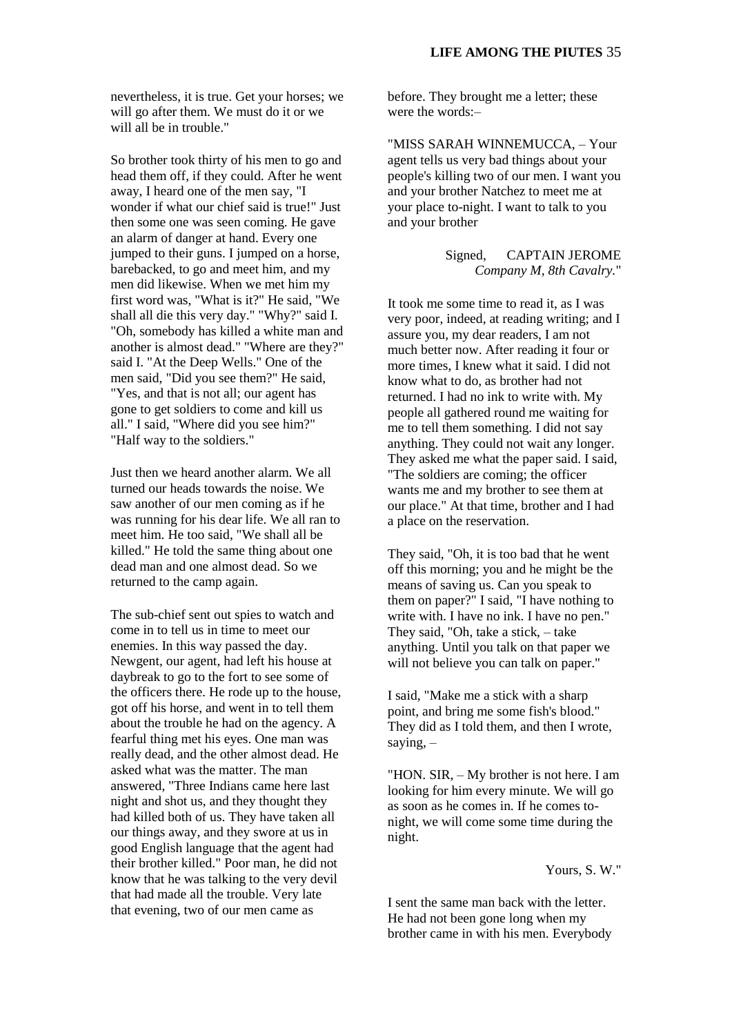nevertheless, it is true. Get your horses; we will go after them. We must do it or we will all be in trouble."

So brother took thirty of his men to go and head them off, if they could. After he went away, I heard one of the men say, "I wonder if what our chief said is true!" Just then some one was seen coming. He gave an alarm of danger at hand. Every one jumped to their guns. I jumped on a horse, barebacked, to go and meet him, and my men did likewise. When we met him my first word was, "What is it?" He said, "We shall all die this very day." "Why?" said I. "Oh, somebody has killed a white man and another is almost dead." "Where are they?" said I. "At the Deep Wells." One of the men said, "Did you see them?" He said, "Yes, and that is not all; our agent has gone to get soldiers to come and kill us all." I said, "Where did you see him?" "Half way to the soldiers."

Just then we heard another alarm. We all turned our heads towards the noise. We saw another of our men coming as if he was running for his dear life. We all ran to meet him. He too said, "We shall all be killed." He told the same thing about one dead man and one almost dead. So we returned to the camp again.

The sub-chief sent out spies to watch and come in to tell us in time to meet our enemies. In this way passed the day. Newgent, our agent, had left his house at daybreak to go to the fort to see some of the officers there. He rode up to the house, got off his horse, and went in to tell them about the trouble he had on the agency. A fearful thing met his eyes. One man was really dead, and the other almost dead. He asked what was the matter. The man answered, "Three Indians came here last night and shot us, and they thought they had killed both of us. They have taken all our things away, and they swore at us in good English language that the agent had their brother killed." Poor man, he did not know that he was talking to the very devil that had made all the trouble. Very late that evening, two of our men came as

before. They brought me a letter; these were the words:-

"MISS SARAH WINNEMUCCA, – Your agent tells us very bad things about your people's killing two of our men. I want you and your brother Natchez to meet me at your place to-night. I want to talk to you and your brother

# Signed, CAPTAIN JEROME *Company M, 8th Cavalry.*"

It took me some time to read it, as I was very poor, indeed, at reading writing; and I assure you, my dear readers, I am not much better now. After reading it four or more times, I knew what it said. I did not know what to do, as brother had not returned. I had no ink to write with. My people all gathered round me waiting for me to tell them something. I did not say anything. They could not wait any longer. They asked me what the paper said. I said, "The soldiers are coming; the officer wants me and my brother to see them at our place." At that time, brother and I had a place on the reservation.

They said, "Oh, it is too bad that he went off this morning; you and he might be the means of saving us. Can you speak to them on paper?" I said, "I have nothing to write with. I have no ink. I have no pen." They said, "Oh, take a stick, – take anything. Until you talk on that paper we will not believe you can talk on paper."

I said, "Make me a stick with a sharp point, and bring me some fish's blood." They did as I told them, and then I wrote, saying, –

"HON. SIR, – My brother is not here. I am looking for him every minute. We will go as soon as he comes in. If he comes tonight, we will come some time during the night.

Yours, S. W."

I sent the same man back with the letter. He had not been gone long when my brother came in with his men. Everybody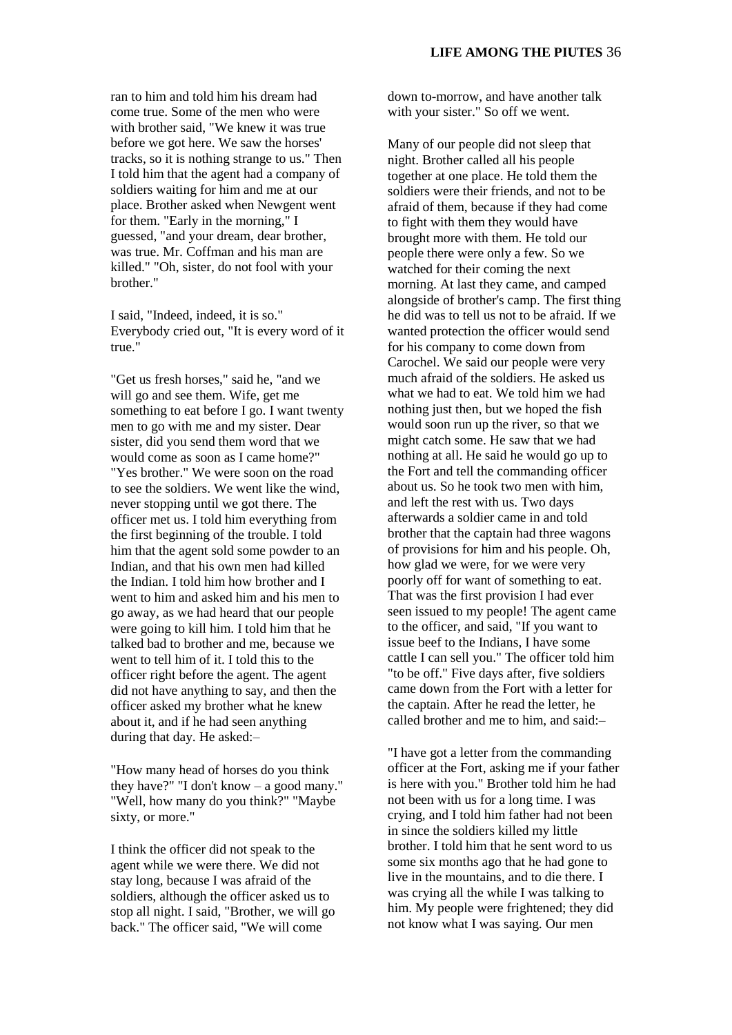ran to him and told him his dream had come true. Some of the men who were with brother said, "We knew it was true before we got here. We saw the horses' tracks, so it is nothing strange to us." Then I told him that the agent had a company of soldiers waiting for him and me at our place. Brother asked when Newgent went for them. "Early in the morning," I guessed, "and your dream, dear brother, was true. Mr. Coffman and his man are killed." "Oh, sister, do not fool with your brother."

I said, "Indeed, indeed, it is so." Everybody cried out, "It is every word of it true."

"Get us fresh horses," said he, "and we will go and see them. Wife, get me something to eat before I go. I want twenty men to go with me and my sister. Dear sister, did you send them word that we would come as soon as I came home?" "Yes brother." We were soon on the road to see the soldiers. We went like the wind, never stopping until we got there. The officer met us. I told him everything from the first beginning of the trouble. I told him that the agent sold some powder to an Indian, and that his own men had killed the Indian. I told him how brother and I went to him and asked him and his men to go away, as we had heard that our people were going to kill him. I told him that he talked bad to brother and me, because we went to tell him of it. I told this to the officer right before the agent. The agent did not have anything to say, and then the officer asked my brother what he knew about it, and if he had seen anything during that day. He asked:–

"How many head of horses do you think they have?" "I don't know – a good many." "Well, how many do you think?" "Maybe sixty, or more."

I think the officer did not speak to the agent while we were there. We did not stay long, because I was afraid of the soldiers, although the officer asked us to stop all night. I said, "Brother, we will go back." The officer said, "We will come

down to-morrow, and have another talk with your sister." So off we went.

Many of our people did not sleep that night. Brother called all his people together at one place. He told them the soldiers were their friends, and not to be afraid of them, because if they had come to fight with them they would have brought more with them. He told our people there were only a few. So we watched for their coming the next morning. At last they came, and camped alongside of brother's camp. The first thing he did was to tell us not to be afraid. If we wanted protection the officer would send for his company to come down from Carochel. We said our people were very much afraid of the soldiers. He asked us what we had to eat. We told him we had nothing just then, but we hoped the fish would soon run up the river, so that we might catch some. He saw that we had nothing at all. He said he would go up to the Fort and tell the commanding officer about us. So he took two men with him, and left the rest with us. Two days afterwards a soldier came in and told brother that the captain had three wagons of provisions for him and his people. Oh, how glad we were, for we were very poorly off for want of something to eat. That was the first provision I had ever seen issued to my people! The agent came to the officer, and said, "If you want to issue beef to the Indians, I have some cattle I can sell you." The officer told him "to be off." Five days after, five soldiers came down from the Fort with a letter for the captain. After he read the letter, he called brother and me to him, and said:–

"I have got a letter from the commanding officer at the Fort, asking me if your father is here with you." Brother told him he had not been with us for a long time. I was crying, and I told him father had not been in since the soldiers killed my little brother. I told him that he sent word to us some six months ago that he had gone to live in the mountains, and to die there. I was crying all the while I was talking to him. My people were frightened; they did not know what I was saying. Our men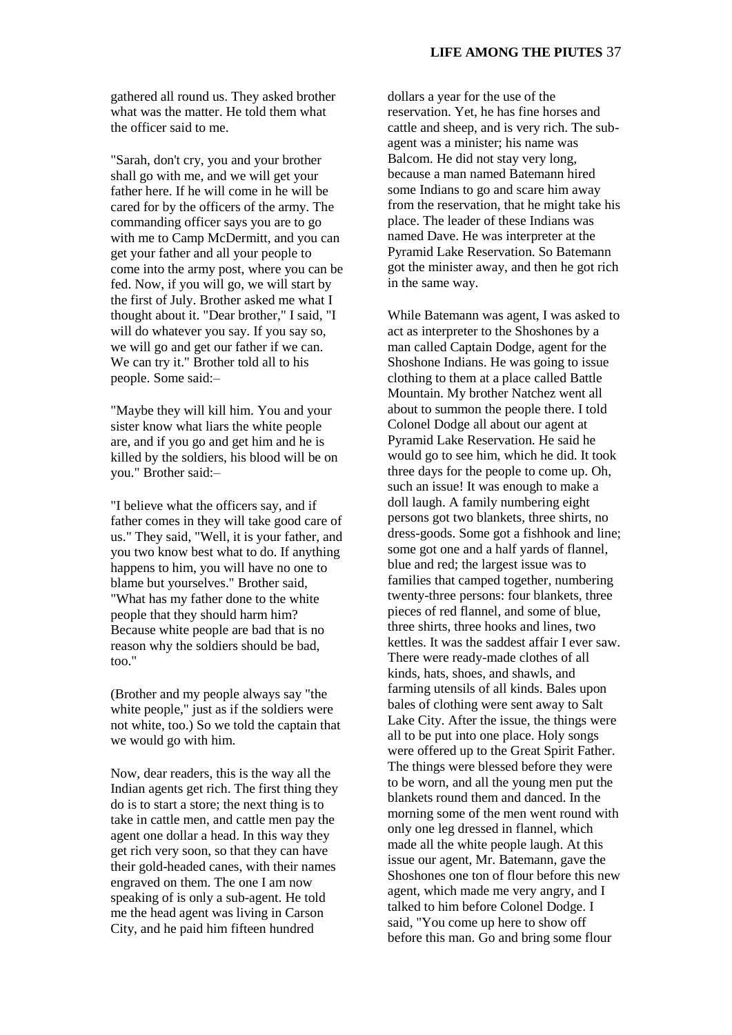gathered all round us. They asked brother what was the matter. He told them what the officer said to me.

"Sarah, don't cry, you and your brother shall go with me, and we will get your father here. If he will come in he will be cared for by the officers of the army. The commanding officer says you are to go with me to Camp McDermitt, and you can get your father and all your people to come into the army post, where you can be fed. Now, if you will go, we will start by the first of July. Brother asked me what I thought about it. "Dear brother," I said, "I will do whatever you say. If you say so, we will go and get our father if we can. We can try it." Brother told all to his people. Some said:–

"Maybe they will kill him. You and your sister know what liars the white people are, and if you go and get him and he is killed by the soldiers, his blood will be on you." Brother said:–

"I believe what the officers say, and if father comes in they will take good care of us." They said, "Well, it is your father, and you two know best what to do. If anything happens to him, you will have no one to blame but yourselves." Brother said, "What has my father done to the white people that they should harm him? Because white people are bad that is no reason why the soldiers should be bad, too."

(Brother and my people always say "the white people," just as if the soldiers were not white, too.) So we told the captain that we would go with him.

Now, dear readers, this is the way all the Indian agents get rich. The first thing they do is to start a store; the next thing is to take in cattle men, and cattle men pay the agent one dollar a head. In this way they get rich very soon, so that they can have their gold-headed canes, with their names engraved on them. The one I am now speaking of is only a sub-agent. He told me the head agent was living in Carson City, and he paid him fifteen hundred

dollars a year for the use of the reservation. Yet, he has fine horses and cattle and sheep, and is very rich. The subagent was a minister; his name was Balcom. He did not stay very long, because a man named Batemann hired some Indians to go and scare him away from the reservation, that he might take his place. The leader of these Indians was named Dave. He was interpreter at the Pyramid Lake Reservation. So Batemann got the minister away, and then he got rich in the same way.

While Batemann was agent, I was asked to act as interpreter to the Shoshones by a man called Captain Dodge, agent for the Shoshone Indians. He was going to issue clothing to them at a place called Battle Mountain. My brother Natchez went all about to summon the people there. I told Colonel Dodge all about our agent at Pyramid Lake Reservation. He said he would go to see him, which he did. It took three days for the people to come up. Oh, such an issue! It was enough to make a doll laugh. A family numbering eight persons got two blankets, three shirts, no dress-goods. Some got a fishhook and line; some got one and a half yards of flannel, blue and red; the largest issue was to families that camped together, numbering twenty-three persons: four blankets, three pieces of red flannel, and some of blue, three shirts, three hooks and lines, two kettles. It was the saddest affair I ever saw. There were ready-made clothes of all kinds, hats, shoes, and shawls, and farming utensils of all kinds. Bales upon bales of clothing were sent away to Salt Lake City. After the issue, the things were all to be put into one place. Holy songs were offered up to the Great Spirit Father. The things were blessed before they were to be worn, and all the young men put the blankets round them and danced. In the morning some of the men went round with only one leg dressed in flannel, which made all the white people laugh. At this issue our agent, Mr. Batemann, gave the Shoshones one ton of flour before this new agent, which made me very angry, and I talked to him before Colonel Dodge. I said, "You come up here to show off before this man. Go and bring some flour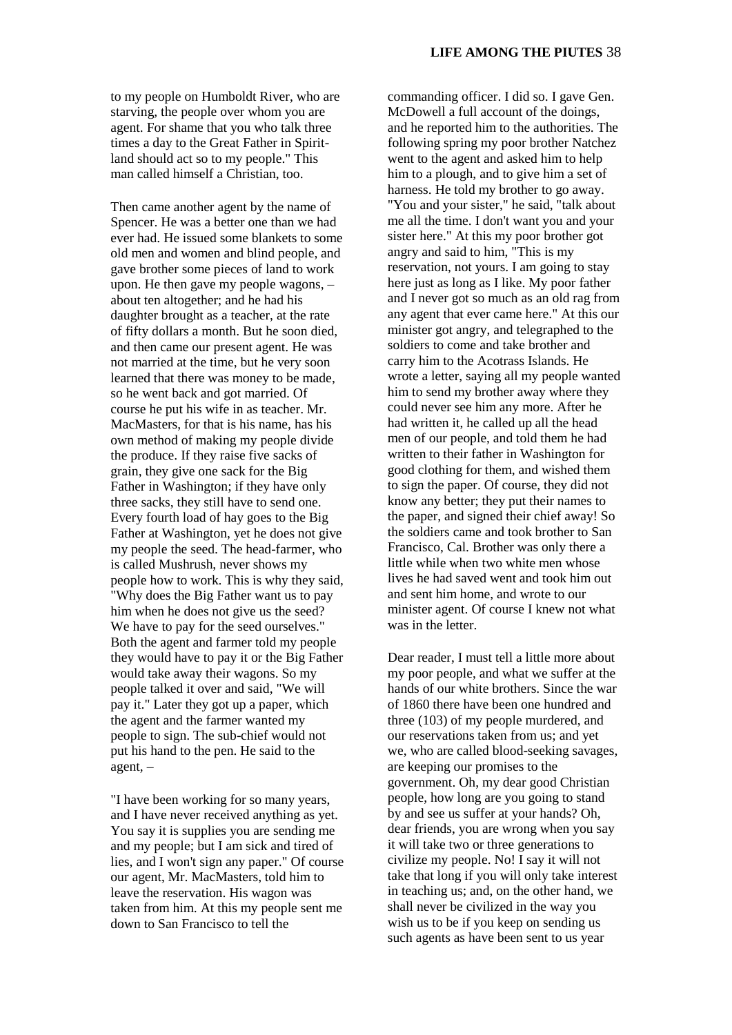to my people on Humboldt River, who are starving, the people over whom you are agent. For shame that you who talk three times a day to the Great Father in Spiritland should act so to my people." This man called himself a Christian, too.

Then came another agent by the name of Spencer. He was a better one than we had ever had. He issued some blankets to some old men and women and blind people, and gave brother some pieces of land to work upon. He then gave my people wagons, – about ten altogether; and he had his daughter brought as a teacher, at the rate of fifty dollars a month. But he soon died, and then came our present agent. He was not married at the time, but he very soon learned that there was money to be made, so he went back and got married. Of course he put his wife in as teacher. Mr. MacMasters, for that is his name, has his own method of making my people divide the produce. If they raise five sacks of grain, they give one sack for the Big Father in Washington; if they have only three sacks, they still have to send one. Every fourth load of hay goes to the Big Father at Washington, yet he does not give my people the seed. The head-farmer, who is called Mushrush, never shows my people how to work. This is why they said, "Why does the Big Father want us to pay him when he does not give us the seed? We have to pay for the seed ourselves." Both the agent and farmer told my people they would have to pay it or the Big Father would take away their wagons. So my people talked it over and said, "We will pay it." Later they got up a paper, which the agent and the farmer wanted my people to sign. The sub-chief would not put his hand to the pen. He said to the agent, –

"I have been working for so many years, and I have never received anything as yet. You say it is supplies you are sending me and my people; but I am sick and tired of lies, and I won't sign any paper." Of course our agent, Mr. MacMasters, told him to leave the reservation. His wagon was taken from him. At this my people sent me down to San Francisco to tell the

commanding officer. I did so. I gave Gen. McDowell a full account of the doings, and he reported him to the authorities. The following spring my poor brother Natchez went to the agent and asked him to help him to a plough, and to give him a set of harness. He told my brother to go away. "You and your sister," he said, "talk about me all the time. I don't want you and your sister here." At this my poor brother got angry and said to him, "This is my reservation, not yours. I am going to stay here just as long as I like. My poor father and I never got so much as an old rag from any agent that ever came here." At this our minister got angry, and telegraphed to the soldiers to come and take brother and carry him to the Acotrass Islands. He wrote a letter, saying all my people wanted him to send my brother away where they could never see him any more. After he had written it, he called up all the head men of our people, and told them he had written to their father in Washington for good clothing for them, and wished them to sign the paper. Of course, they did not know any better; they put their names to the paper, and signed their chief away! So the soldiers came and took brother to San Francisco, Cal. Brother was only there a little while when two white men whose lives he had saved went and took him out and sent him home, and wrote to our minister agent. Of course I knew not what was in the letter.

Dear reader, I must tell a little more about my poor people, and what we suffer at the hands of our white brothers. Since the war of 1860 there have been one hundred and three (103) of my people murdered, and our reservations taken from us; and yet we, who are called blood-seeking savages, are keeping our promises to the government. Oh, my dear good Christian people, how long are you going to stand by and see us suffer at your hands? Oh, dear friends, you are wrong when you say it will take two or three generations to civilize my people. No! I say it will not take that long if you will only take interest in teaching us; and, on the other hand, we shall never be civilized in the way you wish us to be if you keep on sending us such agents as have been sent to us year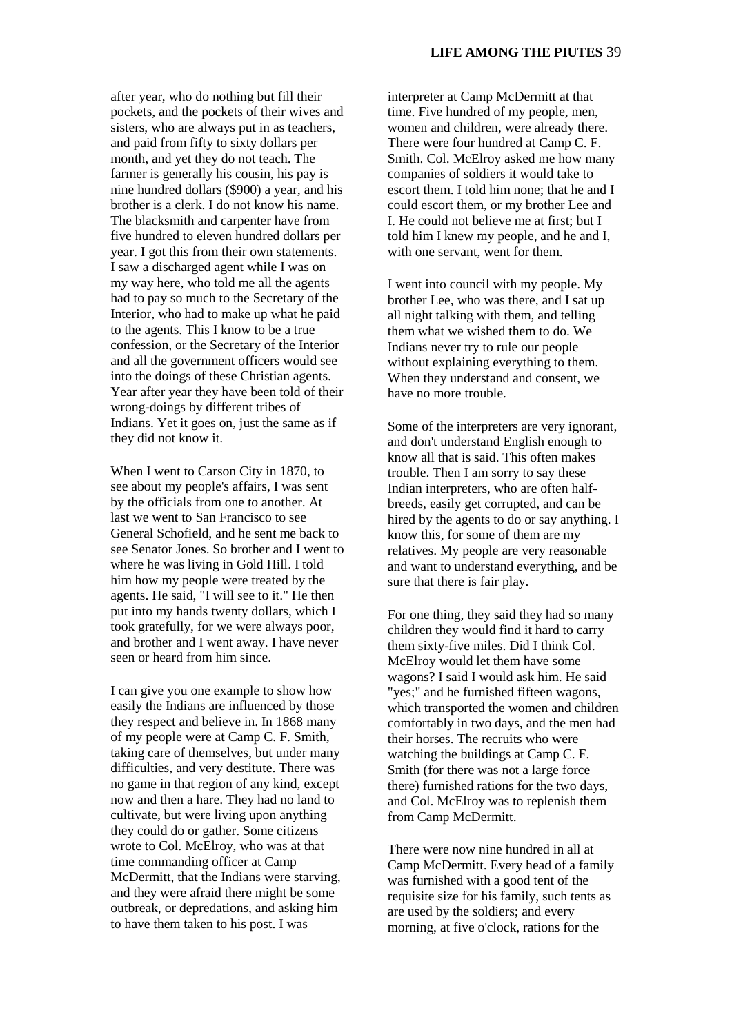after year, who do nothing but fill their pockets, and the pockets of their wives and sisters, who are always put in as teachers, and paid from fifty to sixty dollars per month, and yet they do not teach. The farmer is generally his cousin, his pay is nine hundred dollars (\$900) a year, and his brother is a clerk. I do not know his name. The blacksmith and carpenter have from five hundred to eleven hundred dollars per year. I got this from their own statements. I saw a discharged agent while I was on my way here, who told me all the agents had to pay so much to the Secretary of the Interior, who had to make up what he paid to the agents. This I know to be a true confession, or the Secretary of the Interior and all the government officers would see into the doings of these Christian agents. Year after year they have been told of their wrong-doings by different tribes of Indians. Yet it goes on, just the same as if they did not know it.

When I went to Carson City in 1870, to see about my people's affairs, I was sent by the officials from one to another. At last we went to San Francisco to see General Schofield, and he sent me back to see Senator Jones. So brother and I went to where he was living in Gold Hill. I told him how my people were treated by the agents. He said, "I will see to it." He then put into my hands twenty dollars, which I took gratefully, for we were always poor, and brother and I went away. I have never seen or heard from him since.

I can give you one example to show how easily the Indians are influenced by those they respect and believe in. In 1868 many of my people were at Camp C. F. Smith, taking care of themselves, but under many difficulties, and very destitute. There was no game in that region of any kind, except now and then a hare. They had no land to cultivate, but were living upon anything they could do or gather. Some citizens wrote to Col. McElroy, who was at that time commanding officer at Camp McDermitt, that the Indians were starving, and they were afraid there might be some outbreak, or depredations, and asking him to have them taken to his post. I was

interpreter at Camp McDermitt at that time. Five hundred of my people, men, women and children, were already there. There were four hundred at Camp C. F. Smith. Col. McElroy asked me how many companies of soldiers it would take to escort them. I told him none; that he and I could escort them, or my brother Lee and I. He could not believe me at first; but I told him I knew my people, and he and I, with one servant, went for them.

I went into council with my people. My brother Lee, who was there, and I sat up all night talking with them, and telling them what we wished them to do. We Indians never try to rule our people without explaining everything to them. When they understand and consent, we have no more trouble.

Some of the interpreters are very ignorant, and don't understand English enough to know all that is said. This often makes trouble. Then I am sorry to say these Indian interpreters, who are often halfbreeds, easily get corrupted, and can be hired by the agents to do or say anything. I know this, for some of them are my relatives. My people are very reasonable and want to understand everything, and be sure that there is fair play.

For one thing, they said they had so many children they would find it hard to carry them sixty-five miles. Did I think Col. McElroy would let them have some wagons? I said I would ask him. He said "yes;" and he furnished fifteen wagons, which transported the women and children comfortably in two days, and the men had their horses. The recruits who were watching the buildings at Camp C. F. Smith (for there was not a large force there) furnished rations for the two days, and Col. McElroy was to replenish them from Camp McDermitt.

There were now nine hundred in all at Camp McDermitt. Every head of a family was furnished with a good tent of the requisite size for his family, such tents as are used by the soldiers; and every morning, at five o'clock, rations for the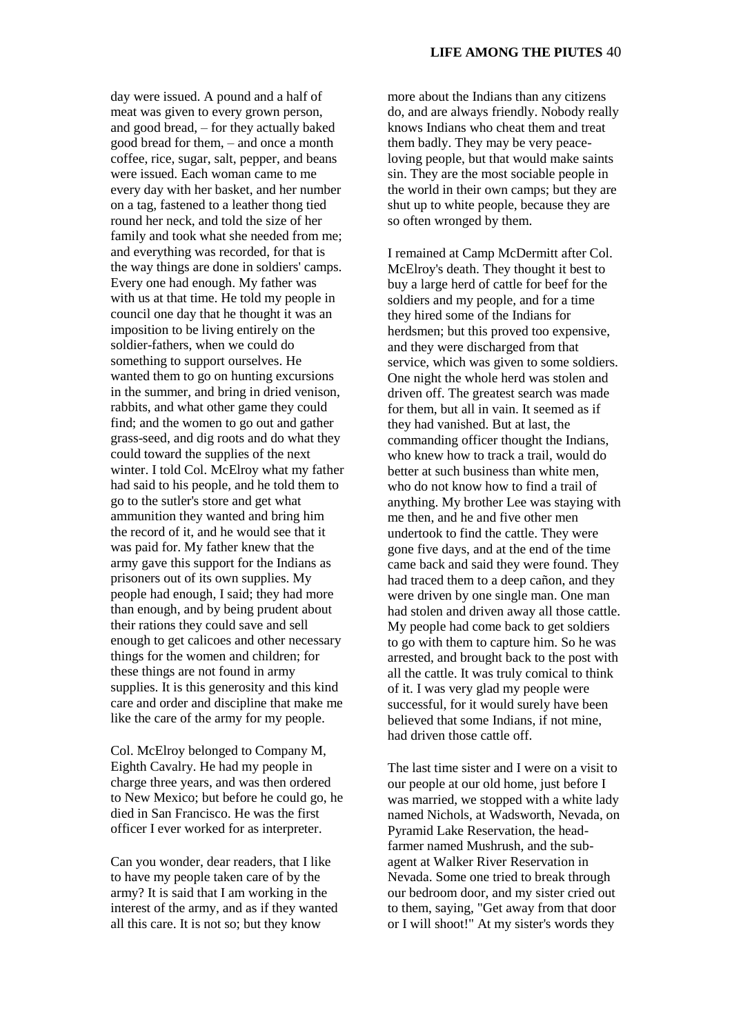day were issued. A pound and a half of meat was given to every grown person, and good bread, – for they actually baked good bread for them, – and once a month coffee, rice, sugar, salt, pepper, and beans were issued. Each woman came to me every day with her basket, and her number on a tag, fastened to a leather thong tied round her neck, and told the size of her family and took what she needed from me; and everything was recorded, for that is the way things are done in soldiers' camps. Every one had enough. My father was with us at that time. He told my people in council one day that he thought it was an imposition to be living entirely on the soldier-fathers, when we could do something to support ourselves. He wanted them to go on hunting excursions in the summer, and bring in dried venison, rabbits, and what other game they could find; and the women to go out and gather grass-seed, and dig roots and do what they could toward the supplies of the next winter. I told Col. McElroy what my father had said to his people, and he told them to go to the sutler's store and get what ammunition they wanted and bring him the record of it, and he would see that it was paid for. My father knew that the army gave this support for the Indians as prisoners out of its own supplies. My people had enough, I said; they had more than enough, and by being prudent about their rations they could save and sell enough to get calicoes and other necessary things for the women and children; for these things are not found in army supplies. It is this generosity and this kind care and order and discipline that make me like the care of the army for my people.

Col. McElroy belonged to Company M, Eighth Cavalry. He had my people in charge three years, and was then ordered to New Mexico; but before he could go, he died in San Francisco. He was the first officer I ever worked for as interpreter.

Can you wonder, dear readers, that I like to have my people taken care of by the army? It is said that I am working in the interest of the army, and as if they wanted all this care. It is not so; but they know

more about the Indians than any citizens do, and are always friendly. Nobody really knows Indians who cheat them and treat them badly. They may be very peaceloving people, but that would make saints sin. They are the most sociable people in the world in their own camps; but they are shut up to white people, because they are so often wronged by them.

I remained at Camp McDermitt after Col. McElroy's death. They thought it best to buy a large herd of cattle for beef for the soldiers and my people, and for a time they hired some of the Indians for herdsmen; but this proved too expensive, and they were discharged from that service, which was given to some soldiers. One night the whole herd was stolen and driven off. The greatest search was made for them, but all in vain. It seemed as if they had vanished. But at last, the commanding officer thought the Indians, who knew how to track a trail, would do better at such business than white men, who do not know how to find a trail of anything. My brother Lee was staying with me then, and he and five other men undertook to find the cattle. They were gone five days, and at the end of the time came back and said they were found. They had traced them to a deep cañon, and they were driven by one single man. One man had stolen and driven away all those cattle. My people had come back to get soldiers to go with them to capture him. So he was arrested, and brought back to the post with all the cattle. It was truly comical to think of it. I was very glad my people were successful, for it would surely have been believed that some Indians, if not mine, had driven those cattle off.

The last time sister and I were on a visit to our people at our old home, just before I was married, we stopped with a white lady named Nichols, at Wadsworth, Nevada, on Pyramid Lake Reservation, the headfarmer named Mushrush, and the subagent at Walker River Reservation in Nevada. Some one tried to break through our bedroom door, and my sister cried out to them, saying, "Get away from that door or I will shoot!" At my sister's words they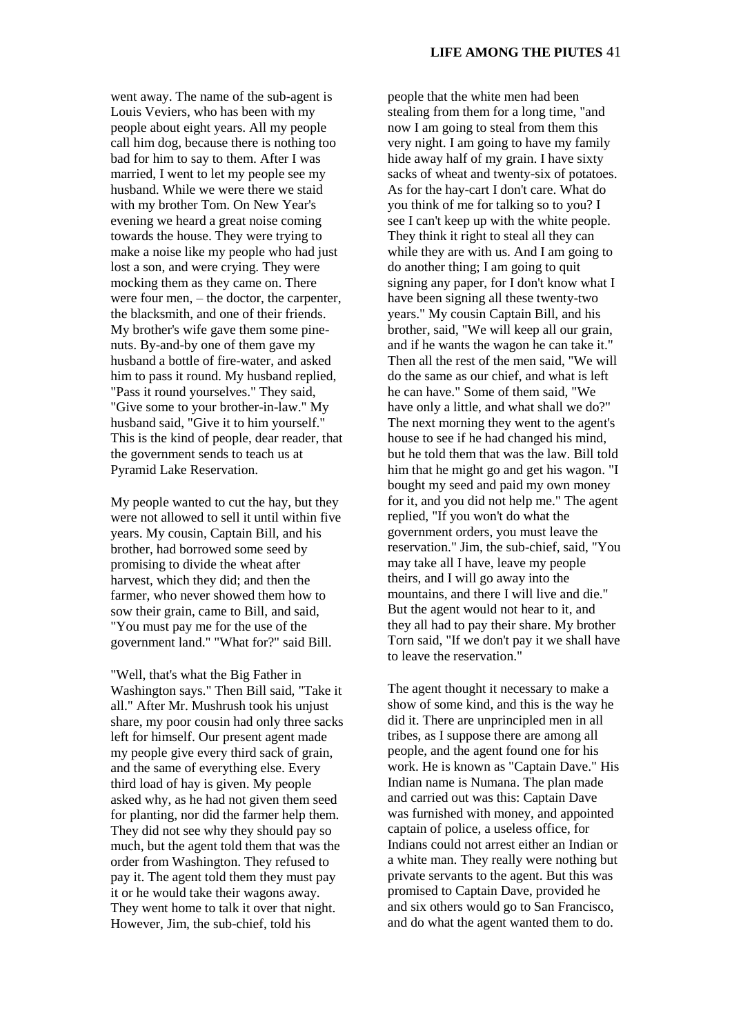went away. The name of the sub-agent is Louis Veviers, who has been with my people about eight years. All my people call him dog, because there is nothing too bad for him to say to them. After I was married, I went to let my people see my husband. While we were there we staid with my brother Tom. On New Year's evening we heard a great noise coming towards the house. They were trying to make a noise like my people who had just lost a son, and were crying. They were mocking them as they came on. There were four men, – the doctor, the carpenter, the blacksmith, and one of their friends. My brother's wife gave them some pinenuts. By-and-by one of them gave my husband a bottle of fire-water, and asked him to pass it round. My husband replied, "Pass it round yourselves." They said, "Give some to your brother-in-law." My husband said, "Give it to him yourself." This is the kind of people, dear reader, that the government sends to teach us at Pyramid Lake Reservation.

My people wanted to cut the hay, but they were not allowed to sell it until within five years. My cousin, Captain Bill, and his brother, had borrowed some seed by promising to divide the wheat after harvest, which they did; and then the farmer, who never showed them how to sow their grain, came to Bill, and said, "You must pay me for the use of the government land." "What for?" said Bill.

"Well, that's what the Big Father in Washington says." Then Bill said, "Take it all." After Mr. Mushrush took his unjust share, my poor cousin had only three sacks left for himself. Our present agent made my people give every third sack of grain, and the same of everything else. Every third load of hay is given. My people asked why, as he had not given them seed for planting, nor did the farmer help them. They did not see why they should pay so much, but the agent told them that was the order from Washington. They refused to pay it. The agent told them they must pay it or he would take their wagons away. They went home to talk it over that night. However, Jim, the sub-chief, told his

people that the white men had been stealing from them for a long time, "and now I am going to steal from them this very night. I am going to have my family hide away half of my grain. I have sixty sacks of wheat and twenty-six of potatoes. As for the hay-cart I don't care. What do you think of me for talking so to you? I see I can't keep up with the white people. They think it right to steal all they can while they are with us. And I am going to do another thing; I am going to quit signing any paper, for I don't know what I have been signing all these twenty-two years." My cousin Captain Bill, and his brother, said, "We will keep all our grain, and if he wants the wagon he can take it." Then all the rest of the men said, "We will do the same as our chief, and what is left he can have." Some of them said, "We have only a little, and what shall we do?" The next morning they went to the agent's house to see if he had changed his mind, but he told them that was the law. Bill told him that he might go and get his wagon. "I bought my seed and paid my own money for it, and you did not help me." The agent replied, "If you won't do what the government orders, you must leave the reservation." Jim, the sub-chief, said, "You may take all I have, leave my people theirs, and I will go away into the mountains, and there I will live and die." But the agent would not hear to it, and they all had to pay their share. My brother Torn said, "If we don't pay it we shall have to leave the reservation."

The agent thought it necessary to make a show of some kind, and this is the way he did it. There are unprincipled men in all tribes, as I suppose there are among all people, and the agent found one for his work. He is known as "Captain Dave." His Indian name is Numana. The plan made and carried out was this: Captain Dave was furnished with money, and appointed captain of police, a useless office, for Indians could not arrest either an Indian or a white man. They really were nothing but private servants to the agent. But this was promised to Captain Dave, provided he and six others would go to San Francisco, and do what the agent wanted them to do.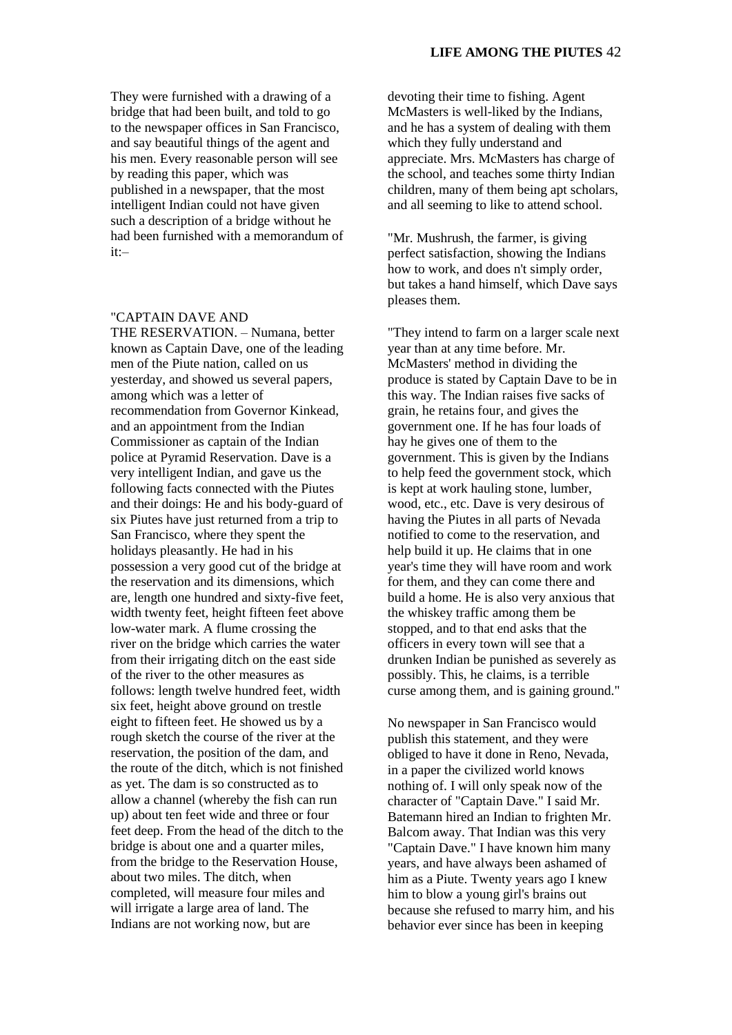They were furnished with a drawing of a bridge that had been built, and told to go to the newspaper offices in San Francisco, and say beautiful things of the agent and his men. Every reasonable person will see by reading this paper, which was published in a newspaper, that the most intelligent Indian could not have given such a description of a bridge without he had been furnished with a memorandum of it:–

### "CAPTAIN DAVE AND

THE RESERVATION. – Numana, better known as Captain Dave, one of the leading men of the Piute nation, called on us yesterday, and showed us several papers, among which was a letter of recommendation from Governor Kinkead, and an appointment from the Indian Commissioner as captain of the Indian police at Pyramid Reservation. Dave is a very intelligent Indian, and gave us the following facts connected with the Piutes and their doings: He and his body-guard of six Piutes have just returned from a trip to San Francisco, where they spent the holidays pleasantly. He had in his possession a very good cut of the bridge at the reservation and its dimensions, which are, length one hundred and sixty-five feet, width twenty feet, height fifteen feet above low-water mark. A flume crossing the river on the bridge which carries the water from their irrigating ditch on the east side of the river to the other measures as follows: length twelve hundred feet, width six feet, height above ground on trestle eight to fifteen feet. He showed us by a rough sketch the course of the river at the reservation, the position of the dam, and the route of the ditch, which is not finished as yet. The dam is so constructed as to allow a channel (whereby the fish can run up) about ten feet wide and three or four feet deep. From the head of the ditch to the bridge is about one and a quarter miles, from the bridge to the Reservation House, about two miles. The ditch, when completed, will measure four miles and will irrigate a large area of land. The Indians are not working now, but are

devoting their time to fishing. Agent McMasters is well-liked by the Indians, and he has a system of dealing with them which they fully understand and appreciate. Mrs. McMasters has charge of the school, and teaches some thirty Indian children, many of them being apt scholars, and all seeming to like to attend school.

"Mr. Mushrush, the farmer, is giving perfect satisfaction, showing the Indians how to work, and does n't simply order, but takes a hand himself, which Dave says pleases them.

"They intend to farm on a larger scale next year than at any time before. Mr. McMasters' method in dividing the produce is stated by Captain Dave to be in this way. The Indian raises five sacks of grain, he retains four, and gives the government one. If he has four loads of hay he gives one of them to the government. This is given by the Indians to help feed the government stock, which is kept at work hauling stone, lumber, wood, etc., etc. Dave is very desirous of having the Piutes in all parts of Nevada notified to come to the reservation, and help build it up. He claims that in one year's time they will have room and work for them, and they can come there and build a home. He is also very anxious that the whiskey traffic among them be stopped, and to that end asks that the officers in every town will see that a drunken Indian be punished as severely as possibly. This, he claims, is a terrible curse among them, and is gaining ground."

No newspaper in San Francisco would publish this statement, and they were obliged to have it done in Reno, Nevada, in a paper the civilized world knows nothing of. I will only speak now of the character of "Captain Dave." I said Mr. Batemann hired an Indian to frighten Mr. Balcom away. That Indian was this very "Captain Dave." I have known him many years, and have always been ashamed of him as a Piute. Twenty years ago I knew him to blow a young girl's brains out because she refused to marry him, and his behavior ever since has been in keeping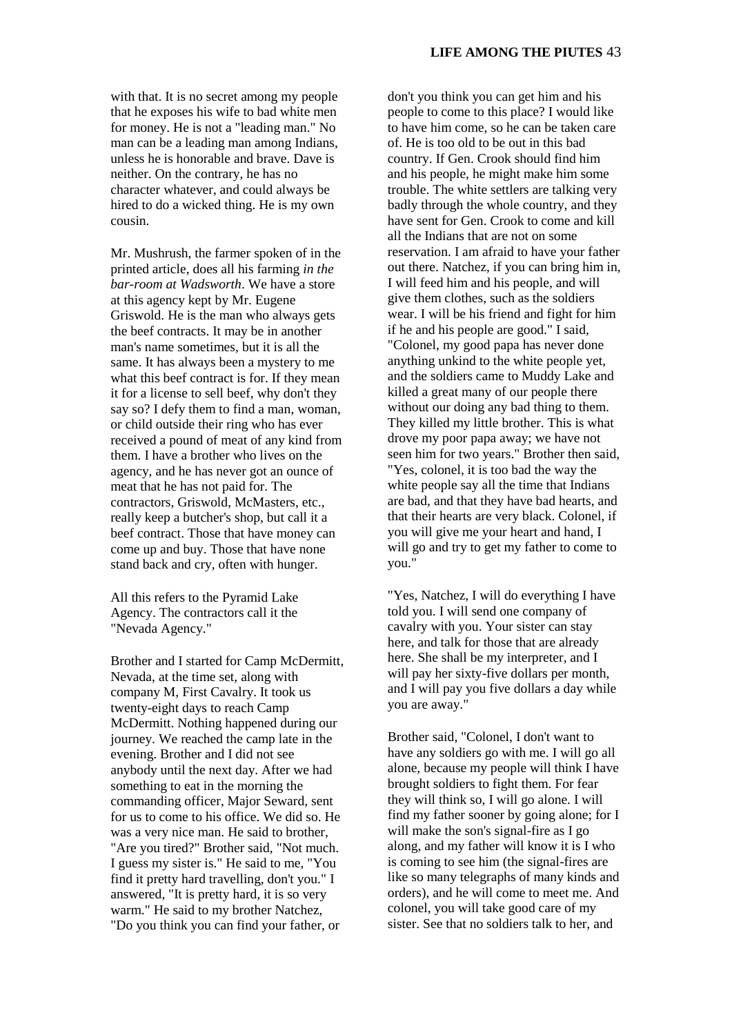with that. It is no secret among my people that he exposes his wife to bad white men for money. He is not a "leading man." No man can be a leading man among Indians, unless he is honorable and brave. Dave is neither. On the contrary, he has no character whatever, and could always be hired to do a wicked thing. He is my own cousin.

Mr. Mushrush, the farmer spoken of in the printed article, does all his farming *in the bar-room at Wadsworth*. We have a store at this agency kept by Mr. Eugene Griswold. He is the man who always gets the beef contracts. It may be in another man's name sometimes, but it is all the same. It has always been a mystery to me what this beef contract is for. If they mean it for a license to sell beef, why don't they say so? I defy them to find a man, woman, or child outside their ring who has ever received a pound of meat of any kind from them. I have a brother who lives on the agency, and he has never got an ounce of meat that he has not paid for. The contractors, Griswold, McMasters, etc., really keep a butcher's shop, but call it a beef contract. Those that have money can come up and buy. Those that have none stand back and cry, often with hunger.

All this refers to the Pyramid Lake Agency. The contractors call it the "Nevada Agency."

Brother and I started for Camp McDermitt, Nevada, at the time set, along with company M, First Cavalry. It took us twenty-eight days to reach Camp McDermitt. Nothing happened during our journey. We reached the camp late in the evening. Brother and I did not see anybody until the next day. After we had something to eat in the morning the commanding officer, Major Seward, sent for us to come to his office. We did so. He was a very nice man. He said to brother, "Are you tired?" Brother said, "Not much. I guess my sister is." He said to me, "You find it pretty hard travelling, don't you." I answered, "It is pretty hard, it is so very warm." He said to my brother Natchez, "Do you think you can find your father, or

don't you think you can get him and his people to come to this place? I would like to have him come, so he can be taken care of. He is too old to be out in this bad country. If Gen. Crook should find him and his people, he might make him some trouble. The white settlers are talking very badly through the whole country, and they have sent for Gen. Crook to come and kill all the Indians that are not on some reservation. I am afraid to have your father out there. Natchez, if you can bring him in, I will feed him and his people, and will give them clothes, such as the soldiers wear. I will be his friend and fight for him if he and his people are good." I said, "Colonel, my good papa has never done anything unkind to the white people yet, and the soldiers came to Muddy Lake and killed a great many of our people there without our doing any bad thing to them. They killed my little brother. This is what drove my poor papa away; we have not seen him for two years." Brother then said, "Yes, colonel, it is too bad the way the white people say all the time that Indians are bad, and that they have bad hearts, and that their hearts are very black. Colonel, if you will give me your heart and hand, I will go and try to get my father to come to you."

"Yes, Natchez, I will do everything I have told you. I will send one company of cavalry with you. Your sister can stay here, and talk for those that are already here. She shall be my interpreter, and I will pay her sixty-five dollars per month, and I will pay you five dollars a day while you are away."

Brother said, "Colonel, I don't want to have any soldiers go with me. I will go all alone, because my people will think I have brought soldiers to fight them. For fear they will think so, I will go alone. I will find my father sooner by going alone; for I will make the son's signal-fire as I go along, and my father will know it is I who is coming to see him (the signal-fires are like so many telegraphs of many kinds and orders), and he will come to meet me. And colonel, you will take good care of my sister. See that no soldiers talk to her, and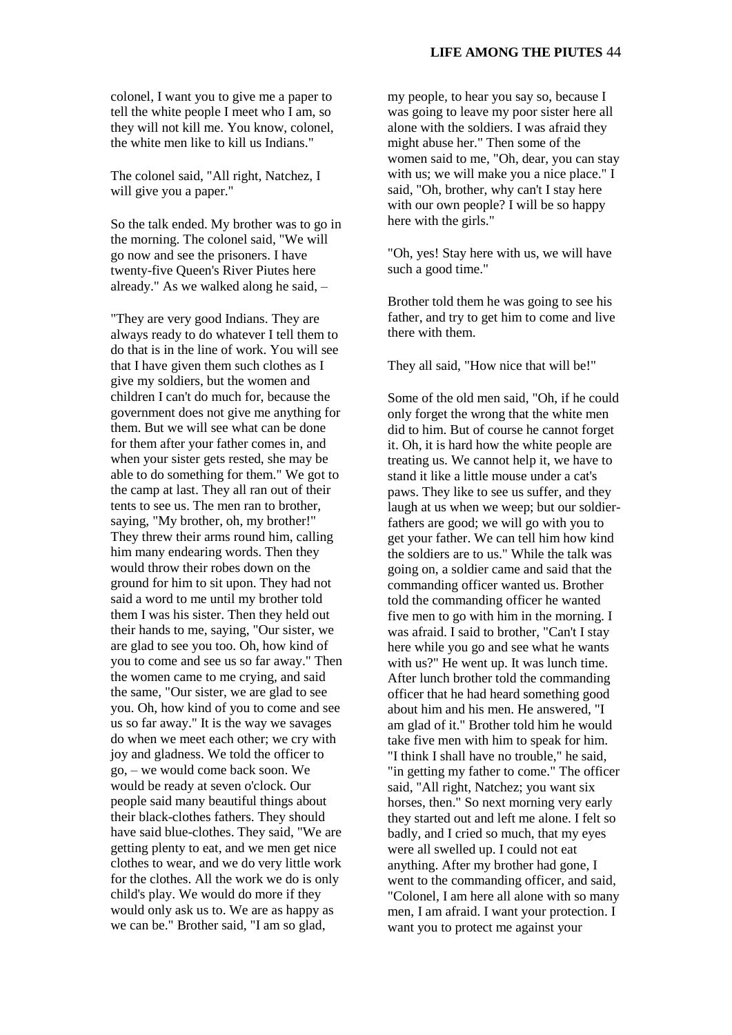colonel, I want you to give me a paper to tell the white people I meet who I am, so they will not kill me. You know, colonel, the white men like to kill us Indians."

The colonel said, "All right, Natchez, I will give you a paper."

So the talk ended. My brother was to go in the morning. The colonel said, "We will go now and see the prisoners. I have twenty-five Queen's River Piutes here already." As we walked along he said, –

"They are very good Indians. They are always ready to do whatever I tell them to do that is in the line of work. You will see that I have given them such clothes as I give my soldiers, but the women and children I can't do much for, because the government does not give me anything for them. But we will see what can be done for them after your father comes in, and when your sister gets rested, she may be able to do something for them." We got to the camp at last. They all ran out of their tents to see us. The men ran to brother, saying, "My brother, oh, my brother!" They threw their arms round him, calling him many endearing words. Then they would throw their robes down on the ground for him to sit upon. They had not said a word to me until my brother told them I was his sister. Then they held out their hands to me, saying, "Our sister, we are glad to see you too. Oh, how kind of you to come and see us so far away." Then the women came to me crying, and said the same, "Our sister, we are glad to see you. Oh, how kind of you to come and see us so far away." It is the way we savages do when we meet each other; we cry with joy and gladness. We told the officer to go, – we would come back soon. We would be ready at seven o'clock. Our people said many beautiful things about their black-clothes fathers. They should have said blue-clothes. They said, "We are getting plenty to eat, and we men get nice clothes to wear, and we do very little work for the clothes. All the work we do is only child's play. We would do more if they would only ask us to. We are as happy as we can be." Brother said, "I am so glad,

my people, to hear you say so, because I was going to leave my poor sister here all alone with the soldiers. I was afraid they might abuse her." Then some of the women said to me, "Oh, dear, you can stay with us; we will make you a nice place." I said, "Oh, brother, why can't I stay here with our own people? I will be so happy here with the girls."

"Oh, yes! Stay here with us, we will have such a good time."

Brother told them he was going to see his father, and try to get him to come and live there with them.

They all said, "How nice that will be!"

Some of the old men said, "Oh, if he could only forget the wrong that the white men did to him. But of course he cannot forget it. Oh, it is hard how the white people are treating us. We cannot help it, we have to stand it like a little mouse under a cat's paws. They like to see us suffer, and they laugh at us when we weep; but our soldierfathers are good; we will go with you to get your father. We can tell him how kind the soldiers are to us." While the talk was going on, a soldier came and said that the commanding officer wanted us. Brother told the commanding officer he wanted five men to go with him in the morning. I was afraid. I said to brother, "Can't I stay here while you go and see what he wants with us?" He went up. It was lunch time. After lunch brother told the commanding officer that he had heard something good about him and his men. He answered, "I am glad of it." Brother told him he would take five men with him to speak for him. "I think I shall have no trouble," he said, "in getting my father to come." The officer said, "All right, Natchez; you want six horses, then." So next morning very early they started out and left me alone. I felt so badly, and I cried so much, that my eyes were all swelled up. I could not eat anything. After my brother had gone, I went to the commanding officer, and said, "Colonel, I am here all alone with so many men, I am afraid. I want your protection. I want you to protect me against your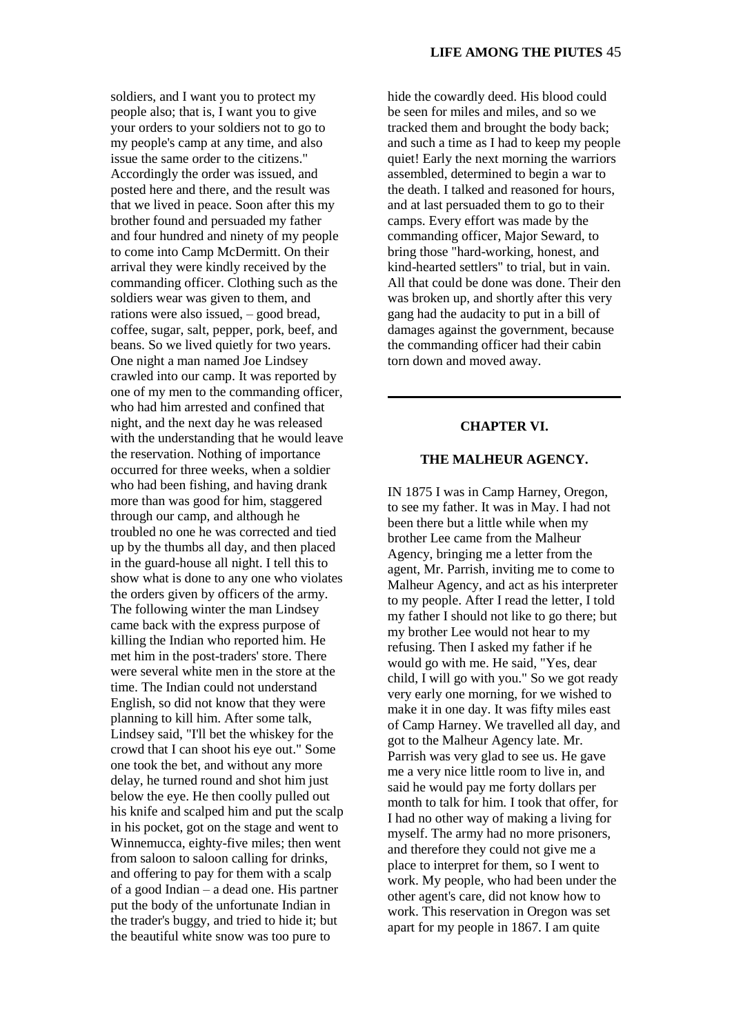soldiers, and I want you to protect my people also; that is, I want you to give your orders to your soldiers not to go to my people's camp at any time, and also issue the same order to the citizens." Accordingly the order was issued, and posted here and there, and the result was that we lived in peace. Soon after this my brother found and persuaded my father and four hundred and ninety of my people to come into Camp McDermitt. On their arrival they were kindly received by the commanding officer. Clothing such as the soldiers wear was given to them, and rations were also issued, – good bread, coffee, sugar, salt, pepper, pork, beef, and beans. So we lived quietly for two years. One night a man named Joe Lindsey crawled into our camp. It was reported by one of my men to the commanding officer, who had him arrested and confined that night, and the next day he was released with the understanding that he would leave the reservation. Nothing of importance occurred for three weeks, when a soldier who had been fishing, and having drank more than was good for him, staggered through our camp, and although he troubled no one he was corrected and tied up by the thumbs all day, and then placed in the guard-house all night. I tell this to show what is done to any one who violates the orders given by officers of the army. The following winter the man Lindsey came back with the express purpose of killing the Indian who reported him. He met him in the post-traders' store. There were several white men in the store at the time. The Indian could not understand English, so did not know that they were planning to kill him. After some talk, Lindsey said, "I'll bet the whiskey for the crowd that I can shoot his eye out." Some one took the bet, and without any more delay, he turned round and shot him just below the eye. He then coolly pulled out his knife and scalped him and put the scalp in his pocket, got on the stage and went to Winnemucca, eighty-five miles; then went from saloon to saloon calling for drinks, and offering to pay for them with a scalp of a good Indian – a dead one. His partner put the body of the unfortunate Indian in the trader's buggy, and tried to hide it; but the beautiful white snow was too pure to

hide the cowardly deed. His blood could be seen for miles and miles, and so we tracked them and brought the body back; and such a time as I had to keep my people quiet! Early the next morning the warriors assembled, determined to begin a war to the death. I talked and reasoned for hours, and at last persuaded them to go to their camps. Every effort was made by the commanding officer, Major Seward, to bring those "hard-working, honest, and kind-hearted settlers" to trial, but in vain. All that could be done was done. Their den was broken up, and shortly after this very gang had the audacity to put in a bill of damages against the government, because the commanding officer had their cabin torn down and moved away.

### **CHAPTER VI.**

#### **THE MALHEUR AGENCY.**

IN 1875 I was in Camp Harney, Oregon, to see my father. It was in May. I had not been there but a little while when my brother Lee came from the Malheur Agency, bringing me a letter from the agent, Mr. Parrish, inviting me to come to Malheur Agency, and act as his interpreter to my people. After I read the letter, I told my father I should not like to go there; but my brother Lee would not hear to my refusing. Then I asked my father if he would go with me. He said, "Yes, dear child, I will go with you." So we got ready very early one morning, for we wished to make it in one day. It was fifty miles east of Camp Harney. We travelled all day, and got to the Malheur Agency late. Mr. Parrish was very glad to see us. He gave me a very nice little room to live in, and said he would pay me forty dollars per month to talk for him. I took that offer, for I had no other way of making a living for myself. The army had no more prisoners, and therefore they could not give me a place to interpret for them, so I went to work. My people, who had been under the other agent's care, did not know how to work. This reservation in Oregon was set apart for my people in 1867. I am quite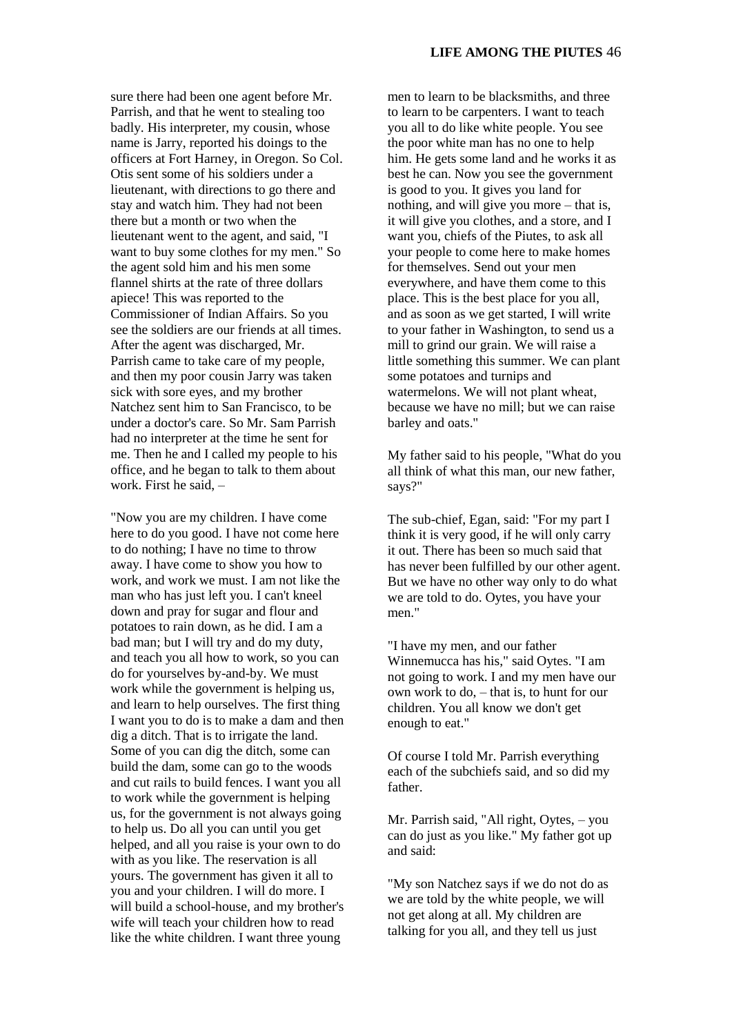sure there had been one agent before Mr. Parrish, and that he went to stealing too badly. His interpreter, my cousin, whose name is Jarry, reported his doings to the officers at Fort Harney, in Oregon. So Col. Otis sent some of his soldiers under a lieutenant, with directions to go there and stay and watch him. They had not been there but a month or two when the lieutenant went to the agent, and said, "I want to buy some clothes for my men." So the agent sold him and his men some flannel shirts at the rate of three dollars apiece! This was reported to the Commissioner of Indian Affairs. So you see the soldiers are our friends at all times. After the agent was discharged, Mr. Parrish came to take care of my people, and then my poor cousin Jarry was taken sick with sore eyes, and my brother Natchez sent him to San Francisco, to be under a doctor's care. So Mr. Sam Parrish had no interpreter at the time he sent for me. Then he and I called my people to his office, and he began to talk to them about work. First he said, –

"Now you are my children. I have come here to do you good. I have not come here to do nothing; I have no time to throw away. I have come to show you how to work, and work we must. I am not like the man who has just left you. I can't kneel down and pray for sugar and flour and potatoes to rain down, as he did. I am a bad man; but I will try and do my duty, and teach you all how to work, so you can do for yourselves by-and-by. We must work while the government is helping us, and learn to help ourselves. The first thing I want you to do is to make a dam and then dig a ditch. That is to irrigate the land. Some of you can dig the ditch, some can build the dam, some can go to the woods and cut rails to build fences. I want you all to work while the government is helping us, for the government is not always going to help us. Do all you can until you get helped, and all you raise is your own to do with as you like. The reservation is all yours. The government has given it all to you and your children. I will do more. I will build a school-house, and my brother's wife will teach your children how to read like the white children. I want three young

men to learn to be blacksmiths, and three to learn to be carpenters. I want to teach you all to do like white people. You see the poor white man has no one to help him. He gets some land and he works it as best he can. Now you see the government is good to you. It gives you land for nothing, and will give you more – that is, it will give you clothes, and a store, and I want you, chiefs of the Piutes, to ask all your people to come here to make homes for themselves. Send out your men everywhere, and have them come to this place. This is the best place for you all, and as soon as we get started, I will write to your father in Washington, to send us a mill to grind our grain. We will raise a little something this summer. We can plant some potatoes and turnips and watermelons. We will not plant wheat, because we have no mill; but we can raise barley and oats."

My father said to his people, "What do you all think of what this man, our new father, says?"

The sub-chief, Egan, said: "For my part I think it is very good, if he will only carry it out. There has been so much said that has never been fulfilled by our other agent. But we have no other way only to do what we are told to do. Oytes, you have your men."

"I have my men, and our father Winnemucca has his," said Oytes. "I am not going to work. I and my men have our own work to do, – that is, to hunt for our children. You all know we don't get enough to eat."

Of course I told Mr. Parrish everything each of the subchiefs said, and so did my father.

Mr. Parrish said, "All right, Oytes, – you can do just as you like." My father got up and said:

"My son Natchez says if we do not do as we are told by the white people, we will not get along at all. My children are talking for you all, and they tell us just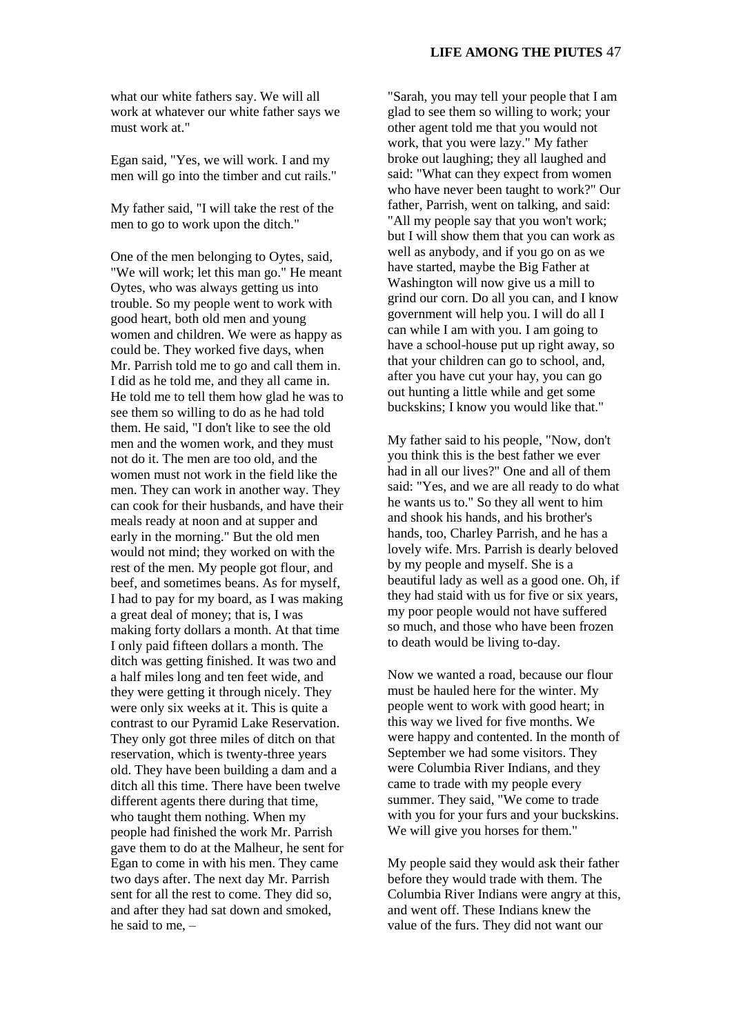what our white fathers say. We will all work at whatever our white father says we must work at."

Egan said, "Yes, we will work. I and my men will go into the timber and cut rails."

My father said, "I will take the rest of the men to go to work upon the ditch."

One of the men belonging to Oytes, said, "We will work; let this man go." He meant Oytes, who was always getting us into trouble. So my people went to work with good heart, both old men and young women and children. We were as happy as could be. They worked five days, when Mr. Parrish told me to go and call them in. I did as he told me, and they all came in. He told me to tell them how glad he was to see them so willing to do as he had told them. He said, "I don't like to see the old men and the women work, and they must not do it. The men are too old, and the women must not work in the field like the men. They can work in another way. They can cook for their husbands, and have their meals ready at noon and at supper and early in the morning." But the old men would not mind; they worked on with the rest of the men. My people got flour, and beef, and sometimes beans. As for myself, I had to pay for my board, as I was making a great deal of money; that is, I was making forty dollars a month. At that time I only paid fifteen dollars a month. The ditch was getting finished. It was two and a half miles long and ten feet wide, and they were getting it through nicely. They were only six weeks at it. This is quite a contrast to our Pyramid Lake Reservation. They only got three miles of ditch on that reservation, which is twenty-three years old. They have been building a dam and a ditch all this time. There have been twelve different agents there during that time, who taught them nothing. When my people had finished the work Mr. Parrish gave them to do at the Malheur, he sent for Egan to come in with his men. They came two days after. The next day Mr. Parrish sent for all the rest to come. They did so, and after they had sat down and smoked, he said to me, –

"Sarah, you may tell your people that I am glad to see them so willing to work; your other agent told me that you would not work, that you were lazy." My father broke out laughing; they all laughed and said: "What can they expect from women who have never been taught to work?" Our father, Parrish, went on talking, and said: "All my people say that you won't work; but I will show them that you can work as well as anybody, and if you go on as we have started, maybe the Big Father at Washington will now give us a mill to grind our corn. Do all you can, and I know government will help you. I will do all I can while I am with you. I am going to have a school-house put up right away, so that your children can go to school, and, after you have cut your hay, you can go out hunting a little while and get some buckskins; I know you would like that."

My father said to his people, "Now, don't you think this is the best father we ever had in all our lives?" One and all of them said: "Yes, and we are all ready to do what he wants us to." So they all went to him and shook his hands, and his brother's hands, too, Charley Parrish, and he has a lovely wife. Mrs. Parrish is dearly beloved by my people and myself. She is a beautiful lady as well as a good one. Oh, if they had staid with us for five or six years, my poor people would not have suffered so much, and those who have been frozen to death would be living to-day.

Now we wanted a road, because our flour must be hauled here for the winter. My people went to work with good heart; in this way we lived for five months. We were happy and contented. In the month of September we had some visitors. They were Columbia River Indians, and they came to trade with my people every summer. They said, "We come to trade with you for your furs and your buckskins. We will give you horses for them."

My people said they would ask their father before they would trade with them. The Columbia River Indians were angry at this, and went off. These Indians knew the value of the furs. They did not want our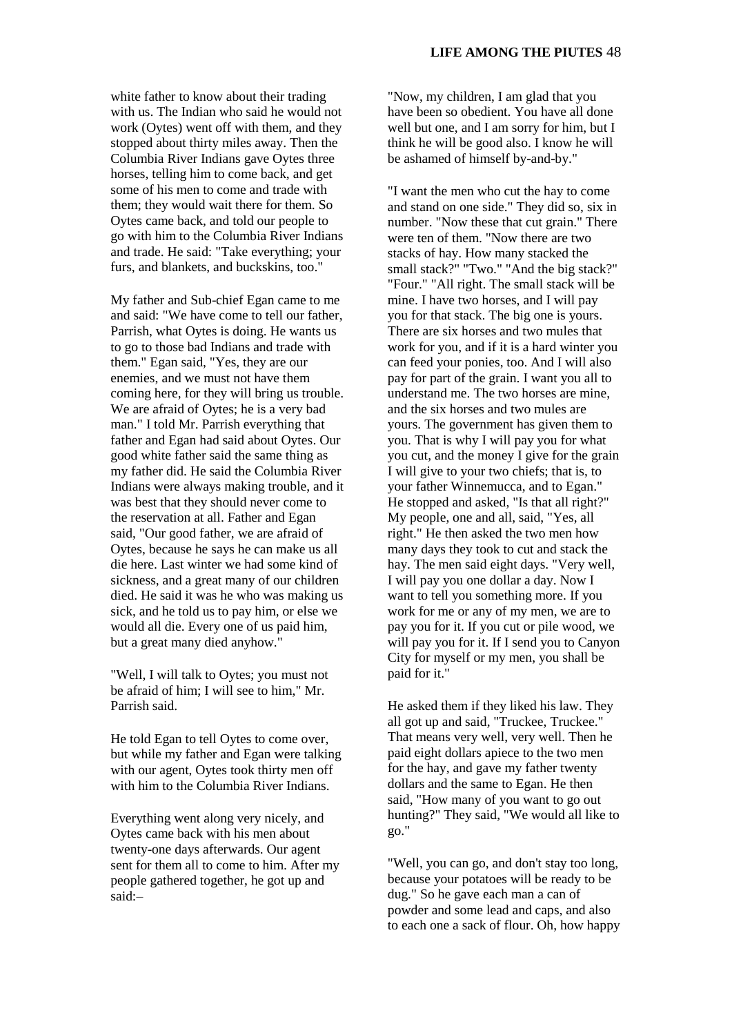white father to know about their trading with us. The Indian who said he would not work (Oytes) went off with them, and they stopped about thirty miles away. Then the Columbia River Indians gave Oytes three horses, telling him to come back, and get some of his men to come and trade with them; they would wait there for them. So Oytes came back, and told our people to go with him to the Columbia River Indians and trade. He said: "Take everything; your furs, and blankets, and buckskins, too."

My father and Sub-chief Egan came to me and said: "We have come to tell our father, Parrish, what Oytes is doing. He wants us to go to those bad Indians and trade with them." Egan said, "Yes, they are our enemies, and we must not have them coming here, for they will bring us trouble. We are afraid of Oytes; he is a very bad man." I told Mr. Parrish everything that father and Egan had said about Oytes. Our good white father said the same thing as my father did. He said the Columbia River Indians were always making trouble, and it was best that they should never come to the reservation at all. Father and Egan said, "Our good father, we are afraid of Oytes, because he says he can make us all die here. Last winter we had some kind of sickness, and a great many of our children died. He said it was he who was making us sick, and he told us to pay him, or else we would all die. Every one of us paid him, but a great many died anyhow."

"Well, I will talk to Oytes; you must not be afraid of him; I will see to him," Mr. Parrish said.

He told Egan to tell Oytes to come over, but while my father and Egan were talking with our agent, Oytes took thirty men off with him to the Columbia River Indians.

Everything went along very nicely, and Oytes came back with his men about twenty-one days afterwards. Our agent sent for them all to come to him. After my people gathered together, he got up and said:–

"Now, my children, I am glad that you have been so obedient. You have all done well but one, and I am sorry for him, but I think he will be good also. I know he will be ashamed of himself by-and-by."

"I want the men who cut the hay to come and stand on one side." They did so, six in number. "Now these that cut grain." There were ten of them. "Now there are two stacks of hay. How many stacked the small stack?" "Two." "And the big stack?" "Four." "All right. The small stack will be mine. I have two horses, and I will pay you for that stack. The big one is yours. There are six horses and two mules that work for you, and if it is a hard winter you can feed your ponies, too. And I will also pay for part of the grain. I want you all to understand me. The two horses are mine, and the six horses and two mules are yours. The government has given them to you. That is why I will pay you for what you cut, and the money I give for the grain I will give to your two chiefs; that is, to your father Winnemucca, and to Egan." He stopped and asked, "Is that all right?" My people, one and all, said, "Yes, all right." He then asked the two men how many days they took to cut and stack the hay. The men said eight days. "Very well, I will pay you one dollar a day. Now I want to tell you something more. If you work for me or any of my men, we are to pay you for it. If you cut or pile wood, we will pay you for it. If I send you to Canyon City for myself or my men, you shall be paid for it."

He asked them if they liked his law. They all got up and said, "Truckee, Truckee." That means very well, very well. Then he paid eight dollars apiece to the two men for the hay, and gave my father twenty dollars and the same to Egan. He then said, "How many of you want to go out hunting?" They said, "We would all like to go."

"Well, you can go, and don't stay too long, because your potatoes will be ready to be dug." So he gave each man a can of powder and some lead and caps, and also to each one a sack of flour. Oh, how happy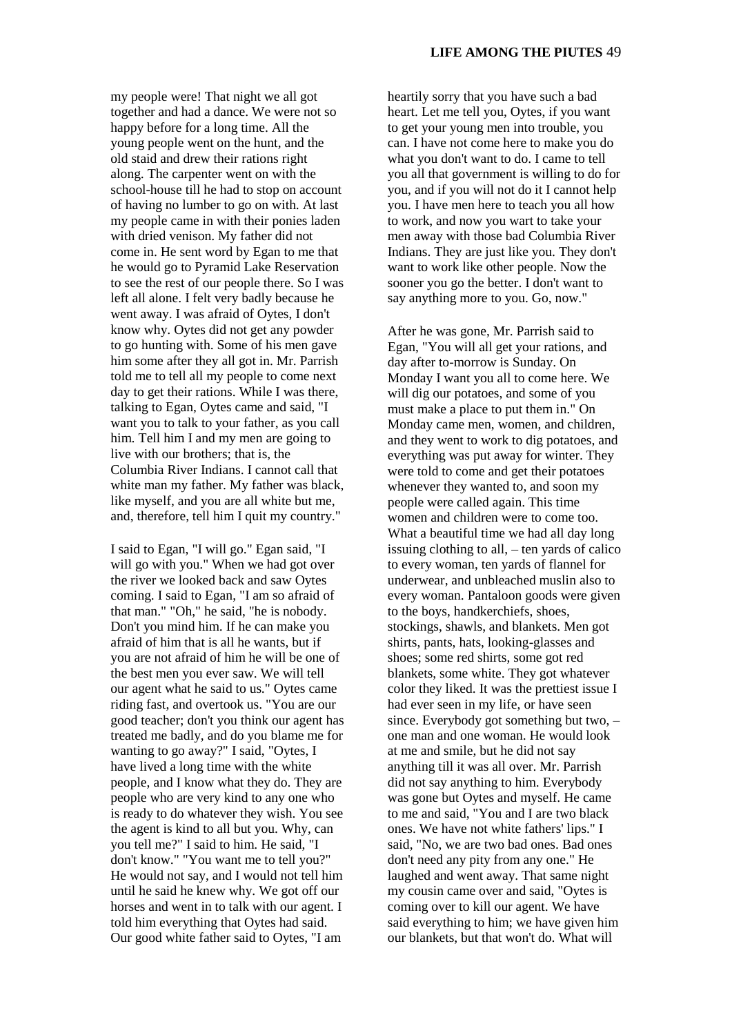my people were! That night we all got together and had a dance. We were not so happy before for a long time. All the young people went on the hunt, and the old staid and drew their rations right along. The carpenter went on with the school-house till he had to stop on account of having no lumber to go on with. At last my people came in with their ponies laden with dried venison. My father did not come in. He sent word by Egan to me that he would go to Pyramid Lake Reservation to see the rest of our people there. So I was left all alone. I felt very badly because he went away. I was afraid of Oytes, I don't know why. Oytes did not get any powder to go hunting with. Some of his men gave him some after they all got in. Mr. Parrish told me to tell all my people to come next day to get their rations. While I was there, talking to Egan, Oytes came and said, "I want you to talk to your father, as you call him. Tell him I and my men are going to live with our brothers; that is, the Columbia River Indians. I cannot call that white man my father. My father was black, like myself, and you are all white but me, and, therefore, tell him I quit my country."

I said to Egan, "I will go." Egan said, "I will go with you." When we had got over the river we looked back and saw Oytes coming. I said to Egan, "I am so afraid of that man." "Oh," he said, "he is nobody. Don't you mind him. If he can make you afraid of him that is all he wants, but if you are not afraid of him he will be one of the best men you ever saw. We will tell our agent what he said to us." Oytes came riding fast, and overtook us. "You are our good teacher; don't you think our agent has treated me badly, and do you blame me for wanting to go away?" I said, "Oytes, I have lived a long time with the white people, and I know what they do. They are people who are very kind to any one who is ready to do whatever they wish. You see the agent is kind to all but you. Why, can you tell me?" I said to him. He said, "I don't know." "You want me to tell you?" He would not say, and I would not tell him until he said he knew why. We got off our horses and went in to talk with our agent. I told him everything that Oytes had said. Our good white father said to Oytes, "I am

heartily sorry that you have such a bad heart. Let me tell you, Oytes, if you want to get your young men into trouble, you can. I have not come here to make you do what you don't want to do. I came to tell you all that government is willing to do for you, and if you will not do it I cannot help you. I have men here to teach you all how to work, and now you wart to take your men away with those bad Columbia River Indians. They are just like you. They don't want to work like other people. Now the sooner you go the better. I don't want to say anything more to you. Go, now."

After he was gone, Mr. Parrish said to Egan, "You will all get your rations, and day after to-morrow is Sunday. On Monday I want you all to come here. We will dig our potatoes, and some of you must make a place to put them in." On Monday came men, women, and children, and they went to work to dig potatoes, and everything was put away for winter. They were told to come and get their potatoes whenever they wanted to, and soon my people were called again. This time women and children were to come too. What a beautiful time we had all day long issuing clothing to all, – ten yards of calico to every woman, ten yards of flannel for underwear, and unbleached muslin also to every woman. Pantaloon goods were given to the boys, handkerchiefs, shoes, stockings, shawls, and blankets. Men got shirts, pants, hats, looking-glasses and shoes; some red shirts, some got red blankets, some white. They got whatever color they liked. It was the prettiest issue I had ever seen in my life, or have seen since. Everybody got something but two, – one man and one woman. He would look at me and smile, but he did not say anything till it was all over. Mr. Parrish did not say anything to him. Everybody was gone but Oytes and myself. He came to me and said, "You and I are two black ones. We have not white fathers' lips." I said, "No, we are two bad ones. Bad ones don't need any pity from any one." He laughed and went away. That same night my cousin came over and said, "Oytes is coming over to kill our agent. We have said everything to him; we have given him our blankets, but that won't do. What will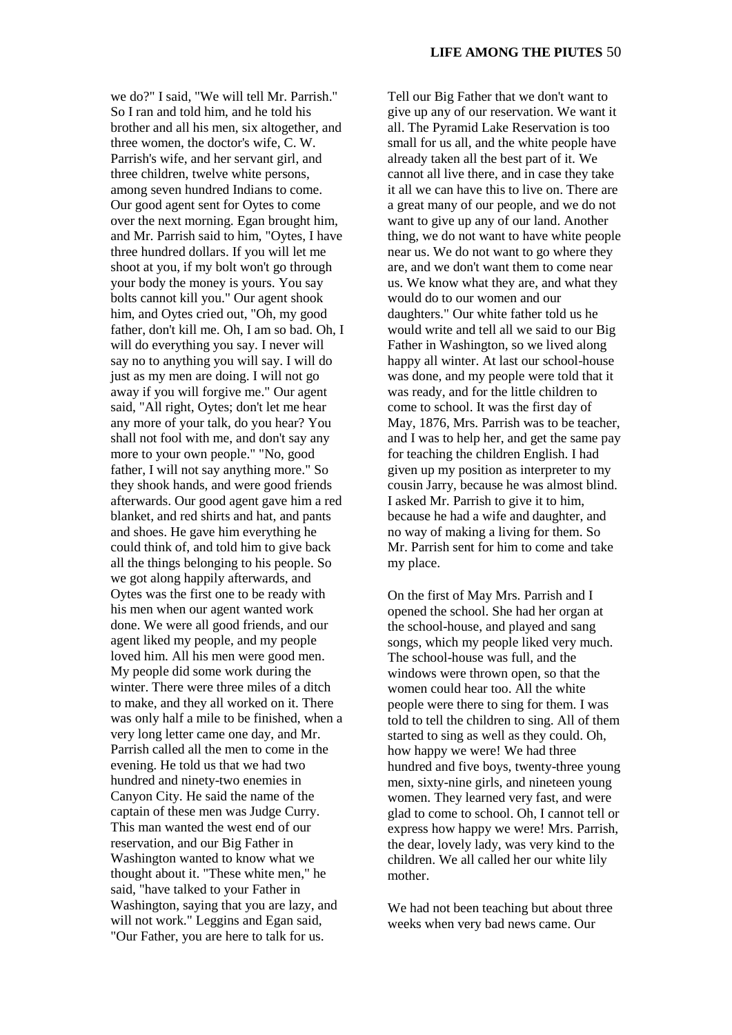we do?" I said, "We will tell Mr. Parrish." So I ran and told him, and he told his brother and all his men, six altogether, and three women, the doctor's wife, C. W. Parrish's wife, and her servant girl, and three children, twelve white persons, among seven hundred Indians to come. Our good agent sent for Oytes to come over the next morning. Egan brought him, and Mr. Parrish said to him, "Oytes, I have three hundred dollars. If you will let me shoot at you, if my bolt won't go through your body the money is yours. You say bolts cannot kill you." Our agent shook him, and Oytes cried out, "Oh, my good father, don't kill me. Oh, I am so bad. Oh, I will do everything you say. I never will say no to anything you will say. I will do just as my men are doing. I will not go away if you will forgive me." Our agent said, "All right, Oytes; don't let me hear any more of your talk, do you hear? You shall not fool with me, and don't say any more to your own people." "No, good father, I will not say anything more." So they shook hands, and were good friends afterwards. Our good agent gave him a red blanket, and red shirts and hat, and pants and shoes. He gave him everything he could think of, and told him to give back all the things belonging to his people. So we got along happily afterwards, and Oytes was the first one to be ready with his men when our agent wanted work done. We were all good friends, and our agent liked my people, and my people loved him. All his men were good men. My people did some work during the winter. There were three miles of a ditch to make, and they all worked on it. There was only half a mile to be finished, when a very long letter came one day, and Mr. Parrish called all the men to come in the evening. He told us that we had two hundred and ninety-two enemies in Canyon City. He said the name of the captain of these men was Judge Curry. This man wanted the west end of our reservation, and our Big Father in Washington wanted to know what we thought about it. "These white men," he said, "have talked to your Father in Washington, saying that you are lazy, and will not work." Leggins and Egan said, "Our Father, you are here to talk for us.

Tell our Big Father that we don't want to give up any of our reservation. We want it all. The Pyramid Lake Reservation is too small for us all, and the white people have already taken all the best part of it. We cannot all live there, and in case they take it all we can have this to live on. There are a great many of our people, and we do not want to give up any of our land. Another thing, we do not want to have white people near us. We do not want to go where they are, and we don't want them to come near us. We know what they are, and what they would do to our women and our daughters." Our white father told us he would write and tell all we said to our Big Father in Washington, so we lived along happy all winter. At last our school-house was done, and my people were told that it was ready, and for the little children to come to school. It was the first day of May, 1876, Mrs. Parrish was to be teacher, and I was to help her, and get the same pay for teaching the children English. I had given up my position as interpreter to my cousin Jarry, because he was almost blind. I asked Mr. Parrish to give it to him, because he had a wife and daughter, and no way of making a living for them. So Mr. Parrish sent for him to come and take my place.

On the first of May Mrs. Parrish and I opened the school. She had her organ at the school-house, and played and sang songs, which my people liked very much. The school-house was full, and the windows were thrown open, so that the women could hear too. All the white people were there to sing for them. I was told to tell the children to sing. All of them started to sing as well as they could. Oh, how happy we were! We had three hundred and five boys, twenty-three young men, sixty-nine girls, and nineteen young women. They learned very fast, and were glad to come to school. Oh, I cannot tell or express how happy we were! Mrs. Parrish, the dear, lovely lady, was very kind to the children. We all called her our white lily mother.

We had not been teaching but about three weeks when very bad news came. Our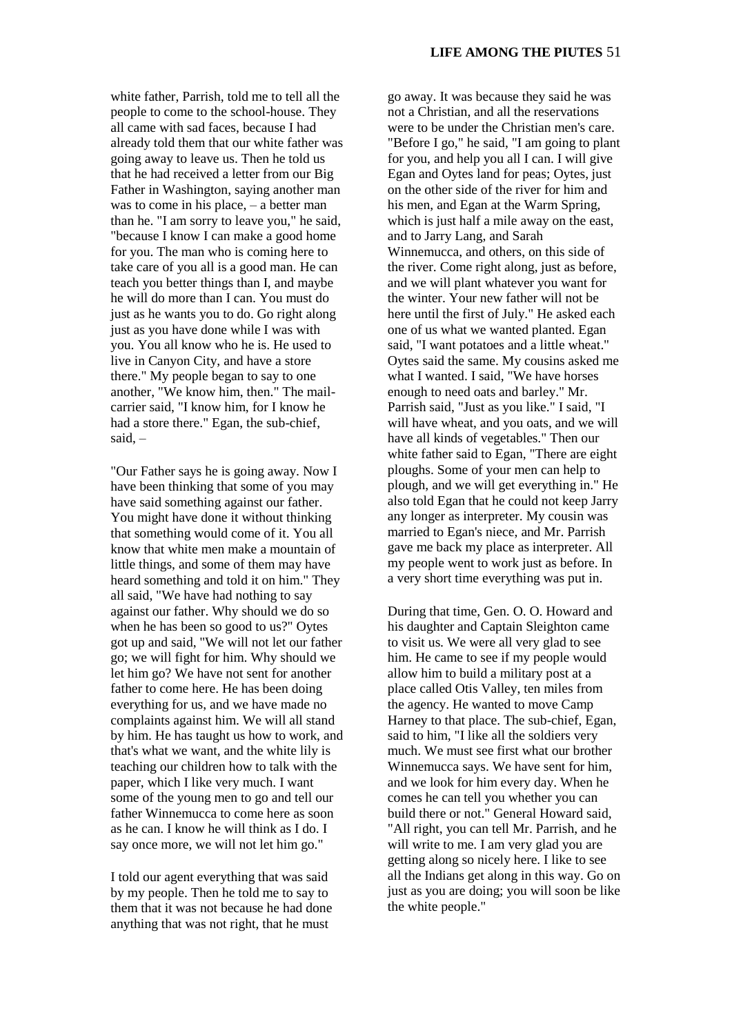white father, Parrish, told me to tell all the people to come to the school-house. They all came with sad faces, because I had already told them that our white father was going away to leave us. Then he told us that he had received a letter from our Big Father in Washington, saying another man was to come in his place, – a better man than he. "I am sorry to leave you," he said, "because I know I can make a good home for you. The man who is coming here to take care of you all is a good man. He can teach you better things than I, and maybe he will do more than I can. You must do just as he wants you to do. Go right along just as you have done while I was with you. You all know who he is. He used to live in Canyon City, and have a store there." My people began to say to one another, "We know him, then." The mailcarrier said, "I know him, for I know he had a store there." Egan, the sub-chief, said, –

"Our Father says he is going away. Now I have been thinking that some of you may have said something against our father. You might have done it without thinking that something would come of it. You all know that white men make a mountain of little things, and some of them may have heard something and told it on him." They all said, "We have had nothing to say against our father. Why should we do so when he has been so good to us?" Oytes got up and said, "We will not let our father go; we will fight for him. Why should we let him go? We have not sent for another father to come here. He has been doing everything for us, and we have made no complaints against him. We will all stand by him. He has taught us how to work, and that's what we want, and the white lily is teaching our children how to talk with the paper, which I like very much. I want some of the young men to go and tell our father Winnemucca to come here as soon as he can. I know he will think as I do. I say once more, we will not let him go."

I told our agent everything that was said by my people. Then he told me to say to them that it was not because he had done anything that was not right, that he must

go away. It was because they said he was not a Christian, and all the reservations were to be under the Christian men's care. "Before I go," he said, "I am going to plant for you, and help you all I can. I will give Egan and Oytes land for peas; Oytes, just on the other side of the river for him and his men, and Egan at the Warm Spring, which is just half a mile away on the east, and to Jarry Lang, and Sarah Winnemucca, and others, on this side of the river. Come right along, just as before, and we will plant whatever you want for the winter. Your new father will not be here until the first of July." He asked each one of us what we wanted planted. Egan said, "I want potatoes and a little wheat." Oytes said the same. My cousins asked me what I wanted. I said, "We have horses enough to need oats and barley." Mr. Parrish said, "Just as you like." I said, "I will have wheat, and you oats, and we will have all kinds of vegetables." Then our white father said to Egan, "There are eight ploughs. Some of your men can help to plough, and we will get everything in." He also told Egan that he could not keep Jarry any longer as interpreter. My cousin was married to Egan's niece, and Mr. Parrish gave me back my place as interpreter. All my people went to work just as before. In a very short time everything was put in.

During that time, Gen. O. O. Howard and his daughter and Captain Sleighton came to visit us. We were all very glad to see him. He came to see if my people would allow him to build a military post at a place called Otis Valley, ten miles from the agency. He wanted to move Camp Harney to that place. The sub-chief, Egan, said to him, "I like all the soldiers very much. We must see first what our brother Winnemucca says. We have sent for him, and we look for him every day. When he comes he can tell you whether you can build there or not." General Howard said, "All right, you can tell Mr. Parrish, and he will write to me. I am very glad you are getting along so nicely here. I like to see all the Indians get along in this way. Go on just as you are doing; you will soon be like the white people."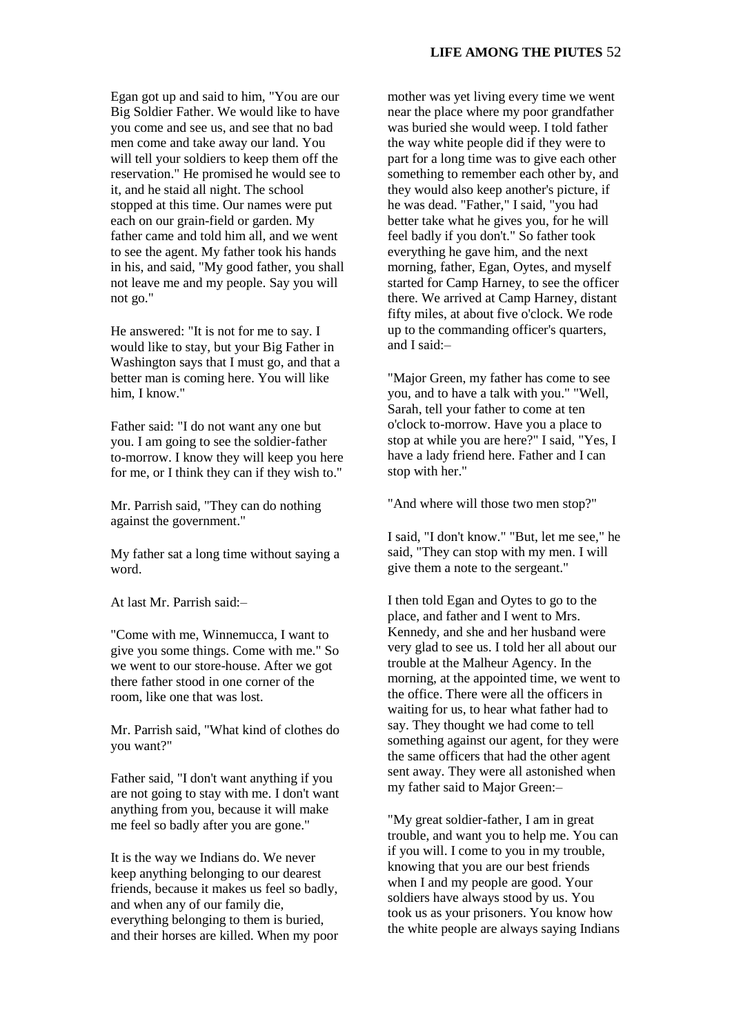Egan got up and said to him, "You are our Big Soldier Father. We would like to have you come and see us, and see that no bad men come and take away our land. You will tell your soldiers to keep them off the reservation." He promised he would see to it, and he staid all night. The school stopped at this time. Our names were put each on our grain-field or garden. My father came and told him all, and we went to see the agent. My father took his hands in his, and said, "My good father, you shall not leave me and my people. Say you will not go."

He answered: "It is not for me to say. I would like to stay, but your Big Father in Washington says that I must go, and that a better man is coming here. You will like him, I know."

Father said: "I do not want any one but you. I am going to see the soldier-father to-morrow. I know they will keep you here for me, or I think they can if they wish to."

Mr. Parrish said, "They can do nothing against the government."

My father sat a long time without saying a word.

At last Mr. Parrish said:–

"Come with me, Winnemucca, I want to give you some things. Come with me." So we went to our store-house. After we got there father stood in one corner of the room, like one that was lost.

Mr. Parrish said, "What kind of clothes do you want?"

Father said, "I don't want anything if you are not going to stay with me. I don't want anything from you, because it will make me feel so badly after you are gone."

It is the way we Indians do. We never keep anything belonging to our dearest friends, because it makes us feel so badly, and when any of our family die, everything belonging to them is buried, and their horses are killed. When my poor

mother was yet living every time we went near the place where my poor grandfather was buried she would weep. I told father the way white people did if they were to part for a long time was to give each other something to remember each other by, and they would also keep another's picture, if he was dead. "Father," I said, "you had better take what he gives you, for he will feel badly if you don't." So father took everything he gave him, and the next morning, father, Egan, Oytes, and myself started for Camp Harney, to see the officer there. We arrived at Camp Harney, distant fifty miles, at about five o'clock. We rode up to the commanding officer's quarters, and I said:–

"Major Green, my father has come to see you, and to have a talk with you." "Well, Sarah, tell your father to come at ten o'clock to-morrow. Have you a place to stop at while you are here?" I said, "Yes, I have a lady friend here. Father and I can stop with her."

"And where will those two men stop?"

I said, "I don't know." "But, let me see," he said, "They can stop with my men. I will give them a note to the sergeant."

I then told Egan and Oytes to go to the place, and father and I went to Mrs. Kennedy, and she and her husband were very glad to see us. I told her all about our trouble at the Malheur Agency. In the morning, at the appointed time, we went to the office. There were all the officers in waiting for us, to hear what father had to say. They thought we had come to tell something against our agent, for they were the same officers that had the other agent sent away. They were all astonished when my father said to Major Green:–

"My great soldier-father, I am in great trouble, and want you to help me. You can if you will. I come to you in my trouble, knowing that you are our best friends when I and my people are good. Your soldiers have always stood by us. You took us as your prisoners. You know how the white people are always saying Indians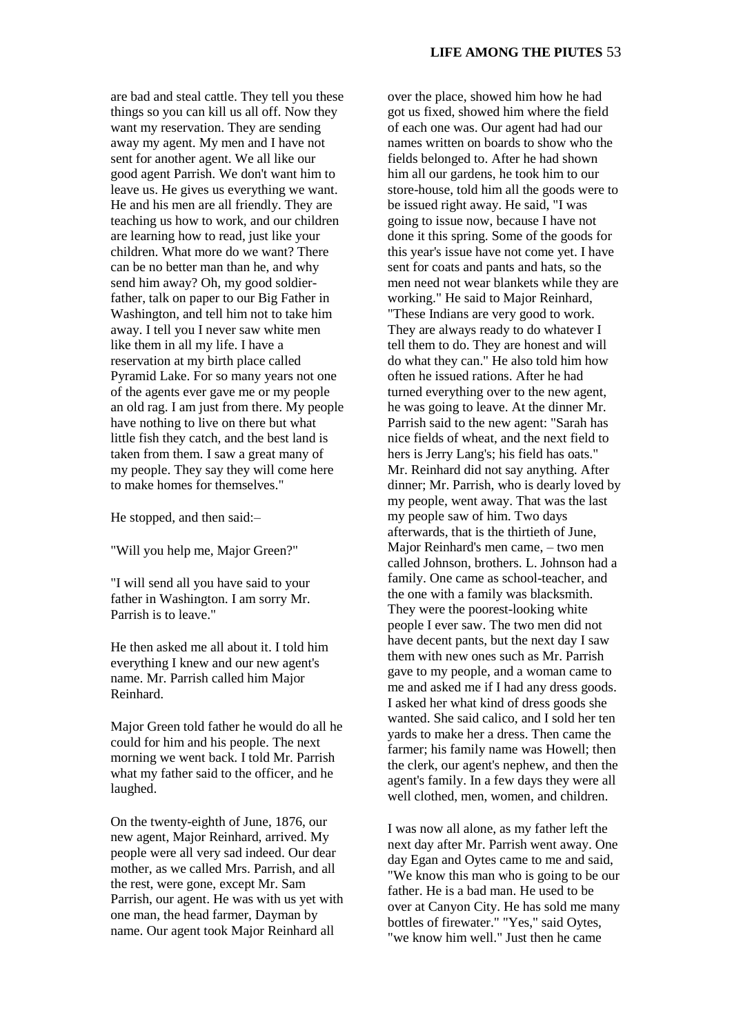are bad and steal cattle. They tell you these things so you can kill us all off. Now they want my reservation. They are sending away my agent. My men and I have not sent for another agent. We all like our good agent Parrish. We don't want him to leave us. He gives us everything we want. He and his men are all friendly. They are teaching us how to work, and our children are learning how to read, just like your children. What more do we want? There can be no better man than he, and why send him away? Oh, my good soldierfather, talk on paper to our Big Father in Washington, and tell him not to take him away. I tell you I never saw white men like them in all my life. I have a reservation at my birth place called Pyramid Lake. For so many years not one of the agents ever gave me or my people an old rag. I am just from there. My people have nothing to live on there but what little fish they catch, and the best land is taken from them. I saw a great many of my people. They say they will come here to make homes for themselves."

He stopped, and then said:–

"Will you help me, Major Green?"

"I will send all you have said to your father in Washington. I am sorry Mr. Parrish is to leave."

He then asked me all about it. I told him everything I knew and our new agent's name. Mr. Parrish called him Major Reinhard.

Major Green told father he would do all he could for him and his people. The next morning we went back. I told Mr. Parrish what my father said to the officer, and he laughed.

On the twenty-eighth of June, 1876, our new agent, Major Reinhard, arrived. My people were all very sad indeed. Our dear mother, as we called Mrs. Parrish, and all the rest, were gone, except Mr. Sam Parrish, our agent. He was with us yet with one man, the head farmer, Dayman by name. Our agent took Major Reinhard all

over the place, showed him how he had got us fixed, showed him where the field of each one was. Our agent had had our names written on boards to show who the fields belonged to. After he had shown him all our gardens, he took him to our store-house, told him all the goods were to be issued right away. He said, "I was going to issue now, because I have not done it this spring. Some of the goods for this year's issue have not come yet. I have sent for coats and pants and hats, so the men need not wear blankets while they are working." He said to Major Reinhard, "These Indians are very good to work. They are always ready to do whatever I tell them to do. They are honest and will do what they can." He also told him how often he issued rations. After he had turned everything over to the new agent, he was going to leave. At the dinner Mr. Parrish said to the new agent: "Sarah has nice fields of wheat, and the next field to hers is Jerry Lang's; his field has oats." Mr. Reinhard did not say anything. After dinner; Mr. Parrish, who is dearly loved by my people, went away. That was the last my people saw of him. Two days afterwards, that is the thirtieth of June, Major Reinhard's men came, – two men called Johnson, brothers. L. Johnson had a family. One came as school-teacher, and the one with a family was blacksmith. They were the poorest-looking white people I ever saw. The two men did not have decent pants, but the next day I saw them with new ones such as Mr. Parrish gave to my people, and a woman came to me and asked me if I had any dress goods. I asked her what kind of dress goods she wanted. She said calico, and I sold her ten yards to make her a dress. Then came the farmer; his family name was Howell; then the clerk, our agent's nephew, and then the agent's family. In a few days they were all well clothed, men, women, and children.

I was now all alone, as my father left the next day after Mr. Parrish went away. One day Egan and Oytes came to me and said, "We know this man who is going to be our father. He is a bad man. He used to be over at Canyon City. He has sold me many bottles of firewater." "Yes," said Oytes, "we know him well." Just then he came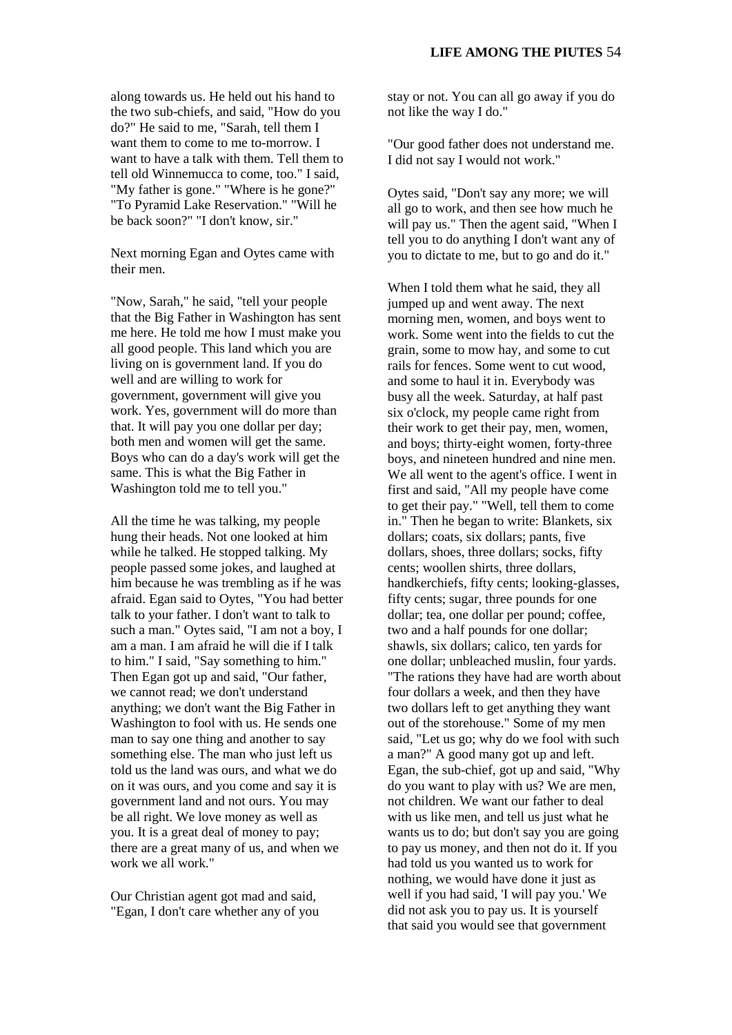along towards us. He held out his hand to the two sub-chiefs, and said, "How do you do?" He said to me, "Sarah, tell them I want them to come to me to-morrow. I want to have a talk with them. Tell them to tell old Winnemucca to come, too." I said, "My father is gone." "Where is he gone?" "To Pyramid Lake Reservation." "Will he be back soon?" "I don't know, sir."

Next morning Egan and Oytes came with their men.

"Now, Sarah," he said, "tell your people that the Big Father in Washington has sent me here. He told me how I must make you all good people. This land which you are living on is government land. If you do well and are willing to work for government, government will give you work. Yes, government will do more than that. It will pay you one dollar per day; both men and women will get the same. Boys who can do a day's work will get the same. This is what the Big Father in Washington told me to tell you."

All the time he was talking, my people hung their heads. Not one looked at him while he talked. He stopped talking. My people passed some jokes, and laughed at him because he was trembling as if he was afraid. Egan said to Oytes, "You had better talk to your father. I don't want to talk to such a man." Oytes said, "I am not a boy, I am a man. I am afraid he will die if I talk to him." I said, "Say something to him." Then Egan got up and said, "Our father, we cannot read; we don't understand anything; we don't want the Big Father in Washington to fool with us. He sends one man to say one thing and another to say something else. The man who just left us told us the land was ours, and what we do on it was ours, and you come and say it is government land and not ours. You may be all right. We love money as well as you. It is a great deal of money to pay; there are a great many of us, and when we work we all work."

Our Christian agent got mad and said, "Egan, I don't care whether any of you stay or not. You can all go away if you do not like the way I do."

"Our good father does not understand me. I did not say I would not work."

Oytes said, "Don't say any more; we will all go to work, and then see how much he will pay us." Then the agent said, "When I tell you to do anything I don't want any of you to dictate to me, but to go and do it."

When I told them what he said, they all jumped up and went away. The next morning men, women, and boys went to work. Some went into the fields to cut the grain, some to mow hay, and some to cut rails for fences. Some went to cut wood, and some to haul it in. Everybody was busy all the week. Saturday, at half past six o'clock, my people came right from their work to get their pay, men, women, and boys; thirty-eight women, forty-three boys, and nineteen hundred and nine men. We all went to the agent's office. I went in first and said, "All my people have come to get their pay." "Well, tell them to come in." Then he began to write: Blankets, six dollars; coats, six dollars; pants, five dollars, shoes, three dollars; socks, fifty cents; woollen shirts, three dollars, handkerchiefs, fifty cents; looking-glasses, fifty cents; sugar, three pounds for one dollar; tea, one dollar per pound; coffee, two and a half pounds for one dollar; shawls, six dollars; calico, ten yards for one dollar; unbleached muslin, four yards. "The rations they have had are worth about four dollars a week, and then they have two dollars left to get anything they want out of the storehouse." Some of my men said, "Let us go; why do we fool with such a man?" A good many got up and left. Egan, the sub-chief, got up and said, "Why do you want to play with us? We are men, not children. We want our father to deal with us like men, and tell us just what he wants us to do; but don't say you are going to pay us money, and then not do it. If you had told us you wanted us to work for nothing, we would have done it just as well if you had said, 'I will pay you.' We did not ask you to pay us. It is yourself that said you would see that government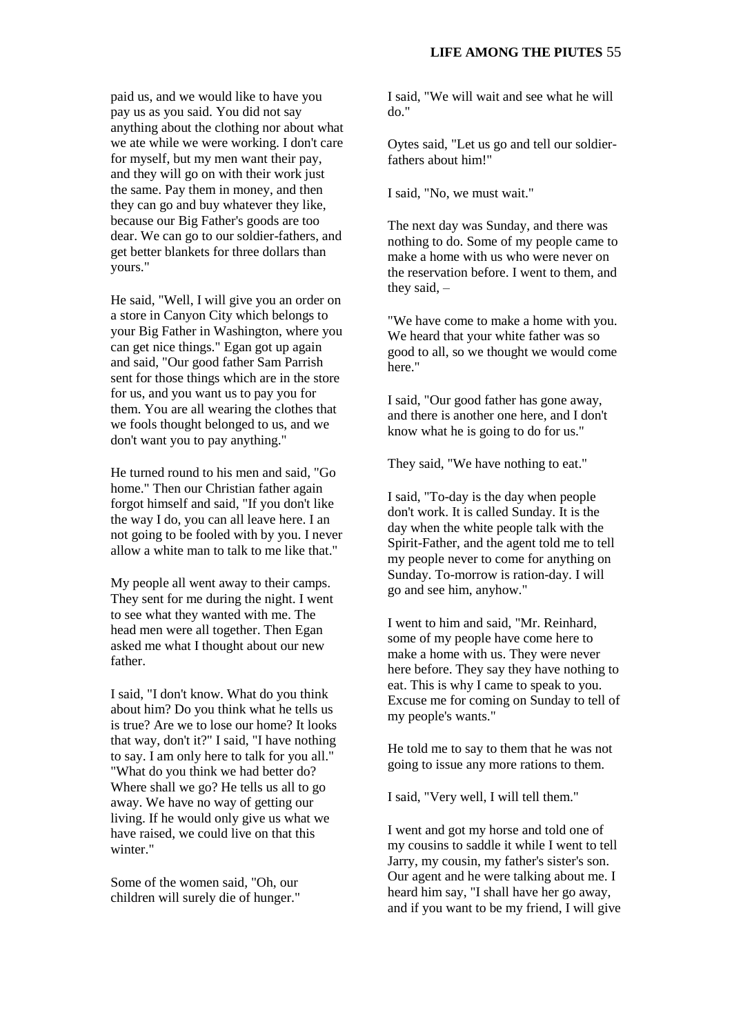paid us, and we would like to have you pay us as you said. You did not say anything about the clothing nor about what we ate while we were working. I don't care for myself, but my men want their pay, and they will go on with their work just the same. Pay them in money, and then they can go and buy whatever they like, because our Big Father's goods are too dear. We can go to our soldier-fathers, and get better blankets for three dollars than yours."

He said, "Well, I will give you an order on a store in Canyon City which belongs to your Big Father in Washington, where you can get nice things." Egan got up again and said, "Our good father Sam Parrish sent for those things which are in the store for us, and you want us to pay you for them. You are all wearing the clothes that we fools thought belonged to us, and we don't want you to pay anything."

He turned round to his men and said, "Go home." Then our Christian father again forgot himself and said, "If you don't like the way I do, you can all leave here. I an not going to be fooled with by you. I never allow a white man to talk to me like that."

My people all went away to their camps. They sent for me during the night. I went to see what they wanted with me. The head men were all together. Then Egan asked me what I thought about our new father.

I said, "I don't know. What do you think about him? Do you think what he tells us is true? Are we to lose our home? It looks that way, don't it?" I said, "I have nothing to say. I am only here to talk for you all." "What do you think we had better do? Where shall we go? He tells us all to go away. We have no way of getting our living. If he would only give us what we have raised, we could live on that this winter."

Some of the women said, "Oh, our children will surely die of hunger." I said, "We will wait and see what he will do."

Oytes said, "Let us go and tell our soldierfathers about him!"

I said, "No, we must wait."

The next day was Sunday, and there was nothing to do. Some of my people came to make a home with us who were never on the reservation before. I went to them, and they said, –

"We have come to make a home with you. We heard that your white father was so good to all, so we thought we would come here."

I said, "Our good father has gone away, and there is another one here, and I don't know what he is going to do for us."

They said, "We have nothing to eat."

I said, "To-day is the day when people don't work. It is called Sunday. It is the day when the white people talk with the Spirit-Father, and the agent told me to tell my people never to come for anything on Sunday. To-morrow is ration-day. I will go and see him, anyhow."

I went to him and said, "Mr. Reinhard, some of my people have come here to make a home with us. They were never here before. They say they have nothing to eat. This is why I came to speak to you. Excuse me for coming on Sunday to tell of my people's wants."

He told me to say to them that he was not going to issue any more rations to them.

I said, "Very well, I will tell them."

I went and got my horse and told one of my cousins to saddle it while I went to tell Jarry, my cousin, my father's sister's son. Our agent and he were talking about me. I heard him say, "I shall have her go away, and if you want to be my friend, I will give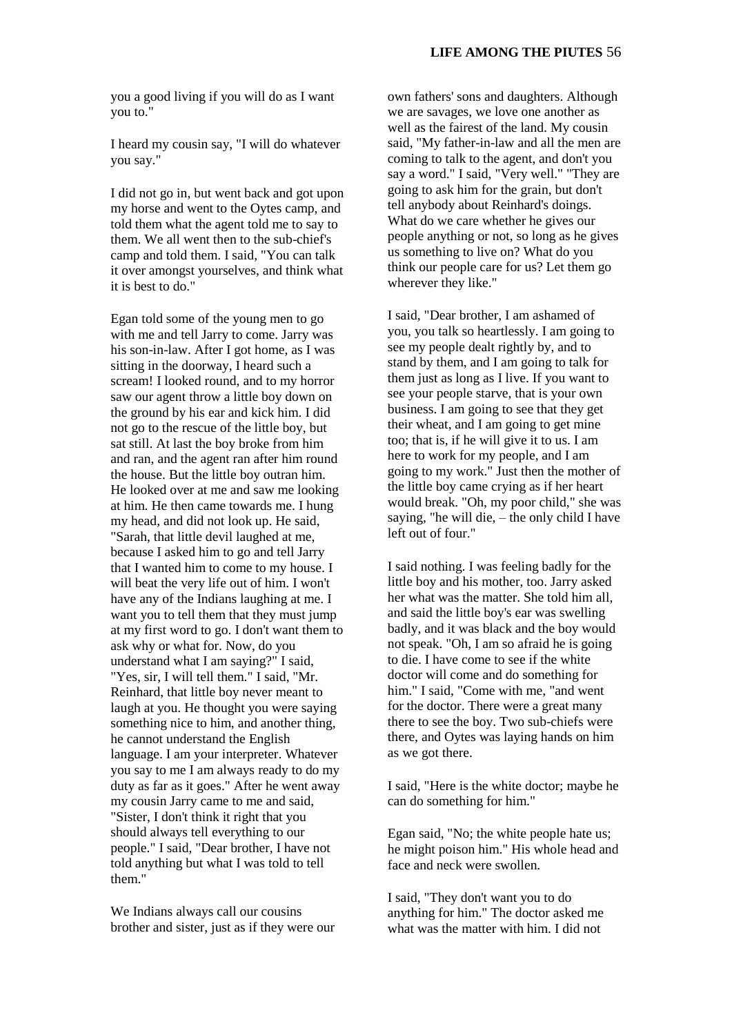you a good living if you will do as I want you to."

I heard my cousin say, "I will do whatever you say."

I did not go in, but went back and got upon my horse and went to the Oytes camp, and told them what the agent told me to say to them. We all went then to the sub-chief's camp and told them. I said, "You can talk it over amongst yourselves, and think what it is best to do."

Egan told some of the young men to go with me and tell Jarry to come. Jarry was his son-in-law. After I got home, as I was sitting in the doorway, I heard such a scream! I looked round, and to my horror saw our agent throw a little boy down on the ground by his ear and kick him. I did not go to the rescue of the little boy, but sat still. At last the boy broke from him and ran, and the agent ran after him round the house. But the little boy outran him. He looked over at me and saw me looking at him. He then came towards me. I hung my head, and did not look up. He said, "Sarah, that little devil laughed at me, because I asked him to go and tell Jarry that I wanted him to come to my house. I will beat the very life out of him. I won't have any of the Indians laughing at me. I want you to tell them that they must jump at my first word to go. I don't want them to ask why or what for. Now, do you understand what I am saying?" I said, "Yes, sir, I will tell them." I said, "Mr. Reinhard, that little boy never meant to laugh at you. He thought you were saying something nice to him, and another thing, he cannot understand the English language. I am your interpreter. Whatever you say to me I am always ready to do my duty as far as it goes." After he went away my cousin Jarry came to me and said, "Sister, I don't think it right that you should always tell everything to our people." I said, "Dear brother, I have not told anything but what I was told to tell them."

We Indians always call our cousins brother and sister, just as if they were our own fathers' sons and daughters. Although we are savages, we love one another as well as the fairest of the land. My cousin said, "My father-in-law and all the men are coming to talk to the agent, and don't you say a word." I said, "Very well." "They are going to ask him for the grain, but don't tell anybody about Reinhard's doings. What do we care whether he gives our people anything or not, so long as he gives us something to live on? What do you think our people care for us? Let them go wherever they like."

I said, "Dear brother, I am ashamed of you, you talk so heartlessly. I am going to see my people dealt rightly by, and to stand by them, and I am going to talk for them just as long as I live. If you want to see your people starve, that is your own business. I am going to see that they get their wheat, and I am going to get mine too; that is, if he will give it to us. I am here to work for my people, and I am going to my work." Just then the mother of the little boy came crying as if her heart would break. "Oh, my poor child," she was saying, "he will die, – the only child I have left out of four."

I said nothing. I was feeling badly for the little boy and his mother, too. Jarry asked her what was the matter. She told him all, and said the little boy's ear was swelling badly, and it was black and the boy would not speak. "Oh, I am so afraid he is going to die. I have come to see if the white doctor will come and do something for him." I said, "Come with me, "and went for the doctor. There were a great many there to see the boy. Two sub-chiefs were there, and Oytes was laying hands on him as we got there.

I said, "Here is the white doctor; maybe he can do something for him."

Egan said, "No; the white people hate us; he might poison him." His whole head and face and neck were swollen.

I said, "They don't want you to do anything for him." The doctor asked me what was the matter with him. I did not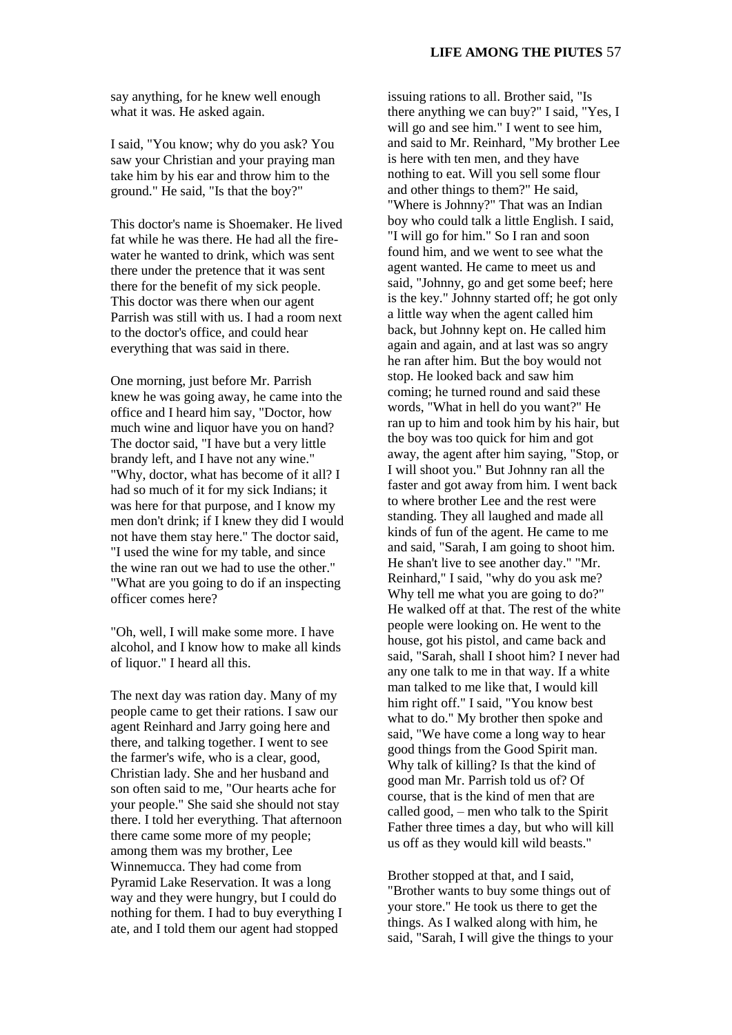say anything, for he knew well enough what it was. He asked again.

I said, "You know; why do you ask? You saw your Christian and your praying man take him by his ear and throw him to the ground." He said, "Is that the boy?"

This doctor's name is Shoemaker. He lived fat while he was there. He had all the firewater he wanted to drink, which was sent there under the pretence that it was sent there for the benefit of my sick people. This doctor was there when our agent Parrish was still with us. I had a room next to the doctor's office, and could hear everything that was said in there.

One morning, just before Mr. Parrish knew he was going away, he came into the office and I heard him say, "Doctor, how much wine and liquor have you on hand? The doctor said, "I have but a very little brandy left, and I have not any wine." "Why, doctor, what has become of it all? I had so much of it for my sick Indians; it was here for that purpose, and I know my men don't drink; if I knew they did I would not have them stay here." The doctor said, "I used the wine for my table, and since the wine ran out we had to use the other." "What are you going to do if an inspecting officer comes here?

"Oh, well, I will make some more. I have alcohol, and I know how to make all kinds of liquor." I heard all this.

The next day was ration day. Many of my people came to get their rations. I saw our agent Reinhard and Jarry going here and there, and talking together. I went to see the farmer's wife, who is a clear, good, Christian lady. She and her husband and son often said to me, "Our hearts ache for your people." She said she should not stay there. I told her everything. That afternoon there came some more of my people; among them was my brother, Lee Winnemucca. They had come from Pyramid Lake Reservation. It was a long way and they were hungry, but I could do nothing for them. I had to buy everything I ate, and I told them our agent had stopped

issuing rations to all. Brother said, "Is there anything we can buy?" I said, "Yes, I will go and see him." I went to see him, and said to Mr. Reinhard, "My brother Lee is here with ten men, and they have nothing to eat. Will you sell some flour and other things to them?" He said, "Where is Johnny?" That was an Indian boy who could talk a little English. I said, "I will go for him." So I ran and soon found him, and we went to see what the agent wanted. He came to meet us and said, "Johnny, go and get some beef; here is the key." Johnny started off; he got only a little way when the agent called him back, but Johnny kept on. He called him again and again, and at last was so angry he ran after him. But the boy would not stop. He looked back and saw him coming; he turned round and said these words, "What in hell do you want?" He ran up to him and took him by his hair, but the boy was too quick for him and got away, the agent after him saying, "Stop, or I will shoot you." But Johnny ran all the faster and got away from him. I went back to where brother Lee and the rest were standing. They all laughed and made all kinds of fun of the agent. He came to me and said, "Sarah, I am going to shoot him. He shan't live to see another day." "Mr. Reinhard," I said, "why do you ask me? Why tell me what you are going to do?" He walked off at that. The rest of the white people were looking on. He went to the house, got his pistol, and came back and said, "Sarah, shall I shoot him? I never had any one talk to me in that way. If a white man talked to me like that, I would kill him right off." I said, "You know best what to do." My brother then spoke and said, "We have come a long way to hear good things from the Good Spirit man. Why talk of killing? Is that the kind of good man Mr. Parrish told us of? Of course, that is the kind of men that are called good, – men who talk to the Spirit Father three times a day, but who will kill us off as they would kill wild beasts."

Brother stopped at that, and I said, "Brother wants to buy some things out of your store." He took us there to get the things. As I walked along with him, he said, "Sarah, I will give the things to your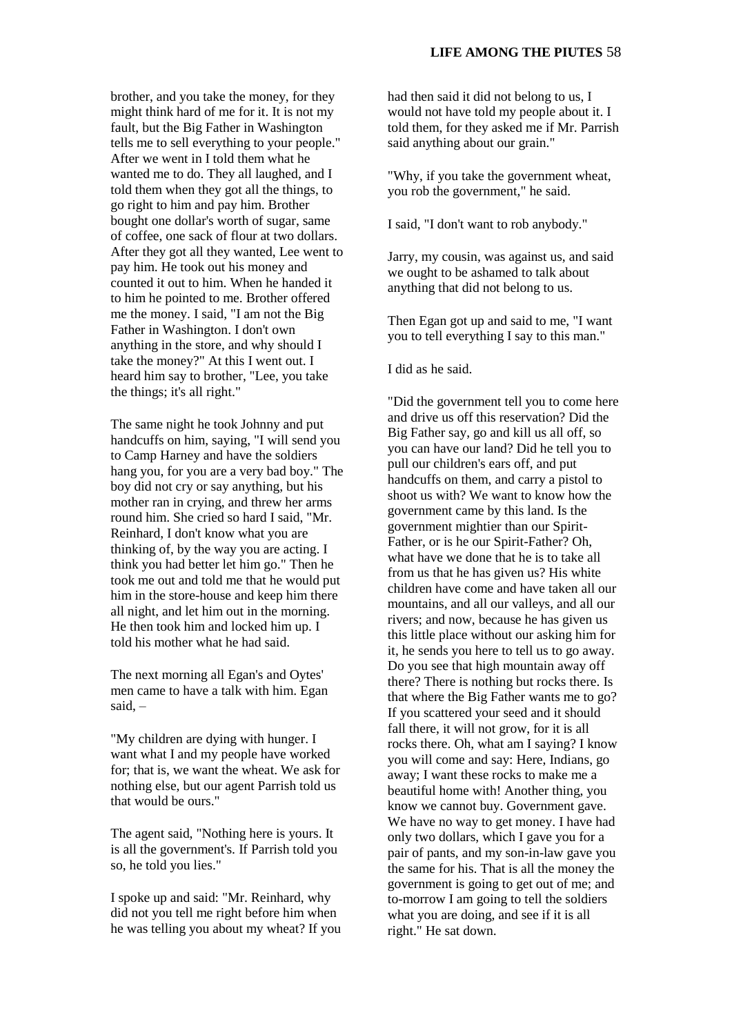brother, and you take the money, for they might think hard of me for it. It is not my fault, but the Big Father in Washington tells me to sell everything to your people." After we went in I told them what he wanted me to do. They all laughed, and I told them when they got all the things, to go right to him and pay him. Brother bought one dollar's worth of sugar, same of coffee, one sack of flour at two dollars. After they got all they wanted, Lee went to pay him. He took out his money and counted it out to him. When he handed it to him he pointed to me. Brother offered me the money. I said, "I am not the Big Father in Washington. I don't own anything in the store, and why should I take the money?" At this I went out. I heard him say to brother, "Lee, you take the things; it's all right."

The same night he took Johnny and put handcuffs on him, saying, "I will send you to Camp Harney and have the soldiers hang you, for you are a very bad boy." The boy did not cry or say anything, but his mother ran in crying, and threw her arms round him. She cried so hard I said, "Mr. Reinhard, I don't know what you are thinking of, by the way you are acting. I think you had better let him go." Then he took me out and told me that he would put him in the store-house and keep him there all night, and let him out in the morning. He then took him and locked him up. I told his mother what he had said.

The next morning all Egan's and Oytes' men came to have a talk with him. Egan said, –

"My children are dying with hunger. I want what I and my people have worked for; that is, we want the wheat. We ask for nothing else, but our agent Parrish told us that would be ours."

The agent said, "Nothing here is yours. It is all the government's. If Parrish told you so, he told you lies."

I spoke up and said: "Mr. Reinhard, why did not you tell me right before him when he was telling you about my wheat? If you had then said it did not belong to us, I would not have told my people about it. I told them, for they asked me if Mr. Parrish said anything about our grain."

"Why, if you take the government wheat, you rob the government," he said.

I said, "I don't want to rob anybody."

Jarry, my cousin, was against us, and said we ought to be ashamed to talk about anything that did not belong to us.

Then Egan got up and said to me, "I want you to tell everything I say to this man."

I did as he said.

"Did the government tell you to come here and drive us off this reservation? Did the Big Father say, go and kill us all off, so you can have our land? Did he tell you to pull our children's ears off, and put handcuffs on them, and carry a pistol to shoot us with? We want to know how the government came by this land. Is the government mightier than our Spirit-Father, or is he our Spirit-Father? Oh, what have we done that he is to take all from us that he has given us? His white children have come and have taken all our mountains, and all our valleys, and all our rivers; and now, because he has given us this little place without our asking him for it, he sends you here to tell us to go away. Do you see that high mountain away off there? There is nothing but rocks there. Is that where the Big Father wants me to go? If you scattered your seed and it should fall there, it will not grow, for it is all rocks there. Oh, what am I saying? I know you will come and say: Here, Indians, go away; I want these rocks to make me a beautiful home with! Another thing, you know we cannot buy. Government gave. We have no way to get money. I have had only two dollars, which I gave you for a pair of pants, and my son-in-law gave you the same for his. That is all the money the government is going to get out of me; and to-morrow I am going to tell the soldiers what you are doing, and see if it is all right." He sat down.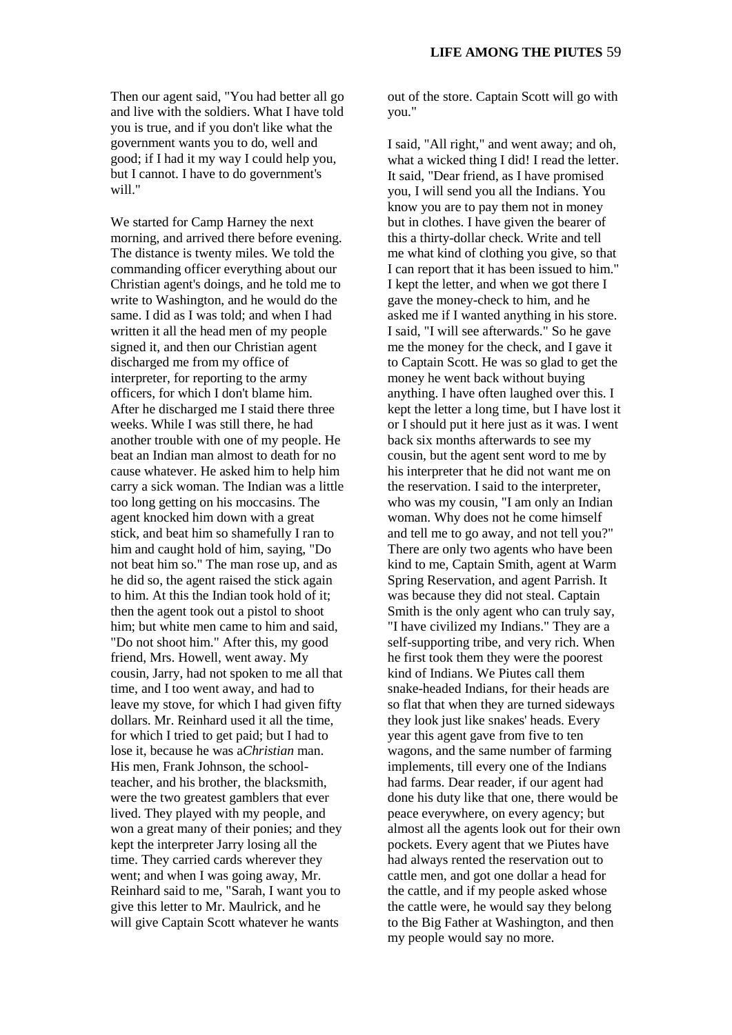Then our agent said, "You had better all go and live with the soldiers. What I have told you is true, and if you don't like what the government wants you to do, well and good; if I had it my way I could help you, but I cannot. I have to do government's will."

We started for Camp Harney the next morning, and arrived there before evening. The distance is twenty miles. We told the commanding officer everything about our Christian agent's doings, and he told me to write to Washington, and he would do the same. I did as I was told; and when I had written it all the head men of my people signed it, and then our Christian agent discharged me from my office of interpreter, for reporting to the army officers, for which I don't blame him. After he discharged me I staid there three weeks. While I was still there, he had another trouble with one of my people. He beat an Indian man almost to death for no cause whatever. He asked him to help him carry a sick woman. The Indian was a little too long getting on his moccasins. The agent knocked him down with a great stick, and beat him so shamefully I ran to him and caught hold of him, saying, "Do not beat him so." The man rose up, and as he did so, the agent raised the stick again to him. At this the Indian took hold of it; then the agent took out a pistol to shoot him; but white men came to him and said, "Do not shoot him." After this, my good friend, Mrs. Howell, went away. My cousin, Jarry, had not spoken to me all that time, and I too went away, and had to leave my stove, for which I had given fifty dollars. Mr. Reinhard used it all the time, for which I tried to get paid; but I had to lose it, because he was a*Christian* man. His men, Frank Johnson, the schoolteacher, and his brother, the blacksmith, were the two greatest gamblers that ever lived. They played with my people, and won a great many of their ponies; and they kept the interpreter Jarry losing all the time. They carried cards wherever they went; and when I was going away, Mr. Reinhard said to me, "Sarah, I want you to give this letter to Mr. Maulrick, and he will give Captain Scott whatever he wants

out of the store. Captain Scott will go with you."

I said, "All right," and went away; and oh, what a wicked thing I did! I read the letter. It said, "Dear friend, as I have promised you, I will send you all the Indians. You know you are to pay them not in money but in clothes. I have given the bearer of this a thirty-dollar check. Write and tell me what kind of clothing you give, so that I can report that it has been issued to him." I kept the letter, and when we got there I gave the money-check to him, and he asked me if I wanted anything in his store. I said, "I will see afterwards." So he gave me the money for the check, and I gave it to Captain Scott. He was so glad to get the money he went back without buying anything. I have often laughed over this. I kept the letter a long time, but I have lost it or I should put it here just as it was. I went back six months afterwards to see my cousin, but the agent sent word to me by his interpreter that he did not want me on the reservation. I said to the interpreter, who was my cousin, "I am only an Indian woman. Why does not he come himself and tell me to go away, and not tell you?" There are only two agents who have been kind to me, Captain Smith, agent at Warm Spring Reservation, and agent Parrish. It was because they did not steal. Captain Smith is the only agent who can truly say, "I have civilized my Indians." They are a self-supporting tribe, and very rich. When he first took them they were the poorest kind of Indians. We Piutes call them snake-headed Indians, for their heads are so flat that when they are turned sideways they look just like snakes' heads. Every year this agent gave from five to ten wagons, and the same number of farming implements, till every one of the Indians had farms. Dear reader, if our agent had done his duty like that one, there would be peace everywhere, on every agency; but almost all the agents look out for their own pockets. Every agent that we Piutes have had always rented the reservation out to cattle men, and got one dollar a head for the cattle, and if my people asked whose the cattle were, he would say they belong to the Big Father at Washington, and then my people would say no more.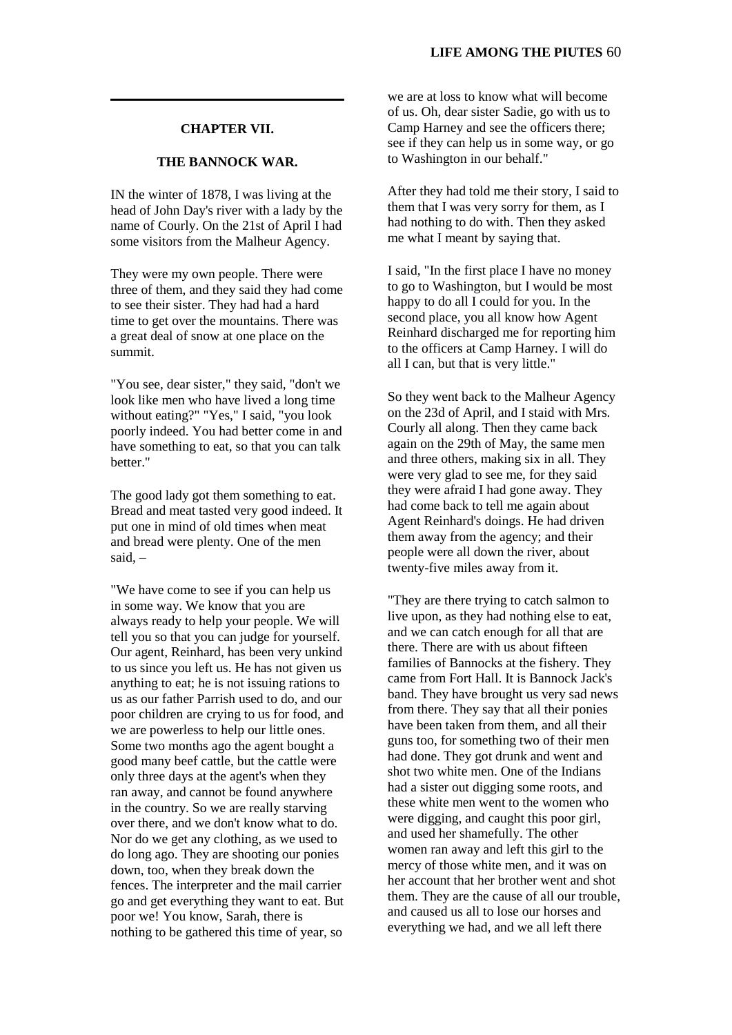# **CHAPTER VII.**

### **THE BANNOCK WAR.**

IN the winter of 1878, I was living at the head of John Day's river with a lady by the name of Courly. On the 21st of April I had some visitors from the Malheur Agency.

They were my own people. There were three of them, and they said they had come to see their sister. They had had a hard time to get over the mountains. There was a great deal of snow at one place on the summit.

"You see, dear sister," they said, "don't we look like men who have lived a long time without eating?" "Yes," I said, "you look poorly indeed. You had better come in and have something to eat, so that you can talk better."

The good lady got them something to eat. Bread and meat tasted very good indeed. It put one in mind of old times when meat and bread were plenty. One of the men said, –

"We have come to see if you can help us in some way. We know that you are always ready to help your people. We will tell you so that you can judge for yourself. Our agent, Reinhard, has been very unkind to us since you left us. He has not given us anything to eat; he is not issuing rations to us as our father Parrish used to do, and our poor children are crying to us for food, and we are powerless to help our little ones. Some two months ago the agent bought a good many beef cattle, but the cattle were only three days at the agent's when they ran away, and cannot be found anywhere in the country. So we are really starving over there, and we don't know what to do. Nor do we get any clothing, as we used to do long ago. They are shooting our ponies down, too, when they break down the fences. The interpreter and the mail carrier go and get everything they want to eat. But poor we! You know, Sarah, there is nothing to be gathered this time of year, so

we are at loss to know what will become of us. Oh, dear sister Sadie, go with us to Camp Harney and see the officers there; see if they can help us in some way, or go to Washington in our behalf."

After they had told me their story, I said to them that I was very sorry for them, as I had nothing to do with. Then they asked me what I meant by saying that.

I said, "In the first place I have no money to go to Washington, but I would be most happy to do all I could for you. In the second place, you all know how Agent Reinhard discharged me for reporting him to the officers at Camp Harney. I will do all I can, but that is very little."

So they went back to the Malheur Agency on the 23d of April, and I staid with Mrs. Courly all along. Then they came back again on the 29th of May, the same men and three others, making six in all. They were very glad to see me, for they said they were afraid I had gone away. They had come back to tell me again about Agent Reinhard's doings. He had driven them away from the agency; and their people were all down the river, about twenty-five miles away from it.

"They are there trying to catch salmon to live upon, as they had nothing else to eat, and we can catch enough for all that are there. There are with us about fifteen families of Bannocks at the fishery. They came from Fort Hall. It is Bannock Jack's band. They have brought us very sad news from there. They say that all their ponies have been taken from them, and all their guns too, for something two of their men had done. They got drunk and went and shot two white men. One of the Indians had a sister out digging some roots, and these white men went to the women who were digging, and caught this poor girl, and used her shamefully. The other women ran away and left this girl to the mercy of those white men, and it was on her account that her brother went and shot them. They are the cause of all our trouble, and caused us all to lose our horses and everything we had, and we all left there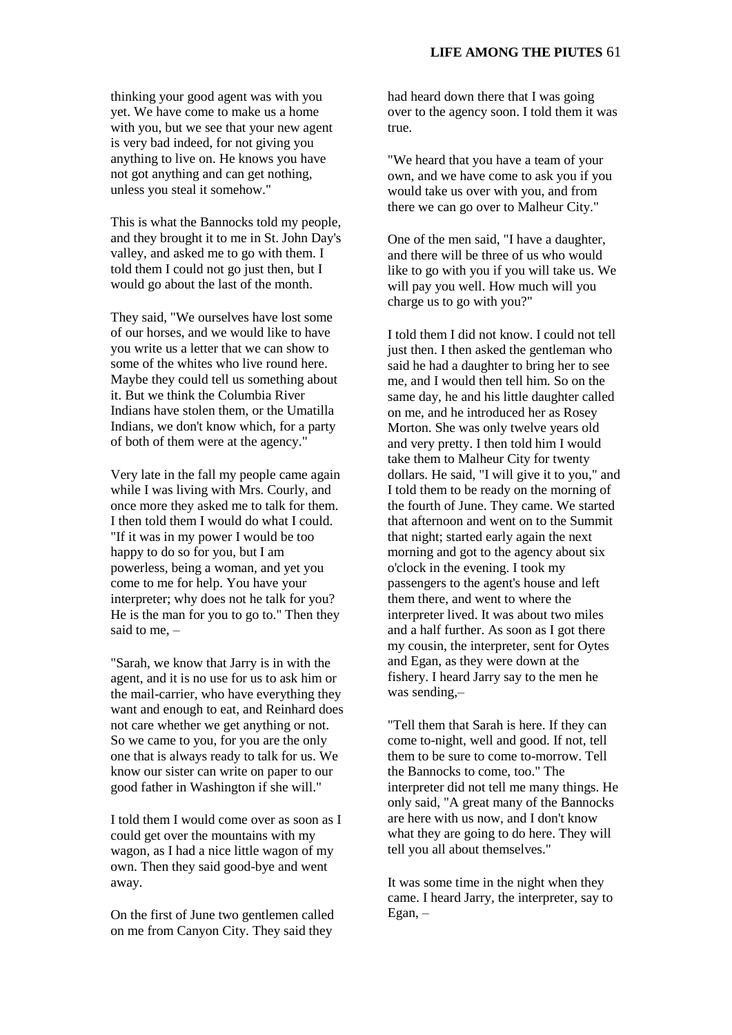thinking your good agent was with you yet. We have come to make us a home with you, but we see that your new agent is very bad indeed, for not giving you anything to live on. He knows you have not got anything and can get nothing, unless you steal it somehow."

This is what the Bannocks told my people, and they brought it to me in St. John Day's valley, and asked me to go with them. I told them I could not go just then, but I would go about the last of the month.

They said, "We ourselves have lost some of our horses, and we would like to have you write us a letter that we can show to some of the whites who live round here. Maybe they could tell us something about it. But we think the Columbia River Indians have stolen them, or the Umatilla Indians, we don't know which, for a party of both of them were at the agency."

Very late in the fall my people came again while I was living with Mrs. Courly, and once more they asked me to talk for them. I then told them I would do what I could. "If it was in my power I would be too happy to do so for you, but I am powerless, being a woman, and yet you come to me for help. You have your interpreter; why does not he talk for you? He is the man for you to go to." Then they said to me, –

"Sarah, we know that Jarry is in with the agent, and it is no use for us to ask him or the mail-carrier, who have everything they want and enough to eat, and Reinhard does not care whether we get anything or not. So we came to you, for you are the only one that is always ready to talk for us. We know our sister can write on paper to our good father in Washington if she will."

I told them I would come over as soon as I could get over the mountains with my wagon, as I had a nice little wagon of my own. Then they said good-bye and went away.

On the first of June two gentlemen called on me from Canyon City. They said they

had heard down there that I was going over to the agency soon. I told them it was true.

"We heard that you have a team of your own, and we have come to ask you if you would take us over with you, and from there we can go over to Malheur City."

One of the men said, "I have a daughter, and there will be three of us who would like to go with you if you will take us. We will pay you well. How much will you charge us to go with you?"

I told them I did not know. I could not tell just then. I then asked the gentleman who said he had a daughter to bring her to see me, and I would then tell him. So on the same day, he and his little daughter called on me, and he introduced her as Rosey Morton. She was only twelve years old and very pretty. I then told him I would take them to Malheur City for twenty dollars. He said, "I will give it to you," and I told them to be ready on the morning of the fourth of June. They came. We started that afternoon and went on to the Summit that night; started early again the next morning and got to the agency about six o'clock in the evening. I took my passengers to the agent's house and left them there, and went to where the interpreter lived. It was about two miles and a half further. As soon as I got there my cousin, the interpreter, sent for Oytes and Egan, as they were down at the fishery. I heard Jarry say to the men he was sending,–

"Tell them that Sarah is here. If they can come to-night, well and good. If not, tell them to be sure to come to-morrow. Tell the Bannocks to come, too." The interpreter did not tell me many things. He only said, "A great many of the Bannocks are here with us now, and I don't know what they are going to do here. They will tell you all about themselves."

It was some time in the night when they came. I heard Jarry, the interpreter, say to Egan, –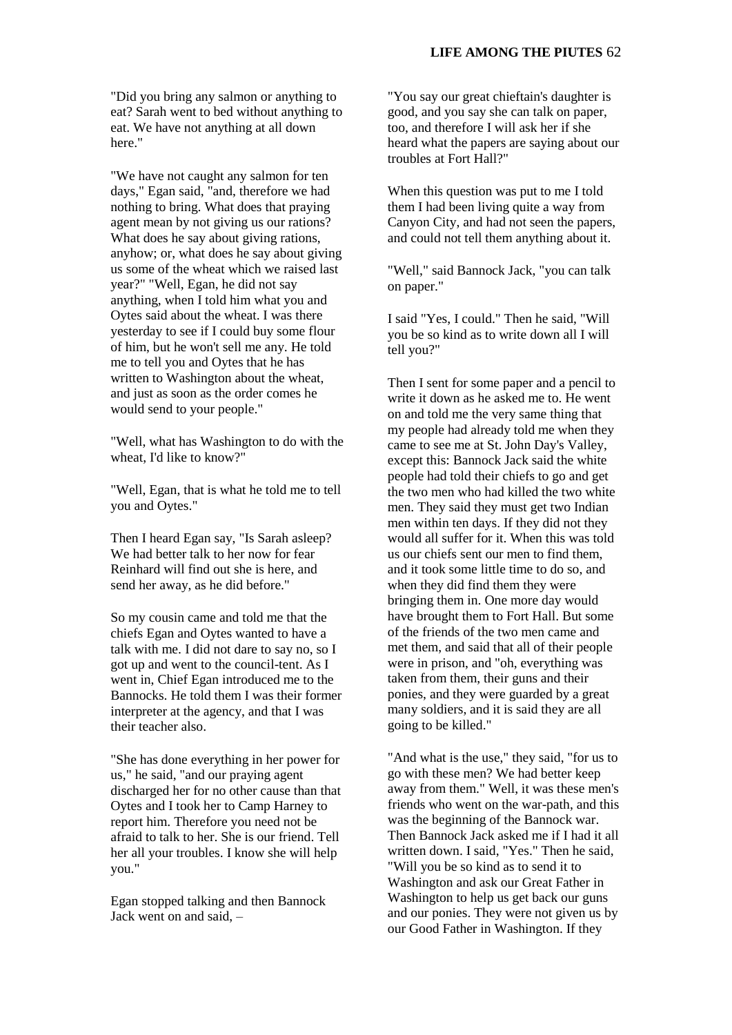"Did you bring any salmon or anything to eat? Sarah went to bed without anything to eat. We have not anything at all down here."

"We have not caught any salmon for ten days," Egan said, "and, therefore we had nothing to bring. What does that praying agent mean by not giving us our rations? What does he say about giving rations, anyhow; or, what does he say about giving us some of the wheat which we raised last year?" "Well, Egan, he did not say anything, when I told him what you and Oytes said about the wheat. I was there yesterday to see if I could buy some flour of him, but he won't sell me any. He told me to tell you and Oytes that he has written to Washington about the wheat, and just as soon as the order comes he would send to your people."

"Well, what has Washington to do with the wheat, I'd like to know?"

"Well, Egan, that is what he told me to tell you and Oytes."

Then I heard Egan say, "Is Sarah asleep? We had better talk to her now for fear Reinhard will find out she is here, and send her away, as he did before."

So my cousin came and told me that the chiefs Egan and Oytes wanted to have a talk with me. I did not dare to say no, so I got up and went to the council-tent. As I went in, Chief Egan introduced me to the Bannocks. He told them I was their former interpreter at the agency, and that I was their teacher also.

"She has done everything in her power for us," he said, "and our praying agent discharged her for no other cause than that Oytes and I took her to Camp Harney to report him. Therefore you need not be afraid to talk to her. She is our friend. Tell her all your troubles. I know she will help you."

Egan stopped talking and then Bannock Jack went on and said, –

"You say our great chieftain's daughter is good, and you say she can talk on paper, too, and therefore I will ask her if she heard what the papers are saying about our troubles at Fort Hall?"

When this question was put to me I told them I had been living quite a way from Canyon City, and had not seen the papers, and could not tell them anything about it.

"Well," said Bannock Jack, "you can talk on paper."

I said "Yes, I could." Then he said, "Will you be so kind as to write down all I will tell you?"

Then I sent for some paper and a pencil to write it down as he asked me to. He went on and told me the very same thing that my people had already told me when they came to see me at St. John Day's Valley, except this: Bannock Jack said the white people had told their chiefs to go and get the two men who had killed the two white men. They said they must get two Indian men within ten days. If they did not they would all suffer for it. When this was told us our chiefs sent our men to find them, and it took some little time to do so, and when they did find them they were bringing them in. One more day would have brought them to Fort Hall. But some of the friends of the two men came and met them, and said that all of their people were in prison, and "oh, everything was taken from them, their guns and their ponies, and they were guarded by a great many soldiers, and it is said they are all going to be killed."

"And what is the use," they said, "for us to go with these men? We had better keep away from them." Well, it was these men's friends who went on the war-path, and this was the beginning of the Bannock war. Then Bannock Jack asked me if I had it all written down. I said, "Yes." Then he said, "Will you be so kind as to send it to Washington and ask our Great Father in Washington to help us get back our guns and our ponies. They were not given us by our Good Father in Washington. If they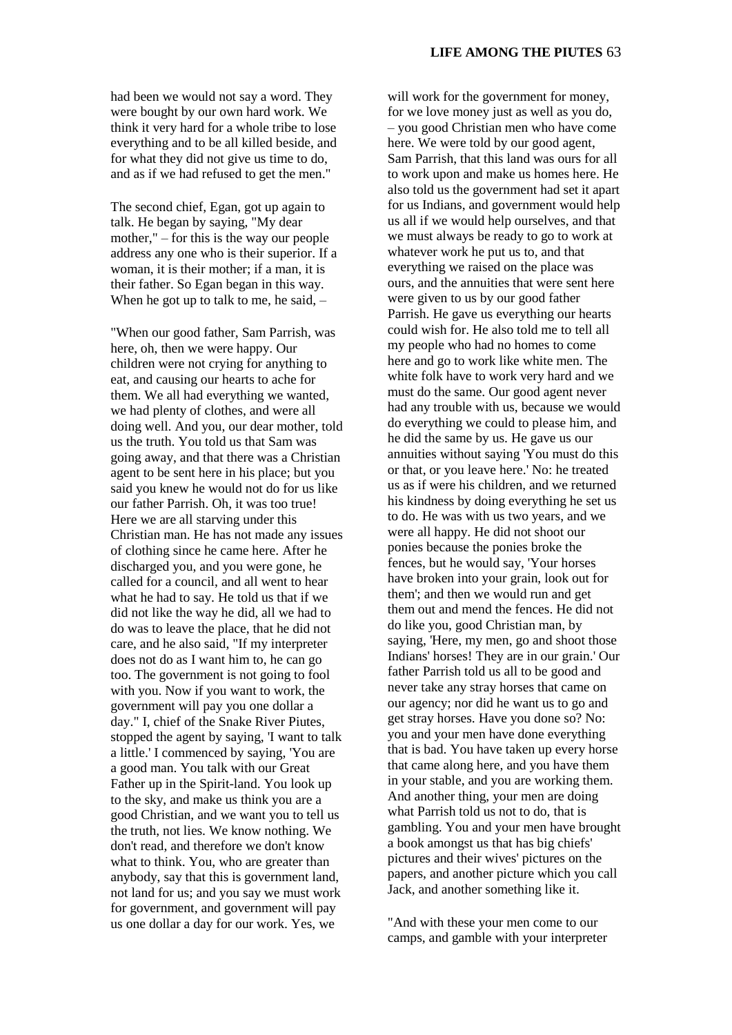had been we would not say a word. They were bought by our own hard work. We think it very hard for a whole tribe to lose everything and to be all killed beside, and for what they did not give us time to do, and as if we had refused to get the men."

The second chief, Egan, got up again to talk. He began by saying, "My dear mother," – for this is the way our people address any one who is their superior. If a woman, it is their mother; if a man, it is their father. So Egan began in this way. When he got up to talk to me, he said,  $-$ 

"When our good father, Sam Parrish, was here, oh, then we were happy. Our children were not crying for anything to eat, and causing our hearts to ache for them. We all had everything we wanted, we had plenty of clothes, and were all doing well. And you, our dear mother, told us the truth. You told us that Sam was going away, and that there was a Christian agent to be sent here in his place; but you said you knew he would not do for us like our father Parrish. Oh, it was too true! Here we are all starving under this Christian man. He has not made any issues of clothing since he came here. After he discharged you, and you were gone, he called for a council, and all went to hear what he had to say. He told us that if we did not like the way he did, all we had to do was to leave the place, that he did not care, and he also said, "If my interpreter does not do as I want him to, he can go too. The government is not going to fool with you. Now if you want to work, the government will pay you one dollar a day." I, chief of the Snake River Piutes, stopped the agent by saying, 'I want to talk a little.' I commenced by saying, 'You are a good man. You talk with our Great Father up in the Spirit-land. You look up to the sky, and make us think you are a good Christian, and we want you to tell us the truth, not lies. We know nothing. We don't read, and therefore we don't know what to think. You, who are greater than anybody, say that this is government land, not land for us; and you say we must work for government, and government will pay us one dollar a day for our work. Yes, we

will work for the government for money, for we love money just as well as you do, – you good Christian men who have come here. We were told by our good agent, Sam Parrish, that this land was ours for all to work upon and make us homes here. He also told us the government had set it apart for us Indians, and government would help us all if we would help ourselves, and that we must always be ready to go to work at whatever work he put us to, and that everything we raised on the place was ours, and the annuities that were sent here were given to us by our good father Parrish. He gave us everything our hearts could wish for. He also told me to tell all my people who had no homes to come here and go to work like white men. The white folk have to work very hard and we must do the same. Our good agent never had any trouble with us, because we would do everything we could to please him, and he did the same by us. He gave us our annuities without saying 'You must do this or that, or you leave here.' No: he treated us as if were his children, and we returned his kindness by doing everything he set us to do. He was with us two years, and we were all happy. He did not shoot our ponies because the ponies broke the fences, but he would say, 'Your horses have broken into your grain, look out for them'; and then we would run and get them out and mend the fences. He did not do like you, good Christian man, by saying, 'Here, my men, go and shoot those Indians' horses! They are in our grain.' Our father Parrish told us all to be good and never take any stray horses that came on our agency; nor did he want us to go and get stray horses. Have you done so? No: you and your men have done everything that is bad. You have taken up every horse that came along here, and you have them in your stable, and you are working them. And another thing, your men are doing what Parrish told us not to do, that is gambling. You and your men have brought a book amongst us that has big chiefs' pictures and their wives' pictures on the papers, and another picture which you call Jack, and another something like it.

"And with these your men come to our camps, and gamble with your interpreter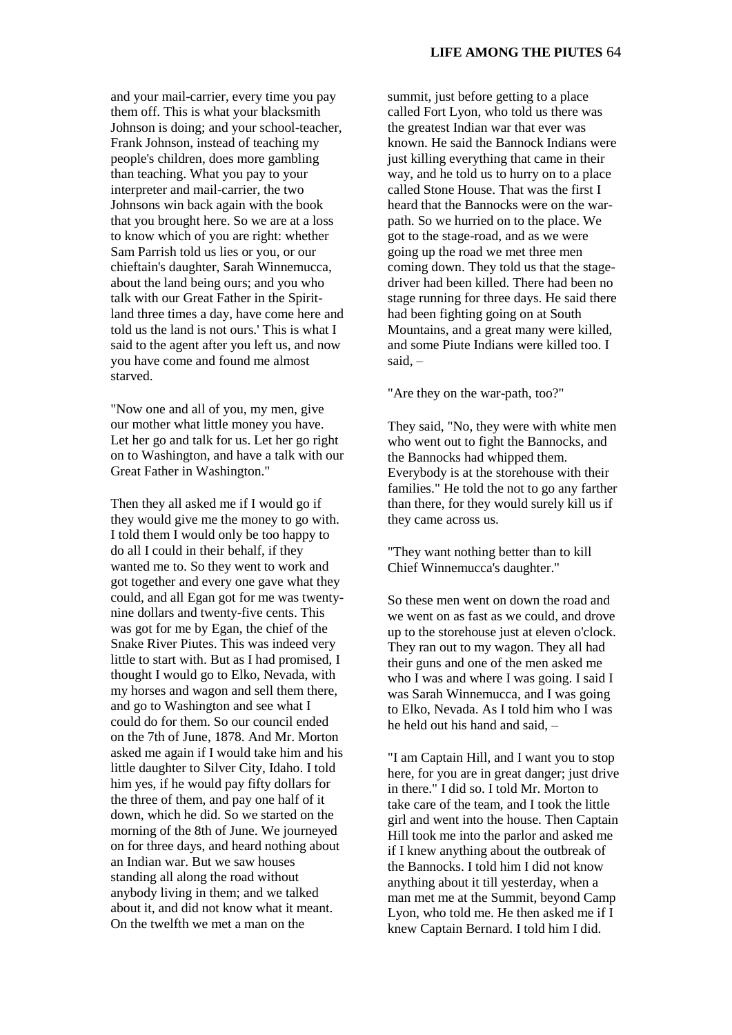and your mail-carrier, every time you pay them off. This is what your blacksmith Johnson is doing; and your school-teacher, Frank Johnson, instead of teaching my people's children, does more gambling than teaching. What you pay to your interpreter and mail-carrier, the two Johnsons win back again with the book that you brought here. So we are at a loss to know which of you are right: whether Sam Parrish told us lies or you, or our chieftain's daughter, Sarah Winnemucca, about the land being ours; and you who talk with our Great Father in the Spiritland three times a day, have come here and told us the land is not ours.' This is what I said to the agent after you left us, and now you have come and found me almost starved.

"Now one and all of you, my men, give our mother what little money you have. Let her go and talk for us. Let her go right on to Washington, and have a talk with our Great Father in Washington."

Then they all asked me if I would go if they would give me the money to go with. I told them I would only be too happy to do all I could in their behalf, if they wanted me to. So they went to work and got together and every one gave what they could, and all Egan got for me was twentynine dollars and twenty-five cents. This was got for me by Egan, the chief of the Snake River Piutes. This was indeed very little to start with. But as I had promised, I thought I would go to Elko, Nevada, with my horses and wagon and sell them there, and go to Washington and see what I could do for them. So our council ended on the 7th of June, 1878. And Mr. Morton asked me again if I would take him and his little daughter to Silver City, Idaho. I told him yes, if he would pay fifty dollars for the three of them, and pay one half of it down, which he did. So we started on the morning of the 8th of June. We journeyed on for three days, and heard nothing about an Indian war. But we saw houses standing all along the road without anybody living in them; and we talked about it, and did not know what it meant. On the twelfth we met a man on the

summit, just before getting to a place called Fort Lyon, who told us there was the greatest Indian war that ever was known. He said the Bannock Indians were just killing everything that came in their way, and he told us to hurry on to a place called Stone House. That was the first I heard that the Bannocks were on the warpath. So we hurried on to the place. We got to the stage-road, and as we were going up the road we met three men coming down. They told us that the stagedriver had been killed. There had been no stage running for three days. He said there had been fighting going on at South Mountains, and a great many were killed, and some Piute Indians were killed too. I said, –

"Are they on the war-path, too?"

They said, "No, they were with white men who went out to fight the Bannocks, and the Bannocks had whipped them. Everybody is at the storehouse with their families." He told the not to go any farther than there, for they would surely kill us if they came across us.

"They want nothing better than to kill Chief Winnemucca's daughter."

So these men went on down the road and we went on as fast as we could, and drove up to the storehouse just at eleven o'clock. They ran out to my wagon. They all had their guns and one of the men asked me who I was and where I was going. I said I was Sarah Winnemucca, and I was going to Elko, Nevada. As I told him who I was he held out his hand and said, –

"I am Captain Hill, and I want you to stop here, for you are in great danger; just drive in there." I did so. I told Mr. Morton to take care of the team, and I took the little girl and went into the house. Then Captain Hill took me into the parlor and asked me if I knew anything about the outbreak of the Bannocks. I told him I did not know anything about it till yesterday, when a man met me at the Summit, beyond Camp Lyon, who told me. He then asked me if I knew Captain Bernard. I told him I did.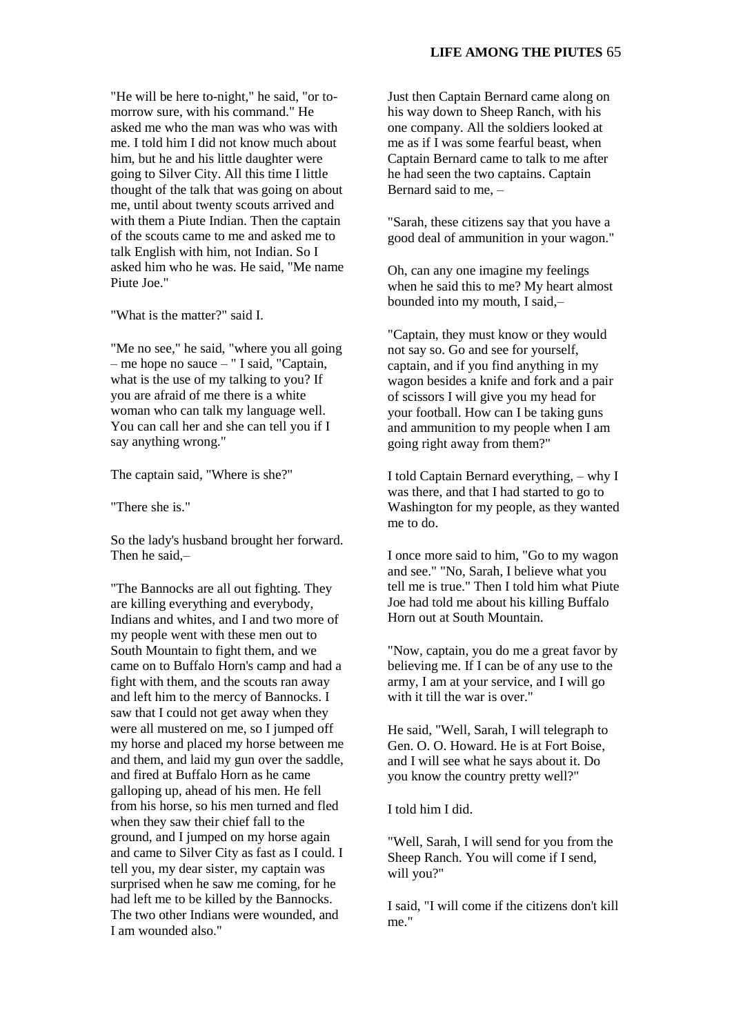"He will be here to-night," he said, "or tomorrow sure, with his command." He asked me who the man was who was with me. I told him I did not know much about him, but he and his little daughter were going to Silver City. All this time I little thought of the talk that was going on about me, until about twenty scouts arrived and with them a Piute Indian. Then the captain of the scouts came to me and asked me to talk English with him, not Indian. So I asked him who he was. He said, "Me name Piute Joe."

"What is the matter?" said I.

"Me no see," he said, "where you all going" – me hope no sauce – " I said, "Captain, what is the use of my talking to you? If you are afraid of me there is a white woman who can talk my language well. You can call her and she can tell you if I say anything wrong."

The captain said, "Where is she?"

"There she is."

So the lady's husband brought her forward. Then he said,–

"The Bannocks are all out fighting. They are killing everything and everybody, Indians and whites, and I and two more of my people went with these men out to South Mountain to fight them, and we came on to Buffalo Horn's camp and had a fight with them, and the scouts ran away and left him to the mercy of Bannocks. I saw that I could not get away when they were all mustered on me, so I jumped off my horse and placed my horse between me and them, and laid my gun over the saddle, and fired at Buffalo Horn as he came galloping up, ahead of his men. He fell from his horse, so his men turned and fled when they saw their chief fall to the ground, and I jumped on my horse again and came to Silver City as fast as I could. I tell you, my dear sister, my captain was surprised when he saw me coming, for he had left me to be killed by the Bannocks. The two other Indians were wounded, and I am wounded also."

Just then Captain Bernard came along on his way down to Sheep Ranch, with his one company. All the soldiers looked at me as if I was some fearful beast, when Captain Bernard came to talk to me after he had seen the two captains. Captain Bernard said to me, –

"Sarah, these citizens say that you have a good deal of ammunition in your wagon."

Oh, can any one imagine my feelings when he said this to me? My heart almost bounded into my mouth, I said,–

"Captain, they must know or they would not say so. Go and see for yourself, captain, and if you find anything in my wagon besides a knife and fork and a pair of scissors I will give you my head for your football. How can I be taking guns and ammunition to my people when I am going right away from them?"

I told Captain Bernard everything, – why I was there, and that I had started to go to Washington for my people, as they wanted me to do.

I once more said to him, "Go to my wagon and see." "No, Sarah, I believe what you tell me is true." Then I told him what Piute Joe had told me about his killing Buffalo Horn out at South Mountain.

"Now, captain, you do me a great favor by believing me. If I can be of any use to the army, I am at your service, and I will go with it till the war is over."

He said, "Well, Sarah, I will telegraph to Gen. O. O. Howard. He is at Fort Boise, and I will see what he says about it. Do you know the country pretty well?"

I told him I did.

"Well, Sarah, I will send for you from the Sheep Ranch. You will come if I send, will you?"

I said, "I will come if the citizens don't kill me."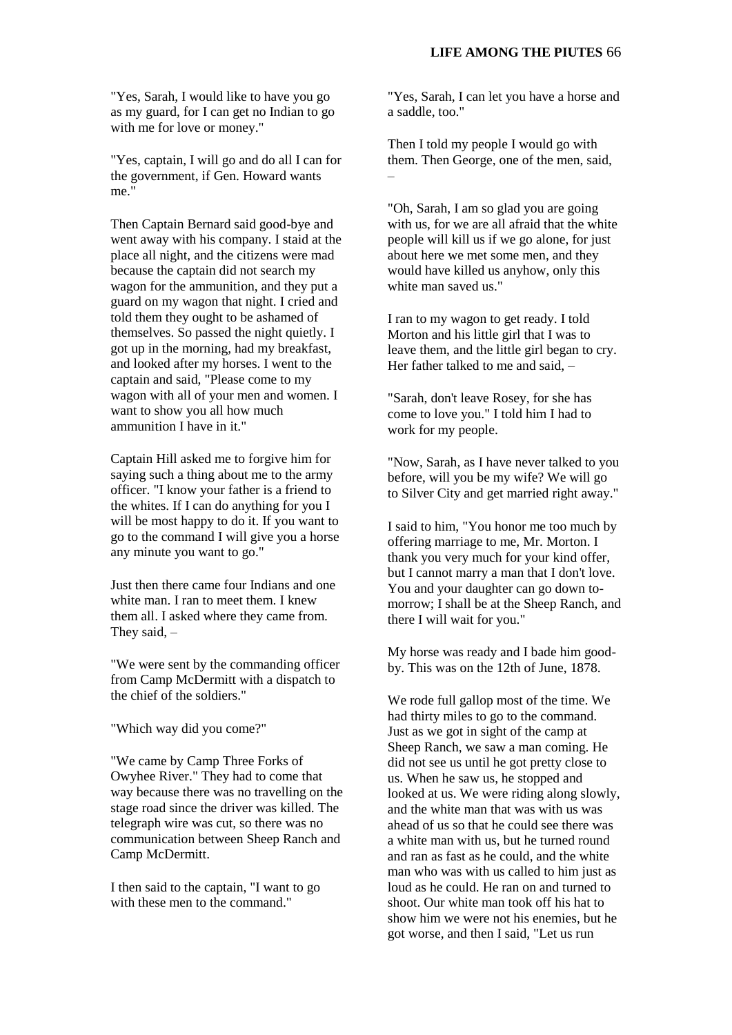"Yes, Sarah, I would like to have you go as my guard, for I can get no Indian to go with me for love or money."

"Yes, captain, I will go and do all I can for the government, if Gen. Howard wants me."

Then Captain Bernard said good-bye and went away with his company. I staid at the place all night, and the citizens were mad because the captain did not search my wagon for the ammunition, and they put a guard on my wagon that night. I cried and told them they ought to be ashamed of themselves. So passed the night quietly. I got up in the morning, had my breakfast, and looked after my horses. I went to the captain and said, "Please come to my wagon with all of your men and women. I want to show you all how much ammunition I have in it."

Captain Hill asked me to forgive him for saying such a thing about me to the army officer. "I know your father is a friend to the whites. If I can do anything for you I will be most happy to do it. If you want to go to the command I will give you a horse any minute you want to go."

Just then there came four Indians and one white man. I ran to meet them. I knew them all. I asked where they came from. They said, –

"We were sent by the commanding officer from Camp McDermitt with a dispatch to the chief of the soldiers."

"Which way did you come?"

"We came by Camp Three Forks of Owyhee River." They had to come that way because there was no travelling on the stage road since the driver was killed. The telegraph wire was cut, so there was no communication between Sheep Ranch and Camp McDermitt.

I then said to the captain, "I want to go with these men to the command."

"Yes, Sarah, I can let you have a horse and a saddle, too."

Then I told my people I would go with them. Then George, one of the men, said, –

"Oh, Sarah, I am so glad you are going with us, for we are all afraid that the white people will kill us if we go alone, for just about here we met some men, and they would have killed us anyhow, only this white man saved us."

I ran to my wagon to get ready. I told Morton and his little girl that I was to leave them, and the little girl began to cry. Her father talked to me and said, –

"Sarah, don't leave Rosey, for she has come to love you." I told him I had to work for my people.

"Now, Sarah, as I have never talked to you before, will you be my wife? We will go to Silver City and get married right away."

I said to him, "You honor me too much by offering marriage to me, Mr. Morton. I thank you very much for your kind offer, but I cannot marry a man that I don't love. You and your daughter can go down tomorrow; I shall be at the Sheep Ranch, and there I will wait for you."

My horse was ready and I bade him goodby. This was on the 12th of June, 1878.

We rode full gallop most of the time. We had thirty miles to go to the command. Just as we got in sight of the camp at Sheep Ranch, we saw a man coming. He did not see us until he got pretty close to us. When he saw us, he stopped and looked at us. We were riding along slowly, and the white man that was with us was ahead of us so that he could see there was a white man with us, but he turned round and ran as fast as he could, and the white man who was with us called to him just as loud as he could. He ran on and turned to shoot. Our white man took off his hat to show him we were not his enemies, but he got worse, and then I said, "Let us run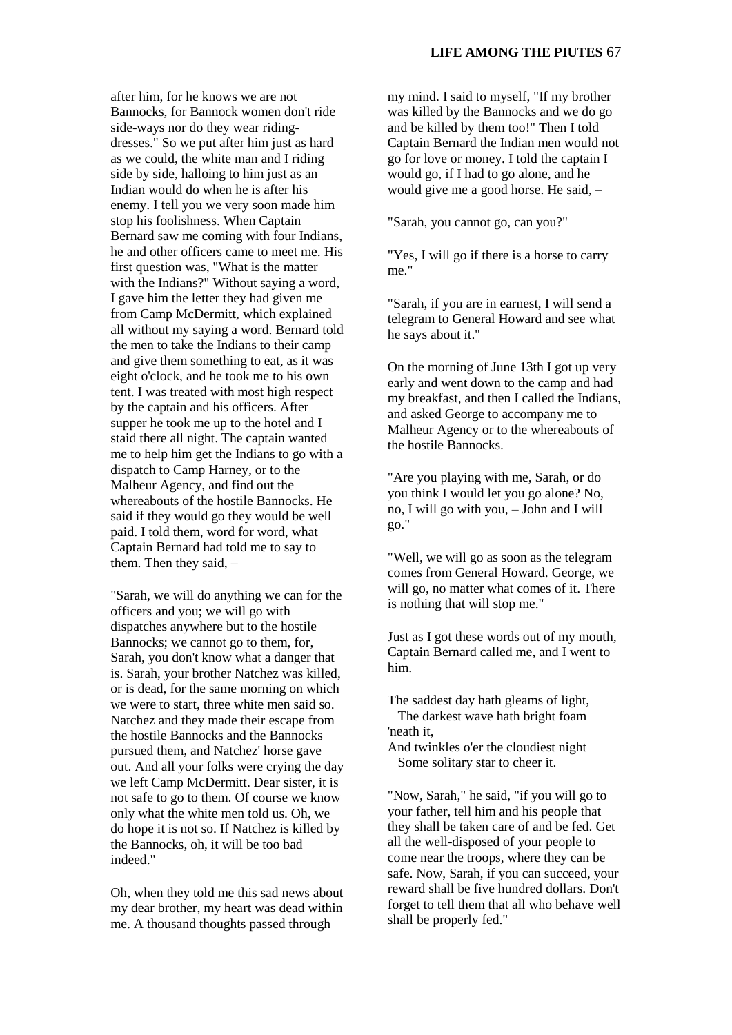after him, for he knows we are not Bannocks, for Bannock women don't ride side-ways nor do they wear ridingdresses." So we put after him just as hard as we could, the white man and I riding side by side, halloing to him just as an Indian would do when he is after his enemy. I tell you we very soon made him stop his foolishness. When Captain Bernard saw me coming with four Indians, he and other officers came to meet me. His first question was, "What is the matter with the Indians?" Without saying a word, I gave him the letter they had given me from Camp McDermitt, which explained all without my saying a word. Bernard told the men to take the Indians to their camp and give them something to eat, as it was eight o'clock, and he took me to his own tent. I was treated with most high respect by the captain and his officers. After supper he took me up to the hotel and I staid there all night. The captain wanted me to help him get the Indians to go with a dispatch to Camp Harney, or to the Malheur Agency, and find out the whereabouts of the hostile Bannocks. He said if they would go they would be well paid. I told them, word for word, what Captain Bernard had told me to say to them. Then they said, –

"Sarah, we will do anything we can for the officers and you; we will go with dispatches anywhere but to the hostile Bannocks; we cannot go to them, for, Sarah, you don't know what a danger that is. Sarah, your brother Natchez was killed, or is dead, for the same morning on which we were to start, three white men said so. Natchez and they made their escape from the hostile Bannocks and the Bannocks pursued them, and Natchez' horse gave out. And all your folks were crying the day we left Camp McDermitt. Dear sister, it is not safe to go to them. Of course we know only what the white men told us. Oh, we do hope it is not so. If Natchez is killed by the Bannocks, oh, it will be too bad indeed."

Oh, when they told me this sad news about my dear brother, my heart was dead within me. A thousand thoughts passed through

my mind. I said to myself, "If my brother was killed by the Bannocks and we do go and be killed by them too!" Then I told Captain Bernard the Indian men would not go for love or money. I told the captain I would go, if I had to go alone, and he would give me a good horse. He said, –

"Sarah, you cannot go, can you?"

"Yes, I will go if there is a horse to carry me."

"Sarah, if you are in earnest, I will send a telegram to General Howard and see what he says about it."

On the morning of June 13th I got up very early and went down to the camp and had my breakfast, and then I called the Indians, and asked George to accompany me to Malheur Agency or to the whereabouts of the hostile Bannocks.

"Are you playing with me, Sarah, or do you think I would let you go alone? No, no, I will go with you, – John and I will go."

"Well, we will go as soon as the telegram comes from General Howard. George, we will go, no matter what comes of it. There is nothing that will stop me."

Just as I got these words out of my mouth, Captain Bernard called me, and I went to him.

The saddest day hath gleams of light, The darkest wave hath bright foam

'neath it,

And twinkles o'er the cloudiest night Some solitary star to cheer it.

"Now, Sarah," he said, "if you will go to your father, tell him and his people that they shall be taken care of and be fed. Get all the well-disposed of your people to come near the troops, where they can be safe. Now, Sarah, if you can succeed, your reward shall be five hundred dollars. Don't forget to tell them that all who behave well shall be properly fed."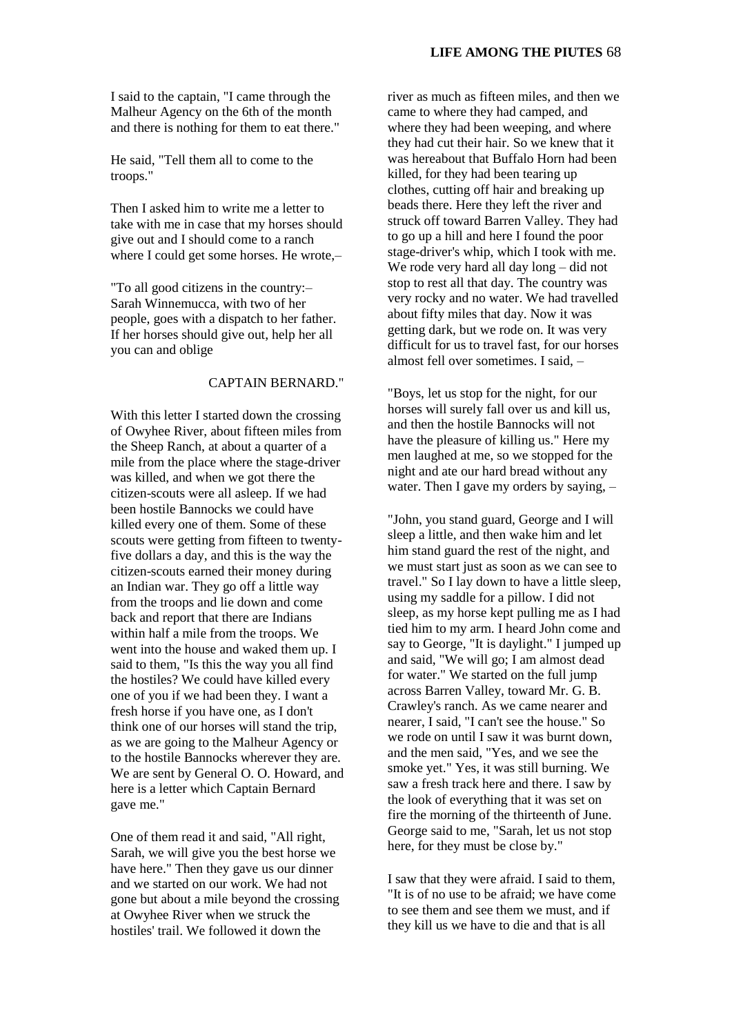I said to the captain, "I came through the Malheur Agency on the 6th of the month and there is nothing for them to eat there."

He said, "Tell them all to come to the troops."

Then I asked him to write me a letter to take with me in case that my horses should give out and I should come to a ranch where I could get some horses. He wrote,–

"To all good citizens in the country:– Sarah Winnemucca, with two of her people, goes with a dispatch to her father. If her horses should give out, help her all you can and oblige

# CAPTAIN BERNARD."

With this letter I started down the crossing of Owyhee River, about fifteen miles from the Sheep Ranch, at about a quarter of a mile from the place where the stage-driver was killed, and when we got there the citizen-scouts were all asleep. If we had been hostile Bannocks we could have killed every one of them. Some of these scouts were getting from fifteen to twentyfive dollars a day, and this is the way the citizen-scouts earned their money during an Indian war. They go off a little way from the troops and lie down and come back and report that there are Indians within half a mile from the troops. We went into the house and waked them up. I said to them, "Is this the way you all find the hostiles? We could have killed every one of you if we had been they. I want a fresh horse if you have one, as I don't think one of our horses will stand the trip, as we are going to the Malheur Agency or to the hostile Bannocks wherever they are. We are sent by General O. O. Howard, and here is a letter which Captain Bernard gave me."

One of them read it and said, "All right, Sarah, we will give you the best horse we have here." Then they gave us our dinner and we started on our work. We had not gone but about a mile beyond the crossing at Owyhee River when we struck the hostiles' trail. We followed it down the

river as much as fifteen miles, and then we came to where they had camped, and where they had been weeping, and where they had cut their hair. So we knew that it was hereabout that Buffalo Horn had been killed, for they had been tearing up clothes, cutting off hair and breaking up beads there. Here they left the river and struck off toward Barren Valley. They had to go up a hill and here I found the poor stage-driver's whip, which I took with me. We rode very hard all day long – did not stop to rest all that day. The country was very rocky and no water. We had travelled about fifty miles that day. Now it was getting dark, but we rode on. It was very difficult for us to travel fast, for our horses almost fell over sometimes. I said, –

"Boys, let us stop for the night, for our horses will surely fall over us and kill us, and then the hostile Bannocks will not have the pleasure of killing us." Here my men laughed at me, so we stopped for the night and ate our hard bread without any water. Then I gave my orders by saying, –

"John, you stand guard, George and I will sleep a little, and then wake him and let him stand guard the rest of the night, and we must start just as soon as we can see to travel." So I lay down to have a little sleep, using my saddle for a pillow. I did not sleep, as my horse kept pulling me as I had tied him to my arm. I heard John come and say to George, "It is daylight." I jumped up and said, "We will go; I am almost dead for water." We started on the full jump across Barren Valley, toward Mr. G. B. Crawley's ranch. As we came nearer and nearer. I said. "I can't see the house." So we rode on until I saw it was burnt down, and the men said, "Yes, and we see the smoke yet." Yes, it was still burning. We saw a fresh track here and there. I saw by the look of everything that it was set on fire the morning of the thirteenth of June. George said to me, "Sarah, let us not stop here, for they must be close by."

I saw that they were afraid. I said to them, "It is of no use to be afraid; we have come to see them and see them we must, and if they kill us we have to die and that is all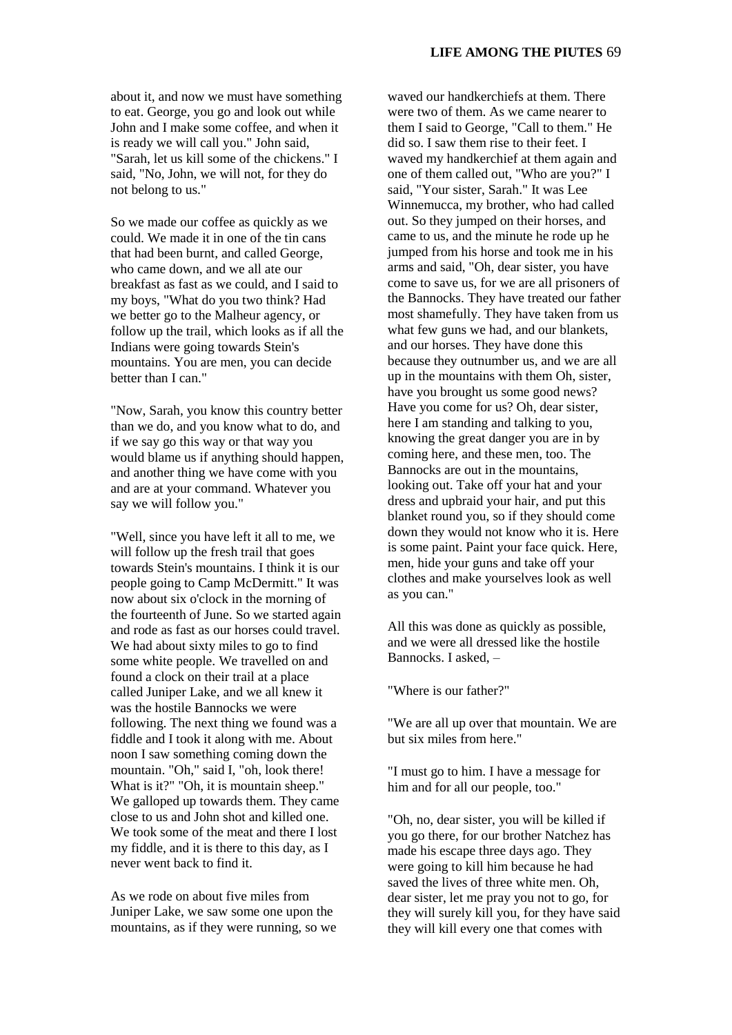about it, and now we must have something to eat. George, you go and look out while John and I make some coffee, and when it is ready we will call you." John said, "Sarah, let us kill some of the chickens." I said, "No, John, we will not, for they do not belong to us."

So we made our coffee as quickly as we could. We made it in one of the tin cans that had been burnt, and called George, who came down, and we all ate our breakfast as fast as we could, and I said to my boys, "What do you two think? Had we better go to the Malheur agency, or follow up the trail, which looks as if all the Indians were going towards Stein's mountains. You are men, you can decide better than I can."

"Now, Sarah, you know this country better than we do, and you know what to do, and if we say go this way or that way you would blame us if anything should happen, and another thing we have come with you and are at your command. Whatever you say we will follow you."

"Well, since you have left it all to me, we will follow up the fresh trail that goes towards Stein's mountains. I think it is our people going to Camp McDermitt." It was now about six o'clock in the morning of the fourteenth of June. So we started again and rode as fast as our horses could travel. We had about sixty miles to go to find some white people. We travelled on and found a clock on their trail at a place called Juniper Lake, and we all knew it was the hostile Bannocks we were following. The next thing we found was a fiddle and I took it along with me. About noon I saw something coming down the mountain. "Oh," said I, "oh, look there! What is it?" "Oh, it is mountain sheep." We galloped up towards them. They came close to us and John shot and killed one. We took some of the meat and there I lost my fiddle, and it is there to this day, as I never went back to find it.

As we rode on about five miles from Juniper Lake, we saw some one upon the mountains, as if they were running, so we

waved our handkerchiefs at them. There were two of them. As we came nearer to them I said to George, "Call to them." He did so. I saw them rise to their feet. I waved my handkerchief at them again and one of them called out, "Who are you?" I said, "Your sister, Sarah." It was Lee Winnemucca, my brother, who had called out. So they jumped on their horses, and came to us, and the minute he rode up he jumped from his horse and took me in his arms and said, "Oh, dear sister, you have come to save us, for we are all prisoners of the Bannocks. They have treated our father most shamefully. They have taken from us what few guns we had, and our blankets, and our horses. They have done this because they outnumber us, and we are all up in the mountains with them Oh, sister, have you brought us some good news? Have you come for us? Oh, dear sister, here I am standing and talking to you, knowing the great danger you are in by coming here, and these men, too. The Bannocks are out in the mountains, looking out. Take off your hat and your dress and upbraid your hair, and put this blanket round you, so if they should come down they would not know who it is. Here is some paint. Paint your face quick. Here, men, hide your guns and take off your clothes and make yourselves look as well as you can."

All this was done as quickly as possible, and we were all dressed like the hostile Bannocks. I asked, –

"Where is our father?"

"We are all up over that mountain. We are but six miles from here."

"I must go to him. I have a message for him and for all our people, too."

"Oh, no, dear sister, you will be killed if you go there, for our brother Natchez has made his escape three days ago. They were going to kill him because he had saved the lives of three white men. Oh, dear sister, let me pray you not to go, for they will surely kill you, for they have said they will kill every one that comes with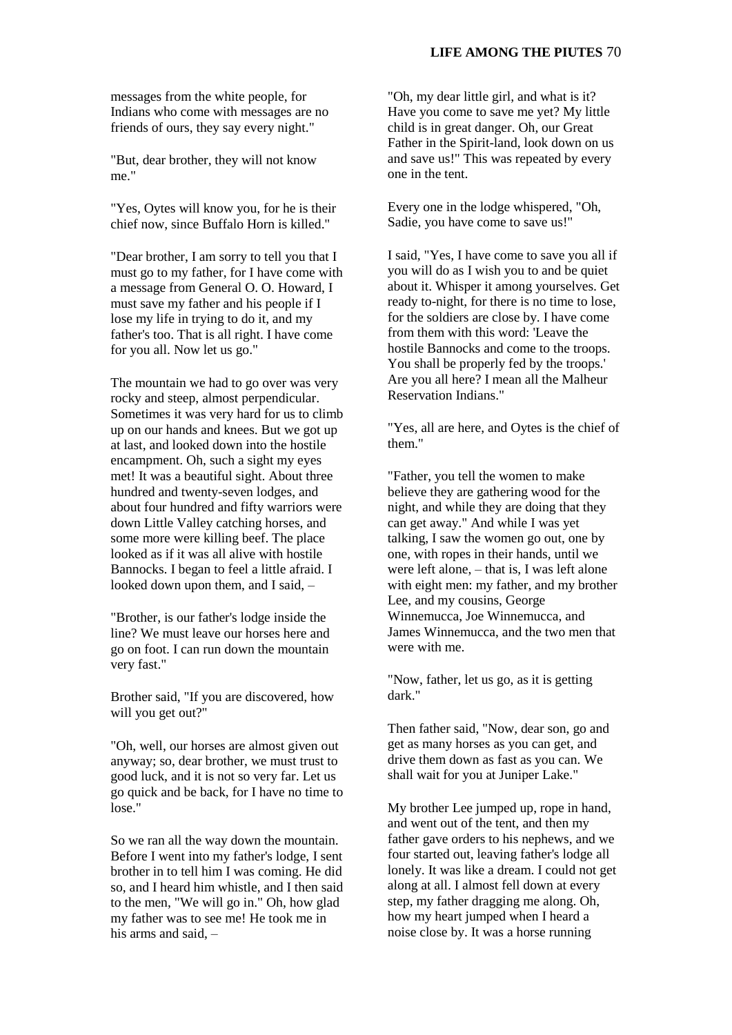messages from the white people, for Indians who come with messages are no friends of ours, they say every night."

"But, dear brother, they will not know me."

"Yes, Oytes will know you, for he is their chief now, since Buffalo Horn is killed."

"Dear brother, I am sorry to tell you that I must go to my father, for I have come with a message from General O. O. Howard, I must save my father and his people if I lose my life in trying to do it, and my father's too. That is all right. I have come for you all. Now let us go."

The mountain we had to go over was very rocky and steep, almost perpendicular. Sometimes it was very hard for us to climb up on our hands and knees. But we got up at last, and looked down into the hostile encampment. Oh, such a sight my eyes met! It was a beautiful sight. About three hundred and twenty-seven lodges, and about four hundred and fifty warriors were down Little Valley catching horses, and some more were killing beef. The place looked as if it was all alive with hostile Bannocks. I began to feel a little afraid. I looked down upon them, and I said, –

"Brother, is our father's lodge inside the line? We must leave our horses here and go on foot. I can run down the mountain very fast."

Brother said, "If you are discovered, how will you get out?"

"Oh, well, our horses are almost given out anyway; so, dear brother, we must trust to good luck, and it is not so very far. Let us go quick and be back, for I have no time to lose."

So we ran all the way down the mountain. Before I went into my father's lodge, I sent brother in to tell him I was coming. He did so, and I heard him whistle, and I then said to the men, "We will go in." Oh, how glad my father was to see me! He took me in his arms and said,  $-$ 

"Oh, my dear little girl, and what is it? Have you come to save me yet? My little child is in great danger. Oh, our Great Father in the Spirit-land, look down on us and save us!" This was repeated by every one in the tent.

Every one in the lodge whispered, "Oh, Sadie, you have come to save us!"

I said, "Yes, I have come to save you all if you will do as I wish you to and be quiet about it. Whisper it among yourselves. Get ready to-night, for there is no time to lose, for the soldiers are close by. I have come from them with this word: 'Leave the hostile Bannocks and come to the troops. You shall be properly fed by the troops.' Are you all here? I mean all the Malheur Reservation Indians."

"Yes, all are here, and Oytes is the chief of them."

"Father, you tell the women to make believe they are gathering wood for the night, and while they are doing that they can get away." And while I was yet talking, I saw the women go out, one by one, with ropes in their hands, until we were left alone, – that is, I was left alone with eight men: my father, and my brother Lee, and my cousins, George Winnemucca, Joe Winnemucca, and James Winnemucca, and the two men that were with me.

"Now, father, let us go, as it is getting dark."

Then father said, "Now, dear son, go and get as many horses as you can get, and drive them down as fast as you can. We shall wait for you at Juniper Lake."

My brother Lee jumped up, rope in hand, and went out of the tent, and then my father gave orders to his nephews, and we four started out, leaving father's lodge all lonely. It was like a dream. I could not get along at all. I almost fell down at every step, my father dragging me along. Oh, how my heart jumped when I heard a noise close by. It was a horse running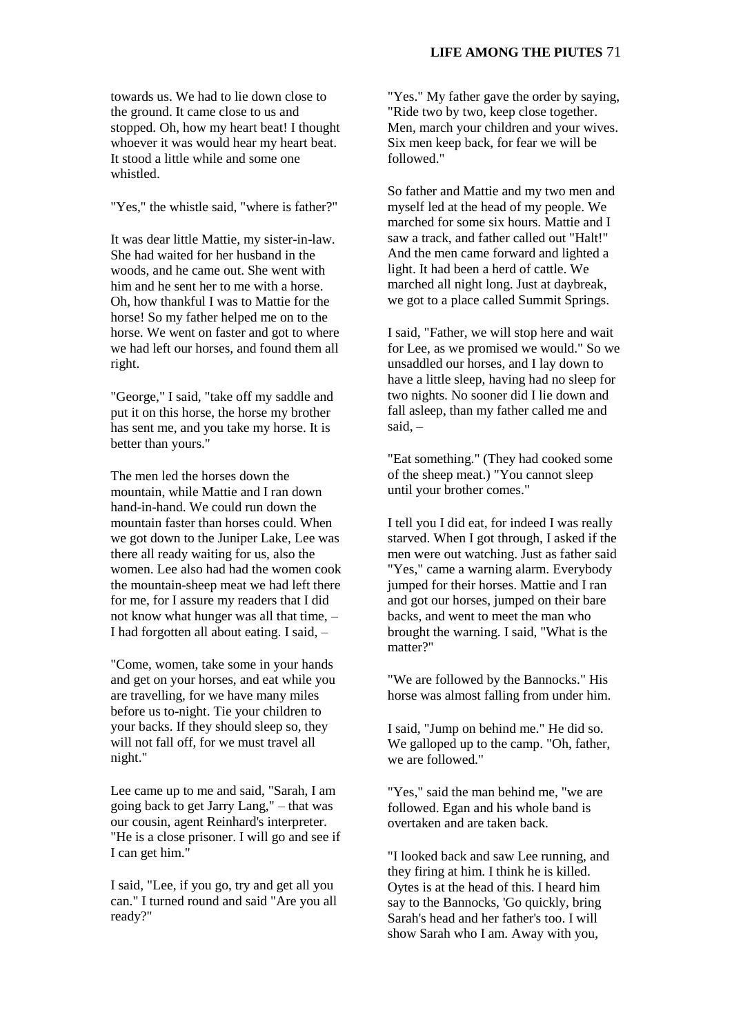towards us. We had to lie down close to the ground. It came close to us and stopped. Oh, how my heart beat! I thought whoever it was would hear my heart beat. It stood a little while and some one whistled.

"Yes," the whistle said, "where is father?"

It was dear little Mattie, my sister-in-law. She had waited for her husband in the woods, and he came out. She went with him and he sent her to me with a horse. Oh, how thankful I was to Mattie for the horse! So my father helped me on to the horse. We went on faster and got to where we had left our horses, and found them all right.

"George," I said, "take off my saddle and put it on this horse, the horse my brother has sent me, and you take my horse. It is better than yours."

The men led the horses down the mountain, while Mattie and I ran down hand-in-hand. We could run down the mountain faster than horses could. When we got down to the Juniper Lake, Lee was there all ready waiting for us, also the women. Lee also had had the women cook the mountain-sheep meat we had left there for me, for I assure my readers that I did not know what hunger was all that time, – I had forgotten all about eating. I said, –

"Come, women, take some in your hands and get on your horses, and eat while you are travelling, for we have many miles before us to-night. Tie your children to your backs. If they should sleep so, they will not fall off, for we must travel all night."

Lee came up to me and said, "Sarah, I am going back to get Jarry Lang," – that was our cousin, agent Reinhard's interpreter. "He is a close prisoner. I will go and see if I can get him."

I said, "Lee, if you go, try and get all you can." I turned round and said "Are you all ready?"

"Yes." My father gave the order by saying, "Ride two by two, keep close together. Men, march your children and your wives. Six men keep back, for fear we will be followed."

So father and Mattie and my two men and myself led at the head of my people. We marched for some six hours. Mattie and I saw a track, and father called out "Halt!" And the men came forward and lighted a light. It had been a herd of cattle. We marched all night long. Just at daybreak, we got to a place called Summit Springs.

I said, "Father, we will stop here and wait for Lee, as we promised we would." So we unsaddled our horses, and I lay down to have a little sleep, having had no sleep for two nights. No sooner did I lie down and fall asleep, than my father called me and said, –

"Eat something." (They had cooked some of the sheep meat.) "You cannot sleep until your brother comes."

I tell you I did eat, for indeed I was really starved. When I got through, I asked if the men were out watching. Just as father said "Yes," came a warning alarm. Everybody jumped for their horses. Mattie and I ran and got our horses, jumped on their bare backs, and went to meet the man who brought the warning. I said, "What is the matter?"

"We are followed by the Bannocks." His horse was almost falling from under him.

I said, "Jump on behind me." He did so. We galloped up to the camp. "Oh, father, we are followed."

"Yes," said the man behind me, "we are followed. Egan and his whole band is overtaken and are taken back.

"I looked back and saw Lee running, and they firing at him. I think he is killed. Oytes is at the head of this. I heard him say to the Bannocks, 'Go quickly, bring Sarah's head and her father's too. I will show Sarah who I am. Away with you,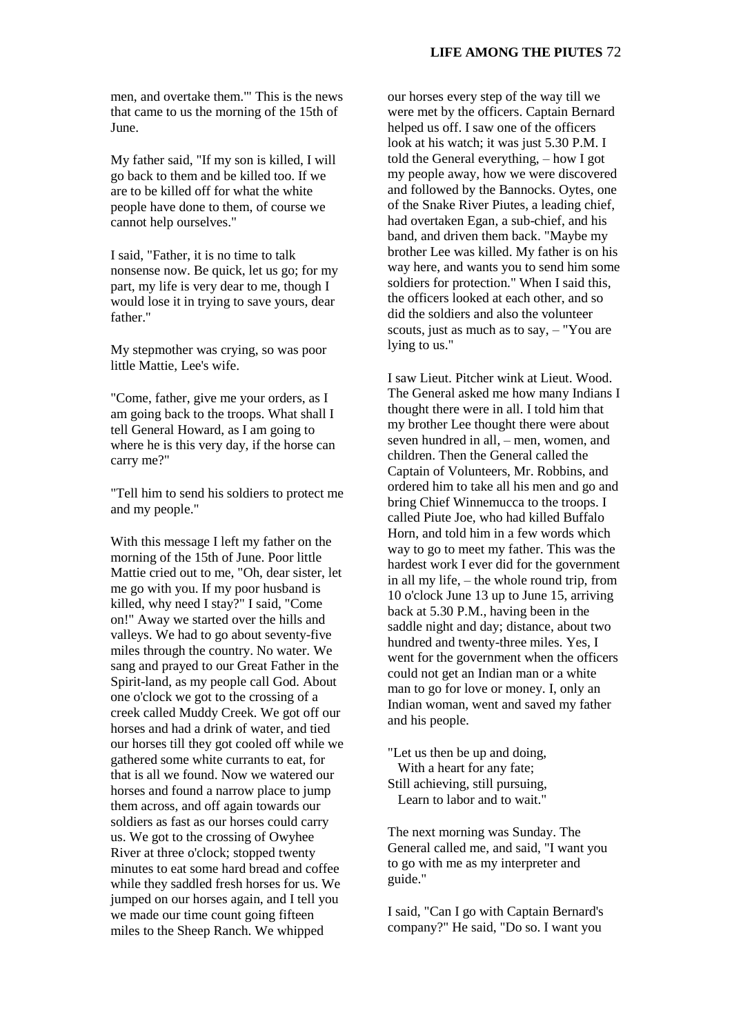men, and overtake them.'" This is the news that came to us the morning of the 15th of June.

My father said, "If my son is killed, I will go back to them and be killed too. If we are to be killed off for what the white people have done to them, of course we cannot help ourselves."

I said, "Father, it is no time to talk nonsense now. Be quick, let us go; for my part, my life is very dear to me, though I would lose it in trying to save yours, dear father."

My stepmother was crying, so was poor little Mattie, Lee's wife.

"Come, father, give me your orders, as I am going back to the troops. What shall I tell General Howard, as I am going to where he is this very day, if the horse can carry me?"

"Tell him to send his soldiers to protect me and my people."

With this message I left my father on the morning of the 15th of June. Poor little Mattie cried out to me, "Oh, dear sister, let me go with you. If my poor husband is killed, why need I stay?" I said, "Come on!" Away we started over the hills and valleys. We had to go about seventy-five miles through the country. No water. We sang and prayed to our Great Father in the Spirit-land, as my people call God. About one o'clock we got to the crossing of a creek called Muddy Creek. We got off our horses and had a drink of water, and tied our horses till they got cooled off while we gathered some white currants to eat, for that is all we found. Now we watered our horses and found a narrow place to jump them across, and off again towards our soldiers as fast as our horses could carry us. We got to the crossing of Owyhee River at three o'clock; stopped twenty minutes to eat some hard bread and coffee while they saddled fresh horses for us. We jumped on our horses again, and I tell you we made our time count going fifteen miles to the Sheep Ranch. We whipped

our horses every step of the way till we were met by the officers. Captain Bernard helped us off. I saw one of the officers look at his watch; it was just 5.30 P.M. I told the General everything, – how I got my people away, how we were discovered and followed by the Bannocks. Oytes, one of the Snake River Piutes, a leading chief, had overtaken Egan, a sub-chief, and his band, and driven them back. "Maybe my brother Lee was killed. My father is on his way here, and wants you to send him some soldiers for protection." When I said this, the officers looked at each other, and so did the soldiers and also the volunteer scouts, just as much as to say, – "You are lying to us."

I saw Lieut. Pitcher wink at Lieut. Wood. The General asked me how many Indians I thought there were in all. I told him that my brother Lee thought there were about seven hundred in all, – men, women, and children. Then the General called the Captain of Volunteers, Mr. Robbins, and ordered him to take all his men and go and bring Chief Winnemucca to the troops. I called Piute Joe, who had killed Buffalo Horn, and told him in a few words which way to go to meet my father. This was the hardest work I ever did for the government in all my life, – the whole round trip, from 10 o'clock June 13 up to June 15, arriving back at 5.30 P.M., having been in the saddle night and day; distance, about two hundred and twenty-three miles. Yes, I went for the government when the officers could not get an Indian man or a white man to go for love or money. I, only an Indian woman, went and saved my father and his people.

"Let us then be up and doing, With a heart for any fate; Still achieving, still pursuing, Learn to labor and to wait."

The next morning was Sunday. The General called me, and said, "I want you to go with me as my interpreter and guide."

I said, "Can I go with Captain Bernard's company?" He said, "Do so. I want you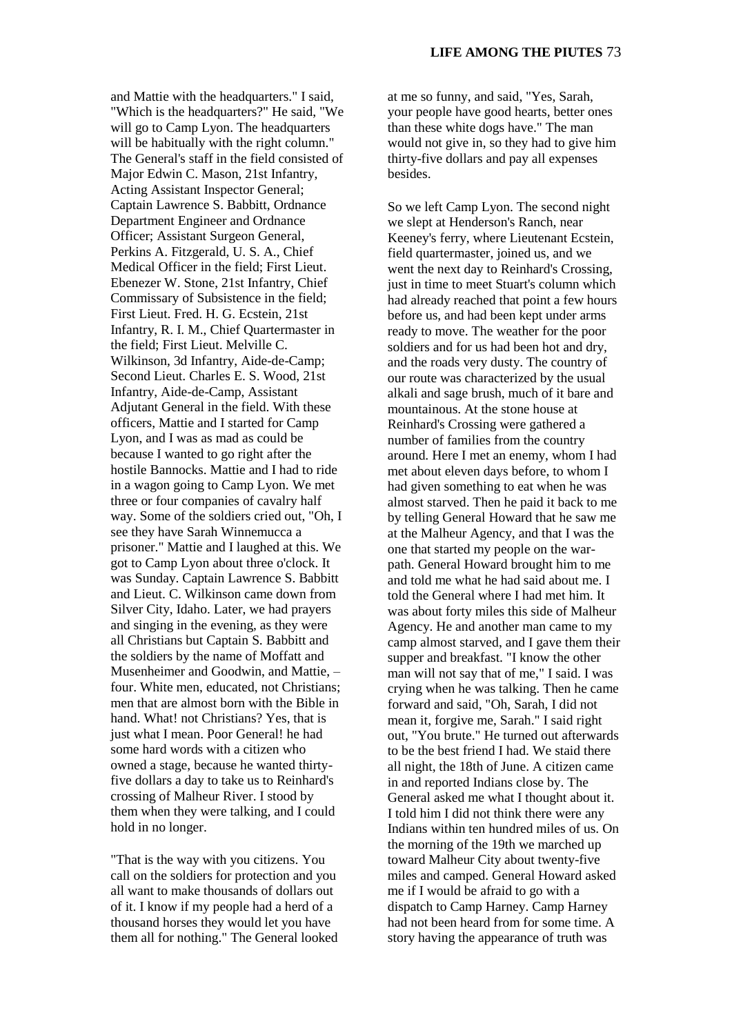and Mattie with the headquarters." I said, "Which is the headquarters?" He said, "We will go to Camp Lyon. The headquarters will be habitually with the right column." The General's staff in the field consisted of Major Edwin C. Mason, 21st Infantry, Acting Assistant Inspector General; Captain Lawrence S. Babbitt, Ordnance Department Engineer and Ordnance Officer; Assistant Surgeon General, Perkins A. Fitzgerald, U. S. A., Chief Medical Officer in the field; First Lieut. Ebenezer W. Stone, 21st Infantry, Chief Commissary of Subsistence in the field; First Lieut. Fred. H. G. Ecstein, 21st Infantry, R. I. M., Chief Quartermaster in the field; First Lieut. Melville C. Wilkinson, 3d Infantry, Aide-de-Camp; Second Lieut. Charles E. S. Wood, 21st Infantry, Aide-de-Camp, Assistant Adjutant General in the field. With these officers, Mattie and I started for Camp Lyon, and I was as mad as could be because I wanted to go right after the hostile Bannocks. Mattie and I had to ride in a wagon going to Camp Lyon. We met three or four companies of cavalry half way. Some of the soldiers cried out, "Oh, I see they have Sarah Winnemucca a prisoner." Mattie and I laughed at this. We got to Camp Lyon about three o'clock. It was Sunday. Captain Lawrence S. Babbitt and Lieut. C. Wilkinson came down from Silver City, Idaho. Later, we had prayers and singing in the evening, as they were all Christians but Captain S. Babbitt and the soldiers by the name of Moffatt and Musenheimer and Goodwin, and Mattie, – four. White men, educated, not Christians; men that are almost born with the Bible in hand. What! not Christians? Yes, that is just what I mean. Poor General! he had some hard words with a citizen who owned a stage, because he wanted thirtyfive dollars a day to take us to Reinhard's crossing of Malheur River. I stood by them when they were talking, and I could hold in no longer.

"That is the way with you citizens. You call on the soldiers for protection and you all want to make thousands of dollars out of it. I know if my people had a herd of a thousand horses they would let you have them all for nothing." The General looked at me so funny, and said, "Yes, Sarah, your people have good hearts, better ones than these white dogs have." The man would not give in, so they had to give him thirty-five dollars and pay all expenses besides.

So we left Camp Lyon. The second night we slept at Henderson's Ranch, near Keeney's ferry, where Lieutenant Ecstein, field quartermaster, joined us, and we went the next day to Reinhard's Crossing, just in time to meet Stuart's column which had already reached that point a few hours before us, and had been kept under arms ready to move. The weather for the poor soldiers and for us had been hot and dry, and the roads very dusty. The country of our route was characterized by the usual alkali and sage brush, much of it bare and mountainous. At the stone house at Reinhard's Crossing were gathered a number of families from the country around. Here I met an enemy, whom I had met about eleven days before, to whom I had given something to eat when he was almost starved. Then he paid it back to me by telling General Howard that he saw me at the Malheur Agency, and that I was the one that started my people on the warpath. General Howard brought him to me and told me what he had said about me. I told the General where I had met him. It was about forty miles this side of Malheur Agency. He and another man came to my camp almost starved, and I gave them their supper and breakfast. "I know the other man will not say that of me," I said. I was crying when he was talking. Then he came forward and said, "Oh, Sarah, I did not mean it, forgive me, Sarah." I said right out, "You brute." He turned out afterwards to be the best friend I had. We staid there all night, the 18th of June. A citizen came in and reported Indians close by. The General asked me what I thought about it. I told him I did not think there were any Indians within ten hundred miles of us. On the morning of the 19th we marched up toward Malheur City about twenty-five miles and camped. General Howard asked me if I would be afraid to go with a dispatch to Camp Harney. Camp Harney had not been heard from for some time. A story having the appearance of truth was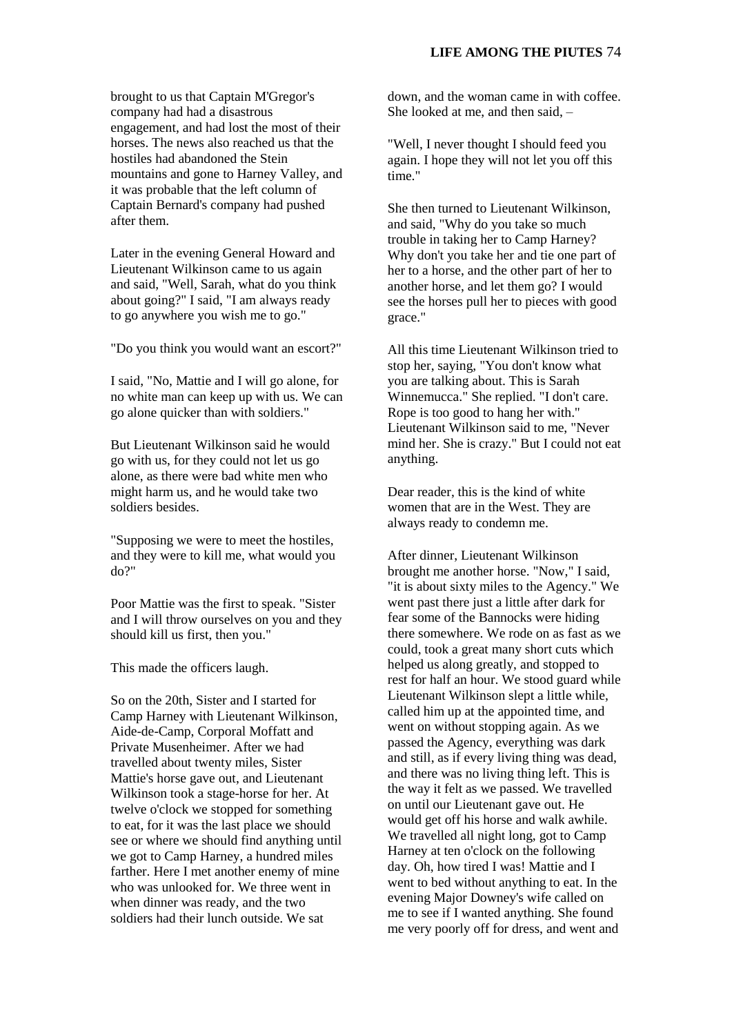brought to us that Captain M'Gregor's company had had a disastrous engagement, and had lost the most of their horses. The news also reached us that the hostiles had abandoned the Stein mountains and gone to Harney Valley, and it was probable that the left column of Captain Bernard's company had pushed after them.

Later in the evening General Howard and Lieutenant Wilkinson came to us again and said, "Well, Sarah, what do you think about going?" I said, "I am always ready to go anywhere you wish me to go."

"Do you think you would want an escort?"

I said, "No, Mattie and I will go alone, for no white man can keep up with us. We can go alone quicker than with soldiers."

But Lieutenant Wilkinson said he would go with us, for they could not let us go alone, as there were bad white men who might harm us, and he would take two soldiers besides.

"Supposing we were to meet the hostiles, and they were to kill me, what would you do?"

Poor Mattie was the first to speak. "Sister and I will throw ourselves on you and they should kill us first, then you."

This made the officers laugh.

So on the 20th, Sister and I started for Camp Harney with Lieutenant Wilkinson, Aide-de-Camp, Corporal Moffatt and Private Musenheimer. After we had travelled about twenty miles, Sister Mattie's horse gave out, and Lieutenant Wilkinson took a stage-horse for her. At twelve o'clock we stopped for something to eat, for it was the last place we should see or where we should find anything until we got to Camp Harney, a hundred miles farther. Here I met another enemy of mine who was unlooked for. We three went in when dinner was ready, and the two soldiers had their lunch outside. We sat

down, and the woman came in with coffee. She looked at me, and then said, –

"Well, I never thought I should feed you again. I hope they will not let you off this time."

She then turned to Lieutenant Wilkinson, and said, "Why do you take so much trouble in taking her to Camp Harney? Why don't you take her and tie one part of her to a horse, and the other part of her to another horse, and let them go? I would see the horses pull her to pieces with good grace."

All this time Lieutenant Wilkinson tried to stop her, saying, "You don't know what you are talking about. This is Sarah Winnemucca." She replied. "I don't care. Rope is too good to hang her with." Lieutenant Wilkinson said to me, "Never mind her. She is crazy." But I could not eat anything.

Dear reader, this is the kind of white women that are in the West. They are always ready to condemn me.

After dinner, Lieutenant Wilkinson brought me another horse. "Now," I said, "it is about sixty miles to the Agency." We went past there just a little after dark for fear some of the Bannocks were hiding there somewhere. We rode on as fast as we could, took a great many short cuts which helped us along greatly, and stopped to rest for half an hour. We stood guard while Lieutenant Wilkinson slept a little while, called him up at the appointed time, and went on without stopping again. As we passed the Agency, everything was dark and still, as if every living thing was dead, and there was no living thing left. This is the way it felt as we passed. We travelled on until our Lieutenant gave out. He would get off his horse and walk awhile. We travelled all night long, got to Camp Harney at ten o'clock on the following day. Oh, how tired I was! Mattie and I went to bed without anything to eat. In the evening Major Downey's wife called on me to see if I wanted anything. She found me very poorly off for dress, and went and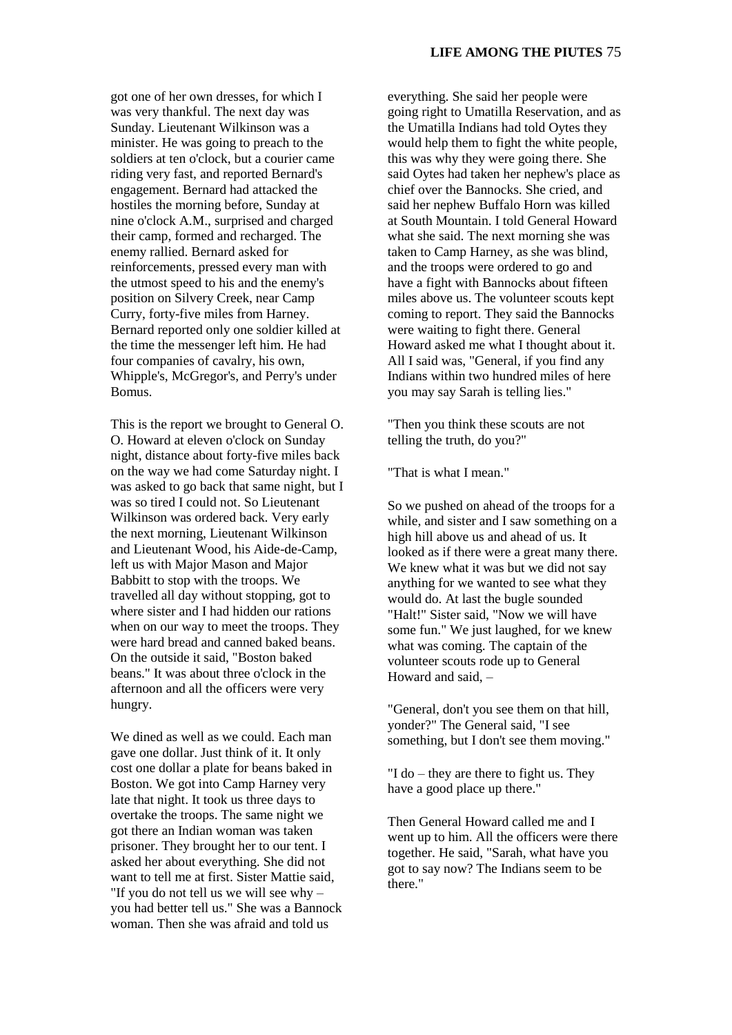got one of her own dresses, for which I was very thankful. The next day was Sunday. Lieutenant Wilkinson was a minister. He was going to preach to the soldiers at ten o'clock, but a courier came riding very fast, and reported Bernard's engagement. Bernard had attacked the hostiles the morning before, Sunday at nine o'clock A.M., surprised and charged their camp, formed and recharged. The enemy rallied. Bernard asked for reinforcements, pressed every man with the utmost speed to his and the enemy's position on Silvery Creek, near Camp Curry, forty-five miles from Harney. Bernard reported only one soldier killed at the time the messenger left him. He had four companies of cavalry, his own, Whipple's, McGregor's, and Perry's under Bomus.

This is the report we brought to General O. O. Howard at eleven o'clock on Sunday night, distance about forty-five miles back on the way we had come Saturday night. I was asked to go back that same night, but I was so tired I could not. So Lieutenant Wilkinson was ordered back. Very early the next morning, Lieutenant Wilkinson and Lieutenant Wood, his Aide-de-Camp, left us with Major Mason and Major Babbitt to stop with the troops. We travelled all day without stopping, got to where sister and I had hidden our rations when on our way to meet the troops. They were hard bread and canned baked beans. On the outside it said, "Boston baked beans." It was about three o'clock in the afternoon and all the officers were very hungry.

We dined as well as we could. Each man gave one dollar. Just think of it. It only cost one dollar a plate for beans baked in Boston. We got into Camp Harney very late that night. It took us three days to overtake the troops. The same night we got there an Indian woman was taken prisoner. They brought her to our tent. I asked her about everything. She did not want to tell me at first. Sister Mattie said, "If you do not tell us we will see why – you had better tell us." She was a Bannock woman. Then she was afraid and told us

everything. She said her people were going right to Umatilla Reservation, and as the Umatilla Indians had told Oytes they would help them to fight the white people, this was why they were going there. She said Oytes had taken her nephew's place as chief over the Bannocks. She cried, and said her nephew Buffalo Horn was killed at South Mountain. I told General Howard what she said. The next morning she was taken to Camp Harney, as she was blind, and the troops were ordered to go and have a fight with Bannocks about fifteen miles above us. The volunteer scouts kept coming to report. They said the Bannocks were waiting to fight there. General Howard asked me what I thought about it. All I said was, "General, if you find any Indians within two hundred miles of here you may say Sarah is telling lies."

"Then you think these scouts are not telling the truth, do you?"

"That is what I mean."

So we pushed on ahead of the troops for a while, and sister and I saw something on a high hill above us and ahead of us. It looked as if there were a great many there. We knew what it was but we did not say anything for we wanted to see what they would do. At last the bugle sounded "Halt!" Sister said, "Now we will have some fun." We just laughed, for we knew what was coming. The captain of the volunteer scouts rode up to General Howard and said, –

"General, don't you see them on that hill, yonder?" The General said, "I see something, but I don't see them moving."

"I do – they are there to fight us. They have a good place up there."

Then General Howard called me and I went up to him. All the officers were there together. He said, "Sarah, what have you got to say now? The Indians seem to be there."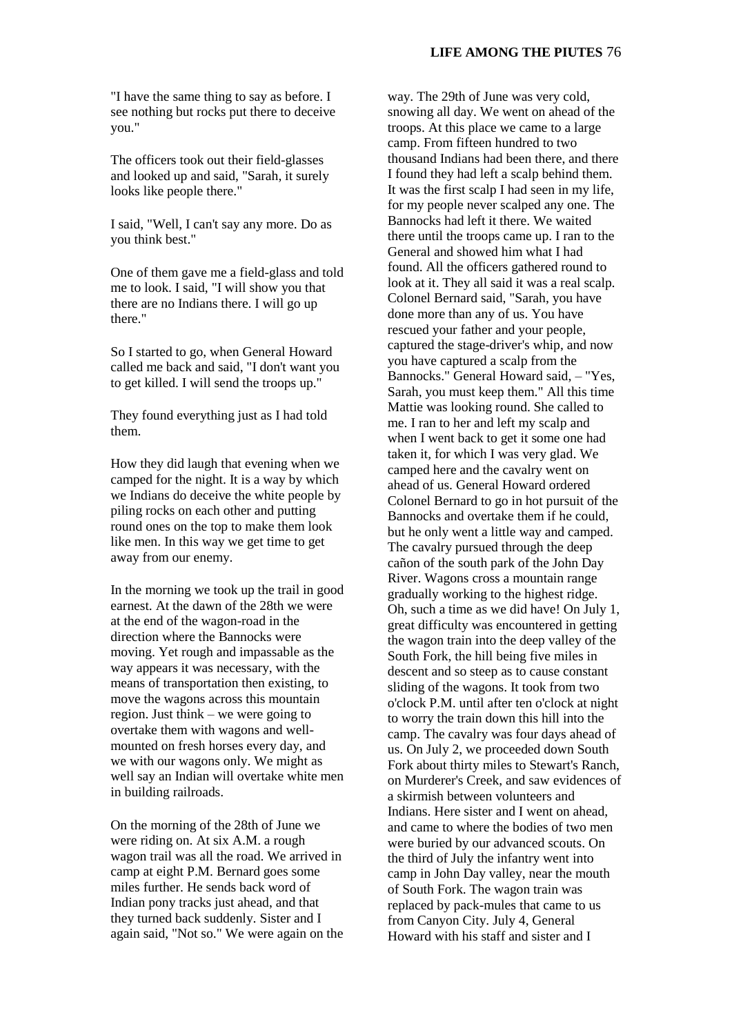"I have the same thing to say as before. I see nothing but rocks put there to deceive you."

The officers took out their field-glasses and looked up and said, "Sarah, it surely looks like people there."

I said, "Well, I can't say any more. Do as you think best."

One of them gave me a field-glass and told me to look. I said, "I will show you that there are no Indians there. I will go up there."

So I started to go, when General Howard called me back and said, "I don't want you to get killed. I will send the troops up."

They found everything just as I had told them.

How they did laugh that evening when we camped for the night. It is a way by which we Indians do deceive the white people by piling rocks on each other and putting round ones on the top to make them look like men. In this way we get time to get away from our enemy.

In the morning we took up the trail in good earnest. At the dawn of the 28th we were at the end of the wagon-road in the direction where the Bannocks were moving. Yet rough and impassable as the way appears it was necessary, with the means of transportation then existing, to move the wagons across this mountain region. Just think – we were going to overtake them with wagons and wellmounted on fresh horses every day, and we with our wagons only. We might as well say an Indian will overtake white men in building railroads.

On the morning of the 28th of June we were riding on. At six A.M. a rough wagon trail was all the road. We arrived in camp at eight P.M. Bernard goes some miles further. He sends back word of Indian pony tracks just ahead, and that they turned back suddenly. Sister and I again said, "Not so." We were again on the way. The 29th of June was very cold, snowing all day. We went on ahead of the troops. At this place we came to a large camp. From fifteen hundred to two thousand Indians had been there, and there I found they had left a scalp behind them. It was the first scalp I had seen in my life, for my people never scalped any one. The Bannocks had left it there. We waited there until the troops came up. I ran to the General and showed him what I had found. All the officers gathered round to look at it. They all said it was a real scalp. Colonel Bernard said, "Sarah, you have done more than any of us. You have rescued your father and your people, captured the stage-driver's whip, and now you have captured a scalp from the Bannocks." General Howard said, – "Yes, Sarah, you must keep them." All this time Mattie was looking round. She called to me. I ran to her and left my scalp and when I went back to get it some one had taken it, for which I was very glad. We camped here and the cavalry went on ahead of us. General Howard ordered Colonel Bernard to go in hot pursuit of the Bannocks and overtake them if he could, but he only went a little way and camped. The cavalry pursued through the deep cañon of the south park of the John Day River. Wagons cross a mountain range gradually working to the highest ridge. Oh, such a time as we did have! On July 1, great difficulty was encountered in getting the wagon train into the deep valley of the South Fork, the hill being five miles in descent and so steep as to cause constant sliding of the wagons. It took from two o'clock P.M. until after ten o'clock at night to worry the train down this hill into the camp. The cavalry was four days ahead of us. On July 2, we proceeded down South Fork about thirty miles to Stewart's Ranch, on Murderer's Creek, and saw evidences of a skirmish between volunteers and Indians. Here sister and I went on ahead, and came to where the bodies of two men were buried by our advanced scouts. On the third of July the infantry went into camp in John Day valley, near the mouth of South Fork. The wagon train was replaced by pack-mules that came to us from Canyon City. July 4, General Howard with his staff and sister and I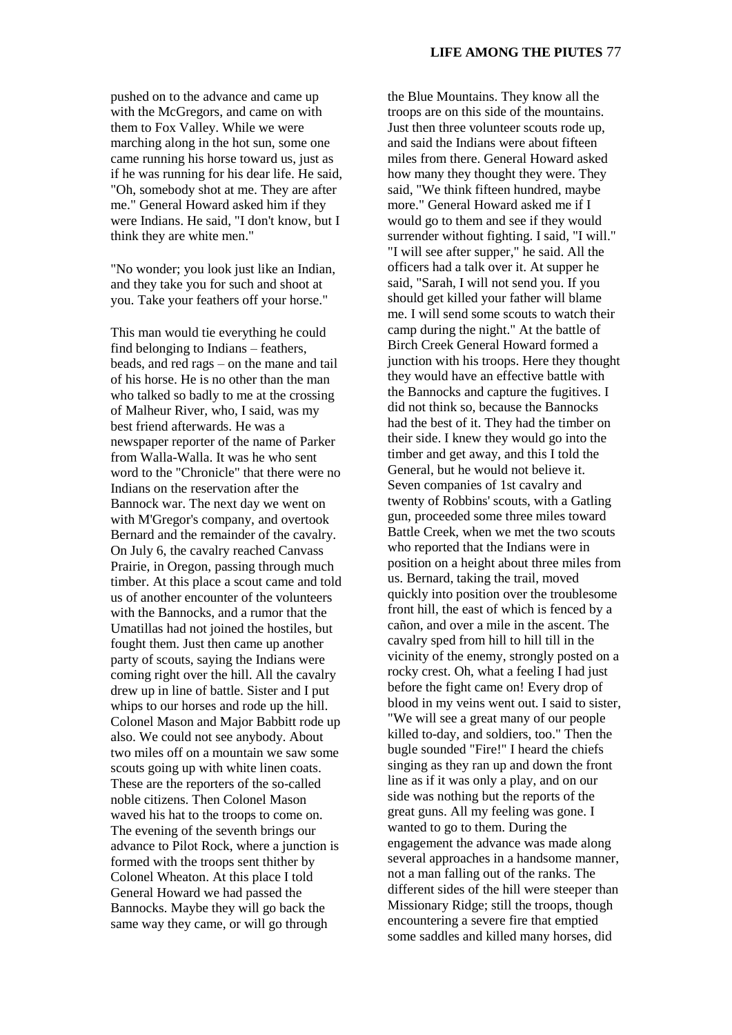pushed on to the advance and came up with the McGregors, and came on with them to Fox Valley. While we were marching along in the hot sun, some one came running his horse toward us, just as if he was running for his dear life. He said, "Oh, somebody shot at me. They are after me." General Howard asked him if they were Indians. He said, "I don't know, but I think they are white men."

"No wonder; you look just like an Indian, and they take you for such and shoot at you. Take your feathers off your horse."

This man would tie everything he could find belonging to Indians – feathers, beads, and red rags – on the mane and tail of his horse. He is no other than the man who talked so badly to me at the crossing of Malheur River, who, I said, was my best friend afterwards. He was a newspaper reporter of the name of Parker from Walla-Walla. It was he who sent word to the "Chronicle" that there were no Indians on the reservation after the Bannock war. The next day we went on with M'Gregor's company, and overtook Bernard and the remainder of the cavalry. On July 6, the cavalry reached Canvass Prairie, in Oregon, passing through much timber. At this place a scout came and told us of another encounter of the volunteers with the Bannocks, and a rumor that the Umatillas had not joined the hostiles, but fought them. Just then came up another party of scouts, saying the Indians were coming right over the hill. All the cavalry drew up in line of battle. Sister and I put whips to our horses and rode up the hill. Colonel Mason and Major Babbitt rode up also. We could not see anybody. About two miles off on a mountain we saw some scouts going up with white linen coats. These are the reporters of the so-called noble citizens. Then Colonel Mason waved his hat to the troops to come on. The evening of the seventh brings our advance to Pilot Rock, where a junction is formed with the troops sent thither by Colonel Wheaton. At this place I told General Howard we had passed the Bannocks. Maybe they will go back the same way they came, or will go through

the Blue Mountains. They know all the troops are on this side of the mountains. Just then three volunteer scouts rode up, and said the Indians were about fifteen miles from there. General Howard asked how many they thought they were. They said, "We think fifteen hundred, maybe more." General Howard asked me if I would go to them and see if they would surrender without fighting. I said, "I will." "I will see after supper," he said. All the officers had a talk over it. At supper he said, "Sarah, I will not send you. If you should get killed your father will blame me. I will send some scouts to watch their camp during the night." At the battle of Birch Creek General Howard formed a junction with his troops. Here they thought they would have an effective battle with the Bannocks and capture the fugitives. I did not think so, because the Bannocks had the best of it. They had the timber on their side. I knew they would go into the timber and get away, and this I told the General, but he would not believe it. Seven companies of 1st cavalry and twenty of Robbins' scouts, with a Gatling gun, proceeded some three miles toward Battle Creek, when we met the two scouts who reported that the Indians were in position on a height about three miles from us. Bernard, taking the trail, moved quickly into position over the troublesome front hill, the east of which is fenced by a cañon, and over a mile in the ascent. The cavalry sped from hill to hill till in the vicinity of the enemy, strongly posted on a rocky crest. Oh, what a feeling I had just before the fight came on! Every drop of blood in my veins went out. I said to sister, "We will see a great many of our people killed to-day, and soldiers, too." Then the bugle sounded "Fire!" I heard the chiefs singing as they ran up and down the front line as if it was only a play, and on our side was nothing but the reports of the great guns. All my feeling was gone. I wanted to go to them. During the engagement the advance was made along several approaches in a handsome manner, not a man falling out of the ranks. The different sides of the hill were steeper than Missionary Ridge; still the troops, though encountering a severe fire that emptied some saddles and killed many horses, did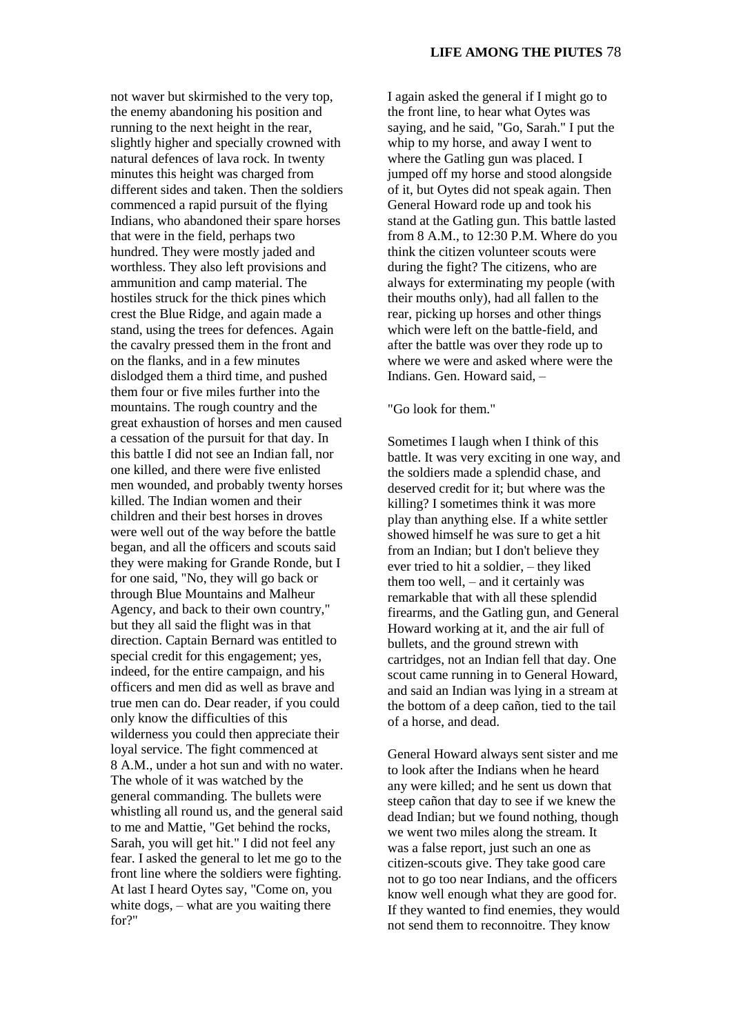not waver but skirmished to the very top, the enemy abandoning his position and running to the next height in the rear, slightly higher and specially crowned with natural defences of lava rock. In twenty minutes this height was charged from different sides and taken. Then the soldiers commenced a rapid pursuit of the flying Indians, who abandoned their spare horses that were in the field, perhaps two hundred. They were mostly jaded and worthless. They also left provisions and ammunition and camp material. The hostiles struck for the thick pines which crest the Blue Ridge, and again made a stand, using the trees for defences. Again the cavalry pressed them in the front and on the flanks, and in a few minutes dislodged them a third time, and pushed them four or five miles further into the mountains. The rough country and the great exhaustion of horses and men caused a cessation of the pursuit for that day. In this battle I did not see an Indian fall, nor one killed, and there were five enlisted men wounded, and probably twenty horses killed. The Indian women and their children and their best horses in droves were well out of the way before the battle began, and all the officers and scouts said they were making for Grande Ronde, but I for one said, "No, they will go back or through Blue Mountains and Malheur Agency, and back to their own country," but they all said the flight was in that direction. Captain Bernard was entitled to special credit for this engagement; yes, indeed, for the entire campaign, and his officers and men did as well as brave and true men can do. Dear reader, if you could only know the difficulties of this wilderness you could then appreciate their loyal service. The fight commenced at 8 A.M., under a hot sun and with no water. The whole of it was watched by the general commanding. The bullets were whistling all round us, and the general said to me and Mattie, "Get behind the rocks, Sarah, you will get hit." I did not feel any fear. I asked the general to let me go to the front line where the soldiers were fighting. At last I heard Oytes say, "Come on, you white dogs, – what are you waiting there for?"

I again asked the general if I might go to the front line, to hear what Oytes was saying, and he said, "Go, Sarah." I put the whip to my horse, and away I went to where the Gatling gun was placed. I jumped off my horse and stood alongside of it, but Oytes did not speak again. Then General Howard rode up and took his stand at the Gatling gun. This battle lasted from 8 A.M., to 12:30 P.M. Where do you think the citizen volunteer scouts were during the fight? The citizens, who are always for exterminating my people (with their mouths only), had all fallen to the rear, picking up horses and other things which were left on the battle-field, and after the battle was over they rode up to where we were and asked where were the Indians. Gen. Howard said, –

#### "Go look for them."

Sometimes I laugh when I think of this battle. It was very exciting in one way, and the soldiers made a splendid chase, and deserved credit for it; but where was the killing? I sometimes think it was more play than anything else. If a white settler showed himself he was sure to get a hit from an Indian; but I don't believe they ever tried to hit a soldier, – they liked them too well, – and it certainly was remarkable that with all these splendid firearms, and the Gatling gun, and General Howard working at it, and the air full of bullets, and the ground strewn with cartridges, not an Indian fell that day. One scout came running in to General Howard, and said an Indian was lying in a stream at the bottom of a deep cañon, tied to the tail of a horse, and dead.

General Howard always sent sister and me to look after the Indians when he heard any were killed; and he sent us down that steep cañon that day to see if we knew the dead Indian; but we found nothing, though we went two miles along the stream. It was a false report, just such an one as citizen-scouts give. They take good care not to go too near Indians, and the officers know well enough what they are good for. If they wanted to find enemies, they would not send them to reconnoitre. They know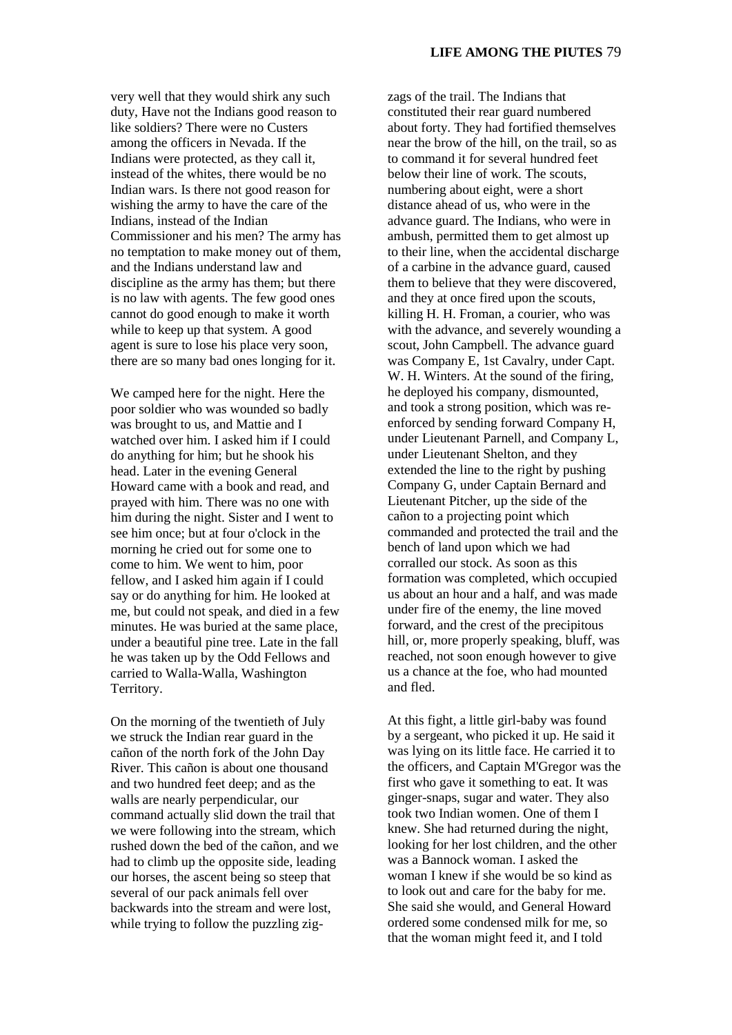very well that they would shirk any such duty, Have not the Indians good reason to like soldiers? There were no Custers among the officers in Nevada. If the Indians were protected, as they call it, instead of the whites, there would be no Indian wars. Is there not good reason for wishing the army to have the care of the Indians, instead of the Indian Commissioner and his men? The army has no temptation to make money out of them, and the Indians understand law and discipline as the army has them; but there is no law with agents. The few good ones cannot do good enough to make it worth while to keep up that system. A good agent is sure to lose his place very soon, there are so many bad ones longing for it.

We camped here for the night. Here the poor soldier who was wounded so badly was brought to us, and Mattie and I watched over him. I asked him if I could do anything for him; but he shook his head. Later in the evening General Howard came with a book and read, and prayed with him. There was no one with him during the night. Sister and I went to see him once; but at four o'clock in the morning he cried out for some one to come to him. We went to him, poor fellow, and I asked him again if I could say or do anything for him. He looked at me, but could not speak, and died in a few minutes. He was buried at the same place, under a beautiful pine tree. Late in the fall he was taken up by the Odd Fellows and carried to Walla-Walla, Washington Territory.

On the morning of the twentieth of July we struck the Indian rear guard in the cañon of the north fork of the John Day River. This cañon is about one thousand and two hundred feet deep; and as the walls are nearly perpendicular, our command actually slid down the trail that we were following into the stream, which rushed down the bed of the cañon, and we had to climb up the opposite side, leading our horses, the ascent being so steep that several of our pack animals fell over backwards into the stream and were lost, while trying to follow the puzzling zig-

zags of the trail. The Indians that constituted their rear guard numbered about forty. They had fortified themselves near the brow of the hill, on the trail, so as to command it for several hundred feet below their line of work. The scouts, numbering about eight, were a short distance ahead of us, who were in the advance guard. The Indians, who were in ambush, permitted them to get almost up to their line, when the accidental discharge of a carbine in the advance guard, caused them to believe that they were discovered, and they at once fired upon the scouts, killing H. H. Froman, a courier, who was with the advance, and severely wounding a scout, John Campbell. The advance guard was Company E, 1st Cavalry, under Capt. W. H. Winters. At the sound of the firing, he deployed his company, dismounted, and took a strong position, which was reenforced by sending forward Company H, under Lieutenant Parnell, and Company L, under Lieutenant Shelton, and they extended the line to the right by pushing Company G, under Captain Bernard and Lieutenant Pitcher, up the side of the cañon to a projecting point which commanded and protected the trail and the bench of land upon which we had corralled our stock. As soon as this formation was completed, which occupied us about an hour and a half, and was made under fire of the enemy, the line moved forward, and the crest of the precipitous hill, or, more properly speaking, bluff, was reached, not soon enough however to give us a chance at the foe, who had mounted and fled.

At this fight, a little girl-baby was found by a sergeant, who picked it up. He said it was lying on its little face. He carried it to the officers, and Captain M'Gregor was the first who gave it something to eat. It was ginger-snaps, sugar and water. They also took two Indian women. One of them I knew. She had returned during the night, looking for her lost children, and the other was a Bannock woman. I asked the woman I knew if she would be so kind as to look out and care for the baby for me. She said she would, and General Howard ordered some condensed milk for me, so that the woman might feed it, and I told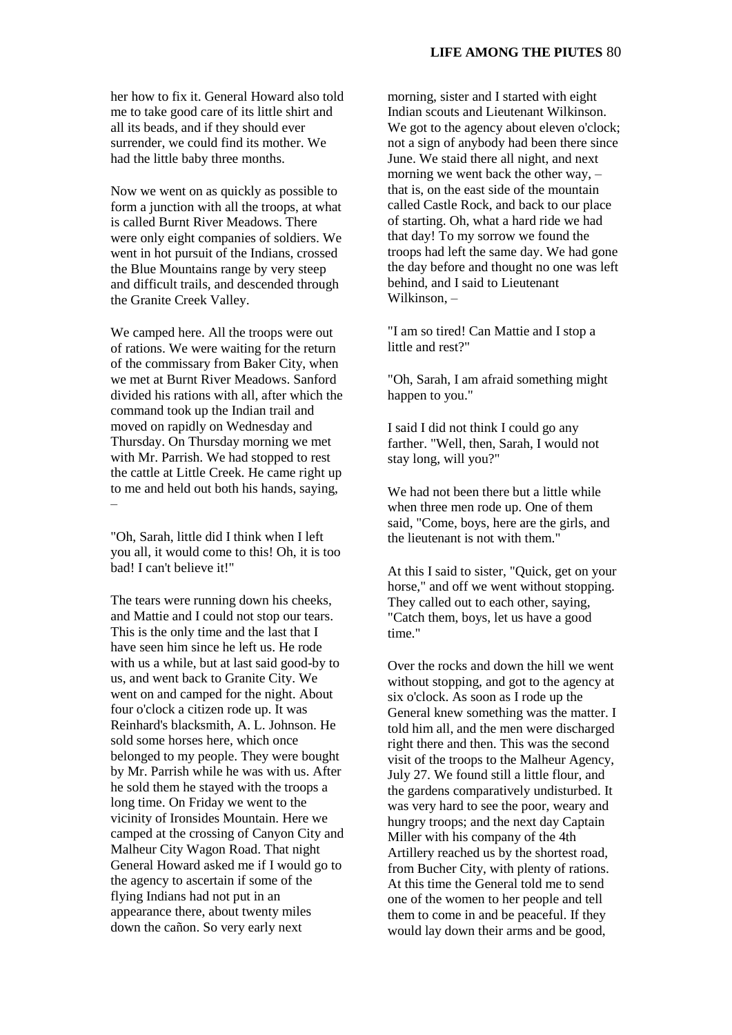her how to fix it. General Howard also told me to take good care of its little shirt and all its beads, and if they should ever surrender, we could find its mother. We had the little baby three months.

Now we went on as quickly as possible to form a junction with all the troops, at what is called Burnt River Meadows. There were only eight companies of soldiers. We went in hot pursuit of the Indians, crossed the Blue Mountains range by very steep and difficult trails, and descended through the Granite Creek Valley.

We camped here. All the troops were out of rations. We were waiting for the return of the commissary from Baker City, when we met at Burnt River Meadows. Sanford divided his rations with all, after which the command took up the Indian trail and moved on rapidly on Wednesday and Thursday. On Thursday morning we met with Mr. Parrish. We had stopped to rest the cattle at Little Creek. He came right up to me and held out both his hands, saying, –

"Oh, Sarah, little did I think when I left you all, it would come to this! Oh, it is too bad! I can't believe it!"

The tears were running down his cheeks, and Mattie and I could not stop our tears. This is the only time and the last that I have seen him since he left us. He rode with us a while, but at last said good-by to us, and went back to Granite City. We went on and camped for the night. About four o'clock a citizen rode up. It was Reinhard's blacksmith, A. L. Johnson. He sold some horses here, which once belonged to my people. They were bought by Mr. Parrish while he was with us. After he sold them he stayed with the troops a long time. On Friday we went to the vicinity of Ironsides Mountain. Here we camped at the crossing of Canyon City and Malheur City Wagon Road. That night General Howard asked me if I would go to the agency to ascertain if some of the flying Indians had not put in an appearance there, about twenty miles down the cañon. So very early next

morning, sister and I started with eight Indian scouts and Lieutenant Wilkinson. We got to the agency about eleven o'clock; not a sign of anybody had been there since June. We staid there all night, and next morning we went back the other way, – that is, on the east side of the mountain called Castle Rock, and back to our place of starting. Oh, what a hard ride we had that day! To my sorrow we found the troops had left the same day. We had gone the day before and thought no one was left behind, and I said to Lieutenant Wilkinson, –

"I am so tired! Can Mattie and I stop a little and rest?"

"Oh, Sarah, I am afraid something might happen to you."

I said I did not think I could go any farther. "Well, then, Sarah, I would not stay long, will you?"

We had not been there but a little while when three men rode up. One of them said, "Come, boys, here are the girls, and the lieutenant is not with them."

At this I said to sister, "Quick, get on your horse," and off we went without stopping. They called out to each other, saying, "Catch them, boys, let us have a good time."

Over the rocks and down the hill we went without stopping, and got to the agency at six o'clock. As soon as I rode up the General knew something was the matter. I told him all, and the men were discharged right there and then. This was the second visit of the troops to the Malheur Agency, July 27. We found still a little flour, and the gardens comparatively undisturbed. It was very hard to see the poor, weary and hungry troops; and the next day Captain Miller with his company of the 4th Artillery reached us by the shortest road, from Bucher City, with plenty of rations. At this time the General told me to send one of the women to her people and tell them to come in and be peaceful. If they would lay down their arms and be good,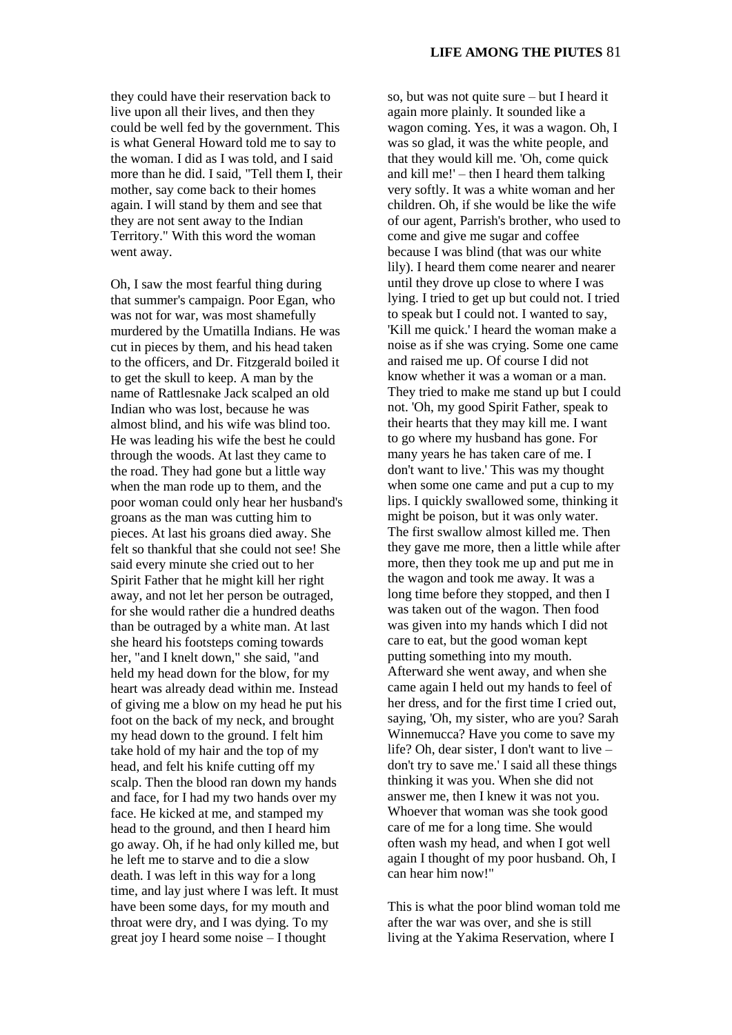they could have their reservation back to live upon all their lives, and then they could be well fed by the government. This is what General Howard told me to say to the woman. I did as I was told, and I said more than he did. I said, "Tell them I, their mother, say come back to their homes again. I will stand by them and see that they are not sent away to the Indian Territory." With this word the woman went away.

Oh, I saw the most fearful thing during that summer's campaign. Poor Egan, who was not for war, was most shamefully murdered by the Umatilla Indians. He was cut in pieces by them, and his head taken to the officers, and Dr. Fitzgerald boiled it to get the skull to keep. A man by the name of Rattlesnake Jack scalped an old Indian who was lost, because he was almost blind, and his wife was blind too. He was leading his wife the best he could through the woods. At last they came to the road. They had gone but a little way when the man rode up to them, and the poor woman could only hear her husband's groans as the man was cutting him to pieces. At last his groans died away. She felt so thankful that she could not see! She said every minute she cried out to her Spirit Father that he might kill her right away, and not let her person be outraged, for she would rather die a hundred deaths than be outraged by a white man. At last she heard his footsteps coming towards her, "and I knelt down," she said, "and held my head down for the blow, for my heart was already dead within me. Instead of giving me a blow on my head he put his foot on the back of my neck, and brought my head down to the ground. I felt him take hold of my hair and the top of my head, and felt his knife cutting off my scalp. Then the blood ran down my hands and face, for I had my two hands over my face. He kicked at me, and stamped my head to the ground, and then I heard him go away. Oh, if he had only killed me, but he left me to starve and to die a slow death. I was left in this way for a long time, and lay just where I was left. It must have been some days, for my mouth and throat were dry, and I was dying. To my great joy I heard some noise – I thought

so, but was not quite sure – but I heard it again more plainly. It sounded like a wagon coming. Yes, it was a wagon. Oh, I was so glad, it was the white people, and that they would kill me. 'Oh, come quick and kill me!' – then I heard them talking very softly. It was a white woman and her children. Oh, if she would be like the wife of our agent, Parrish's brother, who used to come and give me sugar and coffee because I was blind (that was our white lily). I heard them come nearer and nearer until they drove up close to where I was lying. I tried to get up but could not. I tried to speak but I could not. I wanted to say, 'Kill me quick.' I heard the woman make a noise as if she was crying. Some one came and raised me up. Of course I did not know whether it was a woman or a man. They tried to make me stand up but I could not. 'Oh, my good Spirit Father, speak to their hearts that they may kill me. I want to go where my husband has gone. For many years he has taken care of me. I don't want to live.' This was my thought when some one came and put a cup to my lips. I quickly swallowed some, thinking it might be poison, but it was only water. The first swallow almost killed me. Then they gave me more, then a little while after more, then they took me up and put me in the wagon and took me away. It was a long time before they stopped, and then I was taken out of the wagon. Then food was given into my hands which I did not care to eat, but the good woman kept putting something into my mouth. Afterward she went away, and when she came again I held out my hands to feel of her dress, and for the first time I cried out, saying, 'Oh, my sister, who are you? Sarah Winnemucca? Have you come to save my life? Oh, dear sister, I don't want to live – don't try to save me.' I said all these things thinking it was you. When she did not answer me, then I knew it was not you. Whoever that woman was she took good care of me for a long time. She would often wash my head, and when I got well again I thought of my poor husband. Oh, I can hear him now!"

This is what the poor blind woman told me after the war was over, and she is still living at the Yakima Reservation, where I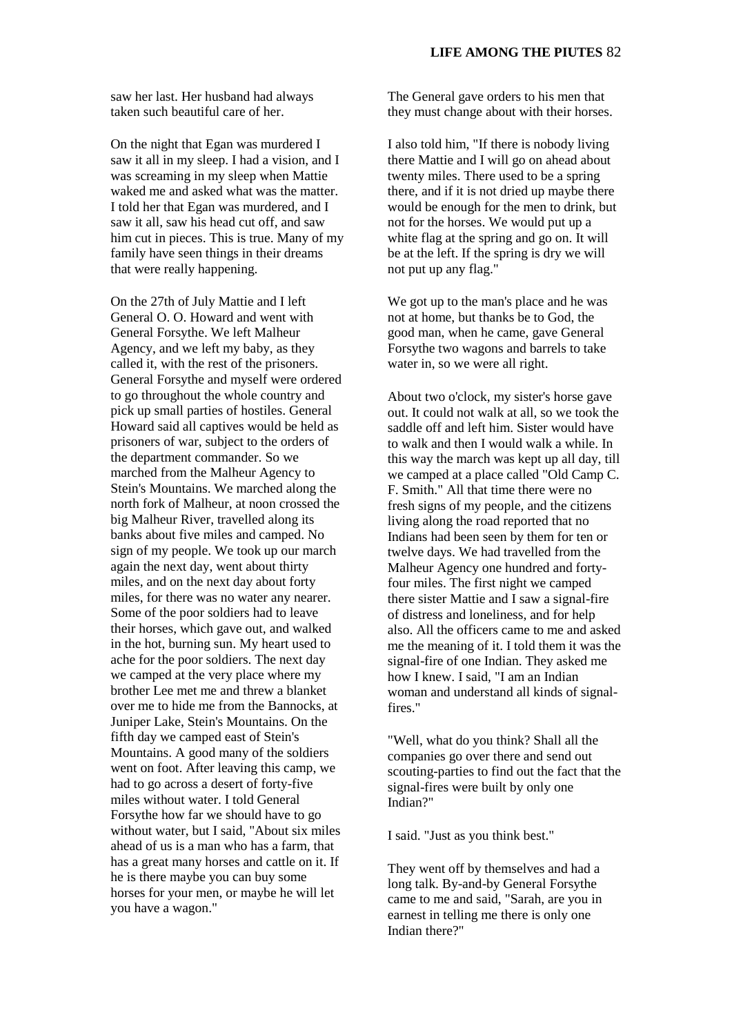saw her last. Her husband had always taken such beautiful care of her.

On the night that Egan was murdered I saw it all in my sleep. I had a vision, and I was screaming in my sleep when Mattie waked me and asked what was the matter. I told her that Egan was murdered, and I saw it all, saw his head cut off, and saw him cut in pieces. This is true. Many of my family have seen things in their dreams that were really happening.

On the 27th of July Mattie and I left General O. O. Howard and went with General Forsythe. We left Malheur Agency, and we left my baby, as they called it, with the rest of the prisoners. General Forsythe and myself were ordered to go throughout the whole country and pick up small parties of hostiles. General Howard said all captives would be held as prisoners of war, subject to the orders of the department commander. So we marched from the Malheur Agency to Stein's Mountains. We marched along the north fork of Malheur, at noon crossed the big Malheur River, travelled along its banks about five miles and camped. No sign of my people. We took up our march again the next day, went about thirty miles, and on the next day about forty miles, for there was no water any nearer. Some of the poor soldiers had to leave their horses, which gave out, and walked in the hot, burning sun. My heart used to ache for the poor soldiers. The next day we camped at the very place where my brother Lee met me and threw a blanket over me to hide me from the Bannocks, at Juniper Lake, Stein's Mountains. On the fifth day we camped east of Stein's Mountains. A good many of the soldiers went on foot. After leaving this camp, we had to go across a desert of forty-five miles without water. I told General Forsythe how far we should have to go without water, but I said, "About six miles ahead of us is a man who has a farm, that has a great many horses and cattle on it. If he is there maybe you can buy some horses for your men, or maybe he will let you have a wagon."

The General gave orders to his men that they must change about with their horses.

I also told him, "If there is nobody living there Mattie and I will go on ahead about twenty miles. There used to be a spring there, and if it is not dried up maybe there would be enough for the men to drink, but not for the horses. We would put up a white flag at the spring and go on. It will be at the left. If the spring is dry we will not put up any flag."

We got up to the man's place and he was not at home, but thanks be to God, the good man, when he came, gave General Forsythe two wagons and barrels to take water in, so we were all right.

About two o'clock, my sister's horse gave out. It could not walk at all, so we took the saddle off and left him. Sister would have to walk and then I would walk a while. In this way the march was kept up all day, till we camped at a place called "Old Camp C. F. Smith." All that time there were no fresh signs of my people, and the citizens living along the road reported that no Indians had been seen by them for ten or twelve days. We had travelled from the Malheur Agency one hundred and fortyfour miles. The first night we camped there sister Mattie and I saw a signal-fire of distress and loneliness, and for help also. All the officers came to me and asked me the meaning of it. I told them it was the signal-fire of one Indian. They asked me how I knew. I said, "I am an Indian woman and understand all kinds of signalfires."

"Well, what do you think? Shall all the companies go over there and send out scouting-parties to find out the fact that the signal-fires were built by only one Indian?"

I said. "Just as you think best."

They went off by themselves and had a long talk. By-and-by General Forsythe came to me and said, "Sarah, are you in earnest in telling me there is only one Indian there?"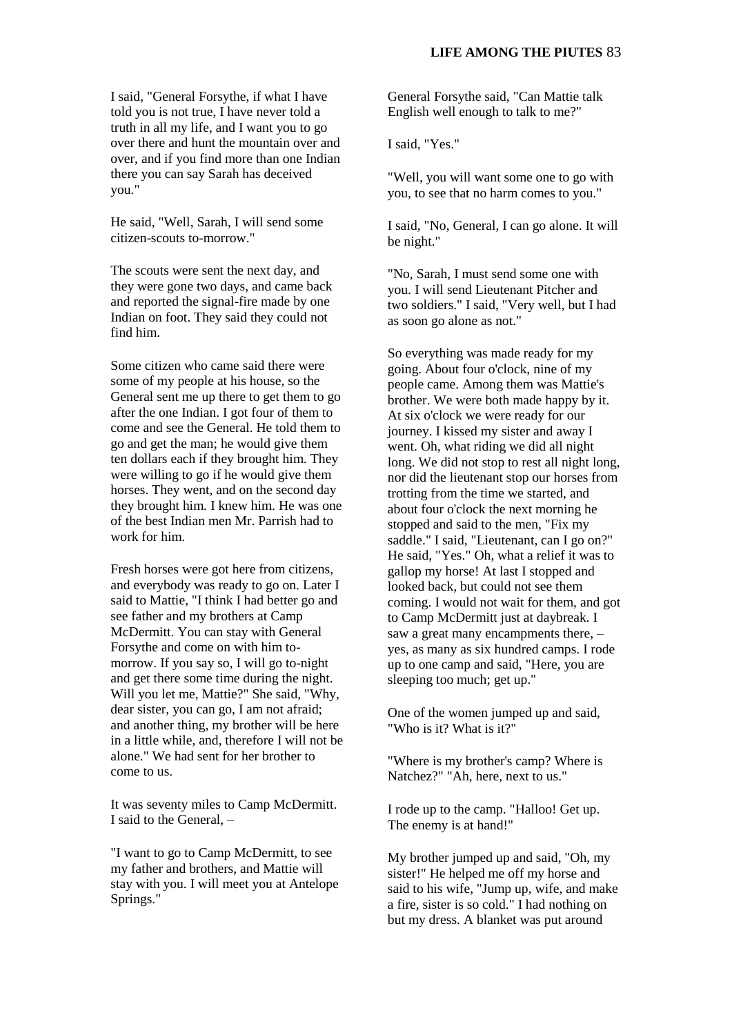I said, "General Forsythe, if what I have told you is not true, I have never told a truth in all my life, and I want you to go over there and hunt the mountain over and over, and if you find more than one Indian there you can say Sarah has deceived you."

He said, "Well, Sarah, I will send some citizen-scouts to-morrow."

The scouts were sent the next day, and they were gone two days, and came back and reported the signal-fire made by one Indian on foot. They said they could not find him.

Some citizen who came said there were some of my people at his house, so the General sent me up there to get them to go after the one Indian. I got four of them to come and see the General. He told them to go and get the man; he would give them ten dollars each if they brought him. They were willing to go if he would give them horses. They went, and on the second day they brought him. I knew him. He was one of the best Indian men Mr. Parrish had to work for him.

Fresh horses were got here from citizens, and everybody was ready to go on. Later I said to Mattie, "I think I had better go and see father and my brothers at Camp McDermitt. You can stay with General Forsythe and come on with him tomorrow. If you say so, I will go to-night and get there some time during the night. Will you let me, Mattie?" She said, "Why, dear sister, you can go, I am not afraid; and another thing, my brother will be here in a little while, and, therefore I will not be alone." We had sent for her brother to come to us.

It was seventy miles to Camp McDermitt. I said to the General, –

"I want to go to Camp McDermitt, to see my father and brothers, and Mattie will stay with you. I will meet you at Antelope Springs."

General Forsythe said, "Can Mattie talk English well enough to talk to me?"

I said, "Yes."

"Well, you will want some one to go with you, to see that no harm comes to you."

I said, "No, General, I can go alone. It will be night."

"No, Sarah, I must send some one with you. I will send Lieutenant Pitcher and two soldiers." I said, "Very well, but I had as soon go alone as not."

So everything was made ready for my going. About four o'clock, nine of my people came. Among them was Mattie's brother. We were both made happy by it. At six o'clock we were ready for our journey. I kissed my sister and away I went. Oh, what riding we did all night long. We did not stop to rest all night long, nor did the lieutenant stop our horses from trotting from the time we started, and about four o'clock the next morning he stopped and said to the men, "Fix my saddle." I said, "Lieutenant, can I go on?" He said, "Yes." Oh, what a relief it was to gallop my horse! At last I stopped and looked back, but could not see them coming. I would not wait for them, and got to Camp McDermitt just at daybreak. I saw a great many encampments there, – yes, as many as six hundred camps. I rode up to one camp and said, "Here, you are sleeping too much; get up."

One of the women jumped up and said, "Who is it? What is it?"

"Where is my brother's camp? Where is Natchez?" "Ah, here, next to us."

I rode up to the camp. "Halloo! Get up. The enemy is at hand!"

My brother jumped up and said, "Oh, my sister!" He helped me off my horse and said to his wife, "Jump up, wife, and make a fire, sister is so cold." I had nothing on but my dress. A blanket was put around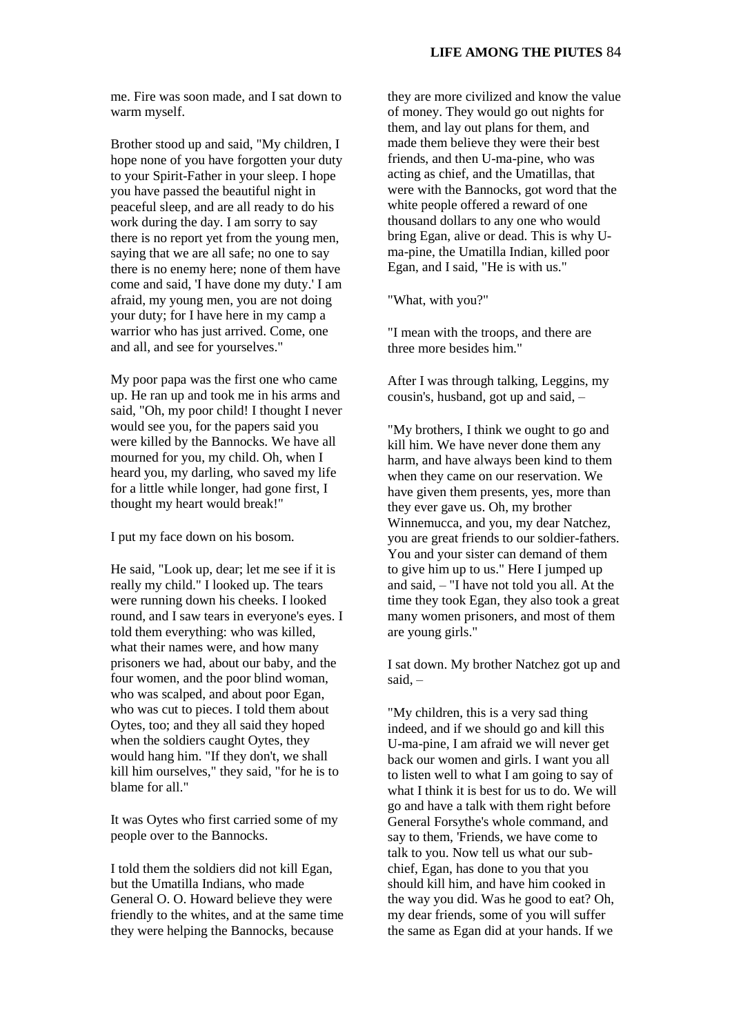me. Fire was soon made, and I sat down to warm myself.

Brother stood up and said, "My children, I hope none of you have forgotten your duty to your Spirit-Father in your sleep. I hope you have passed the beautiful night in peaceful sleep, and are all ready to do his work during the day. I am sorry to say there is no report yet from the young men, saying that we are all safe; no one to say there is no enemy here; none of them have come and said, 'I have done my duty.' I am afraid, my young men, you are not doing your duty; for I have here in my camp a warrior who has just arrived. Come, one and all, and see for yourselves."

My poor papa was the first one who came up. He ran up and took me in his arms and said, "Oh, my poor child! I thought I never would see you, for the papers said you were killed by the Bannocks. We have all mourned for you, my child. Oh, when I heard you, my darling, who saved my life for a little while longer, had gone first, I thought my heart would break!"

I put my face down on his bosom.

He said, "Look up, dear; let me see if it is really my child." I looked up. The tears were running down his cheeks. I looked round, and I saw tears in everyone's eyes. I told them everything: who was killed, what their names were, and how many prisoners we had, about our baby, and the four women, and the poor blind woman, who was scalped, and about poor Egan. who was cut to pieces. I told them about Oytes, too; and they all said they hoped when the soldiers caught Oytes, they would hang him. "If they don't, we shall kill him ourselves," they said, "for he is to blame for all."

It was Oytes who first carried some of my people over to the Bannocks.

I told them the soldiers did not kill Egan, but the Umatilla Indians, who made General O. O. Howard believe they were friendly to the whites, and at the same time they were helping the Bannocks, because

they are more civilized and know the value of money. They would go out nights for them, and lay out plans for them, and made them believe they were their best friends, and then U-ma-pine, who was acting as chief, and the Umatillas, that were with the Bannocks, got word that the white people offered a reward of one thousand dollars to any one who would bring Egan, alive or dead. This is why Uma-pine, the Umatilla Indian, killed poor Egan, and I said, "He is with us."

"What, with you?"

"I mean with the troops, and there are three more besides him."

After I was through talking, Leggins, my cousin's, husband, got up and said, –

"My brothers, I think we ought to go and kill him. We have never done them any harm, and have always been kind to them when they came on our reservation. We have given them presents, yes, more than they ever gave us. Oh, my brother Winnemucca, and you, my dear Natchez, you are great friends to our soldier-fathers. You and your sister can demand of them to give him up to us." Here I jumped up and said, – "I have not told you all. At the time they took Egan, they also took a great many women prisoners, and most of them are young girls."

I sat down. My brother Natchez got up and said, –

"My children, this is a very sad thing indeed, and if we should go and kill this U-ma-pine, I am afraid we will never get back our women and girls. I want you all to listen well to what I am going to say of what I think it is best for us to do. We will go and have a talk with them right before General Forsythe's whole command, and say to them, 'Friends, we have come to talk to you. Now tell us what our subchief, Egan, has done to you that you should kill him, and have him cooked in the way you did. Was he good to eat? Oh, my dear friends, some of you will suffer the same as Egan did at your hands. If we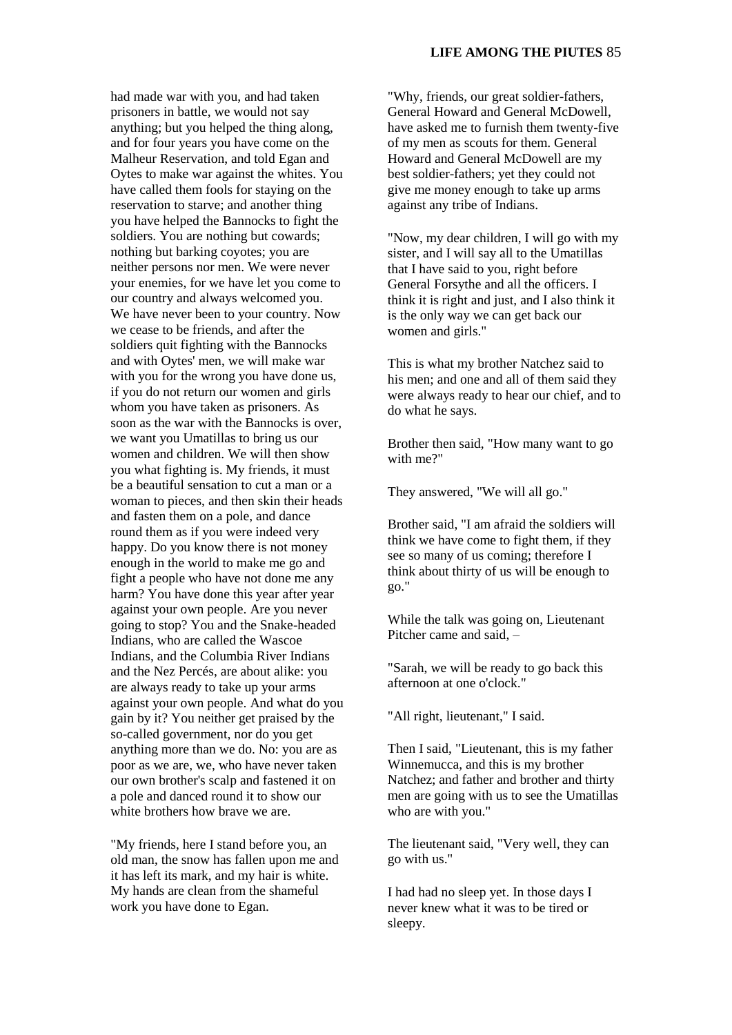had made war with you, and had taken prisoners in battle, we would not say anything; but you helped the thing along, and for four years you have come on the Malheur Reservation, and told Egan and Oytes to make war against the whites. You have called them fools for staying on the reservation to starve; and another thing you have helped the Bannocks to fight the soldiers. You are nothing but cowards; nothing but barking coyotes; you are neither persons nor men. We were never your enemies, for we have let you come to our country and always welcomed you. We have never been to your country. Now we cease to be friends, and after the soldiers quit fighting with the Bannocks and with Oytes' men, we will make war with you for the wrong you have done us, if you do not return our women and girls whom you have taken as prisoners. As soon as the war with the Bannocks is over, we want you Umatillas to bring us our women and children. We will then show you what fighting is. My friends, it must be a beautiful sensation to cut a man or a woman to pieces, and then skin their heads and fasten them on a pole, and dance round them as if you were indeed very happy. Do you know there is not money enough in the world to make me go and fight a people who have not done me any harm? You have done this year after year against your own people. Are you never going to stop? You and the Snake-headed Indians, who are called the Wascoe Indians, and the Columbia River Indians and the Nez Percés, are about alike: you are always ready to take up your arms against your own people. And what do you gain by it? You neither get praised by the so-called government, nor do you get anything more than we do. No: you are as poor as we are, we, who have never taken our own brother's scalp and fastened it on a pole and danced round it to show our white brothers how brave we are.

"My friends, here I stand before you, an old man, the snow has fallen upon me and it has left its mark, and my hair is white. My hands are clean from the shameful work you have done to Egan.

"Why, friends, our great soldier-fathers, General Howard and General McDowell, have asked me to furnish them twenty-five of my men as scouts for them. General Howard and General McDowell are my best soldier-fathers; yet they could not give me money enough to take up arms against any tribe of Indians.

"Now, my dear children, I will go with my sister, and I will say all to the Umatillas that I have said to you, right before General Forsythe and all the officers. I think it is right and just, and I also think it is the only way we can get back our women and girls."

This is what my brother Natchez said to his men; and one and all of them said they were always ready to hear our chief, and to do what he says.

Brother then said, "How many want to go with me?"

They answered, "We will all go."

Brother said, "I am afraid the soldiers will think we have come to fight them, if they see so many of us coming; therefore I think about thirty of us will be enough to go."

While the talk was going on, Lieutenant Pitcher came and said, –

"Sarah, we will be ready to go back this afternoon at one o'clock."

"All right, lieutenant," I said.

Then I said, "Lieutenant, this is my father Winnemucca, and this is my brother Natchez; and father and brother and thirty men are going with us to see the Umatillas who are with you."

The lieutenant said, "Very well, they can go with us."

I had had no sleep yet. In those days I never knew what it was to be tired or sleepy.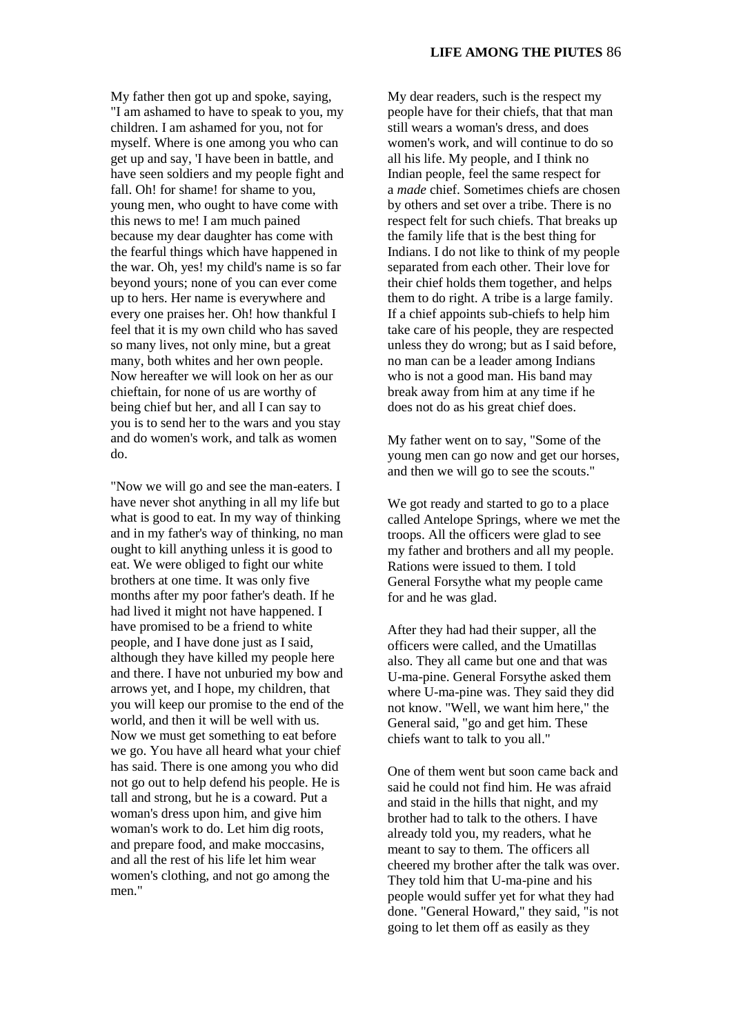My father then got up and spoke, saying, "I am ashamed to have to speak to you, my children. I am ashamed for you, not for myself. Where is one among you who can get up and say, 'I have been in battle, and have seen soldiers and my people fight and fall. Oh! for shame! for shame to you, young men, who ought to have come with this news to me! I am much pained because my dear daughter has come with the fearful things which have happened in the war. Oh, yes! my child's name is so far beyond yours; none of you can ever come up to hers. Her name is everywhere and every one praises her. Oh! how thankful I feel that it is my own child who has saved so many lives, not only mine, but a great many, both whites and her own people. Now hereafter we will look on her as our chieftain, for none of us are worthy of being chief but her, and all I can say to you is to send her to the wars and you stay and do women's work, and talk as women do.

"Now we will go and see the man-eaters. I have never shot anything in all my life but what is good to eat. In my way of thinking and in my father's way of thinking, no man ought to kill anything unless it is good to eat. We were obliged to fight our white brothers at one time. It was only five months after my poor father's death. If he had lived it might not have happened. I have promised to be a friend to white people, and I have done just as I said, although they have killed my people here and there. I have not unburied my bow and arrows yet, and I hope, my children, that you will keep our promise to the end of the world, and then it will be well with us. Now we must get something to eat before we go. You have all heard what your chief has said. There is one among you who did not go out to help defend his people. He is tall and strong, but he is a coward. Put a woman's dress upon him, and give him woman's work to do. Let him dig roots, and prepare food, and make moccasins, and all the rest of his life let him wear women's clothing, and not go among the men."

My dear readers, such is the respect my people have for their chiefs, that that man still wears a woman's dress, and does women's work, and will continue to do so all his life. My people, and I think no Indian people, feel the same respect for a *made* chief. Sometimes chiefs are chosen by others and set over a tribe. There is no respect felt for such chiefs. That breaks up the family life that is the best thing for Indians. I do not like to think of my people separated from each other. Their love for their chief holds them together, and helps them to do right. A tribe is a large family. If a chief appoints sub-chiefs to help him take care of his people, they are respected unless they do wrong; but as I said before, no man can be a leader among Indians who is not a good man. His band may break away from him at any time if he does not do as his great chief does.

My father went on to say, "Some of the young men can go now and get our horses, and then we will go to see the scouts."

We got ready and started to go to a place called Antelope Springs, where we met the troops. All the officers were glad to see my father and brothers and all my people. Rations were issued to them. I told General Forsythe what my people came for and he was glad.

After they had had their supper, all the officers were called, and the Umatillas also. They all came but one and that was U-ma-pine. General Forsythe asked them where U-ma-pine was. They said they did not know. "Well, we want him here," the General said, "go and get him. These chiefs want to talk to you all."

One of them went but soon came back and said he could not find him. He was afraid and staid in the hills that night, and my brother had to talk to the others. I have already told you, my readers, what he meant to say to them. The officers all cheered my brother after the talk was over. They told him that U-ma-pine and his people would suffer yet for what they had done. "General Howard," they said, "is not going to let them off as easily as they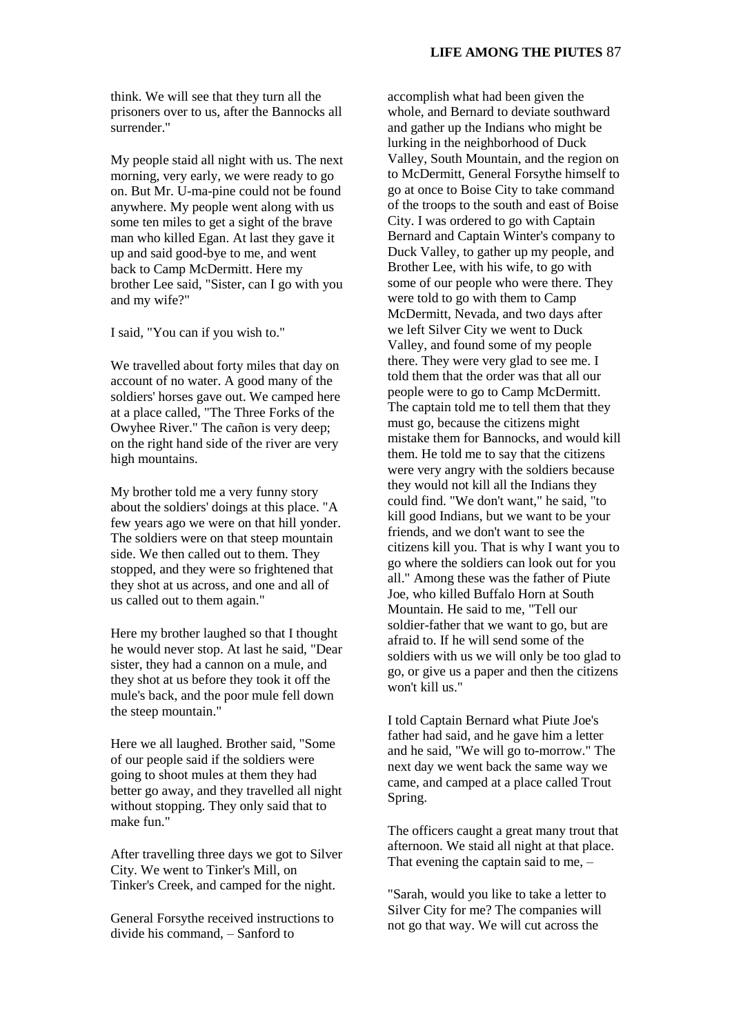think. We will see that they turn all the prisoners over to us, after the Bannocks all surrender."

My people staid all night with us. The next morning, very early, we were ready to go on. But Mr. U-ma-pine could not be found anywhere. My people went along with us some ten miles to get a sight of the brave man who killed Egan. At last they gave it up and said good-bye to me, and went back to Camp McDermitt. Here my brother Lee said, "Sister, can I go with you and my wife?"

I said, "You can if you wish to."

We travelled about forty miles that day on account of no water. A good many of the soldiers' horses gave out. We camped here at a place called, "The Three Forks of the Owyhee River." The cañon is very deep; on the right hand side of the river are very high mountains.

My brother told me a very funny story about the soldiers' doings at this place. "A few years ago we were on that hill yonder. The soldiers were on that steep mountain side. We then called out to them. They stopped, and they were so frightened that they shot at us across, and one and all of us called out to them again."

Here my brother laughed so that I thought he would never stop. At last he said, "Dear sister, they had a cannon on a mule, and they shot at us before they took it off the mule's back, and the poor mule fell down the steep mountain."

Here we all laughed. Brother said, "Some of our people said if the soldiers were going to shoot mules at them they had better go away, and they travelled all night without stopping. They only said that to make fun."

After travelling three days we got to Silver City. We went to Tinker's Mill, on Tinker's Creek, and camped for the night.

General Forsythe received instructions to divide his command, – Sanford to

accomplish what had been given the whole, and Bernard to deviate southward and gather up the Indians who might be lurking in the neighborhood of Duck Valley, South Mountain, and the region on to McDermitt, General Forsythe himself to go at once to Boise City to take command of the troops to the south and east of Boise City. I was ordered to go with Captain Bernard and Captain Winter's company to Duck Valley, to gather up my people, and Brother Lee, with his wife, to go with some of our people who were there. They were told to go with them to Camp McDermitt, Nevada, and two days after we left Silver City we went to Duck Valley, and found some of my people there. They were very glad to see me. I told them that the order was that all our people were to go to Camp McDermitt. The captain told me to tell them that they must go, because the citizens might mistake them for Bannocks, and would kill them. He told me to say that the citizens were very angry with the soldiers because they would not kill all the Indians they could find. "We don't want," he said, "to kill good Indians, but we want to be your friends, and we don't want to see the citizens kill you. That is why I want you to go where the soldiers can look out for you all." Among these was the father of Piute Joe, who killed Buffalo Horn at South Mountain. He said to me, "Tell our soldier-father that we want to go, but are afraid to. If he will send some of the soldiers with us we will only be too glad to go, or give us a paper and then the citizens won't kill us."

I told Captain Bernard what Piute Joe's father had said, and he gave him a letter and he said, "We will go to-morrow." The next day we went back the same way we came, and camped at a place called Trout Spring.

The officers caught a great many trout that afternoon. We staid all night at that place. That evening the captain said to me, –

"Sarah, would you like to take a letter to Silver City for me? The companies will not go that way. We will cut across the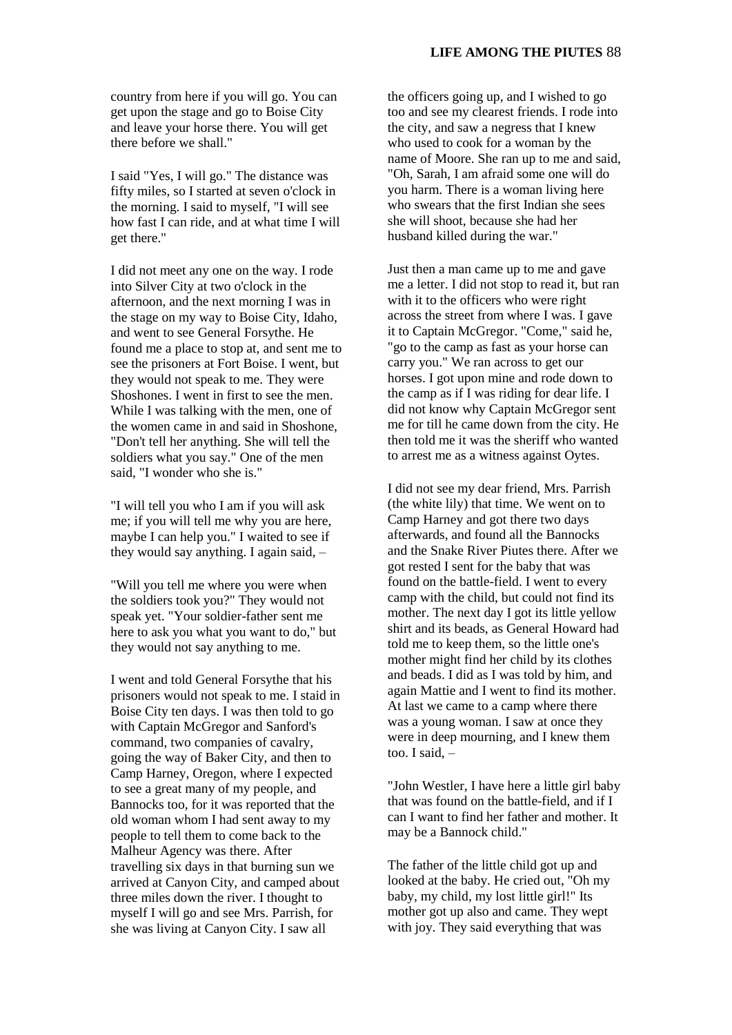country from here if you will go. You can get upon the stage and go to Boise City and leave your horse there. You will get there before we shall."

I said "Yes, I will go." The distance was fifty miles, so I started at seven o'clock in the morning. I said to myself, "I will see how fast I can ride, and at what time I will get there."

I did not meet any one on the way. I rode into Silver City at two o'clock in the afternoon, and the next morning I was in the stage on my way to Boise City, Idaho, and went to see General Forsythe. He found me a place to stop at, and sent me to see the prisoners at Fort Boise. I went, but they would not speak to me. They were Shoshones. I went in first to see the men. While I was talking with the men, one of the women came in and said in Shoshone, "Don't tell her anything. She will tell the soldiers what you say." One of the men said, "I wonder who she is."

"I will tell you who I am if you will ask me; if you will tell me why you are here, maybe I can help you." I waited to see if they would say anything. I again said, –

"Will you tell me where you were when the soldiers took you?" They would not speak yet. "Your soldier-father sent me here to ask you what you want to do," but they would not say anything to me.

I went and told General Forsythe that his prisoners would not speak to me. I staid in Boise City ten days. I was then told to go with Captain McGregor and Sanford's command, two companies of cavalry, going the way of Baker City, and then to Camp Harney, Oregon, where I expected to see a great many of my people, and Bannocks too, for it was reported that the old woman whom I had sent away to my people to tell them to come back to the Malheur Agency was there. After travelling six days in that burning sun we arrived at Canyon City, and camped about three miles down the river. I thought to myself I will go and see Mrs. Parrish, for she was living at Canyon City. I saw all

the officers going up, and I wished to go too and see my clearest friends. I rode into the city, and saw a negress that I knew who used to cook for a woman by the name of Moore. She ran up to me and said, "Oh, Sarah, I am afraid some one will do you harm. There is a woman living here who swears that the first Indian she sees she will shoot, because she had her husband killed during the war."

Just then a man came up to me and gave me a letter. I did not stop to read it, but ran with it to the officers who were right across the street from where I was. I gave it to Captain McGregor. "Come," said he, "go to the camp as fast as your horse can carry you." We ran across to get our horses. I got upon mine and rode down to the camp as if I was riding for dear life. I did not know why Captain McGregor sent me for till he came down from the city. He then told me it was the sheriff who wanted to arrest me as a witness against Oytes.

I did not see my dear friend, Mrs. Parrish (the white lily) that time. We went on to Camp Harney and got there two days afterwards, and found all the Bannocks and the Snake River Piutes there. After we got rested I sent for the baby that was found on the battle-field. I went to every camp with the child, but could not find its mother. The next day I got its little yellow shirt and its beads, as General Howard had told me to keep them, so the little one's mother might find her child by its clothes and beads. I did as I was told by him, and again Mattie and I went to find its mother. At last we came to a camp where there was a young woman. I saw at once they were in deep mourning, and I knew them too. I said, –

"John Westler, I have here a little girl baby that was found on the battle-field, and if I can I want to find her father and mother. It may be a Bannock child."

The father of the little child got up and looked at the baby. He cried out, "Oh my baby, my child, my lost little girl!" Its mother got up also and came. They wept with joy. They said everything that was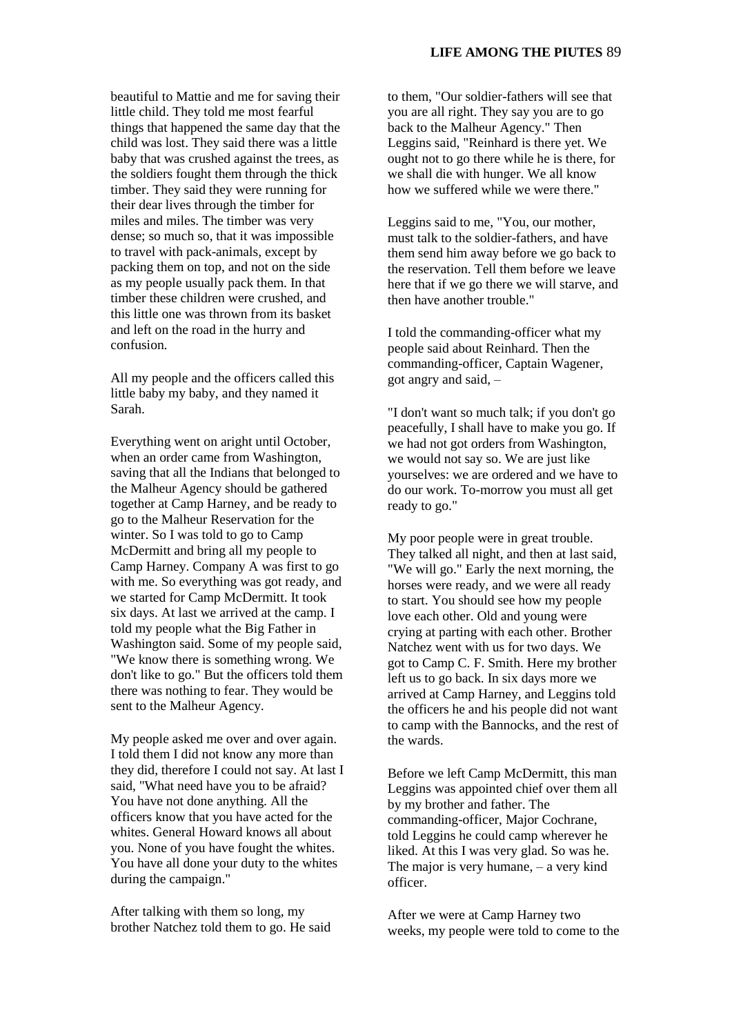beautiful to Mattie and me for saving their little child. They told me most fearful things that happened the same day that the child was lost. They said there was a little baby that was crushed against the trees, as the soldiers fought them through the thick timber. They said they were running for their dear lives through the timber for miles and miles. The timber was very dense; so much so, that it was impossible to travel with pack-animals, except by packing them on top, and not on the side as my people usually pack them. In that timber these children were crushed, and this little one was thrown from its basket and left on the road in the hurry and confusion.

All my people and the officers called this little baby my baby, and they named it Sarah.

Everything went on aright until October, when an order came from Washington, saving that all the Indians that belonged to the Malheur Agency should be gathered together at Camp Harney, and be ready to go to the Malheur Reservation for the winter. So I was told to go to Camp McDermitt and bring all my people to Camp Harney. Company A was first to go with me. So everything was got ready, and we started for Camp McDermitt. It took six days. At last we arrived at the camp. I told my people what the Big Father in Washington said. Some of my people said, "We know there is something wrong. We don't like to go." But the officers told them there was nothing to fear. They would be sent to the Malheur Agency.

My people asked me over and over again. I told them I did not know any more than they did, therefore I could not say. At last I said, "What need have you to be afraid? You have not done anything. All the officers know that you have acted for the whites. General Howard knows all about you. None of you have fought the whites. You have all done your duty to the whites during the campaign."

After talking with them so long, my brother Natchez told them to go. He said

to them, "Our soldier-fathers will see that you are all right. They say you are to go back to the Malheur Agency." Then Leggins said, "Reinhard is there yet. We ought not to go there while he is there, for we shall die with hunger. We all know how we suffered while we were there."

Leggins said to me, "You, our mother, must talk to the soldier-fathers, and have them send him away before we go back to the reservation. Tell them before we leave here that if we go there we will starve, and then have another trouble."

I told the commanding-officer what my people said about Reinhard. Then the commanding-officer, Captain Wagener, got angry and said, –

"I don't want so much talk; if you don't go peacefully, I shall have to make you go. If we had not got orders from Washington, we would not say so. We are just like yourselves: we are ordered and we have to do our work. To-morrow you must all get ready to go."

My poor people were in great trouble. They talked all night, and then at last said, "We will go." Early the next morning, the horses were ready, and we were all ready to start. You should see how my people love each other. Old and young were crying at parting with each other. Brother Natchez went with us for two days. We got to Camp C. F. Smith. Here my brother left us to go back. In six days more we arrived at Camp Harney, and Leggins told the officers he and his people did not want to camp with the Bannocks, and the rest of the wards.

Before we left Camp McDermitt, this man Leggins was appointed chief over them all by my brother and father. The commanding-officer, Major Cochrane, told Leggins he could camp wherever he liked. At this I was very glad. So was he. The major is very humane, – a very kind officer.

After we were at Camp Harney two weeks, my people were told to come to the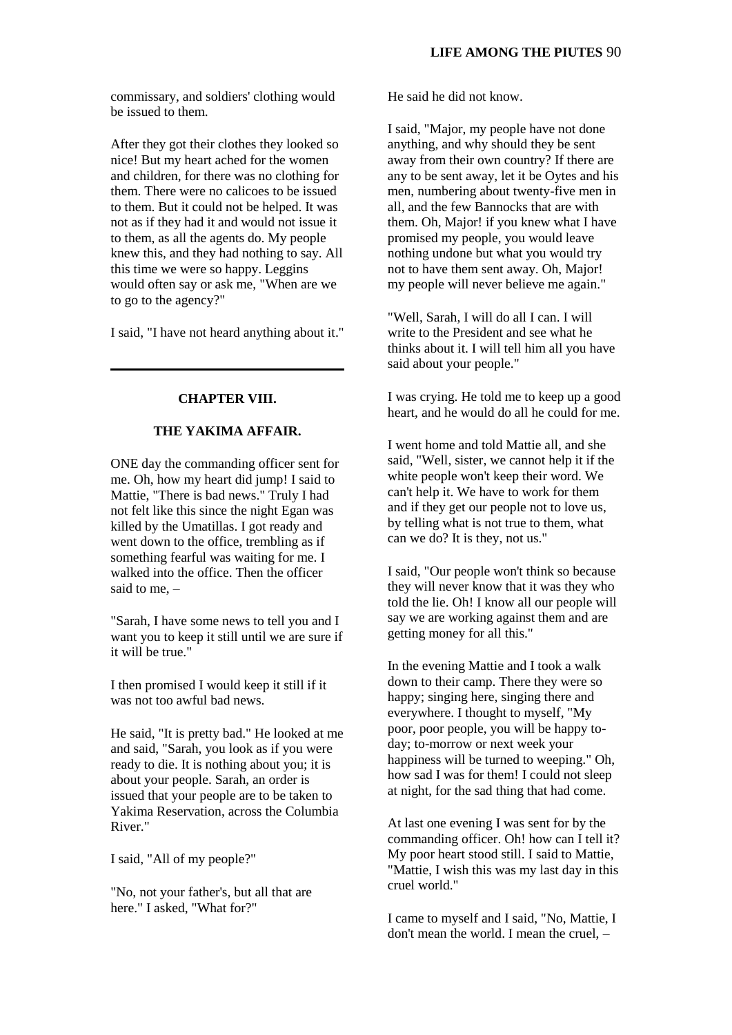commissary, and soldiers' clothing would be issued to them.

After they got their clothes they looked so nice! But my heart ached for the women and children, for there was no clothing for them. There were no calicoes to be issued to them. But it could not be helped. It was not as if they had it and would not issue it to them, as all the agents do. My people knew this, and they had nothing to say. All this time we were so happy. Leggins would often say or ask me, "When are we to go to the agency?"

I said, "I have not heard anything about it."

## **CHAPTER VIII.**

# **THE YAKIMA AFFAIR.**

ONE day the commanding officer sent for me. Oh, how my heart did jump! I said to Mattie, "There is bad news." Truly I had not felt like this since the night Egan was killed by the Umatillas. I got ready and went down to the office, trembling as if something fearful was waiting for me. I walked into the office. Then the officer said to me $-$ 

"Sarah, I have some news to tell you and I want you to keep it still until we are sure if it will be true."

I then promised I would keep it still if it was not too awful bad news.

He said, "It is pretty bad." He looked at me and said, "Sarah, you look as if you were ready to die. It is nothing about you; it is about your people. Sarah, an order is issued that your people are to be taken to Yakima Reservation, across the Columbia River."

I said, "All of my people?"

"No, not your father's, but all that are here." I asked, "What for?"

He said he did not know.

I said, "Major, my people have not done anything, and why should they be sent away from their own country? If there are any to be sent away, let it be Oytes and his men, numbering about twenty-five men in all, and the few Bannocks that are with them. Oh, Major! if you knew what I have promised my people, you would leave nothing undone but what you would try not to have them sent away. Oh, Major! my people will never believe me again."

"Well, Sarah, I will do all I can. I will write to the President and see what he thinks about it. I will tell him all you have said about your people."

I was crying. He told me to keep up a good heart, and he would do all he could for me.

I went home and told Mattie all, and she said, "Well, sister, we cannot help it if the white people won't keep their word. We can't help it. We have to work for them and if they get our people not to love us, by telling what is not true to them, what can we do? It is they, not us."

I said, "Our people won't think so because they will never know that it was they who told the lie. Oh! I know all our people will say we are working against them and are getting money for all this."

In the evening Mattie and I took a walk down to their camp. There they were so happy; singing here, singing there and everywhere. I thought to myself, "My poor, poor people, you will be happy today; to-morrow or next week your happiness will be turned to weeping." Oh, how sad I was for them! I could not sleep at night, for the sad thing that had come.

At last one evening I was sent for by the commanding officer. Oh! how can I tell it? My poor heart stood still. I said to Mattie, "Mattie, I wish this was my last day in this cruel world."

I came to myself and I said, "No, Mattie, I don't mean the world. I mean the cruel, –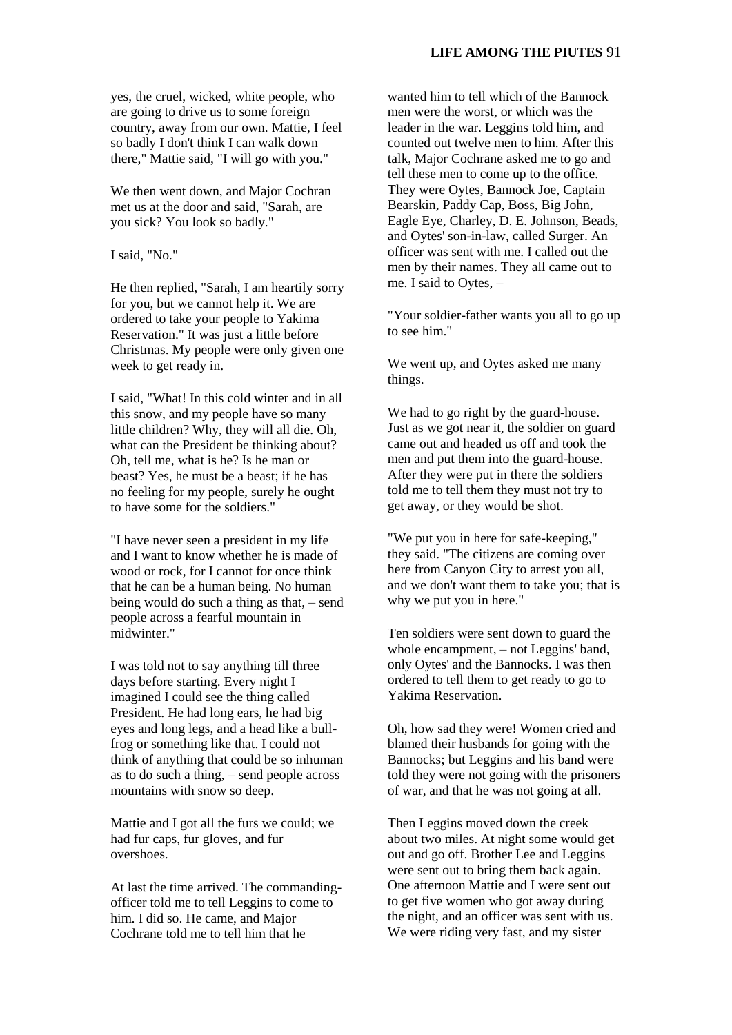yes, the cruel, wicked, white people, who are going to drive us to some foreign country, away from our own. Mattie, I feel so badly I don't think I can walk down there," Mattie said, "I will go with you."

We then went down, and Major Cochran met us at the door and said, "Sarah, are you sick? You look so badly."

I said, "No."

He then replied, "Sarah, I am heartily sorry for you, but we cannot help it. We are ordered to take your people to Yakima Reservation." It was just a little before Christmas. My people were only given one week to get ready in.

I said, "What! In this cold winter and in all this snow, and my people have so many little children? Why, they will all die. Oh, what can the President be thinking about? Oh, tell me, what is he? Is he man or beast? Yes, he must be a beast; if he has no feeling for my people, surely he ought to have some for the soldiers."

"I have never seen a president in my life and I want to know whether he is made of wood or rock, for I cannot for once think that he can be a human being. No human being would do such a thing as that, – send people across a fearful mountain in midwinter."

I was told not to say anything till three days before starting. Every night I imagined I could see the thing called President. He had long ears, he had big eyes and long legs, and a head like a bullfrog or something like that. I could not think of anything that could be so inhuman as to do such a thing, – send people across mountains with snow so deep.

Mattie and I got all the furs we could; we had fur caps, fur gloves, and fur overshoes.

At last the time arrived. The commandingofficer told me to tell Leggins to come to him. I did so. He came, and Major Cochrane told me to tell him that he

wanted him to tell which of the Bannock men were the worst, or which was the leader in the war. Leggins told him, and counted out twelve men to him. After this talk, Major Cochrane asked me to go and tell these men to come up to the office. They were Oytes, Bannock Joe, Captain Bearskin, Paddy Cap, Boss, Big John, Eagle Eye, Charley, D. E. Johnson, Beads, and Oytes' son-in-law, called Surger. An officer was sent with me. I called out the men by their names. They all came out to me. I said to Oytes, –

"Your soldier-father wants you all to go up to see him."

We went up, and Oytes asked me many things.

We had to go right by the guard-house. Just as we got near it, the soldier on guard came out and headed us off and took the men and put them into the guard-house. After they were put in there the soldiers told me to tell them they must not try to get away, or they would be shot.

"We put you in here for safe-keeping," they said. "The citizens are coming over here from Canyon City to arrest you all, and we don't want them to take you; that is why we put you in here."

Ten soldiers were sent down to guard the whole encampment, – not Leggins' band, only Oytes' and the Bannocks. I was then ordered to tell them to get ready to go to Yakima Reservation.

Oh, how sad they were! Women cried and blamed their husbands for going with the Bannocks; but Leggins and his band were told they were not going with the prisoners of war, and that he was not going at all.

Then Leggins moved down the creek about two miles. At night some would get out and go off. Brother Lee and Leggins were sent out to bring them back again. One afternoon Mattie and I were sent out to get five women who got away during the night, and an officer was sent with us. We were riding very fast, and my sister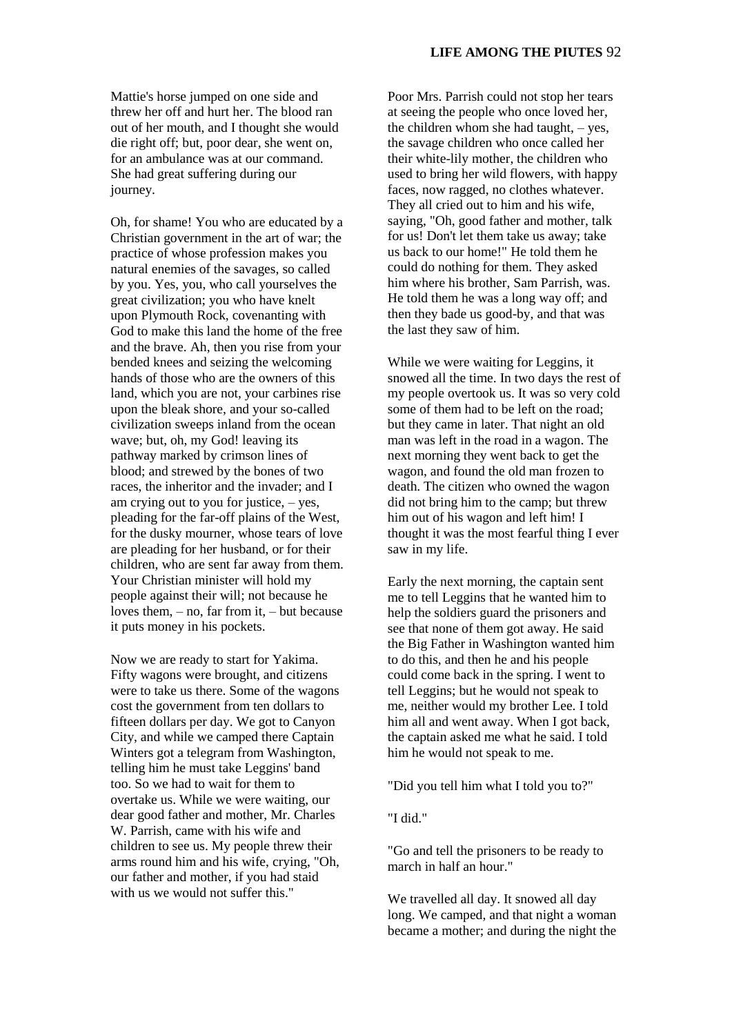Mattie's horse jumped on one side and threw her off and hurt her. The blood ran out of her mouth, and I thought she would die right off; but, poor dear, she went on, for an ambulance was at our command. She had great suffering during our journey.

Oh, for shame! You who are educated by a Christian government in the art of war; the practice of whose profession makes you natural enemies of the savages, so called by you. Yes, you, who call yourselves the great civilization; you who have knelt upon Plymouth Rock, covenanting with God to make this land the home of the free and the brave. Ah, then you rise from your bended knees and seizing the welcoming hands of those who are the owners of this land, which you are not, your carbines rise upon the bleak shore, and your so-called civilization sweeps inland from the ocean wave; but, oh, my God! leaving its pathway marked by crimson lines of blood; and strewed by the bones of two races, the inheritor and the invader; and I am crying out to you for justice, – yes, pleading for the far-off plains of the West, for the dusky mourner, whose tears of love are pleading for her husband, or for their children, who are sent far away from them. Your Christian minister will hold my people against their will; not because he loves them, – no, far from it, – but because it puts money in his pockets.

Now we are ready to start for Yakima. Fifty wagons were brought, and citizens were to take us there. Some of the wagons cost the government from ten dollars to fifteen dollars per day. We got to Canyon City, and while we camped there Captain Winters got a telegram from Washington, telling him he must take Leggins' band too. So we had to wait for them to overtake us. While we were waiting, our dear good father and mother, Mr. Charles W. Parrish, came with his wife and children to see us. My people threw their arms round him and his wife, crying, "Oh, our father and mother, if you had staid with us we would not suffer this."

Poor Mrs. Parrish could not stop her tears at seeing the people who once loved her, the children whom she had taught, – yes, the savage children who once called her their white-lily mother, the children who used to bring her wild flowers, with happy faces, now ragged, no clothes whatever. They all cried out to him and his wife, saying, "Oh, good father and mother, talk for us! Don't let them take us away; take us back to our home!" He told them he could do nothing for them. They asked him where his brother, Sam Parrish, was. He told them he was a long way off; and then they bade us good-by, and that was the last they saw of him.

While we were waiting for Leggins, it snowed all the time. In two days the rest of my people overtook us. It was so very cold some of them had to be left on the road; but they came in later. That night an old man was left in the road in a wagon. The next morning they went back to get the wagon, and found the old man frozen to death. The citizen who owned the wagon did not bring him to the camp; but threw him out of his wagon and left him! I thought it was the most fearful thing I ever saw in my life.

Early the next morning, the captain sent me to tell Leggins that he wanted him to help the soldiers guard the prisoners and see that none of them got away. He said the Big Father in Washington wanted him to do this, and then he and his people could come back in the spring. I went to tell Leggins; but he would not speak to me, neither would my brother Lee. I told him all and went away. When I got back, the captain asked me what he said. I told him he would not speak to me.

"Did you tell him what I told you to?"

"I did."

"Go and tell the prisoners to be ready to march in half an hour."

We travelled all day. It snowed all day long. We camped, and that night a woman became a mother; and during the night the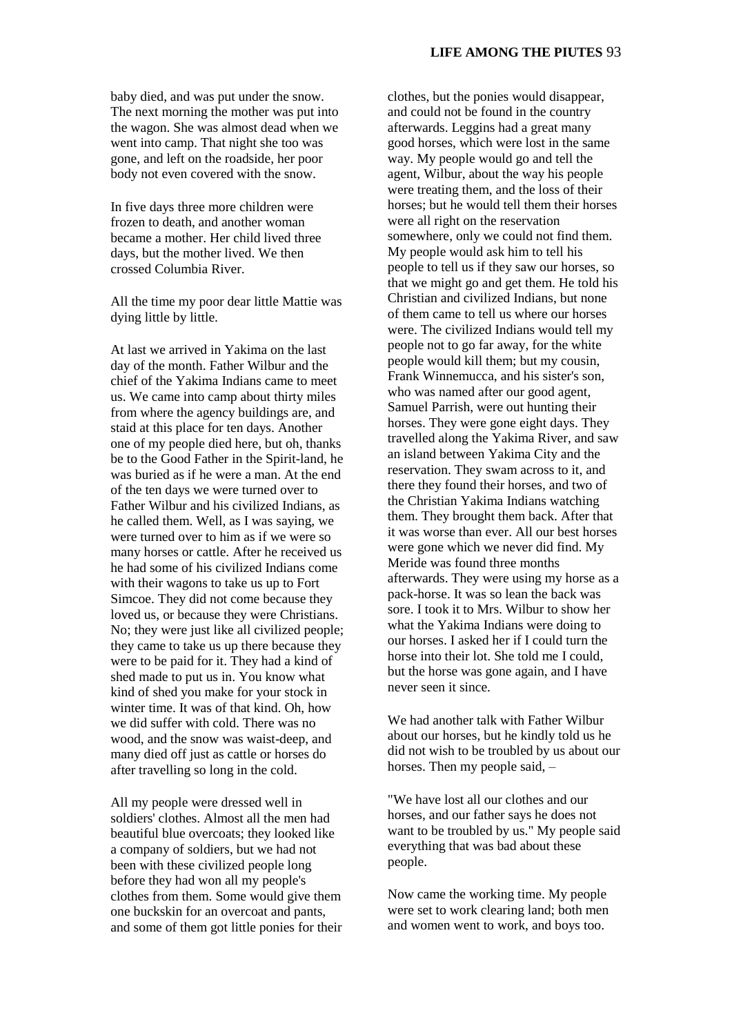baby died, and was put under the snow. The next morning the mother was put into the wagon. She was almost dead when we went into camp. That night she too was gone, and left on the roadside, her poor body not even covered with the snow.

In five days three more children were frozen to death, and another woman became a mother. Her child lived three days, but the mother lived. We then crossed Columbia River.

All the time my poor dear little Mattie was dying little by little.

At last we arrived in Yakima on the last day of the month. Father Wilbur and the chief of the Yakima Indians came to meet us. We came into camp about thirty miles from where the agency buildings are, and staid at this place for ten days. Another one of my people died here, but oh, thanks be to the Good Father in the Spirit-land, he was buried as if he were a man. At the end of the ten days we were turned over to Father Wilbur and his civilized Indians, as he called them. Well, as I was saying, we were turned over to him as if we were so many horses or cattle. After he received us he had some of his civilized Indians come with their wagons to take us up to Fort Simcoe. They did not come because they loved us, or because they were Christians. No; they were just like all civilized people; they came to take us up there because they were to be paid for it. They had a kind of shed made to put us in. You know what kind of shed you make for your stock in winter time. It was of that kind. Oh, how we did suffer with cold. There was no wood, and the snow was waist-deep, and many died off just as cattle or horses do after travelling so long in the cold.

All my people were dressed well in soldiers' clothes. Almost all the men had beautiful blue overcoats; they looked like a company of soldiers, but we had not been with these civilized people long before they had won all my people's clothes from them. Some would give them one buckskin for an overcoat and pants, and some of them got little ponies for their

clothes, but the ponies would disappear, and could not be found in the country afterwards. Leggins had a great many good horses, which were lost in the same way. My people would go and tell the agent, Wilbur, about the way his people were treating them, and the loss of their horses; but he would tell them their horses were all right on the reservation somewhere, only we could not find them. My people would ask him to tell his people to tell us if they saw our horses, so that we might go and get them. He told his Christian and civilized Indians, but none of them came to tell us where our horses were. The civilized Indians would tell my people not to go far away, for the white people would kill them; but my cousin, Frank Winnemucca, and his sister's son, who was named after our good agent, Samuel Parrish, were out hunting their horses. They were gone eight days. They travelled along the Yakima River, and saw an island between Yakima City and the reservation. They swam across to it, and there they found their horses, and two of the Christian Yakima Indians watching them. They brought them back. After that it was worse than ever. All our best horses were gone which we never did find. My Meride was found three months afterwards. They were using my horse as a pack-horse. It was so lean the back was sore. I took it to Mrs. Wilbur to show her what the Yakima Indians were doing to our horses. I asked her if I could turn the horse into their lot. She told me I could, but the horse was gone again, and I have never seen it since.

We had another talk with Father Wilbur about our horses, but he kindly told us he did not wish to be troubled by us about our horses. Then my people said,  $-$ 

"We have lost all our clothes and our horses, and our father says he does not want to be troubled by us." My people said everything that was bad about these people.

Now came the working time. My people were set to work clearing land; both men and women went to work, and boys too.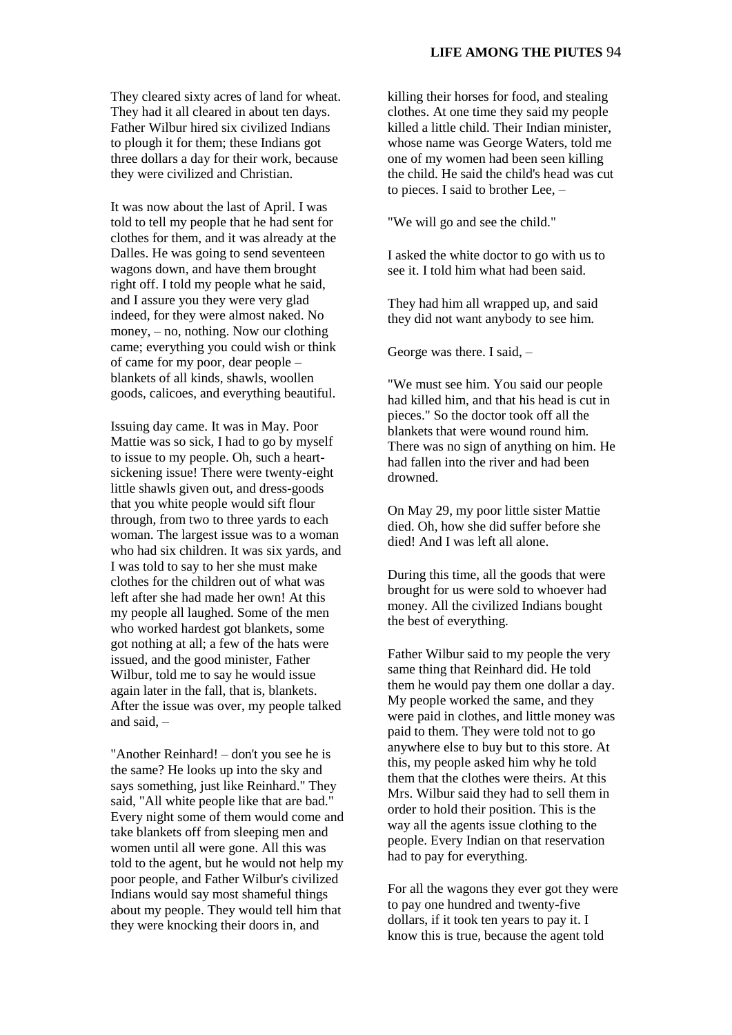They cleared sixty acres of land for wheat. They had it all cleared in about ten days. Father Wilbur hired six civilized Indians to plough it for them; these Indians got three dollars a day for their work, because they were civilized and Christian.

It was now about the last of April. I was told to tell my people that he had sent for clothes for them, and it was already at the Dalles. He was going to send seventeen wagons down, and have them brought right off. I told my people what he said, and I assure you they were very glad indeed, for they were almost naked. No money, – no, nothing. Now our clothing came; everything you could wish or think of came for my poor, dear people – blankets of all kinds, shawls, woollen goods, calicoes, and everything beautiful.

Issuing day came. It was in May. Poor Mattie was so sick, I had to go by myself to issue to my people. Oh, such a heartsickening issue! There were twenty-eight little shawls given out, and dress-goods that you white people would sift flour through, from two to three yards to each woman. The largest issue was to a woman who had six children. It was six yards, and I was told to say to her she must make clothes for the children out of what was left after she had made her own! At this my people all laughed. Some of the men who worked hardest got blankets, some got nothing at all; a few of the hats were issued, and the good minister, Father Wilbur, told me to say he would issue again later in the fall, that is, blankets. After the issue was over, my people talked and said, –

"Another Reinhard! – don't you see he is the same? He looks up into the sky and says something, just like Reinhard." They said, "All white people like that are bad." Every night some of them would come and take blankets off from sleeping men and women until all were gone. All this was told to the agent, but he would not help my poor people, and Father Wilbur's civilized Indians would say most shameful things about my people. They would tell him that they were knocking their doors in, and

killing their horses for food, and stealing clothes. At one time they said my people killed a little child. Their Indian minister, whose name was George Waters, told me one of my women had been seen killing the child. He said the child's head was cut to pieces. I said to brother Lee, –

"We will go and see the child."

I asked the white doctor to go with us to see it. I told him what had been said.

They had him all wrapped up, and said they did not want anybody to see him.

George was there. I said, –

"We must see him. You said our people had killed him, and that his head is cut in pieces." So the doctor took off all the blankets that were wound round him. There was no sign of anything on him. He had fallen into the river and had been drowned.

On May 29, my poor little sister Mattie died. Oh, how she did suffer before she died! And I was left all alone.

During this time, all the goods that were brought for us were sold to whoever had money. All the civilized Indians bought the best of everything.

Father Wilbur said to my people the very same thing that Reinhard did. He told them he would pay them one dollar a day. My people worked the same, and they were paid in clothes, and little money was paid to them. They were told not to go anywhere else to buy but to this store. At this, my people asked him why he told them that the clothes were theirs. At this Mrs. Wilbur said they had to sell them in order to hold their position. This is the way all the agents issue clothing to the people. Every Indian on that reservation had to pay for everything.

For all the wagons they ever got they were to pay one hundred and twenty-five dollars, if it took ten years to pay it. I know this is true, because the agent told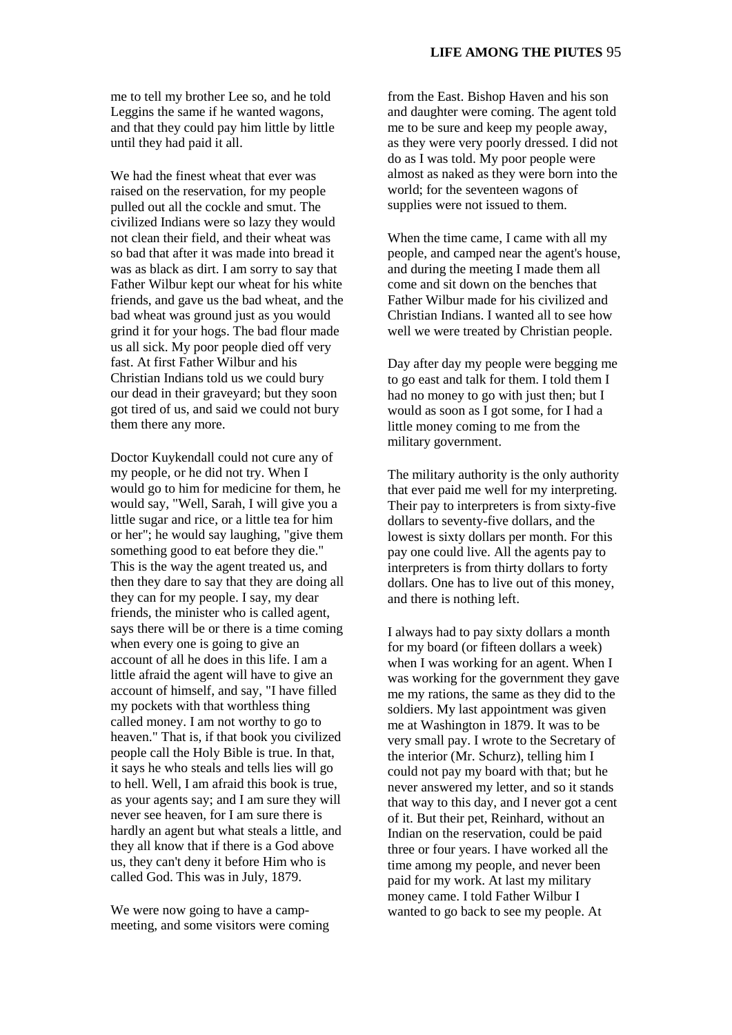me to tell my brother Lee so, and he told Leggins the same if he wanted wagons, and that they could pay him little by little until they had paid it all.

We had the finest wheat that ever was raised on the reservation, for my people pulled out all the cockle and smut. The civilized Indians were so lazy they would not clean their field, and their wheat was so bad that after it was made into bread it was as black as dirt. I am sorry to say that Father Wilbur kept our wheat for his white friends, and gave us the bad wheat, and the bad wheat was ground just as you would grind it for your hogs. The bad flour made us all sick. My poor people died off very fast. At first Father Wilbur and his Christian Indians told us we could bury our dead in their graveyard; but they soon got tired of us, and said we could not bury them there any more.

Doctor Kuykendall could not cure any of my people, or he did not try. When I would go to him for medicine for them, he would say, "Well, Sarah, I will give you a little sugar and rice, or a little tea for him or her"; he would say laughing, "give them something good to eat before they die." This is the way the agent treated us, and then they dare to say that they are doing all they can for my people. I say, my dear friends, the minister who is called agent, says there will be or there is a time coming when every one is going to give an account of all he does in this life. I am a little afraid the agent will have to give an account of himself, and say, "I have filled my pockets with that worthless thing called money. I am not worthy to go to heaven." That is, if that book you civilized people call the Holy Bible is true. In that, it says he who steals and tells lies will go to hell. Well, I am afraid this book is true, as your agents say; and I am sure they will never see heaven, for I am sure there is hardly an agent but what steals a little, and they all know that if there is a God above us, they can't deny it before Him who is called God. This was in July, 1879.

We were now going to have a campmeeting, and some visitors were coming from the East. Bishop Haven and his son and daughter were coming. The agent told me to be sure and keep my people away, as they were very poorly dressed. I did not do as I was told. My poor people were almost as naked as they were born into the world; for the seventeen wagons of supplies were not issued to them.

When the time came, I came with all my people, and camped near the agent's house, and during the meeting I made them all come and sit down on the benches that Father Wilbur made for his civilized and Christian Indians. I wanted all to see how well we were treated by Christian people.

Day after day my people were begging me to go east and talk for them. I told them I had no money to go with just then; but I would as soon as I got some, for I had a little money coming to me from the military government.

The military authority is the only authority that ever paid me well for my interpreting. Their pay to interpreters is from sixty-five dollars to seventy-five dollars, and the lowest is sixty dollars per month. For this pay one could live. All the agents pay to interpreters is from thirty dollars to forty dollars. One has to live out of this money, and there is nothing left.

I always had to pay sixty dollars a month for my board (or fifteen dollars a week) when I was working for an agent. When I was working for the government they gave me my rations, the same as they did to the soldiers. My last appointment was given me at Washington in 1879. It was to be very small pay. I wrote to the Secretary of the interior (Mr. Schurz), telling him I could not pay my board with that; but he never answered my letter, and so it stands that way to this day, and I never got a cent of it. But their pet, Reinhard, without an Indian on the reservation, could be paid three or four years. I have worked all the time among my people, and never been paid for my work. At last my military money came. I told Father Wilbur I wanted to go back to see my people. At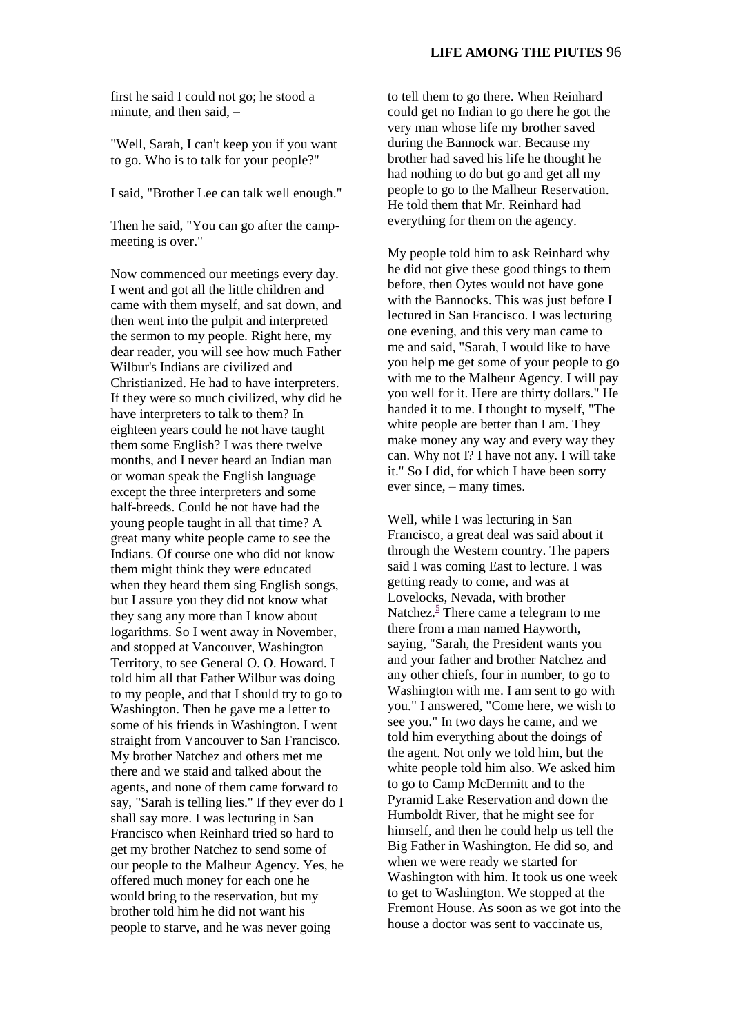first he said I could not go; he stood a minute, and then said, –

"Well, Sarah, I can't keep you if you want to go. Who is to talk for your people?"

I said, "Brother Lee can talk well enough."

Then he said, "You can go after the campmeeting is over."

Now commenced our meetings every day. I went and got all the little children and came with them myself, and sat down, and then went into the pulpit and interpreted the sermon to my people. Right here, my dear reader, you will see how much Father Wilbur's Indians are civilized and Christianized. He had to have interpreters. If they were so much civilized, why did he have interpreters to talk to them? In eighteen years could he not have taught them some English? I was there twelve months, and I never heard an Indian man or woman speak the English language except the three interpreters and some half-breeds. Could he not have had the young people taught in all that time? A great many white people came to see the Indians. Of course one who did not know them might think they were educated when they heard them sing English songs, but I assure you they did not know what they sang any more than I know about logarithms. So I went away in November, and stopped at Vancouver, Washington Territory, to see General O. O. Howard. I told him all that Father Wilbur was doing to my people, and that I should try to go to Washington. Then he gave me a letter to some of his friends in Washington. I went straight from Vancouver to San Francisco. My brother Natchez and others met me there and we staid and talked about the agents, and none of them came forward to say, "Sarah is telling lies." If they ever do I shall say more. I was lecturing in San Francisco when Reinhard tried so hard to get my brother Natchez to send some of our people to the Malheur Agency. Yes, he offered much money for each one he would bring to the reservation, but my brother told him he did not want his people to starve, and he was never going

to tell them to go there. When Reinhard could get no Indian to go there he got the very man whose life my brother saved during the Bannock war. Because my brother had saved his life he thought he had nothing to do but go and get all my people to go to the Malheur Reservation. He told them that Mr. Reinhard had everything for them on the agency.

My people told him to ask Reinhard why he did not give these good things to them before, then Oytes would not have gone with the Bannocks. This was just before I lectured in San Francisco. I was lecturing one evening, and this very man came to me and said, "Sarah, I would like to have you help me get some of your people to go with me to the Malheur Agency. I will pay you well for it. Here are thirty dollars." He handed it to me. I thought to myself, "The white people are better than I am. They make money any way and every way they can. Why not I? I have not any. I will take it." So I did, for which I have been sorry ever since, – many times.

Well, while I was lecturing in San Francisco, a great deal was said about it through the Western country. The papers said I was coming East to lecture. I was getting ready to come, and was at Lovelocks, Nevada, with brother Natchez[.](http://digital.library.upenn.edu/women/winnemucca/piutes/piutes.html#217-1) $\frac{5}{5}$  There came a telegram to me there from a man named Hayworth, saying, "Sarah, the President wants you and your father and brother Natchez and any other chiefs, four in number, to go to Washington with me. I am sent to go with you." I answered, "Come here, we wish to see you." In two days he came, and we told him everything about the doings of the agent. Not only we told him, but the white people told him also. We asked him to go to Camp McDermitt and to the Pyramid Lake Reservation and down the Humboldt River, that he might see for himself, and then he could help us tell the Big Father in Washington. He did so, and when we were ready we started for Washington with him. It took us one week to get to Washington. We stopped at the Fremont House. As soon as we got into the house a doctor was sent to vaccinate us,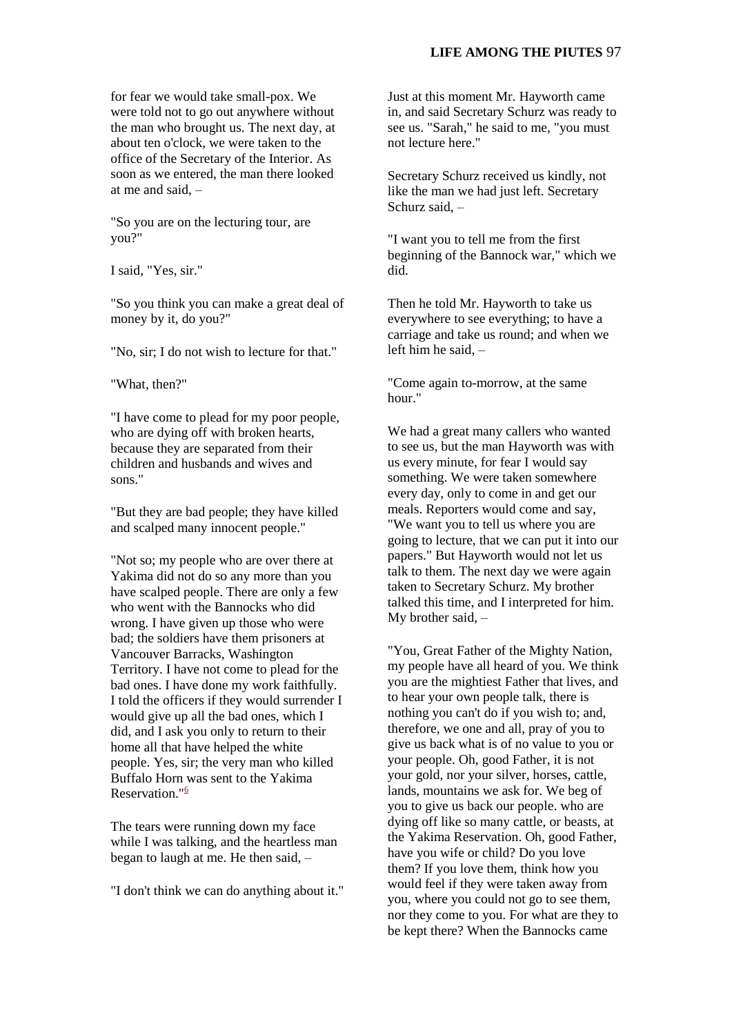for fear we would take small-pox. We were told not to go out anywhere without the man who brought us. The next day, at about ten o'clock, we were taken to the office of the Secretary of the Interior. As soon as we entered, the man there looked at me and said, –

"So you are on the lecturing tour, are you?"

I said, "Yes, sir."

"So you think you can make a great deal of money by it, do you?"

"No, sir; I do not wish to lecture for that."

"What, then?"

"I have come to plead for my poor people, who are dying off with broken hearts, because they are separated from their children and husbands and wives and sons."

"But they are bad people; they have killed and scalped many innocent people."

"Not so; my people who are over there at Yakima did not do so any more than you have scalped people. There are only a few who went with the Bannocks who did wrong. I have given up those who were bad; the soldiers have them prisoners at Vancouver Barracks, Washington Territory. I have not come to plead for the bad ones. I have done my work faithfully. I told the officers if they would surrender I would give up all the bad ones, which I did, and I ask you only to return to their home all that have helped the white people. Yes, sir; the very man who killed Buffalo Horn was sent to the Yakima Reservation."<sup>[6](http://digital.library.upenn.edu/women/winnemucca/piutes/piutes.html#218-1)</sup>

The tears were running down my face while I was talking, and the heartless man began to laugh at me. He then said, –

"I don't think we can do anything about it."

Just at this moment Mr. Hayworth came in, and said Secretary Schurz was ready to see us. "Sarah," he said to me, "you must not lecture here."

Secretary Schurz received us kindly, not like the man we had just left. Secretary Schurz said, –

"I want you to tell me from the first beginning of the Bannock war," which we did.

Then he told Mr. Hayworth to take us everywhere to see everything; to have a carriage and take us round; and when we left him he said, –

"Come again to-morrow, at the same hour."

We had a great many callers who wanted to see us, but the man Hayworth was with us every minute, for fear I would say something. We were taken somewhere every day, only to come in and get our meals. Reporters would come and say, "We want you to tell us where you are going to lecture, that we can put it into our papers." But Hayworth would not let us talk to them. The next day we were again taken to Secretary Schurz. My brother talked this time, and I interpreted for him. My brother said, –

"You, Great Father of the Mighty Nation, my people have all heard of you. We think you are the mightiest Father that lives, and to hear your own people talk, there is nothing you can't do if you wish to; and, therefore, we one and all, pray of you to give us back what is of no value to you or your people. Oh, good Father, it is not your gold, nor your silver, horses, cattle, lands, mountains we ask for. We beg of you to give us back our people. who are dying off like so many cattle, or beasts, at the Yakima Reservation. Oh, good Father, have you wife or child? Do you love them? If you love them, think how you would feel if they were taken away from you, where you could not go to see them, nor they come to you. For what are they to be kept there? When the Bannocks came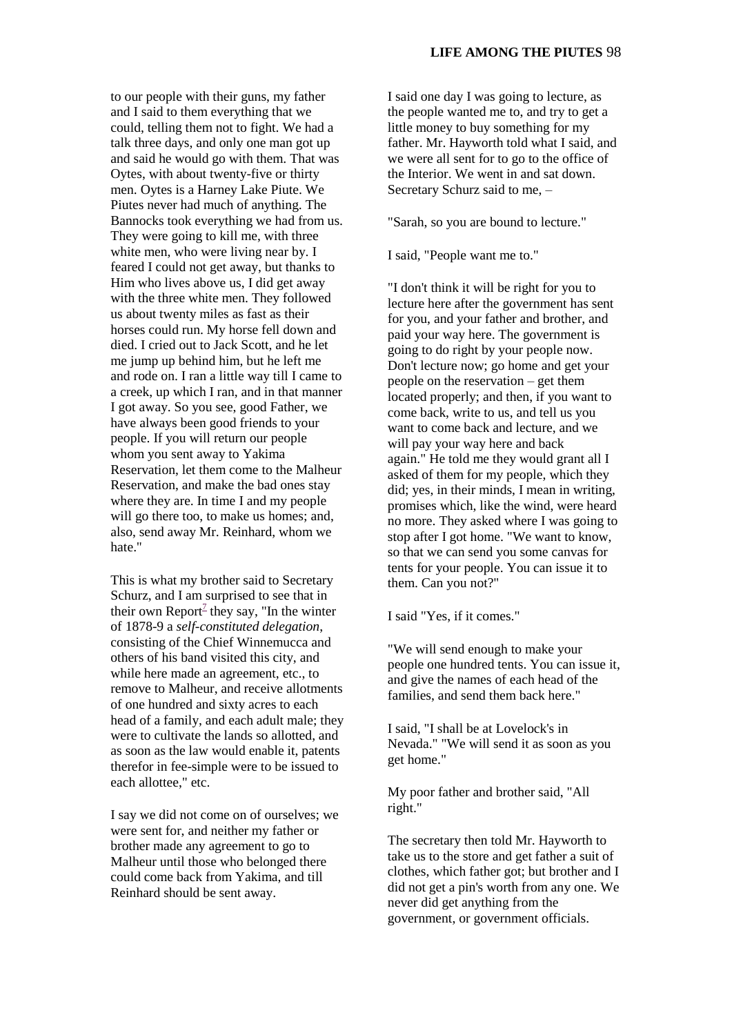to our people with their guns, my father and I said to them everything that we could, telling them not to fight. We had a talk three days, and only one man got up and said he would go with them. That was Oytes, with about twenty-five or thirty men. Oytes is a Harney Lake Piute. We Piutes never had much of anything. The Bannocks took everything we had from us. They were going to kill me, with three white men, who were living near by. I feared I could not get away, but thanks to Him who lives above us, I did get away with the three white men. They followed us about twenty miles as fast as their horses could run. My horse fell down and died. I cried out to Jack Scott, and he let me jump up behind him, but he left me and rode on. I ran a little way till I came to a creek, up which I ran, and in that manner I got away. So you see, good Father, we have always been good friends to your people. If you will return our people whom you sent away to Yakima Reservation, let them come to the Malheur Reservation, and make the bad ones stay where they are. In time I and my people will go there too, to make us homes; and, also, send away Mr. Reinhard, whom we hate."

This is what my brother said to Secretary Schurz, and I am surprised to see that in [t](http://digital.library.upenn.edu/women/winnemucca/piutes/piutes.html#220-1)heir own Report<sup> $\frac{1}{2}$ </sup> they say, "In the winter of 1878-9 a *self-constituted delegation*, consisting of the Chief Winnemucca and others of his band visited this city, and while here made an agreement, etc., to remove to Malheur, and receive allotments of one hundred and sixty acres to each head of a family, and each adult male; they were to cultivate the lands so allotted, and as soon as the law would enable it, patents therefor in fee-simple were to be issued to each allottee," etc.

I say we did not come on of ourselves; we were sent for, and neither my father or brother made any agreement to go to Malheur until those who belonged there could come back from Yakima, and till Reinhard should be sent away.

I said one day I was going to lecture, as the people wanted me to, and try to get a little money to buy something for my father. Mr. Hayworth told what I said, and we were all sent for to go to the office of the Interior. We went in and sat down. Secretary Schurz said to me, –

"Sarah, so you are bound to lecture."

I said, "People want me to."

"I don't think it will be right for you to lecture here after the government has sent for you, and your father and brother, and paid your way here. The government is going to do right by your people now. Don't lecture now; go home and get your people on the reservation – get them located properly; and then, if you want to come back, write to us, and tell us you want to come back and lecture, and we will pay your way here and back again." He told me they would grant all I asked of them for my people, which they did; yes, in their minds, I mean in writing, promises which, like the wind, were heard no more. They asked where I was going to stop after I got home. "We want to know, so that we can send you some canvas for tents for your people. You can issue it to them. Can you not?"

I said "Yes, if it comes."

"We will send enough to make your people one hundred tents. You can issue it, and give the names of each head of the families, and send them back here."

I said, "I shall be at Lovelock's in Nevada." "We will send it as soon as you get home."

My poor father and brother said, "All right."

The secretary then told Mr. Hayworth to take us to the store and get father a suit of clothes, which father got; but brother and I did not get a pin's worth from any one. We never did get anything from the government, or government officials.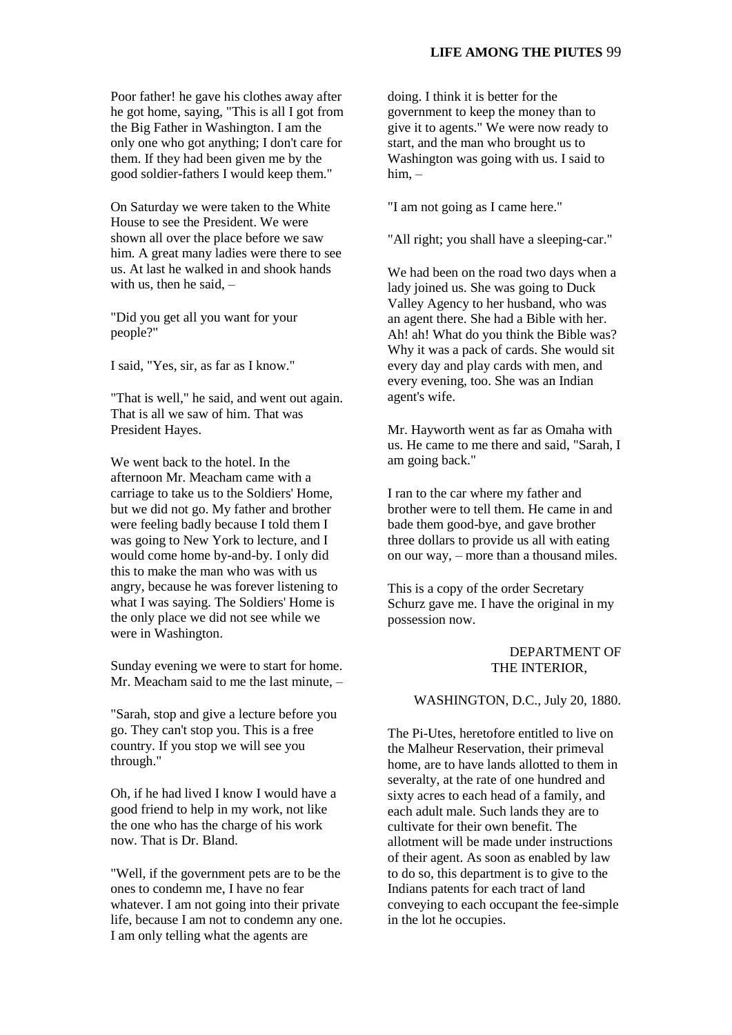Poor father! he gave his clothes away after he got home, saying, "This is all I got from the Big Father in Washington. I am the only one who got anything; I don't care for them. If they had been given me by the good soldier-fathers I would keep them."

On Saturday we were taken to the White House to see the President. We were shown all over the place before we saw him. A great many ladies were there to see us. At last he walked in and shook hands with us, then he said, –

"Did you get all you want for your people?"

I said, "Yes, sir, as far as I know."

"That is well," he said, and went out again. That is all we saw of him. That was President Hayes.

We went back to the hotel. In the afternoon Mr. Meacham came with a carriage to take us to the Soldiers' Home, but we did not go. My father and brother were feeling badly because I told them I was going to New York to lecture, and I would come home by-and-by. I only did this to make the man who was with us angry, because he was forever listening to what I was saying. The Soldiers' Home is the only place we did not see while we were in Washington.

Sunday evening we were to start for home. Mr. Meacham said to me the last minute, –

"Sarah, stop and give a lecture before you go. They can't stop you. This is a free country. If you stop we will see you through."

Oh, if he had lived I know I would have a good friend to help in my work, not like the one who has the charge of his work now. That is Dr. Bland.

"Well, if the government pets are to be the ones to condemn me, I have no fear whatever. I am not going into their private life, because I am not to condemn any one. I am only telling what the agents are

doing. I think it is better for the government to keep the money than to give it to agents." We were now ready to start, and the man who brought us to Washington was going with us. I said to him, –

"I am not going as I came here."

"All right; you shall have a sleeping-car."

We had been on the road two days when a lady joined us. She was going to Duck Valley Agency to her husband, who was an agent there. She had a Bible with her. Ah! ah! What do you think the Bible was? Why it was a pack of cards. She would sit every day and play cards with men, and every evening, too. She was an Indian agent's wife.

Mr. Hayworth went as far as Omaha with us. He came to me there and said, "Sarah, I am going back."

I ran to the car where my father and brother were to tell them. He came in and bade them good-bye, and gave brother three dollars to provide us all with eating on our way, – more than a thousand miles.

This is a copy of the order Secretary Schurz gave me. I have the original in my possession now.

# DEPARTMENT OF THE INTERIOR,

#### WASHINGTON, D.C., July 20, 1880.

The Pi-Utes, heretofore entitled to live on the Malheur Reservation, their primeval home, are to have lands allotted to them in severalty, at the rate of one hundred and sixty acres to each head of a family, and each adult male. Such lands they are to cultivate for their own benefit. The allotment will be made under instructions of their agent. As soon as enabled by law to do so, this department is to give to the Indians patents for each tract of land conveying to each occupant the fee-simple in the lot he occupies.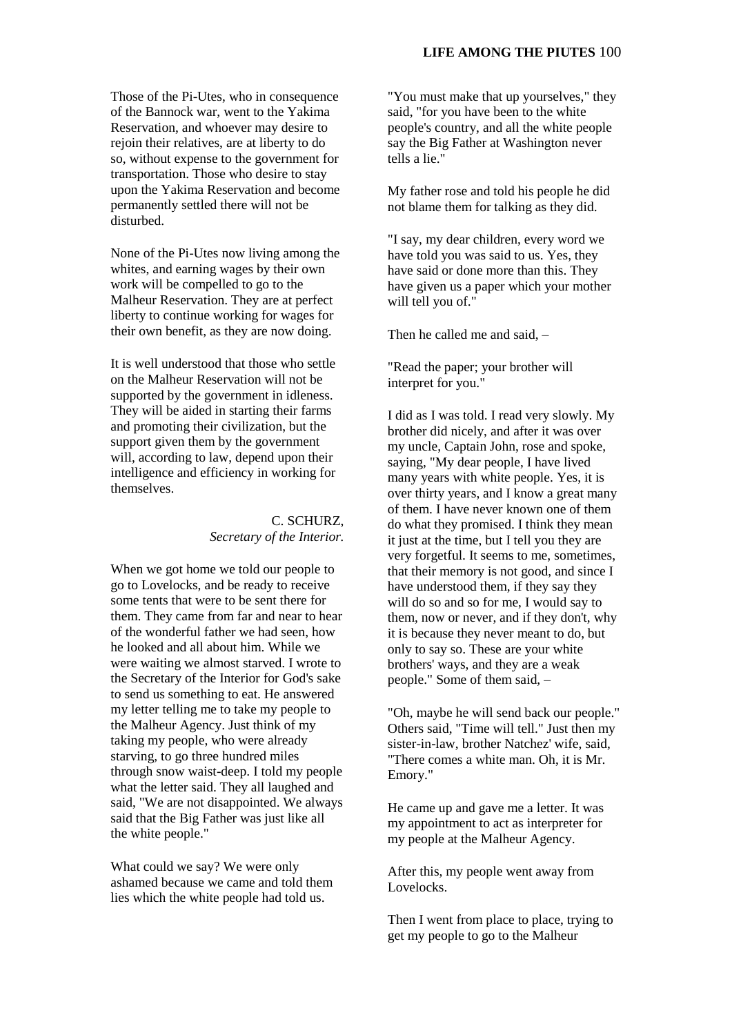Those of the Pi-Utes, who in consequence of the Bannock war, went to the Yakima Reservation, and whoever may desire to rejoin their relatives, are at liberty to do so, without expense to the government for transportation. Those who desire to stay upon the Yakima Reservation and become permanently settled there will not be disturbed.

None of the Pi-Utes now living among the whites, and earning wages by their own work will be compelled to go to the Malheur Reservation. They are at perfect liberty to continue working for wages for their own benefit, as they are now doing.

It is well understood that those who settle on the Malheur Reservation will not be supported by the government in idleness. They will be aided in starting their farms and promoting their civilization, but the support given them by the government will, according to law, depend upon their intelligence and efficiency in working for themselves.

## C. SCHURZ, *Secretary of the Interior.*

When we got home we told our people to go to Lovelocks, and be ready to receive some tents that were to be sent there for them. They came from far and near to hear of the wonderful father we had seen, how he looked and all about him. While we were waiting we almost starved. I wrote to the Secretary of the Interior for God's sake to send us something to eat. He answered my letter telling me to take my people to the Malheur Agency. Just think of my taking my people, who were already starving, to go three hundred miles through snow waist-deep. I told my people what the letter said. They all laughed and said, "We are not disappointed. We always said that the Big Father was just like all the white people."

What could we say? We were only ashamed because we came and told them lies which the white people had told us.

"You must make that up yourselves," they said, "for you have been to the white people's country, and all the white people say the Big Father at Washington never tells a lie."

My father rose and told his people he did not blame them for talking as they did.

"I say, my dear children, every word we have told you was said to us. Yes, they have said or done more than this. They have given us a paper which your mother will tell you of."

Then he called me and said, –

"Read the paper; your brother will interpret for you."

I did as I was told. I read very slowly. My brother did nicely, and after it was over my uncle, Captain John, rose and spoke, saying, "My dear people, I have lived many years with white people. Yes, it is over thirty years, and I know a great many of them. I have never known one of them do what they promised. I think they mean it just at the time, but I tell you they are very forgetful. It seems to me, sometimes, that their memory is not good, and since I have understood them, if they say they will do so and so for me, I would say to them, now or never, and if they don't, why it is because they never meant to do, but only to say so. These are your white brothers' ways, and they are a weak people." Some of them said, –

"Oh, maybe he will send back our people." Others said, "Time will tell." Just then my sister-in-law, brother Natchez' wife, said, "There comes a white man. Oh, it is Mr. Emory."

He came up and gave me a letter. It was my appointment to act as interpreter for my people at the Malheur Agency.

After this, my people went away from Lovelocks.

Then I went from place to place, trying to get my people to go to the Malheur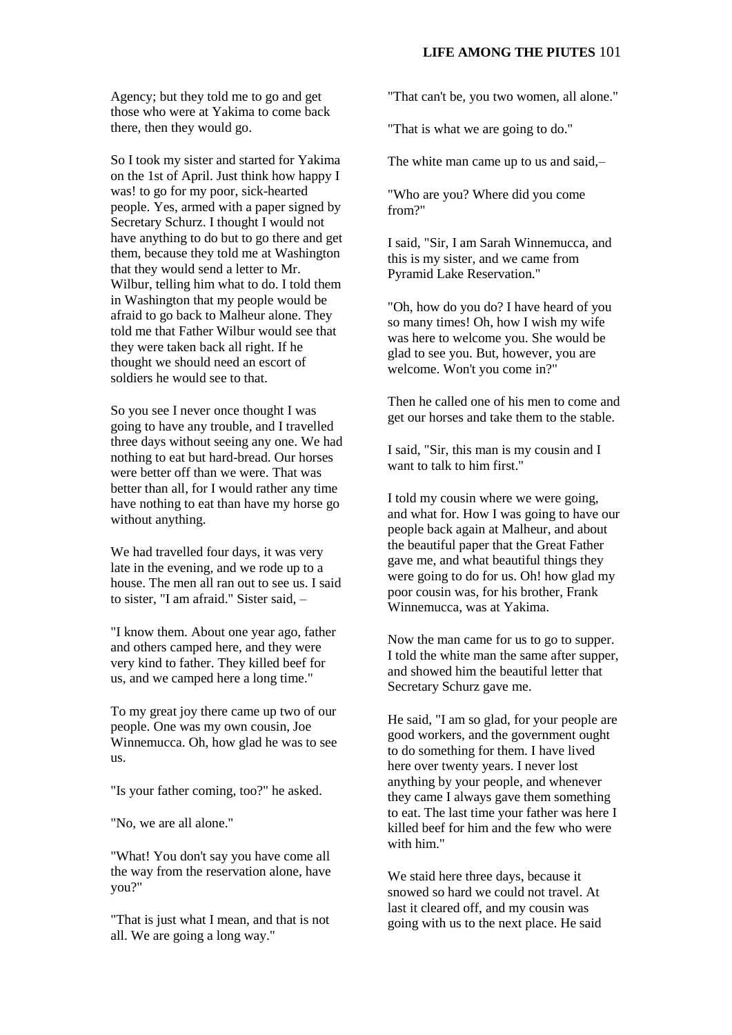Agency; but they told me to go and get those who were at Yakima to come back there, then they would go.

So I took my sister and started for Yakima on the 1st of April. Just think how happy I was! to go for my poor, sick-hearted people. Yes, armed with a paper signed by Secretary Schurz. I thought I would not have anything to do but to go there and get them, because they told me at Washington that they would send a letter to Mr. Wilbur, telling him what to do. I told them in Washington that my people would be afraid to go back to Malheur alone. They told me that Father Wilbur would see that they were taken back all right. If he thought we should need an escort of soldiers he would see to that.

So you see I never once thought I was going to have any trouble, and I travelled three days without seeing any one. We had nothing to eat but hard-bread. Our horses were better off than we were. That was better than all, for I would rather any time have nothing to eat than have my horse go without anything.

We had travelled four days, it was very late in the evening, and we rode up to a house. The men all ran out to see us. I said to sister, "I am afraid." Sister said, –

"I know them. About one year ago, father and others camped here, and they were very kind to father. They killed beef for us, and we camped here a long time."

To my great joy there came up two of our people. One was my own cousin, Joe Winnemucca. Oh, how glad he was to see us.

"Is your father coming, too?" he asked.

"No, we are all alone."

"What! You don't say you have come all the way from the reservation alone, have you?"

"That is just what I mean, and that is not all. We are going a long way."

"That can't be, you two women, all alone."

"That is what we are going to do."

The white man came up to us and said,–

"Who are you? Where did you come from?"

I said, "Sir, I am Sarah Winnemucca, and this is my sister, and we came from Pyramid Lake Reservation."

"Oh, how do you do? I have heard of you so many times! Oh, how I wish my wife was here to welcome you. She would be glad to see you. But, however, you are welcome. Won't you come in?"

Then he called one of his men to come and get our horses and take them to the stable.

I said, "Sir, this man is my cousin and I want to talk to him first."

I told my cousin where we were going, and what for. How I was going to have our people back again at Malheur, and about the beautiful paper that the Great Father gave me, and what beautiful things they were going to do for us. Oh! how glad my poor cousin was, for his brother, Frank Winnemucca, was at Yakima.

Now the man came for us to go to supper. I told the white man the same after supper, and showed him the beautiful letter that Secretary Schurz gave me.

He said, "I am so glad, for your people are good workers, and the government ought to do something for them. I have lived here over twenty years. I never lost anything by your people, and whenever they came I always gave them something to eat. The last time your father was here I killed beef for him and the few who were with him."

We staid here three days, because it snowed so hard we could not travel. At last it cleared off, and my cousin was going with us to the next place. He said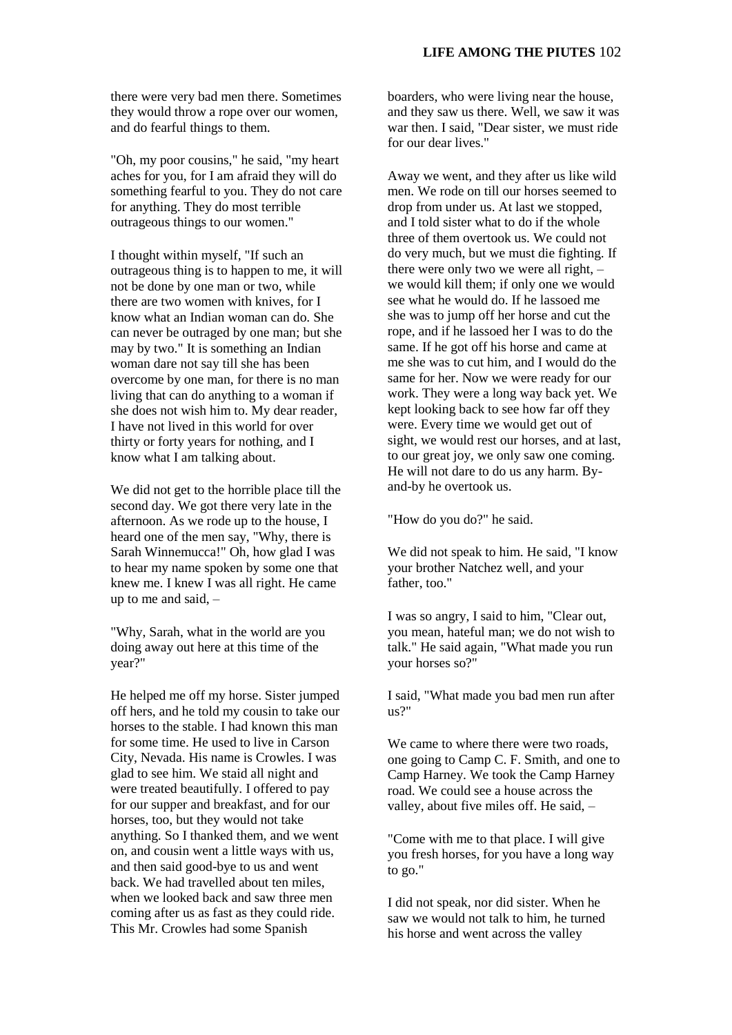there were very bad men there. Sometimes they would throw a rope over our women, and do fearful things to them.

"Oh, my poor cousins," he said, "my heart aches for you, for I am afraid they will do something fearful to you. They do not care for anything. They do most terrible outrageous things to our women."

I thought within myself, "If such an outrageous thing is to happen to me, it will not be done by one man or two, while there are two women with knives, for I know what an Indian woman can do. She can never be outraged by one man; but she may by two." It is something an Indian woman dare not say till she has been overcome by one man, for there is no man living that can do anything to a woman if she does not wish him to. My dear reader, I have not lived in this world for over thirty or forty years for nothing, and I know what I am talking about.

We did not get to the horrible place till the second day. We got there very late in the afternoon. As we rode up to the house, I heard one of the men say, "Why, there is Sarah Winnemucca!" Oh, how glad I was to hear my name spoken by some one that knew me. I knew I was all right. He came up to me and said, –

"Why, Sarah, what in the world are you doing away out here at this time of the year?"

He helped me off my horse. Sister jumped off hers, and he told my cousin to take our horses to the stable. I had known this man for some time. He used to live in Carson City, Nevada. His name is Crowles. I was glad to see him. We staid all night and were treated beautifully. I offered to pay for our supper and breakfast, and for our horses, too, but they would not take anything. So I thanked them, and we went on, and cousin went a little ways with us, and then said good-bye to us and went back. We had travelled about ten miles, when we looked back and saw three men coming after us as fast as they could ride. This Mr. Crowles had some Spanish

boarders, who were living near the house, and they saw us there. Well, we saw it was war then. I said, "Dear sister, we must ride for our dear lives."

Away we went, and they after us like wild men. We rode on till our horses seemed to drop from under us. At last we stopped, and I told sister what to do if the whole three of them overtook us. We could not do very much, but we must die fighting. If there were only two we were all right, – we would kill them; if only one we would see what he would do. If he lassoed me she was to jump off her horse and cut the rope, and if he lassoed her I was to do the same. If he got off his horse and came at me she was to cut him, and I would do the same for her. Now we were ready for our work. They were a long way back yet. We kept looking back to see how far off they were. Every time we would get out of sight, we would rest our horses, and at last, to our great joy, we only saw one coming. He will not dare to do us any harm. Byand-by he overtook us.

"How do you do?" he said.

We did not speak to him. He said, "I know your brother Natchez well, and your father, too."

I was so angry, I said to him, "Clear out, you mean, hateful man; we do not wish to talk." He said again, "What made you run your horses so?"

I said, "What made you bad men run after us?"

We came to where there were two roads, one going to Camp C. F. Smith, and one to Camp Harney. We took the Camp Harney road. We could see a house across the valley, about five miles off. He said, –

"Come with me to that place. I will give you fresh horses, for you have a long way to go."

I did not speak, nor did sister. When he saw we would not talk to him, he turned his horse and went across the valley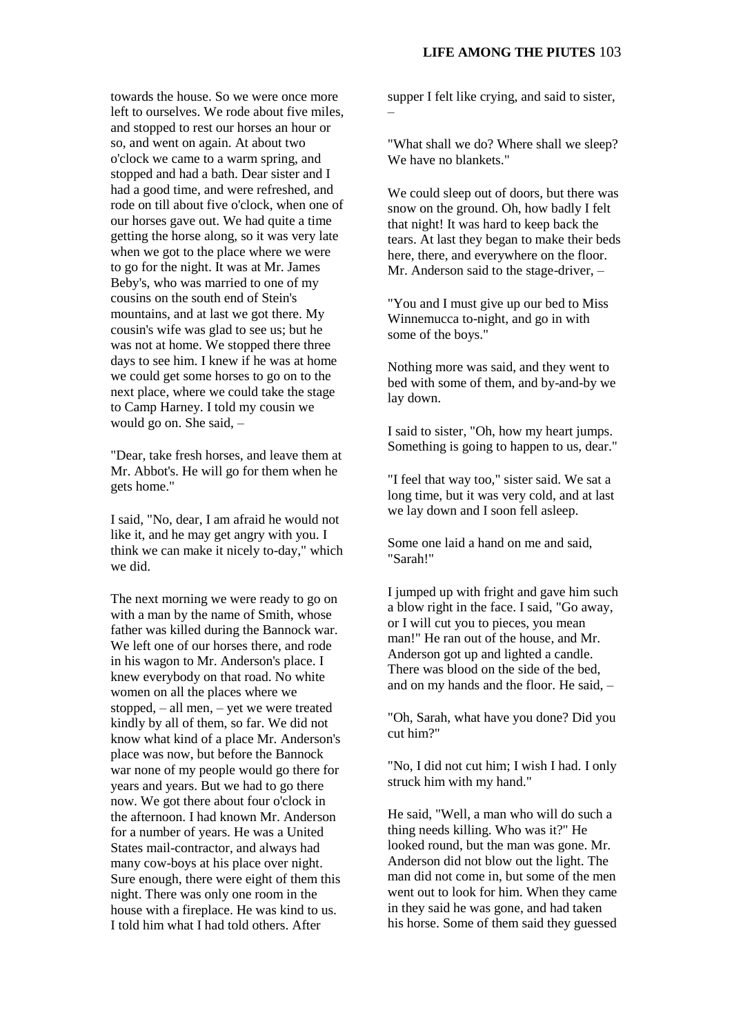towards the house. So we were once more left to ourselves. We rode about five miles, and stopped to rest our horses an hour or so, and went on again. At about two o'clock we came to a warm spring, and stopped and had a bath. Dear sister and I had a good time, and were refreshed, and rode on till about five o'clock, when one of our horses gave out. We had quite a time getting the horse along, so it was very late when we got to the place where we were to go for the night. It was at Mr. James Beby's, who was married to one of my cousins on the south end of Stein's mountains, and at last we got there. My cousin's wife was glad to see us; but he was not at home. We stopped there three days to see him. I knew if he was at home we could get some horses to go on to the next place, where we could take the stage to Camp Harney. I told my cousin we would go on. She said, –

"Dear, take fresh horses, and leave them at Mr. Abbot's. He will go for them when he gets home."

I said, "No, dear, I am afraid he would not like it, and he may get angry with you. I think we can make it nicely to-day," which we did.

The next morning we were ready to go on with a man by the name of Smith, whose father was killed during the Bannock war. We left one of our horses there, and rode in his wagon to Mr. Anderson's place. I knew everybody on that road. No white women on all the places where we stopped, – all men, – yet we were treated kindly by all of them, so far. We did not know what kind of a place Mr. Anderson's place was now, but before the Bannock war none of my people would go there for years and years. But we had to go there now. We got there about four o'clock in the afternoon. I had known Mr. Anderson for a number of years. He was a United States mail-contractor, and always had many cow-boys at his place over night. Sure enough, there were eight of them this night. There was only one room in the house with a fireplace. He was kind to us. I told him what I had told others. After

supper I felt like crying, and said to sister, –

"What shall we do? Where shall we sleep? We have no blankets."

We could sleep out of doors, but there was snow on the ground. Oh, how badly I felt that night! It was hard to keep back the tears. At last they began to make their beds here, there, and everywhere on the floor. Mr. Anderson said to the stage-driver, –

"You and I must give up our bed to Miss Winnemucca to-night, and go in with some of the boys."

Nothing more was said, and they went to bed with some of them, and by-and-by we lay down.

I said to sister, "Oh, how my heart jumps. Something is going to happen to us, dear."

"I feel that way too," sister said. We sat a long time, but it was very cold, and at last we lay down and I soon fell asleep.

Some one laid a hand on me and said, "Sarah!"

I jumped up with fright and gave him such a blow right in the face. I said, "Go away, or I will cut you to pieces, you mean man!" He ran out of the house, and Mr. Anderson got up and lighted a candle. There was blood on the side of the bed, and on my hands and the floor. He said, –

"Oh, Sarah, what have you done? Did you cut him?"

"No, I did not cut him; I wish I had. I only struck him with my hand."

He said, "Well, a man who will do such a thing needs killing. Who was it?" He looked round, but the man was gone. Mr. Anderson did not blow out the light. The man did not come in, but some of the men went out to look for him. When they came in they said he was gone, and had taken his horse. Some of them said they guessed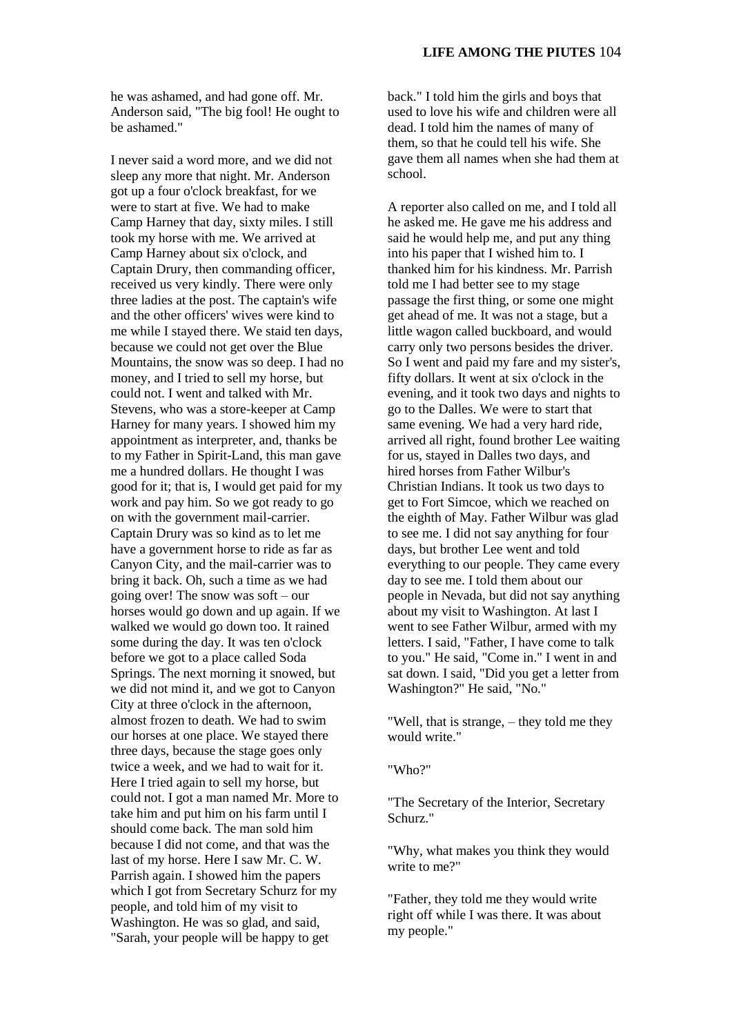he was ashamed, and had gone off. Mr. Anderson said, "The big fool! He ought to be ashamed."

I never said a word more, and we did not sleep any more that night. Mr. Anderson got up a four o'clock breakfast, for we were to start at five. We had to make Camp Harney that day, sixty miles. I still took my horse with me. We arrived at Camp Harney about six o'clock, and Captain Drury, then commanding officer, received us very kindly. There were only three ladies at the post. The captain's wife and the other officers' wives were kind to me while I stayed there. We staid ten days, because we could not get over the Blue Mountains, the snow was so deep. I had no money, and I tried to sell my horse, but could not. I went and talked with Mr. Stevens, who was a store-keeper at Camp Harney for many years. I showed him my appointment as interpreter, and, thanks be to my Father in Spirit-Land, this man gave me a hundred dollars. He thought I was good for it; that is, I would get paid for my work and pay him. So we got ready to go on with the government mail-carrier. Captain Drury was so kind as to let me have a government horse to ride as far as Canyon City, and the mail-carrier was to bring it back. Oh, such a time as we had going over! The snow was soft – our horses would go down and up again. If we walked we would go down too. It rained some during the day. It was ten o'clock before we got to a place called Soda Springs. The next morning it snowed, but we did not mind it, and we got to Canyon City at three o'clock in the afternoon, almost frozen to death. We had to swim our horses at one place. We stayed there three days, because the stage goes only twice a week, and we had to wait for it. Here I tried again to sell my horse, but could not. I got a man named Mr. More to take him and put him on his farm until I should come back. The man sold him because I did not come, and that was the last of my horse. Here I saw Mr. C. W. Parrish again. I showed him the papers which I got from Secretary Schurz for my people, and told him of my visit to Washington. He was so glad, and said, "Sarah, your people will be happy to get

back." I told him the girls and boys that used to love his wife and children were all dead. I told him the names of many of them, so that he could tell his wife. She gave them all names when she had them at school.

A reporter also called on me, and I told all he asked me. He gave me his address and said he would help me, and put any thing into his paper that I wished him to. I thanked him for his kindness. Mr. Parrish told me I had better see to my stage passage the first thing, or some one might get ahead of me. It was not a stage, but a little wagon called buckboard, and would carry only two persons besides the driver. So I went and paid my fare and my sister's, fifty dollars. It went at six o'clock in the evening, and it took two days and nights to go to the Dalles. We were to start that same evening. We had a very hard ride, arrived all right, found brother Lee waiting for us, stayed in Dalles two days, and hired horses from Father Wilbur's Christian Indians. It took us two days to get to Fort Simcoe, which we reached on the eighth of May. Father Wilbur was glad to see me. I did not say anything for four days, but brother Lee went and told everything to our people. They came every day to see me. I told them about our people in Nevada, but did not say anything about my visit to Washington. At last I went to see Father Wilbur, armed with my letters. I said, "Father, I have come to talk to you." He said, "Come in." I went in and sat down. I said, "Did you get a letter from Washington?" He said, "No."

"Well, that is strange, – they told me they would write."

"Who?"

"The Secretary of the Interior, Secretary Schurz."

"Why, what makes you think they would write to me?"

"Father, they told me they would write right off while I was there. It was about my people."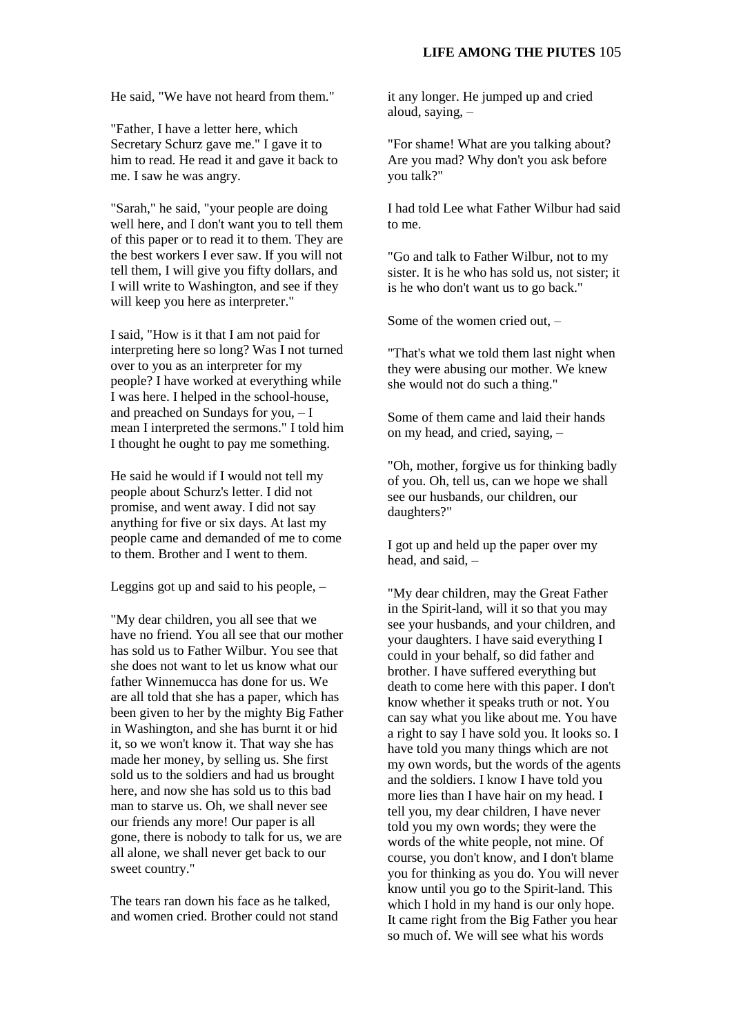He said, "We have not heard from them."

"Father, I have a letter here, which Secretary Schurz gave me." I gave it to him to read. He read it and gave it back to me. I saw he was angry.

"Sarah," he said, "your people are doing well here, and I don't want you to tell them of this paper or to read it to them. They are the best workers I ever saw. If you will not tell them, I will give you fifty dollars, and I will write to Washington, and see if they will keep you here as interpreter."

I said, "How is it that I am not paid for interpreting here so long? Was I not turned over to you as an interpreter for my people? I have worked at everything while I was here. I helped in the school-house, and preached on Sundays for you, – I mean I interpreted the sermons." I told him I thought he ought to pay me something.

He said he would if I would not tell my people about Schurz's letter. I did not promise, and went away. I did not say anything for five or six days. At last my people came and demanded of me to come to them. Brother and I went to them.

Leggins got up and said to his people, –

"My dear children, you all see that we have no friend. You all see that our mother has sold us to Father Wilbur. You see that she does not want to let us know what our father Winnemucca has done for us. We are all told that she has a paper, which has been given to her by the mighty Big Father in Washington, and she has burnt it or hid it, so we won't know it. That way she has made her money, by selling us. She first sold us to the soldiers and had us brought here, and now she has sold us to this bad man to starve us. Oh, we shall never see our friends any more! Our paper is all gone, there is nobody to talk for us, we are all alone, we shall never get back to our sweet country."

The tears ran down his face as he talked, and women cried. Brother could not stand it any longer. He jumped up and cried aloud, saying, –

"For shame! What are you talking about? Are you mad? Why don't you ask before you talk?"

I had told Lee what Father Wilbur had said to me.

"Go and talk to Father Wilbur, not to my sister. It is he who has sold us, not sister; it is he who don't want us to go back."

Some of the women cried out, –

"That's what we told them last night when they were abusing our mother. We knew she would not do such a thing."

Some of them came and laid their hands on my head, and cried, saying, –

"Oh, mother, forgive us for thinking badly of you. Oh, tell us, can we hope we shall see our husbands, our children, our daughters?"

I got up and held up the paper over my head, and said, –

"My dear children, may the Great Father in the Spirit-land, will it so that you may see your husbands, and your children, and your daughters. I have said everything I could in your behalf, so did father and brother. I have suffered everything but death to come here with this paper. I don't know whether it speaks truth or not. You can say what you like about me. You have a right to say I have sold you. It looks so. I have told you many things which are not my own words, but the words of the agents and the soldiers. I know I have told you more lies than I have hair on my head. I tell you, my dear children, I have never told you my own words; they were the words of the white people, not mine. Of course, you don't know, and I don't blame you for thinking as you do. You will never know until you go to the Spirit-land. This which I hold in my hand is our only hope. It came right from the Big Father you hear so much of. We will see what his words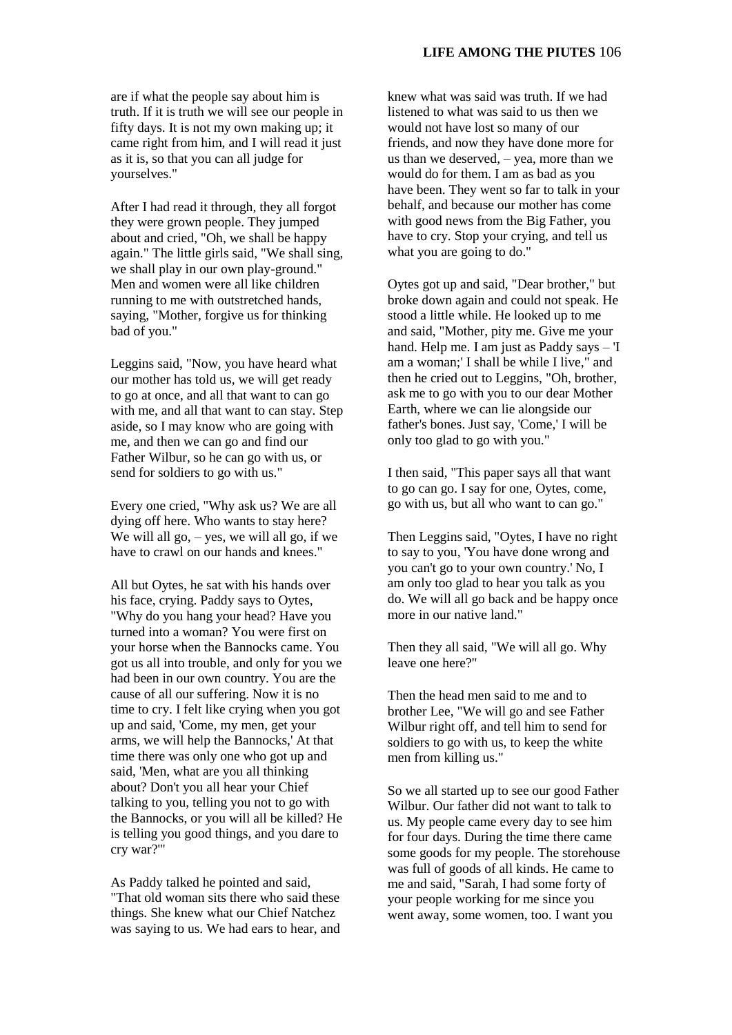are if what the people say about him is truth. If it is truth we will see our people in fifty days. It is not my own making up; it came right from him, and I will read it just as it is, so that you can all judge for yourselves."

After I had read it through, they all forgot they were grown people. They jumped about and cried, "Oh, we shall be happy again." The little girls said, "We shall sing, we shall play in our own play-ground." Men and women were all like children running to me with outstretched hands, saying, "Mother, forgive us for thinking bad of you."

Leggins said, "Now, you have heard what our mother has told us, we will get ready to go at once, and all that want to can go with me, and all that want to can stay. Step aside, so I may know who are going with me, and then we can go and find our Father Wilbur, so he can go with us, or send for soldiers to go with us."

Every one cried, "Why ask us? We are all dying off here. Who wants to stay here? We will all go,  $-$  yes, we will all go, if we have to crawl on our hands and knees."

All but Oytes, he sat with his hands over his face, crying. Paddy says to Oytes, "Why do you hang your head? Have you turned into a woman? You were first on your horse when the Bannocks came. You got us all into trouble, and only for you we had been in our own country. You are the cause of all our suffering. Now it is no time to cry. I felt like crying when you got up and said, 'Come, my men, get your arms, we will help the Bannocks,' At that time there was only one who got up and said, 'Men, what are you all thinking about? Don't you all hear your Chief talking to you, telling you not to go with the Bannocks, or you will all be killed? He is telling you good things, and you dare to cry war?'"

As Paddy talked he pointed and said, "That old woman sits there who said these things. She knew what our Chief Natchez was saying to us. We had ears to hear, and knew what was said was truth. If we had listened to what was said to us then we would not have lost so many of our friends, and now they have done more for us than we deserved, – yea, more than we would do for them. I am as bad as you have been. They went so far to talk in your behalf, and because our mother has come with good news from the Big Father, you have to cry. Stop your crying, and tell us what you are going to do."

Oytes got up and said, "Dear brother," but broke down again and could not speak. He stood a little while. He looked up to me and said, "Mother, pity me. Give me your hand. Help me. I am just as Paddy says - 'I am a woman;' I shall be while I live," and then he cried out to Leggins, "Oh, brother, ask me to go with you to our dear Mother Earth, where we can lie alongside our father's bones. Just say, 'Come,' I will be only too glad to go with you."

I then said, "This paper says all that want to go can go. I say for one, Oytes, come, go with us, but all who want to can go."

Then Leggins said, "Oytes, I have no right to say to you, 'You have done wrong and you can't go to your own country.' No, I am only too glad to hear you talk as you do. We will all go back and be happy once more in our native land."

Then they all said, "We will all go. Why leave one here?"

Then the head men said to me and to brother Lee, "We will go and see Father Wilbur right off, and tell him to send for soldiers to go with us, to keep the white men from killing us."

So we all started up to see our good Father Wilbur. Our father did not want to talk to us. My people came every day to see him for four days. During the time there came some goods for my people. The storehouse was full of goods of all kinds. He came to me and said, "Sarah, I had some forty of your people working for me since you went away, some women, too. I want you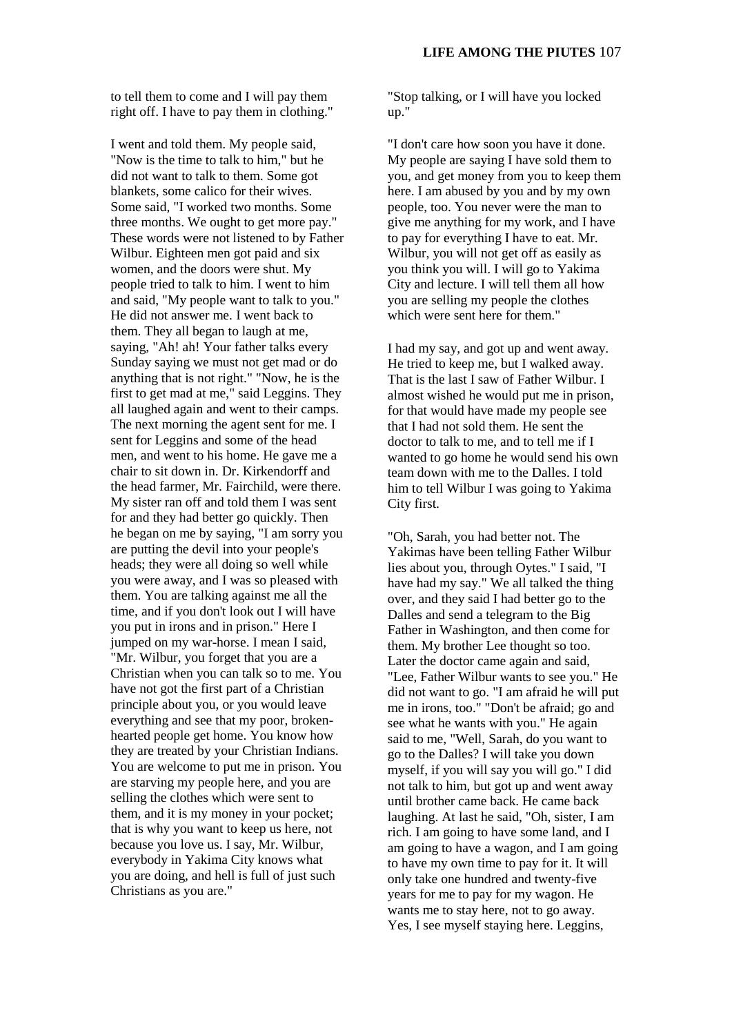to tell them to come and I will pay them right off. I have to pay them in clothing."

I went and told them. My people said, "Now is the time to talk to him," but he did not want to talk to them. Some got blankets, some calico for their wives. Some said, "I worked two months. Some three months. We ought to get more pay." These words were not listened to by Father Wilbur. Eighteen men got paid and six women, and the doors were shut. My people tried to talk to him. I went to him and said, "My people want to talk to you." He did not answer me. I went back to them. They all began to laugh at me, saying, "Ah! ah! Your father talks every Sunday saying we must not get mad or do anything that is not right." "Now, he is the first to get mad at me," said Leggins. They all laughed again and went to their camps. The next morning the agent sent for me. I sent for Leggins and some of the head men, and went to his home. He gave me a chair to sit down in. Dr. Kirkendorff and the head farmer, Mr. Fairchild, were there. My sister ran off and told them I was sent for and they had better go quickly. Then he began on me by saying, "I am sorry you are putting the devil into your people's heads; they were all doing so well while you were away, and I was so pleased with them. You are talking against me all the time, and if you don't look out I will have you put in irons and in prison." Here I jumped on my war-horse. I mean I said, "Mr. Wilbur, you forget that you are a Christian when you can talk so to me. You have not got the first part of a Christian principle about you, or you would leave everything and see that my poor, brokenhearted people get home. You know how they are treated by your Christian Indians. You are welcome to put me in prison. You are starving my people here, and you are selling the clothes which were sent to them, and it is my money in your pocket; that is why you want to keep us here, not because you love us. I say, Mr. Wilbur, everybody in Yakima City knows what you are doing, and hell is full of just such Christians as you are."

"Stop talking, or I will have you locked up."

"I don't care how soon you have it done. My people are saying I have sold them to you, and get money from you to keep them here. I am abused by you and by my own people, too. You never were the man to give me anything for my work, and I have to pay for everything I have to eat. Mr. Wilbur, you will not get off as easily as you think you will. I will go to Yakima City and lecture. I will tell them all how you are selling my people the clothes which were sent here for them."

I had my say, and got up and went away. He tried to keep me, but I walked away. That is the last I saw of Father Wilbur. I almost wished he would put me in prison, for that would have made my people see that I had not sold them. He sent the doctor to talk to me, and to tell me if I wanted to go home he would send his own team down with me to the Dalles. I told him to tell Wilbur I was going to Yakima City first.

"Oh, Sarah, you had better not. The Yakimas have been telling Father Wilbur lies about you, through Oytes." I said, "I have had my say." We all talked the thing over, and they said I had better go to the Dalles and send a telegram to the Big Father in Washington, and then come for them. My brother Lee thought so too. Later the doctor came again and said, "Lee, Father Wilbur wants to see you." He did not want to go. "I am afraid he will put me in irons, too." "Don't be afraid; go and see what he wants with you." He again said to me, "Well, Sarah, do you want to go to the Dalles? I will take you down myself, if you will say you will go." I did not talk to him, but got up and went away until brother came back. He came back laughing. At last he said, "Oh, sister, I am rich. I am going to have some land, and I am going to have a wagon, and I am going to have my own time to pay for it. It will only take one hundred and twenty-five years for me to pay for my wagon. He wants me to stay here, not to go away. Yes, I see myself staying here. Leggins,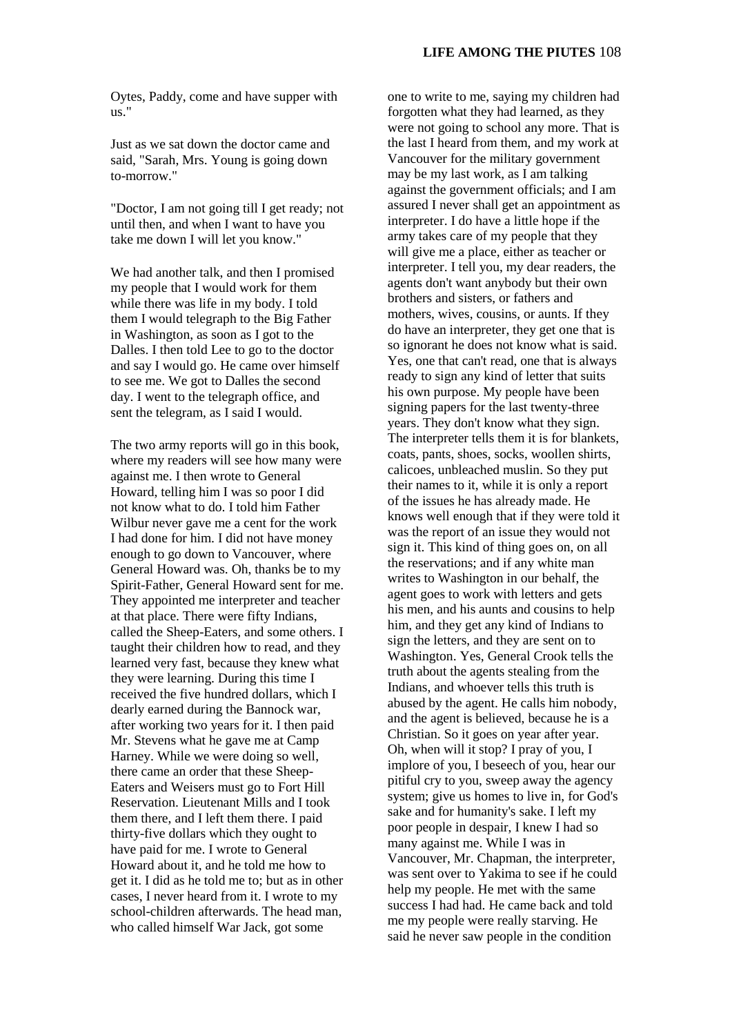Oytes, Paddy, come and have supper with us."

Just as we sat down the doctor came and said, "Sarah, Mrs. Young is going down to-morrow."

"Doctor, I am not going till I get ready; not until then, and when I want to have you take me down I will let you know."

We had another talk, and then I promised my people that I would work for them while there was life in my body. I told them I would telegraph to the Big Father in Washington, as soon as I got to the Dalles. I then told Lee to go to the doctor and say I would go. He came over himself to see me. We got to Dalles the second day. I went to the telegraph office, and sent the telegram, as I said I would.

The two army reports will go in this book, where my readers will see how many were against me. I then wrote to General Howard, telling him I was so poor I did not know what to do. I told him Father Wilbur never gave me a cent for the work I had done for him. I did not have money enough to go down to Vancouver, where General Howard was. Oh, thanks be to my Spirit-Father, General Howard sent for me. They appointed me interpreter and teacher at that place. There were fifty Indians, called the Sheep-Eaters, and some others. I taught their children how to read, and they learned very fast, because they knew what they were learning. During this time I received the five hundred dollars, which I dearly earned during the Bannock war, after working two years for it. I then paid Mr. Stevens what he gave me at Camp Harney. While we were doing so well, there came an order that these Sheep-Eaters and Weisers must go to Fort Hill Reservation. Lieutenant Mills and I took them there, and I left them there. I paid thirty-five dollars which they ought to have paid for me. I wrote to General Howard about it, and he told me how to get it. I did as he told me to; but as in other cases, I never heard from it. I wrote to my school-children afterwards. The head man, who called himself War Jack, got some

one to write to me, saying my children had forgotten what they had learned, as they were not going to school any more. That is the last I heard from them, and my work at Vancouver for the military government may be my last work, as I am talking against the government officials; and I am assured I never shall get an appointment as interpreter. I do have a little hope if the army takes care of my people that they will give me a place, either as teacher or interpreter. I tell you, my dear readers, the agents don't want anybody but their own brothers and sisters, or fathers and mothers, wives, cousins, or aunts. If they do have an interpreter, they get one that is so ignorant he does not know what is said. Yes, one that can't read, one that is always ready to sign any kind of letter that suits his own purpose. My people have been signing papers for the last twenty-three years. They don't know what they sign. The interpreter tells them it is for blankets, coats, pants, shoes, socks, woollen shirts, calicoes, unbleached muslin. So they put their names to it, while it is only a report of the issues he has already made. He knows well enough that if they were told it was the report of an issue they would not sign it. This kind of thing goes on, on all the reservations; and if any white man writes to Washington in our behalf, the agent goes to work with letters and gets his men, and his aunts and cousins to help him, and they get any kind of Indians to sign the letters, and they are sent on to Washington. Yes, General Crook tells the truth about the agents stealing from the Indians, and whoever tells this truth is abused by the agent. He calls him nobody, and the agent is believed, because he is a Christian. So it goes on year after year. Oh, when will it stop? I pray of you, I implore of you, I beseech of you, hear our pitiful cry to you, sweep away the agency system; give us homes to live in, for God's sake and for humanity's sake. I left my poor people in despair, I knew I had so many against me. While I was in Vancouver, Mr. Chapman, the interpreter, was sent over to Yakima to see if he could help my people. He met with the same success I had had. He came back and told me my people were really starving. He said he never saw people in the condition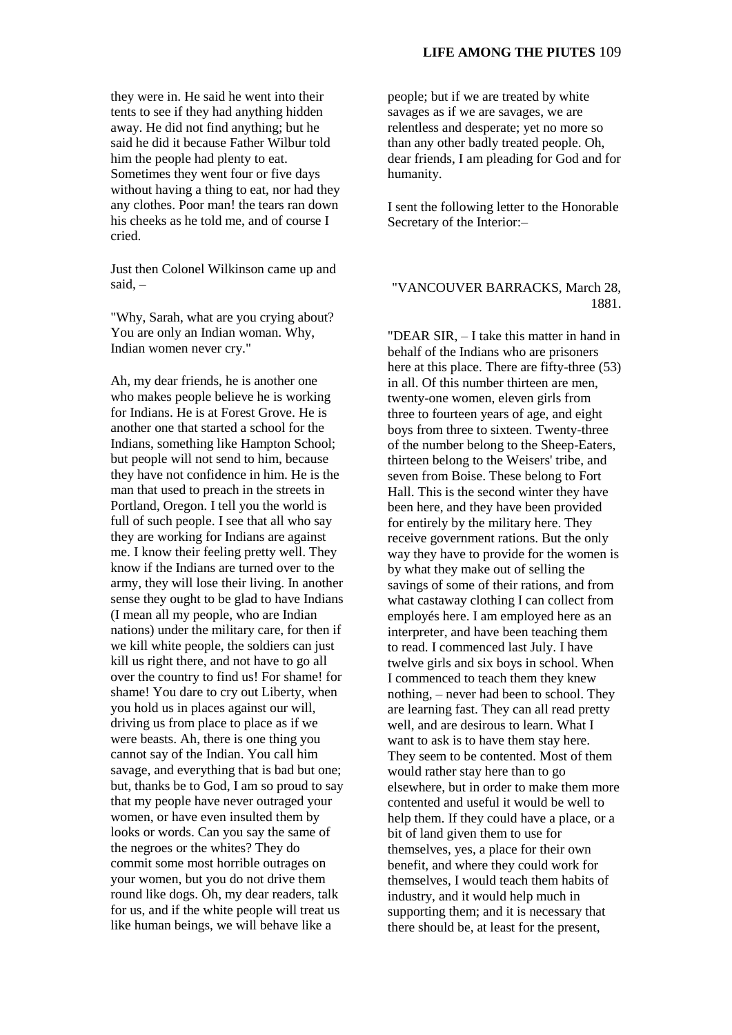they were in. He said he went into their tents to see if they had anything hidden away. He did not find anything; but he said he did it because Father Wilbur told him the people had plenty to eat. Sometimes they went four or five days without having a thing to eat, nor had they any clothes. Poor man! the tears ran down his cheeks as he told me, and of course I cried.

Just then Colonel Wilkinson came up and said, –

"Why, Sarah, what are you crying about? You are only an Indian woman. Why, Indian women never cry."

Ah, my dear friends, he is another one who makes people believe he is working for Indians. He is at Forest Grove. He is another one that started a school for the Indians, something like Hampton School; but people will not send to him, because they have not confidence in him. He is the man that used to preach in the streets in Portland, Oregon. I tell you the world is full of such people. I see that all who say they are working for Indians are against me. I know their feeling pretty well. They know if the Indians are turned over to the army, they will lose their living. In another sense they ought to be glad to have Indians (I mean all my people, who are Indian nations) under the military care, for then if we kill white people, the soldiers can just kill us right there, and not have to go all over the country to find us! For shame! for shame! You dare to cry out Liberty, when you hold us in places against our will, driving us from place to place as if we were beasts. Ah, there is one thing you cannot say of the Indian. You call him savage, and everything that is bad but one; but, thanks be to God, I am so proud to say that my people have never outraged your women, or have even insulted them by looks or words. Can you say the same of the negroes or the whites? They do commit some most horrible outrages on your women, but you do not drive them round like dogs. Oh, my dear readers, talk for us, and if the white people will treat us like human beings, we will behave like a

people; but if we are treated by white savages as if we are savages, we are relentless and desperate; yet no more so than any other badly treated people. Oh, dear friends, I am pleading for God and for humanity.

I sent the following letter to the Honorable Secretary of the Interior:–

## "VANCOUVER BARRACKS, March 28, 1881.

"DEAR SIR, – I take this matter in hand in behalf of the Indians who are prisoners here at this place. There are fifty-three (53) in all. Of this number thirteen are men, twenty-one women, eleven girls from three to fourteen years of age, and eight boys from three to sixteen. Twenty-three of the number belong to the Sheep-Eaters, thirteen belong to the Weisers' tribe, and seven from Boise. These belong to Fort Hall. This is the second winter they have been here, and they have been provided for entirely by the military here. They receive government rations. But the only way they have to provide for the women is by what they make out of selling the savings of some of their rations, and from what castaway clothing I can collect from employés here. I am employed here as an interpreter, and have been teaching them to read. I commenced last July. I have twelve girls and six boys in school. When I commenced to teach them they knew nothing, – never had been to school. They are learning fast. They can all read pretty well, and are desirous to learn. What I want to ask is to have them stay here. They seem to be contented. Most of them would rather stay here than to go elsewhere, but in order to make them more contented and useful it would be well to help them. If they could have a place, or a bit of land given them to use for themselves, yes, a place for their own benefit, and where they could work for themselves, I would teach them habits of industry, and it would help much in supporting them; and it is necessary that there should be, at least for the present,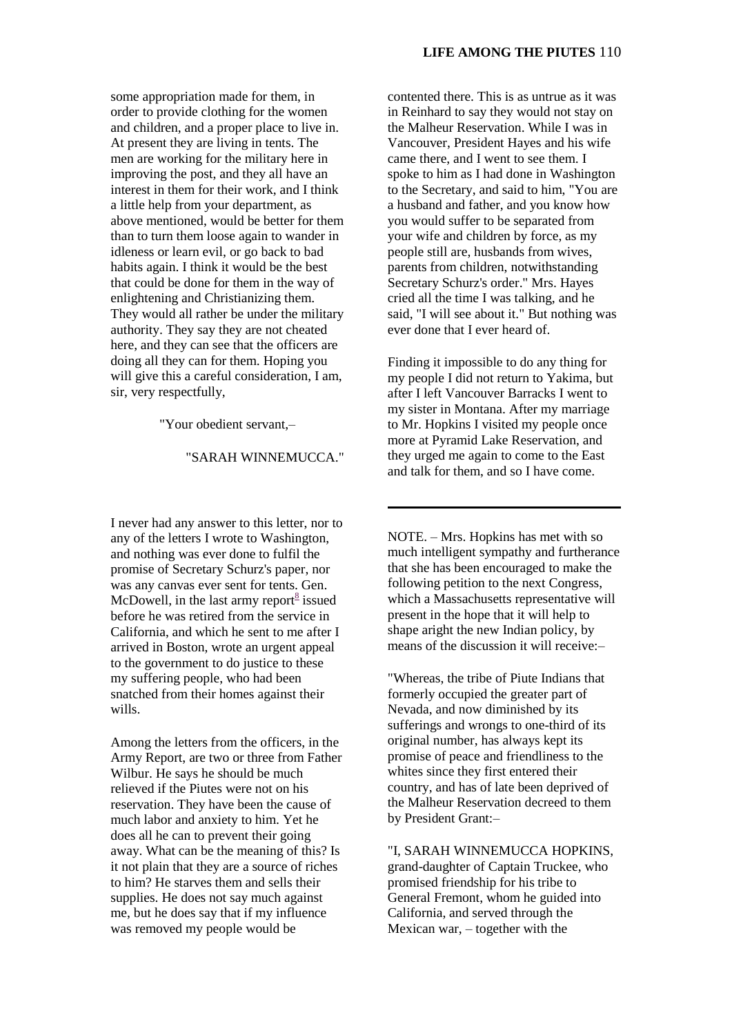some appropriation made for them, in order to provide clothing for the women and children, and a proper place to live in. At present they are living in tents. The men are working for the military here in improving the post, and they all have an interest in them for their work, and I think a little help from your department, as above mentioned, would be better for them than to turn them loose again to wander in idleness or learn evil, or go back to bad habits again. I think it would be the best that could be done for them in the way of enlightening and Christianizing them. They would all rather be under the military authority. They say they are not cheated here, and they can see that the officers are doing all they can for them. Hoping you will give this a careful consideration, I am, sir, very respectfully,

"Your obedient servant,–

# "SARAH WINNEMUCCA."

I never had any answer to this letter, nor to any of the letters I wrote to Washington, and nothing was ever done to fulfil the promise of Secretary Schurz's paper, nor was any canvas ever sent for tents. Gen. McDowell, in [t](http://digital.library.upenn.edu/women/winnemucca/piutes/piutes.html#246-1)he last army report<sup>8</sup> issued before he was retired from the service in California, and which he sent to me after I arrived in Boston, wrote an urgent appeal to the government to do justice to these my suffering people, who had been snatched from their homes against their wills.

Among the letters from the officers, in the Army Report, are two or three from Father Wilbur. He says he should be much relieved if the Piutes were not on his reservation. They have been the cause of much labor and anxiety to him. Yet he does all he can to prevent their going away. What can be the meaning of this? Is it not plain that they are a source of riches to him? He starves them and sells their supplies. He does not say much against me, but he does say that if my influence was removed my people would be

contented there. This is as untrue as it was in Reinhard to say they would not stay on the Malheur Reservation. While I was in Vancouver, President Hayes and his wife came there, and I went to see them. I spoke to him as I had done in Washington to the Secretary, and said to him, "You are a husband and father, and you know how you would suffer to be separated from your wife and children by force, as my people still are, husbands from wives, parents from children, notwithstanding Secretary Schurz's order." Mrs. Hayes cried all the time I was talking, and he said, "I will see about it." But nothing was ever done that I ever heard of.

Finding it impossible to do any thing for my people I did not return to Yakima, but after I left Vancouver Barracks I went to my sister in Montana. After my marriage to Mr. Hopkins I visited my people once more at Pyramid Lake Reservation, and they urged me again to come to the East and talk for them, and so I have come.

NOTE. – Mrs. Hopkins has met with so much intelligent sympathy and furtherance that she has been encouraged to make the following petition to the next Congress, which a Massachusetts representative will present in the hope that it will help to shape aright the new Indian policy, by means of the discussion it will receive:–

"Whereas, the tribe of Piute Indians that formerly occupied the greater part of Nevada, and now diminished by its sufferings and wrongs to one-third of its original number, has always kept its promise of peace and friendliness to the whites since they first entered their country, and has of late been deprived of the Malheur Reservation decreed to them by President Grant:–

"I, SARAH WINNEMUCCA HOPKINS, grand-daughter of Captain Truckee, who promised friendship for his tribe to General Fremont, whom he guided into California, and served through the Mexican war, – together with the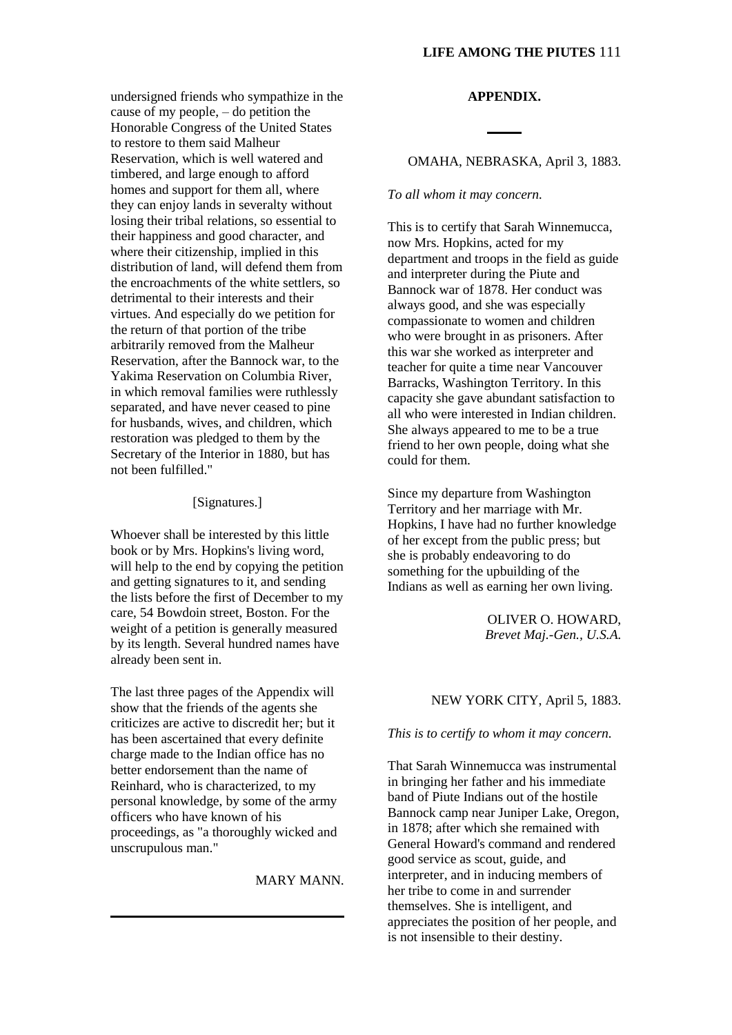undersigned friends who sympathize in the cause of my people, – do petition the Honorable Congress of the United States to restore to them said Malheur Reservation, which is well watered and timbered, and large enough to afford homes and support for them all, where they can enjoy lands in severalty without losing their tribal relations, so essential to their happiness and good character, and where their citizenship, implied in this distribution of land, will defend them from the encroachments of the white settlers, so detrimental to their interests and their virtues. And especially do we petition for the return of that portion of the tribe arbitrarily removed from the Malheur Reservation, after the Bannock war, to the Yakima Reservation on Columbia River, in which removal families were ruthlessly separated, and have never ceased to pine for husbands, wives, and children, which restoration was pledged to them by the Secretary of the Interior in 1880, but has not been fulfilled."

### [Signatures.]

Whoever shall be interested by this little book or by Mrs. Hopkins's living word, will help to the end by copying the petition and getting signatures to it, and sending the lists before the first of December to my care, 54 Bowdoin street, Boston. For the weight of a petition is generally measured by its length. Several hundred names have already been sent in.

The last three pages of the Appendix will show that the friends of the agents she criticizes are active to discredit her; but it has been ascertained that every definite charge made to the Indian office has no better endorsement than the name of Reinhard, who is characterized, to my personal knowledge, by some of the army officers who have known of his proceedings, as "a thoroughly wicked and unscrupulous man."

# MARY MANN.

### **APPENDIX.**

## OMAHA, NEBRASKA, April 3, 1883.

## *To all whom it may concern.*

This is to certify that Sarah Winnemucca, now Mrs. Hopkins, acted for my department and troops in the field as guide and interpreter during the Piute and Bannock war of 1878. Her conduct was always good, and she was especially compassionate to women and children who were brought in as prisoners. After this war she worked as interpreter and teacher for quite a time near Vancouver Barracks, Washington Territory. In this capacity she gave abundant satisfaction to all who were interested in Indian children. She always appeared to me to be a true friend to her own people, doing what she could for them.

Since my departure from Washington Territory and her marriage with Mr. Hopkins, I have had no further knowledge of her except from the public press; but she is probably endeavoring to do something for the upbuilding of the Indians as well as earning her own living.

> OLIVER O. HOWARD, *Brevet Maj.-Gen., U.S.A.*

### NEW YORK CITY, April 5, 1883.

### *This is to certify to whom it may concern.*

That Sarah Winnemucca was instrumental in bringing her father and his immediate band of Piute Indians out of the hostile Bannock camp near Juniper Lake, Oregon, in 1878; after which she remained with General Howard's command and rendered good service as scout, guide, and interpreter, and in inducing members of her tribe to come in and surrender themselves. She is intelligent, and appreciates the position of her people, and is not insensible to their destiny.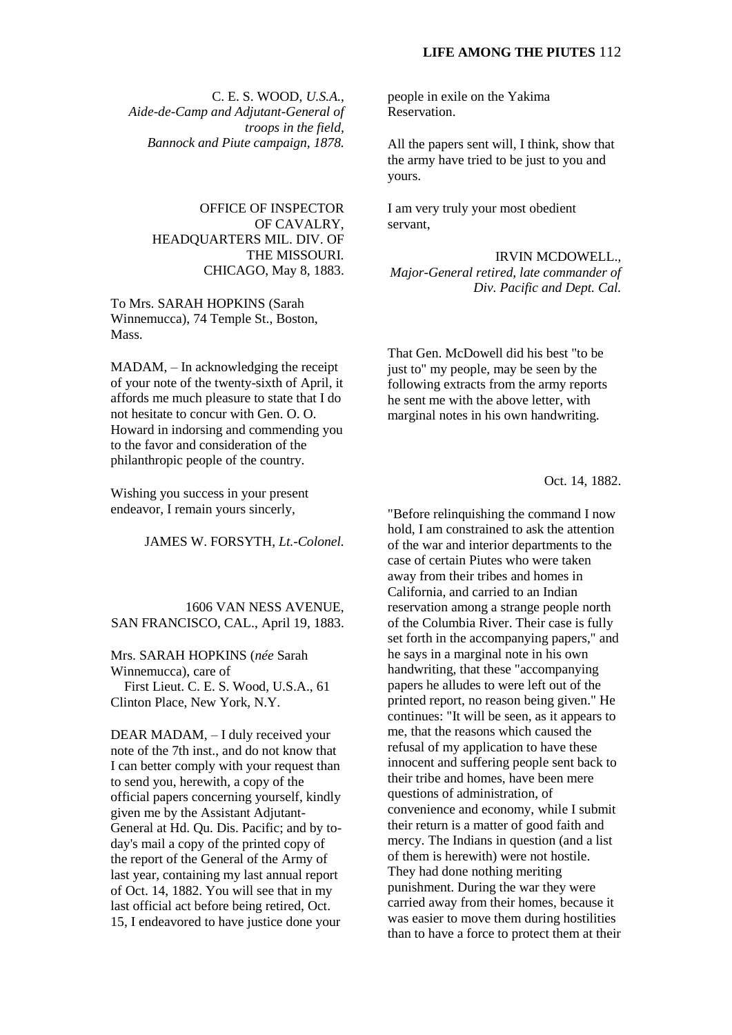C. E. S. WOOD, *U.S.A.*, *Aide-de-Camp and Adjutant-General of troops in the field, Bannock and Piute campaign, 1878.*

> OFFICE OF INSPECTOR OF CAVALRY, HEADQUARTERS MIL. DIV. OF THE MISSOURI. CHICAGO, May 8, 1883.

To Mrs. SARAH HOPKINS (Sarah Winnemucca), 74 Temple St., Boston, Mass.

MADAM, – In acknowledging the receipt of your note of the twenty-sixth of April, it affords me much pleasure to state that I do not hesitate to concur with Gen. O. O. Howard in indorsing and commending you to the favor and consideration of the philanthropic people of the country.

Wishing you success in your present endeavor, I remain yours sincerly,

JAMES W. FORSYTH, *Lt.-Colonel.*

1606 VAN NESS AVENUE, SAN FRANCISCO, CAL., April 19, 1883.

Mrs. SARAH HOPKINS (*née* Sarah Winnemucca), care of First Lieut. C. E. S. Wood, U.S.A., 61 Clinton Place, New York, N.Y.

DEAR MADAM, – I duly received your note of the 7th inst., and do not know that I can better comply with your request than to send you, herewith, a copy of the official papers concerning yourself, kindly given me by the Assistant Adjutant-General at Hd. Qu. Dis. Pacific; and by today's mail a copy of the printed copy of the report of the General of the Army of last year, containing my last annual report of Oct. 14, 1882. You will see that in my last official act before being retired, Oct. 15, I endeavored to have justice done your people in exile on the Yakima Reservation.

All the papers sent will, I think, show that the army have tried to be just to you and yours.

I am very truly your most obedient servant,

IRVIN MCDOWELL.,

*Major-General retired, late commander of Div. Pacific and Dept. Cal.*

That Gen. McDowell did his best "to be just to" my people, may be seen by the following extracts from the army reports he sent me with the above letter, with marginal notes in his own handwriting.

Oct. 14, 1882.

"Before relinquishing the command I now hold, I am constrained to ask the attention of the war and interior departments to the case of certain Piutes who were taken away from their tribes and homes in California, and carried to an Indian reservation among a strange people north of the Columbia River. Their case is fully set forth in the accompanying papers," and he says in a marginal note in his own handwriting, that these "accompanying papers he alludes to were left out of the printed report, no reason being given." He continues: "It will be seen, as it appears to me, that the reasons which caused the refusal of my application to have these innocent and suffering people sent back to their tribe and homes, have been mere questions of administration, of convenience and economy, while I submit their return is a matter of good faith and mercy. The Indians in question (and a list of them is herewith) were not hostile. They had done nothing meriting punishment. During the war they were carried away from their homes, because it was easier to move them during hostilities than to have a force to protect them at their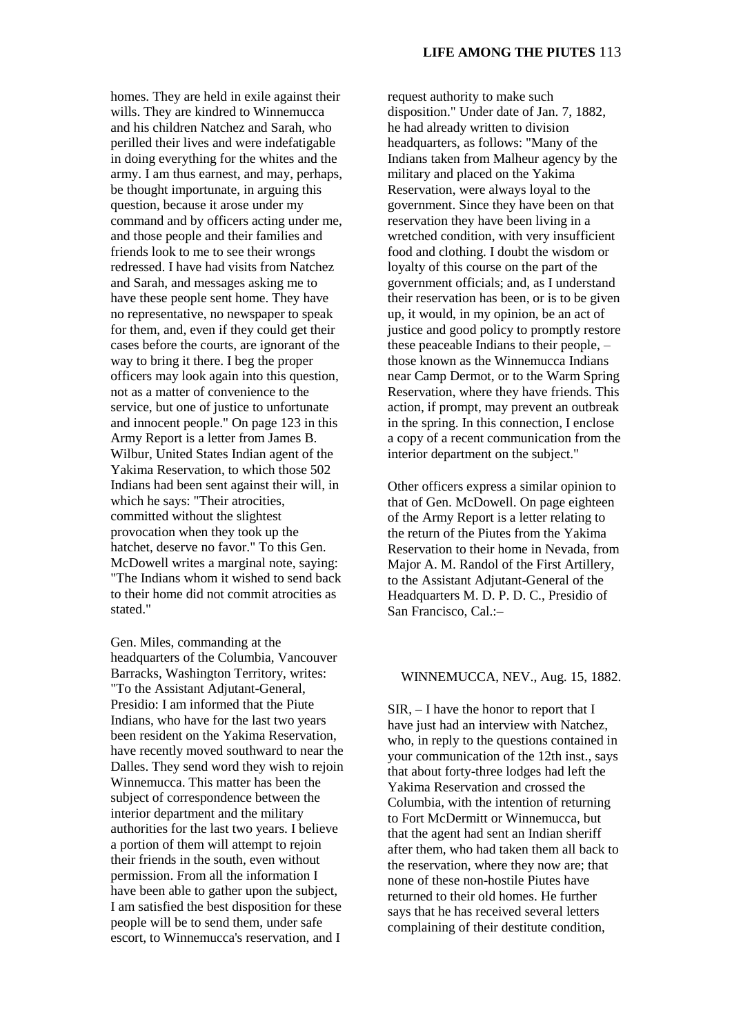homes. They are held in exile against their wills. They are kindred to Winnemucca and his children Natchez and Sarah, who perilled their lives and were indefatigable in doing everything for the whites and the army. I am thus earnest, and may, perhaps, be thought importunate, in arguing this question, because it arose under my command and by officers acting under me, and those people and their families and friends look to me to see their wrongs redressed. I have had visits from Natchez and Sarah, and messages asking me to have these people sent home. They have no representative, no newspaper to speak for them, and, even if they could get their cases before the courts, are ignorant of the way to bring it there. I beg the proper officers may look again into this question, not as a matter of convenience to the service, but one of justice to unfortunate and innocent people." On page 123 in this Army Report is a letter from James B. Wilbur, United States Indian agent of the Yakima Reservation, to which those 502 Indians had been sent against their will, in which he says: "Their atrocities, committed without the slightest provocation when they took up the hatchet, deserve no favor." To this Gen. McDowell writes a marginal note, saying: "The Indians whom it wished to send back to their home did not commit atrocities as stated."

Gen. Miles, commanding at the headquarters of the Columbia, Vancouver Barracks, Washington Territory, writes: "To the Assistant Adjutant-General, Presidio: I am informed that the Piute Indians, who have for the last two years been resident on the Yakima Reservation, have recently moved southward to near the Dalles. They send word they wish to rejoin Winnemucca. This matter has been the subject of correspondence between the interior department and the military authorities for the last two years. I believe a portion of them will attempt to rejoin their friends in the south, even without permission. From all the information I have been able to gather upon the subject, I am satisfied the best disposition for these people will be to send them, under safe escort, to Winnemucca's reservation, and I

request authority to make such disposition." Under date of Jan. 7, 1882, he had already written to division headquarters, as follows: "Many of the Indians taken from Malheur agency by the military and placed on the Yakima Reservation, were always loyal to the government. Since they have been on that reservation they have been living in a wretched condition, with very insufficient food and clothing. I doubt the wisdom or loyalty of this course on the part of the government officials; and, as I understand their reservation has been, or is to be given up, it would, in my opinion, be an act of justice and good policy to promptly restore these peaceable Indians to their people, – those known as the Winnemucca Indians near Camp Dermot, or to the Warm Spring Reservation, where they have friends. This action, if prompt, may prevent an outbreak in the spring. In this connection, I enclose a copy of a recent communication from the interior department on the subject."

Other officers express a similar opinion to that of Gen. McDowell. On page eighteen of the Army Report is a letter relating to the return of the Piutes from the Yakima Reservation to their home in Nevada, from Major A. M. Randol of the First Artillery, to the Assistant Adjutant-General of the Headquarters M. D. P. D. C., Presidio of San Francisco, Cal.:–

### WINNEMUCCA, NEV., Aug. 15, 1882.

SIR, – I have the honor to report that I have just had an interview with Natchez. who, in reply to the questions contained in your communication of the 12th inst., says that about forty-three lodges had left the Yakima Reservation and crossed the Columbia, with the intention of returning to Fort McDermitt or Winnemucca, but that the agent had sent an Indian sheriff after them, who had taken them all back to the reservation, where they now are; that none of these non-hostile Piutes have returned to their old homes. He further says that he has received several letters complaining of their destitute condition,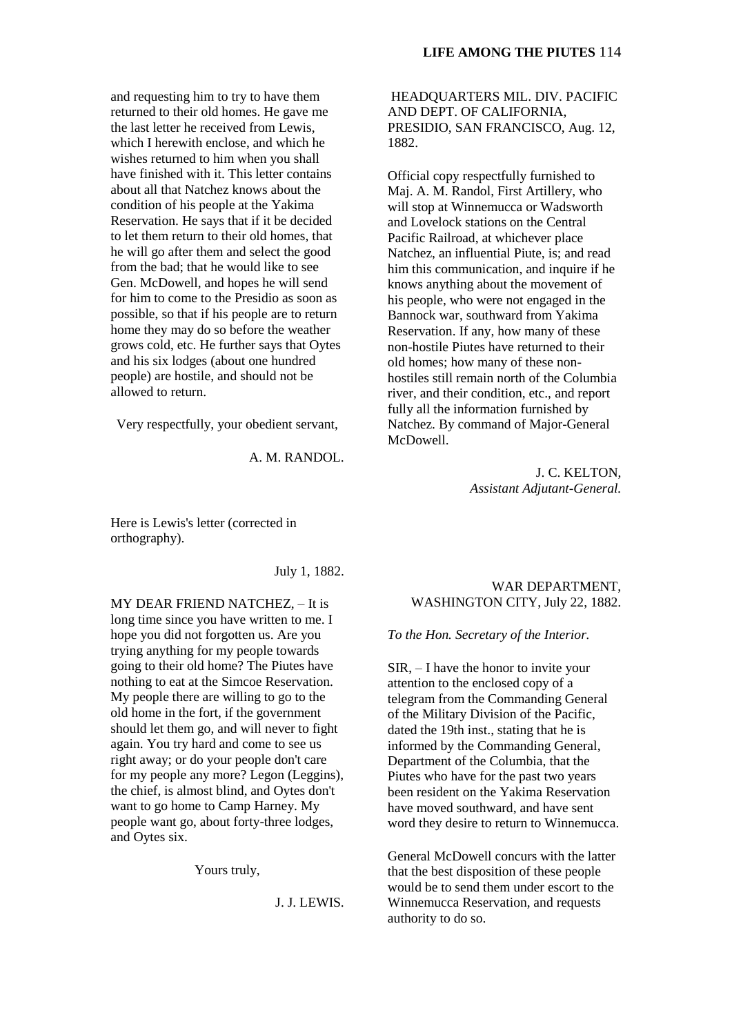and requesting him to try to have them returned to their old homes. He gave me the last letter he received from Lewis, which I herewith enclose, and which he wishes returned to him when you shall have finished with it. This letter contains about all that Natchez knows about the condition of his people at the Yakima Reservation. He says that if it be decided to let them return to their old homes, that he will go after them and select the good from the bad; that he would like to see Gen. McDowell, and hopes he will send for him to come to the Presidio as soon as possible, so that if his people are to return home they may do so before the weather grows cold, etc. He further says that Oytes and his six lodges (about one hundred people) are hostile, and should not be allowed to return.

Very respectfully, your obedient servant,

A. M. RANDOL.

Here is Lewis's letter (corrected in orthography).

July 1, 1882.

MY DEAR FRIEND NATCHEZ, – It is long time since you have written to me. I hope you did not forgotten us. Are you trying anything for my people towards going to their old home? The Piutes have nothing to eat at the Simcoe Reservation. My people there are willing to go to the old home in the fort, if the government should let them go, and will never to fight again. You try hard and come to see us right away; or do your people don't care for my people any more? Legon (Leggins), the chief, is almost blind, and Oytes don't want to go home to Camp Harney. My people want go, about forty-three lodges, and Oytes six.

Yours truly,

J. J. LEWIS.

HEADQUARTERS MIL. DIV. PACIFIC AND DEPT. OF CALIFORNIA, PRESIDIO, SAN FRANCISCO, Aug. 12, 1882.

Official copy respectfully furnished to Maj. A. M. Randol, First Artillery, who will stop at Winnemucca or Wadsworth and Lovelock stations on the Central Pacific Railroad, at whichever place Natchez, an influential Piute, is; and read him this communication, and inquire if he knows anything about the movement of his people, who were not engaged in the Bannock war, southward from Yakima Reservation. If any, how many of these non-hostile Piutes have returned to their old homes; how many of these nonhostiles still remain north of the Columbia river, and their condition, etc., and report fully all the information furnished by Natchez. By command of Major-General McDowell

> J. C. KELTON, *Assistant Adjutant-General.*

# WAR DEPARTMENT, WASHINGTON CITY, July 22, 1882.

## *To the Hon. Secretary of the Interior.*

SIR, – I have the honor to invite your attention to the enclosed copy of a telegram from the Commanding General of the Military Division of the Pacific, dated the 19th inst., stating that he is informed by the Commanding General, Department of the Columbia, that the Piutes who have for the past two years been resident on the Yakima Reservation have moved southward, and have sent word they desire to return to Winnemucca.

General McDowell concurs with the latter that the best disposition of these people would be to send them under escort to the Winnemucca Reservation, and requests authority to do so.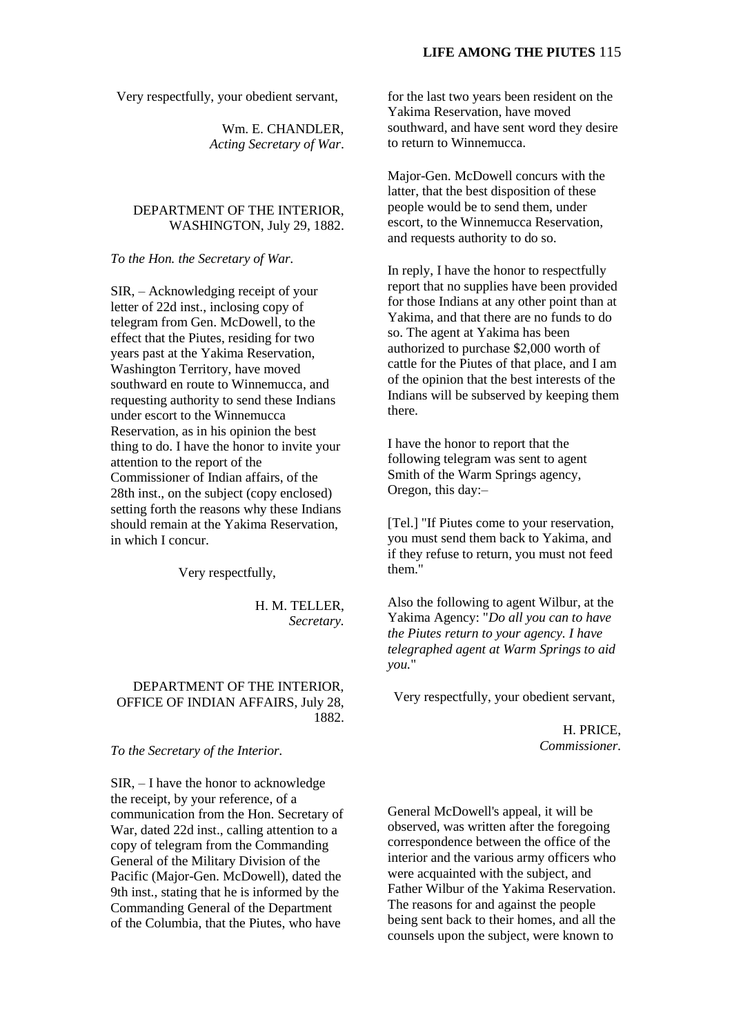Very respectfully, your obedient servant,

Wm. E. CHANDLER, *Acting Secretary of War*.

# DEPARTMENT OF THE INTERIOR, WASHINGTON, July 29, 1882.

*To the Hon. the Secretary of War.*

SIR, – Acknowledging receipt of your letter of 22d inst., inclosing copy of telegram from Gen. McDowell, to the effect that the Piutes, residing for two years past at the Yakima Reservation, Washington Territory, have moved southward en route to Winnemucca, and requesting authority to send these Indians under escort to the Winnemucca Reservation, as in his opinion the best thing to do. I have the honor to invite your attention to the report of the Commissioner of Indian affairs, of the 28th inst., on the subject (copy enclosed) setting forth the reasons why these Indians should remain at the Yakima Reservation, in which I concur.

Very respectfully,

H. M. TELLER, *Secretary.*

## DEPARTMENT OF THE INTERIOR, OFFICE OF INDIAN AFFAIRS, July 28, 1882.

*To the Secretary of the Interior.*

SIR, – I have the honor to acknowledge the receipt, by your reference, of a communication from the Hon. Secretary of War, dated 22d inst., calling attention to a copy of telegram from the Commanding General of the Military Division of the Pacific (Major-Gen. McDowell), dated the 9th inst., stating that he is informed by the Commanding General of the Department of the Columbia, that the Piutes, who have

for the last two years been resident on the Yakima Reservation, have moved southward, and have sent word they desire to return to Winnemucca.

Major-Gen. McDowell concurs with the latter, that the best disposition of these people would be to send them, under escort, to the Winnemucca Reservation, and requests authority to do so.

In reply, I have the honor to respectfully report that no supplies have been provided for those Indians at any other point than at Yakima, and that there are no funds to do so. The agent at Yakima has been authorized to purchase \$2,000 worth of cattle for the Piutes of that place, and I am of the opinion that the best interests of the Indians will be subserved by keeping them there.

I have the honor to report that the following telegram was sent to agent Smith of the Warm Springs agency, Oregon, this day:–

[Tel.] "If Piutes come to your reservation, you must send them back to Yakima, and if they refuse to return, you must not feed them."

Also the following to agent Wilbur, at the Yakima Agency: "*Do all you can to have the Piutes return to your agency. I have telegraphed agent at Warm Springs to aid you.*"

Very respectfully, your obedient servant,

H. PRICE, *Commissioner.*

General McDowell's appeal, it will be observed, was written after the foregoing correspondence between the office of the interior and the various army officers who were acquainted with the subject, and Father Wilbur of the Yakima Reservation. The reasons for and against the people being sent back to their homes, and all the counsels upon the subject, were known to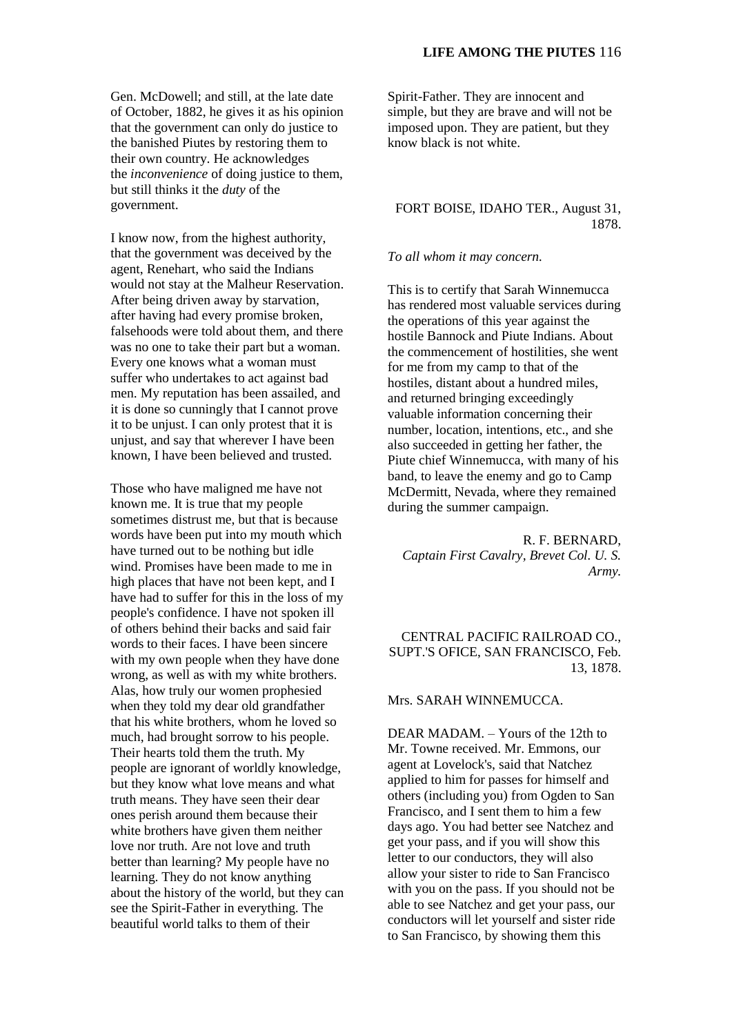Gen. McDowell; and still, at the late date of October, 1882, he gives it as his opinion that the government can only do justice to the banished Piutes by restoring them to their own country. He acknowledges the *inconvenience* of doing justice to them, but still thinks it the *duty* of the government.

I know now, from the highest authority, that the government was deceived by the agent, Renehart, who said the Indians would not stay at the Malheur Reservation. After being driven away by starvation, after having had every promise broken, falsehoods were told about them, and there was no one to take their part but a woman. Every one knows what a woman must suffer who undertakes to act against bad men. My reputation has been assailed, and it is done so cunningly that I cannot prove it to be unjust. I can only protest that it is unjust, and say that wherever I have been known, I have been believed and trusted.

Those who have maligned me have not known me. It is true that my people sometimes distrust me, but that is because words have been put into my mouth which have turned out to be nothing but idle wind. Promises have been made to me in high places that have not been kept, and I have had to suffer for this in the loss of my people's confidence. I have not spoken ill of others behind their backs and said fair words to their faces. I have been sincere with my own people when they have done wrong, as well as with my white brothers. Alas, how truly our women prophesied when they told my dear old grandfather that his white brothers, whom he loved so much, had brought sorrow to his people. Their hearts told them the truth. My people are ignorant of worldly knowledge, but they know what love means and what truth means. They have seen their dear ones perish around them because their white brothers have given them neither love nor truth. Are not love and truth better than learning? My people have no learning. They do not know anything about the history of the world, but they can see the Spirit-Father in everything. The beautiful world talks to them of their

Spirit-Father. They are innocent and simple, but they are brave and will not be imposed upon. They are patient, but they know black is not white.

## FORT BOISE, IDAHO TER., August 31, 1878.

## *To all whom it may concern.*

This is to certify that Sarah Winnemucca has rendered most valuable services during the operations of this year against the hostile Bannock and Piute Indians. About the commencement of hostilities, she went for me from my camp to that of the hostiles, distant about a hundred miles, and returned bringing exceedingly valuable information concerning their number, location, intentions, etc., and she also succeeded in getting her father, the Piute chief Winnemucca, with many of his band, to leave the enemy and go to Camp McDermitt, Nevada, where they remained during the summer campaign.

R. F. BERNARD, *Captain First Cavalry, Brevet Col. U. S. Army.*

# CENTRAL PACIFIC RAILROAD CO., SUPT.'S OFICE, SAN FRANCISCO, Feb. 13, 1878.

#### Mrs. SARAH WINNEMUCCA.

DEAR MADAM. – Yours of the 12th to Mr. Towne received. Mr. Emmons, our agent at Lovelock's, said that Natchez applied to him for passes for himself and others (including you) from Ogden to San Francisco, and I sent them to him a few days ago. You had better see Natchez and get your pass, and if you will show this letter to our conductors, they will also allow your sister to ride to San Francisco with you on the pass. If you should not be able to see Natchez and get your pass, our conductors will let yourself and sister ride to San Francisco, by showing them this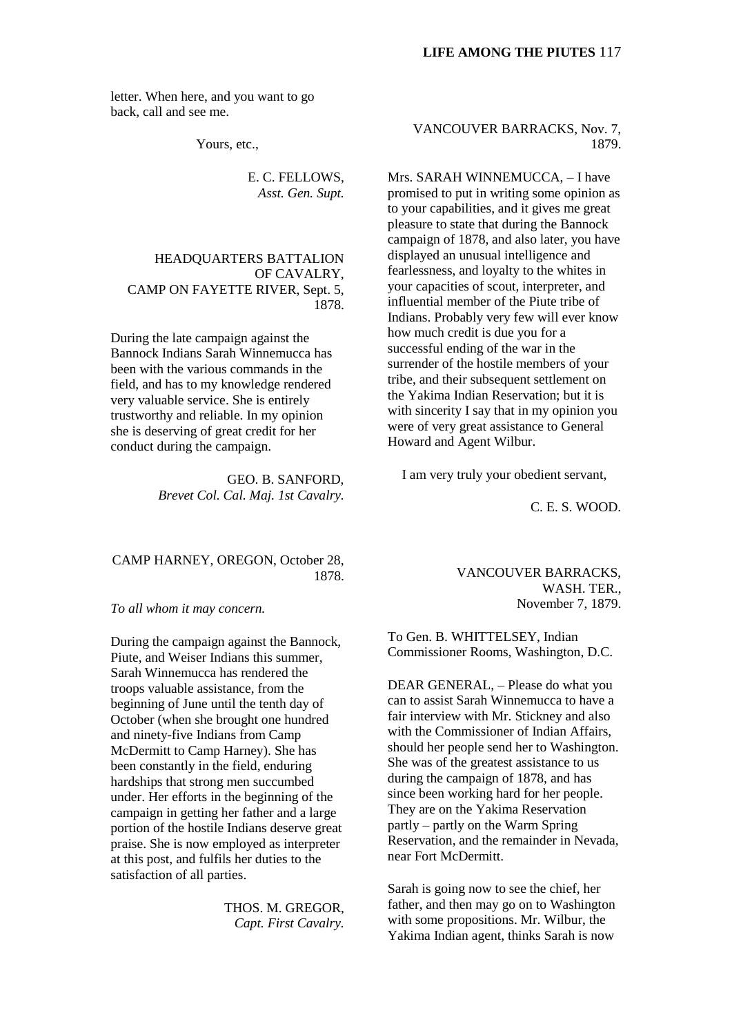letter. When here, and you want to go back, call and see me.

Yours, etc.,

E. C. FELLOWS, *Asst. Gen. Supt.*

# HEADQUARTERS BATTALION OF CAVALRY, CAMP ON FAYETTE RIVER, Sept. 5, 1878.

During the late campaign against the Bannock Indians Sarah Winnemucca has been with the various commands in the field, and has to my knowledge rendered very valuable service. She is entirely trustworthy and reliable. In my opinion she is deserving of great credit for her conduct during the campaign.

> GEO. B. SANFORD, *Brevet Col. Cal. Maj. 1st Cavalry.*

## CAMP HARNEY, OREGON, October 28, 1878.

*To all whom it may concern.*

During the campaign against the Bannock, Piute, and Weiser Indians this summer, Sarah Winnemucca has rendered the troops valuable assistance, from the beginning of June until the tenth day of October (when she brought one hundred and ninety-five Indians from Camp McDermitt to Camp Harney). She has been constantly in the field, enduring hardships that strong men succumbed under. Her efforts in the beginning of the campaign in getting her father and a large portion of the hostile Indians deserve great praise. She is now employed as interpreter at this post, and fulfils her duties to the satisfaction of all parties.

> THOS. M. GREGOR, *Capt. First Cavalry.*

VANCOUVER BARRACKS, Nov. 7, 1879.

Mrs. SARAH WINNEMUCCA, – I have promised to put in writing some opinion as to your capabilities, and it gives me great pleasure to state that during the Bannock campaign of 1878, and also later, you have displayed an unusual intelligence and fearlessness, and loyalty to the whites in your capacities of scout, interpreter, and influential member of the Piute tribe of Indians. Probably very few will ever know how much credit is due you for a successful ending of the war in the surrender of the hostile members of your tribe, and their subsequent settlement on the Yakima Indian Reservation; but it is with sincerity I say that in my opinion you were of very great assistance to General Howard and Agent Wilbur.

I am very truly your obedient servant,

C. E. S. WOOD.

VANCOUVER BARRACKS, WASH. TER., November 7, 1879.

To Gen. B. WHITTELSEY, Indian Commissioner Rooms, Washington, D.C.

DEAR GENERAL, – Please do what you can to assist Sarah Winnemucca to have a fair interview with Mr. Stickney and also with the Commissioner of Indian Affairs, should her people send her to Washington. She was of the greatest assistance to us during the campaign of 1878, and has since been working hard for her people. They are on the Yakima Reservation partly – partly on the Warm Spring Reservation, and the remainder in Nevada, near Fort McDermitt.

Sarah is going now to see the chief, her father, and then may go on to Washington with some propositions. Mr. Wilbur, the Yakima Indian agent, thinks Sarah is now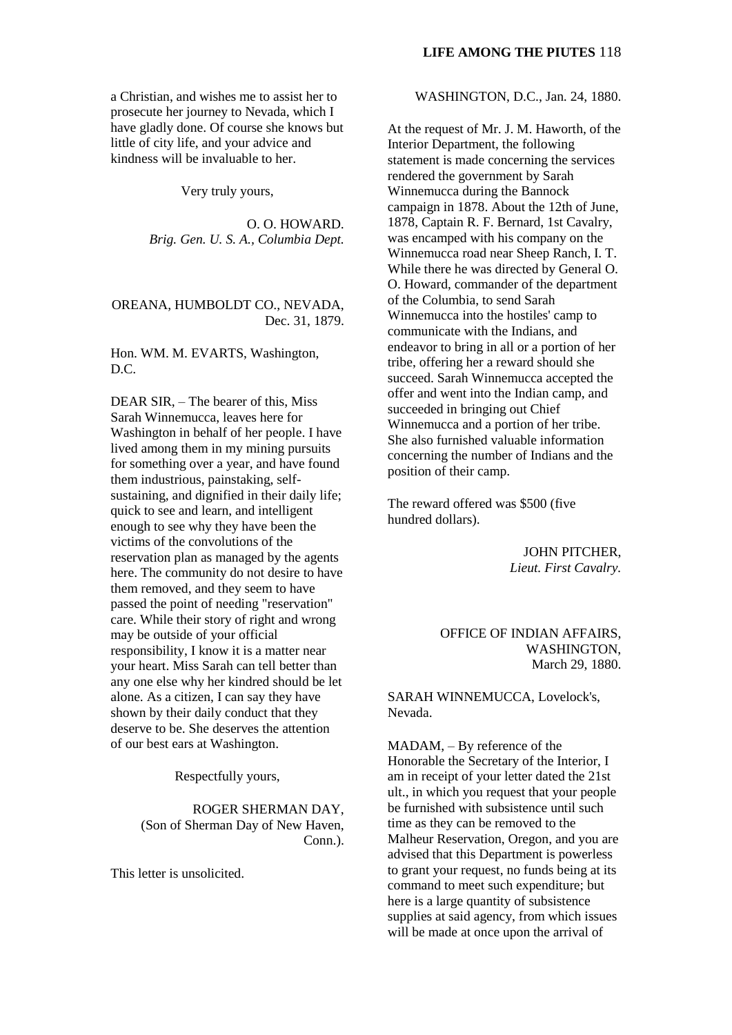a Christian, and wishes me to assist her to prosecute her journey to Nevada, which I have gladly done. Of course she knows but little of city life, and your advice and kindness will be invaluable to her.

Very truly yours,

O. O. HOWARD. *Brig. Gen. U. S. A., Columbia Dept.*

# OREANA, HUMBOLDT CO., NEVADA, Dec. 31, 1879.

Hon. WM. M. EVARTS, Washington, D.C.

DEAR SIR, – The bearer of this, Miss Sarah Winnemucca, leaves here for Washington in behalf of her people. I have lived among them in my mining pursuits for something over a year, and have found them industrious, painstaking, selfsustaining, and dignified in their daily life; quick to see and learn, and intelligent enough to see why they have been the victims of the convolutions of the reservation plan as managed by the agents here. The community do not desire to have them removed, and they seem to have passed the point of needing "reservation" care. While their story of right and wrong may be outside of your official responsibility, I know it is a matter near your heart. Miss Sarah can tell better than any one else why her kindred should be let alone. As a citizen, I can say they have shown by their daily conduct that they deserve to be. She deserves the attention of our best ears at Washington.

Respectfully yours,

ROGER SHERMAN DAY, (Son of Sherman Day of New Haven, Conn.).

This letter is unsolicited.

WASHINGTON, D.C., Jan. 24, 1880.

At the request of Mr. J. M. Haworth, of the Interior Department, the following statement is made concerning the services rendered the government by Sarah Winnemucca during the Bannock campaign in 1878. About the 12th of June, 1878, Captain R. F. Bernard, 1st Cavalry, was encamped with his company on the Winnemucca road near Sheep Ranch, I. T. While there he was directed by General O. O. Howard, commander of the department of the Columbia, to send Sarah Winnemucca into the hostiles' camp to communicate with the Indians, and endeavor to bring in all or a portion of her tribe, offering her a reward should she succeed. Sarah Winnemucca accepted the offer and went into the Indian camp, and succeeded in bringing out Chief Winnemucca and a portion of her tribe. She also furnished valuable information concerning the number of Indians and the position of their camp.

The reward offered was \$500 (five hundred dollars).

> JOHN PITCHER, *Lieut. First Cavalry.*

# OFFICE OF INDIAN AFFAIRS, WASHINGTON, March 29, 1880.

SARAH WINNEMUCCA, Lovelock's, Nevada.

MADAM, – By reference of the Honorable the Secretary of the Interior, I am in receipt of your letter dated the 21st ult., in which you request that your people be furnished with subsistence until such time as they can be removed to the Malheur Reservation, Oregon, and you are advised that this Department is powerless to grant your request, no funds being at its command to meet such expenditure; but here is a large quantity of subsistence supplies at said agency, from which issues will be made at once upon the arrival of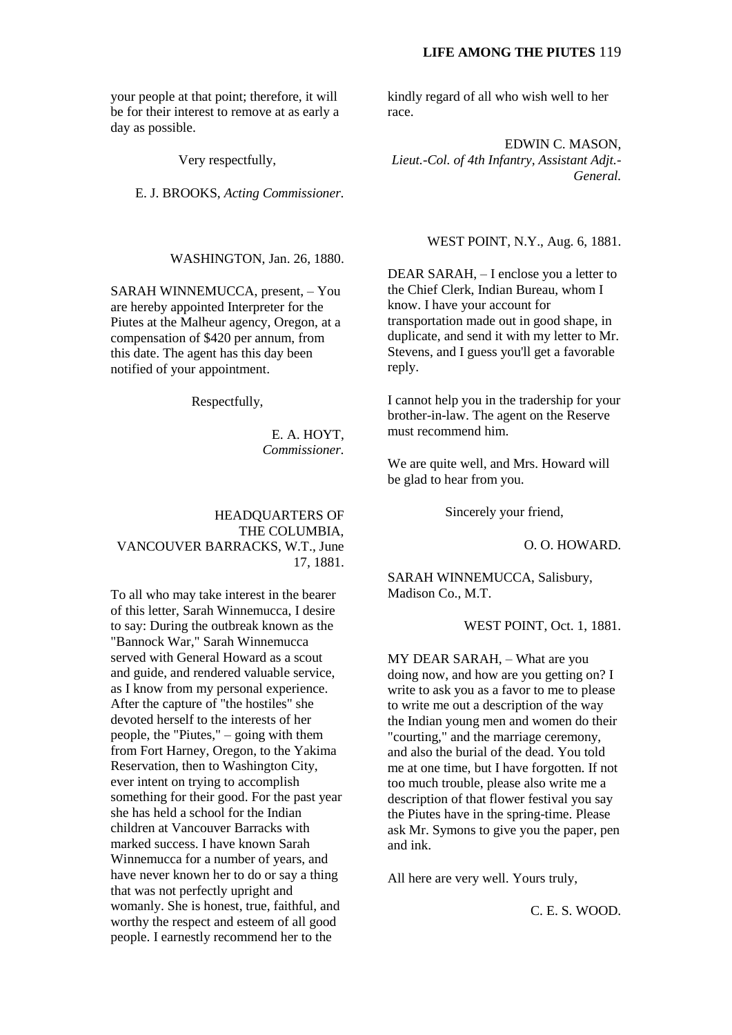your people at that point; therefore, it will be for their interest to remove at as early a day as possible.

Very respectfully,

E. J. BROOKS, *Acting Commissioner.*

WASHINGTON, Jan. 26, 1880.

SARAH WINNEMUCCA, present, – You are hereby appointed Interpreter for the Piutes at the Malheur agency, Oregon, at a compensation of \$420 per annum, from this date. The agent has this day been notified of your appointment.

Respectfully,

E. A. HOYT, *Commissioner.*

# HEADQUARTERS OF THE COLUMBIA, VANCOUVER BARRACKS, W.T., June 17, 1881.

To all who may take interest in the bearer of this letter, Sarah Winnemucca, I desire to say: During the outbreak known as the "Bannock War," Sarah Winnemucca served with General Howard as a scout and guide, and rendered valuable service, as I know from my personal experience. After the capture of "the hostiles" she devoted herself to the interests of her people, the "Piutes," – going with them from Fort Harney, Oregon, to the Yakima Reservation, then to Washington City, ever intent on trying to accomplish something for their good. For the past year she has held a school for the Indian children at Vancouver Barracks with marked success. I have known Sarah Winnemucca for a number of years, and have never known her to do or say a thing that was not perfectly upright and womanly. She is honest, true, faithful, and worthy the respect and esteem of all good people. I earnestly recommend her to the

kindly regard of all who wish well to her race.

EDWIN C. MASON, *Lieut.-Col. of 4th Infantry, Assistant Adjt.- General.*

## WEST POINT, N.Y., Aug. 6, 1881.

DEAR SARAH, – I enclose you a letter to the Chief Clerk, Indian Bureau, whom I know. I have your account for transportation made out in good shape, in duplicate, and send it with my letter to Mr. Stevens, and I guess you'll get a favorable reply.

I cannot help you in the tradership for your brother-in-law. The agent on the Reserve must recommend him.

We are quite well, and Mrs. Howard will be glad to hear from you.

Sincerely your friend,

O. O. HOWARD.

SARAH WINNEMUCCA, Salisbury, Madison Co., M.T.

### WEST POINT, Oct. 1, 1881.

MY DEAR SARAH, – What are you doing now, and how are you getting on? I write to ask you as a favor to me to please to write me out a description of the way the Indian young men and women do their "courting," and the marriage ceremony, and also the burial of the dead. You told me at one time, but I have forgotten. If not too much trouble, please also write me a description of that flower festival you say the Piutes have in the spring-time. Please ask Mr. Symons to give you the paper, pen and ink.

All here are very well. Yours truly,

C. E. S. WOOD.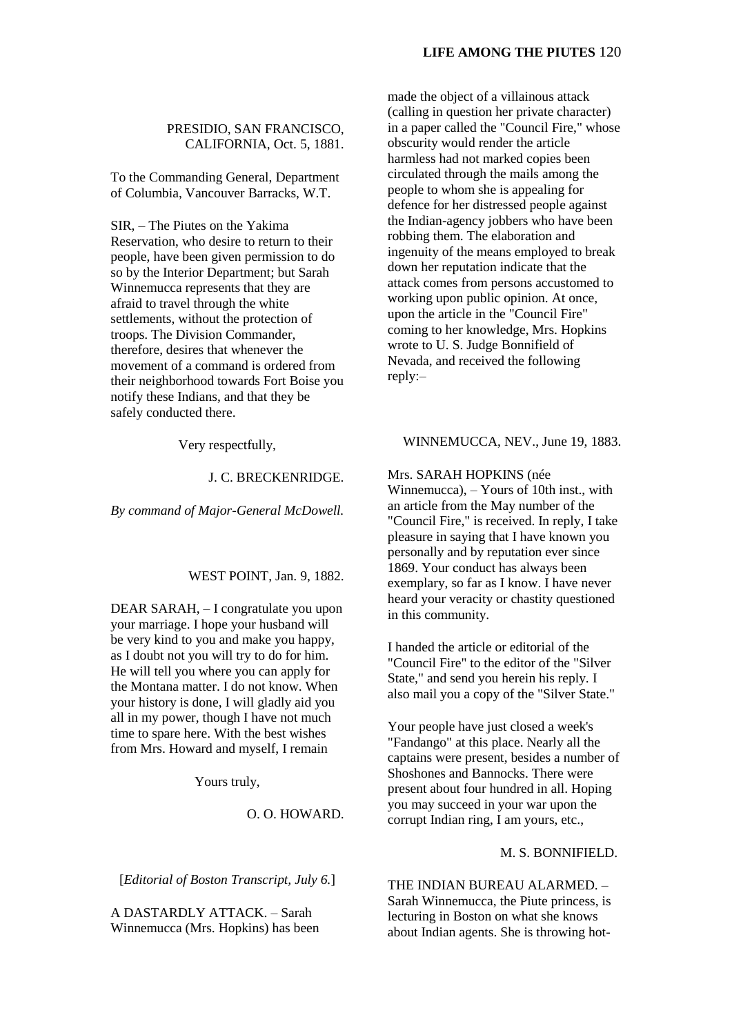# PRESIDIO, SAN FRANCISCO, CALIFORNIA, Oct. 5, 1881.

To the Commanding General, Department of Columbia, Vancouver Barracks, W.T.

SIR, – The Piutes on the Yakima Reservation, who desire to return to their people, have been given permission to do so by the Interior Department; but Sarah Winnemucca represents that they are afraid to travel through the white settlements, without the protection of troops. The Division Commander, therefore, desires that whenever the movement of a command is ordered from their neighborhood towards Fort Boise you notify these Indians, and that they be safely conducted there.

Very respectfully,

## J. C. BRECKENRIDGE.

*By command of Major-General McDowell.*

### WEST POINT, Jan. 9, 1882.

DEAR SARAH, – I congratulate you upon your marriage. I hope your husband will be very kind to you and make you happy, as I doubt not you will try to do for him. He will tell you where you can apply for the Montana matter. I do not know. When your history is done, I will gladly aid you all in my power, though I have not much time to spare here. With the best wishes from Mrs. Howard and myself, I remain

Yours truly,

O. O. HOWARD.

[*Editorial of Boston Transcript, July 6.*]

A DASTARDLY ATTACK. – Sarah Winnemucca (Mrs. Hopkins) has been made the object of a villainous attack (calling in question her private character) in a paper called the "Council Fire," whose obscurity would render the article harmless had not marked copies been circulated through the mails among the people to whom she is appealing for defence for her distressed people against the Indian-agency jobbers who have been robbing them. The elaboration and ingenuity of the means employed to break down her reputation indicate that the attack comes from persons accustomed to working upon public opinion. At once, upon the article in the "Council Fire" coming to her knowledge, Mrs. Hopkins wrote to U. S. Judge Bonnifield of Nevada, and received the following reply:–

### WINNEMUCCA, NEV., June 19, 1883.

Mrs. SARAH HOPKINS (née Winnemucca), – Yours of 10th inst., with an article from the May number of the "Council Fire," is received. In reply, I take pleasure in saying that I have known you personally and by reputation ever since 1869. Your conduct has always been exemplary, so far as I know. I have never heard your veracity or chastity questioned in this community.

I handed the article or editorial of the "Council Fire" to the editor of the "Silver State," and send you herein his reply. I also mail you a copy of the "Silver State."

Your people have just closed a week's "Fandango" at this place. Nearly all the captains were present, besides a number of Shoshones and Bannocks. There were present about four hundred in all. Hoping you may succeed in your war upon the corrupt Indian ring, I am yours, etc.,

## M. S. BONNIFIELD.

THE INDIAN BUREAU ALARMED. – Sarah Winnemucca, the Piute princess, is lecturing in Boston on what she knows about Indian agents. She is throwing hot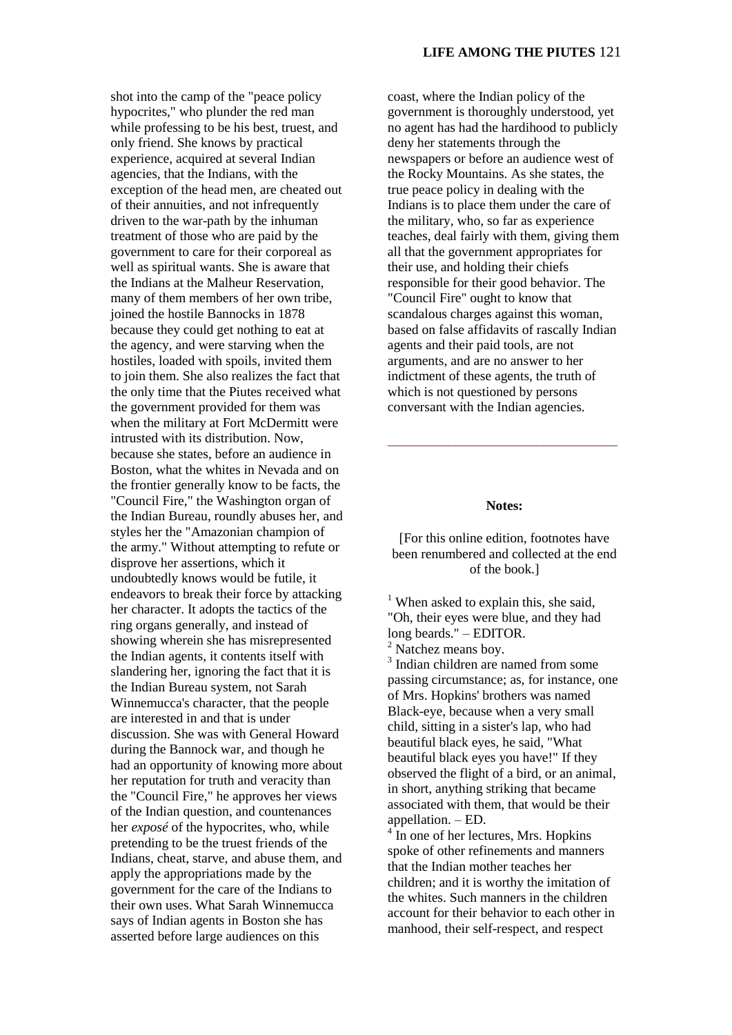shot into the camp of the "peace policy hypocrites," who plunder the red man while professing to be his best, truest, and only friend. She knows by practical experience, acquired at several Indian agencies, that the Indians, with the exception of the head men, are cheated out of their annuities, and not infrequently driven to the war-path by the inhuman treatment of those who are paid by the government to care for their corporeal as well as spiritual wants. She is aware that the Indians at the Malheur Reservation, many of them members of her own tribe, joined the hostile Bannocks in 1878 because they could get nothing to eat at the agency, and were starving when the hostiles, loaded with spoils, invited them to join them. She also realizes the fact that the only time that the Piutes received what the government provided for them was when the military at Fort McDermitt were intrusted with its distribution. Now, because she states, before an audience in Boston, what the whites in Nevada and on the frontier generally know to be facts, the "Council Fire," the Washington organ of the Indian Bureau, roundly abuses her, and styles her the "Amazonian champion of the army." Without attempting to refute or disprove her assertions, which it undoubtedly knows would be futile, it endeavors to break their force by attacking her character. It adopts the tactics of the ring organs generally, and instead of showing wherein she has misrepresented the Indian agents, it contents itself with slandering her, ignoring the fact that it is the Indian Bureau system, not Sarah Winnemucca's character, that the people are interested in and that is under discussion. She was with General Howard during the Bannock war, and though he had an opportunity of knowing more about her reputation for truth and veracity than the "Council Fire," he approves her views of the Indian question, and countenances her *exposé* of the hypocrites, who, while pretending to be the truest friends of the Indians, cheat, starve, and abuse them, and apply the appropriations made by the government for the care of the Indians to their own uses. What Sarah Winnemucca says of Indian agents in Boston she has asserted before large audiences on this

coast, where the Indian policy of the government is thoroughly understood, yet no agent has had the hardihood to publicly deny her statements through the newspapers or before an audience west of the Rocky Mountains. As she states, the true peace policy in dealing with the Indians is to place them under the care of the military, who, so far as experience teaches, deal fairly with them, giving them all that the government appropriates for their use, and holding their chiefs responsible for their good behavior. The "Council Fire" ought to know that scandalous charges against this woman, based on false affidavits of rascally Indian agents and their paid tools, are not arguments, and are no answer to her indictment of these agents, the truth of which is not questioned by persons conversant with the Indian agencies.

## **Notes:**

\_\_\_\_\_\_\_\_\_\_\_\_\_\_\_\_\_\_\_\_\_\_\_\_\_\_\_\_\_\_\_\_\_\_

[For this online edition, footnotes have been renumbered and collected at the end of the book.]

<sup>1</sup> When asked to explain this, she said, "Oh, their eyes were blue, and they had long beards." – EDITOR.

 $2$  Natchez means boy.

3 Indian children are named from some passing circumstance; as, for instance, one of Mrs. Hopkins' brothers was named Black-eye, because when a very small child, sitting in a sister's lap, who had beautiful black eyes, he said, "What beautiful black eyes you have!" If they observed the flight of a bird, or an animal, in short, anything striking that became associated with them, that would be their appellation. – ED.

<sup>4</sup> In one of her lectures, Mrs. Hopkins spoke of other refinements and manners that the Indian mother teaches her children; and it is worthy the imitation of the whites. Such manners in the children account for their behavior to each other in manhood, their self-respect, and respect